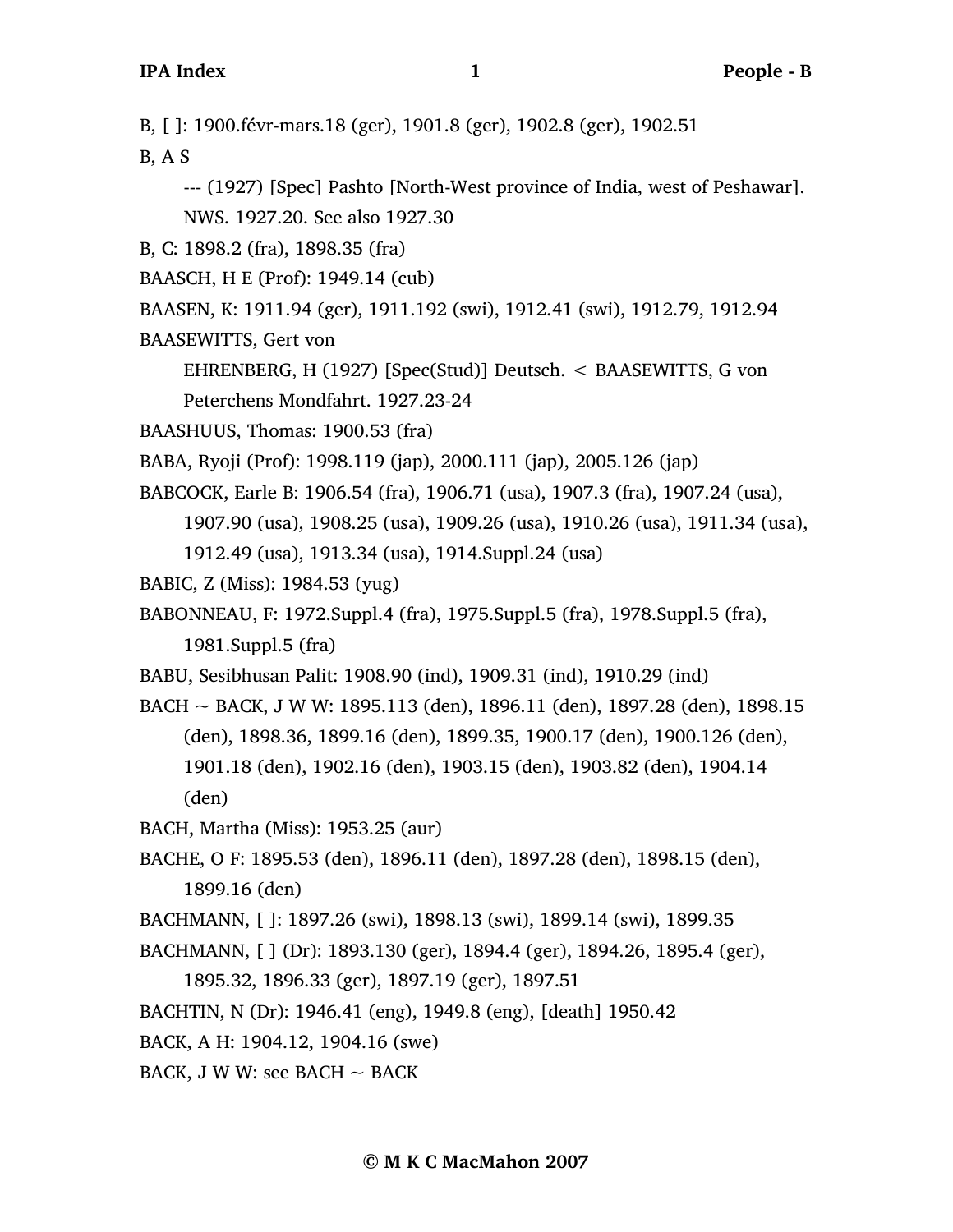B, [ ]: 1900.févr-mars.18 (ger), 1901.8 (ger), 1902.8 (ger), 1902.51

B, A S

--- (1927) [Spec] Pashto [North-West province of India, west of Peshawar]. NWS. 1927.20. See also 1927.30

B, C: 1898.2 (fra), 1898.35 (fra)

BAASCH, H E (Prof): 1949.14 (cub)

BAASEN, K: 1911.94 (ger), 1911.192 (swi), 1912.41 (swi), 1912.79, 1912.94

BAASEWITTS, Gert von

EHRENBERG, H (1927) [Spec(Stud)] Deutsch. < BAASEWITTS, G von Peterchens Mondfahrt. 1927.23-24

BAASHUUS, Thomas: 1900.53 (fra)

BABA, Ryoji (Prof): 1998.119 (jap), 2000.111 (jap), 2005.126 (jap)

BABCOCK, Earle B: 1906.54 (fra), 1906.71 (usa), 1907.3 (fra), 1907.24 (usa),

1907.90 (usa), 1908.25 (usa), 1909.26 (usa), 1910.26 (usa), 1911.34 (usa),

1912.49 (usa), 1913.34 (usa), 1914.Suppl.24 (usa)

BABIC, Z (Miss): 1984.53 (yug)

BABONNEAU, F: 1972.Suppl.4 (fra), 1975.Suppl.5 (fra), 1978.Suppl.5 (fra), 1981.Suppl.5 (fra)

BABU, Sesibhusan Palit: 1908.90 (ind), 1909.31 (ind), 1910.29 (ind)

BACH ~ BACK, J W W: 1895.113 (den), 1896.11 (den), 1897.28 (den), 1898.15 (den), 1898.36, 1899.16 (den), 1899.35, 1900.17 (den), 1900.126 (den), 1901.18 (den), 1902.16 (den), 1903.15 (den), 1903.82 (den), 1904.14 (den)

BACH, Martha (Miss): 1953.25 (aur)

BACHE, O F: 1895.53 (den), 1896.11 (den), 1897.28 (den), 1898.15 (den), 1899.16 (den)

BACHMANN, [ ]: 1897.26 (swi), 1898.13 (swi), 1899.14 (swi), 1899.35

BACHMANN, [ ] (Dr): 1893.130 (ger), 1894.4 (ger), 1894.26, 1895.4 (ger),

1895.32, 1896.33 (ger), 1897.19 (ger), 1897.51

BACHTIN, N (Dr): 1946.41 (eng), 1949.8 (eng), [death] 1950.42

BACK, A H: 1904.12, 1904.16 (swe)

BACK, J W W: see BACH  $\sim$  BACK

**© M K C MacMahon 2007**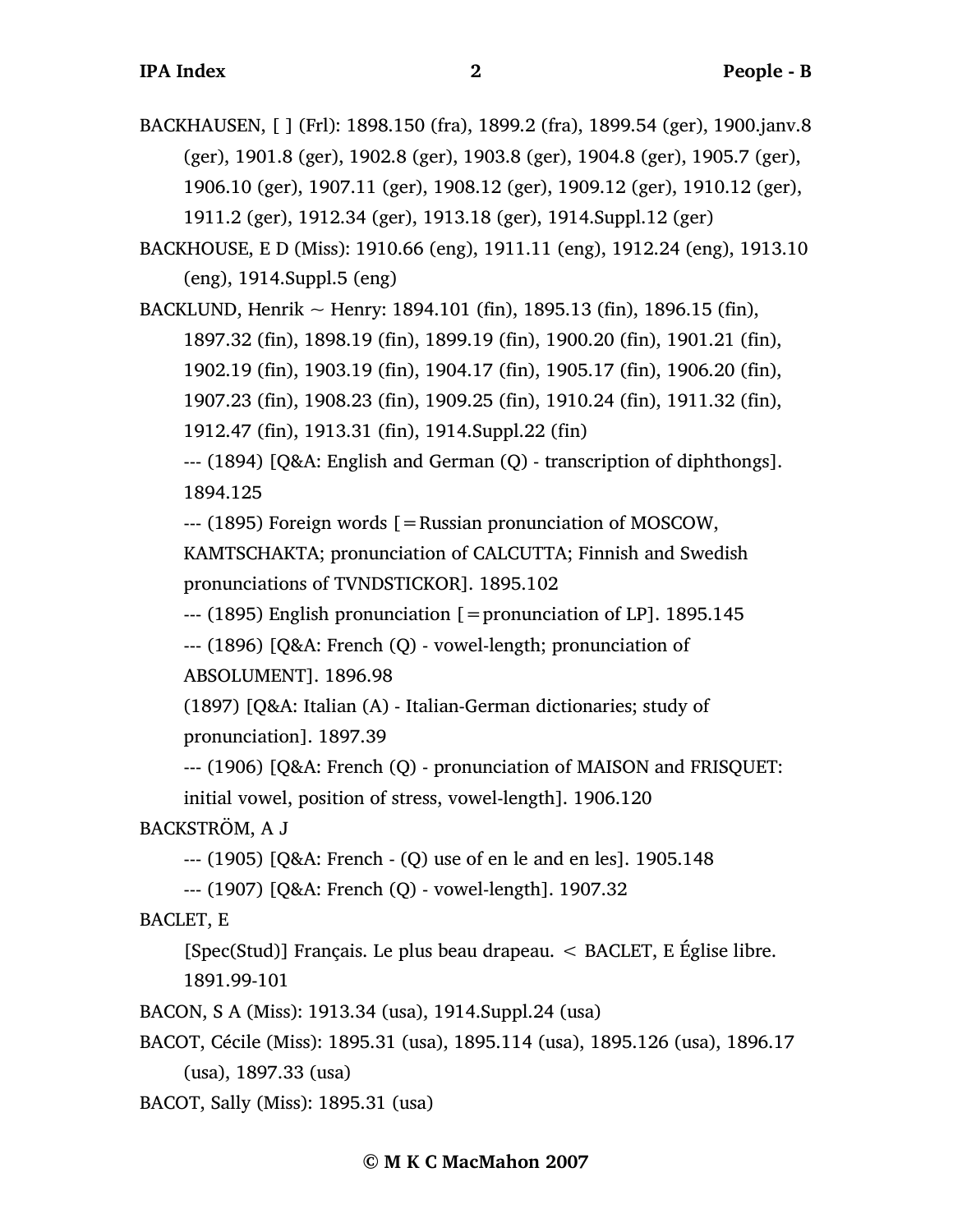BACKHAUSEN, [ ] (Frl): 1898.150 (fra), 1899.2 (fra), 1899.54 (ger), 1900.janv.8 (ger), 1901.8 (ger), 1902.8 (ger), 1903.8 (ger), 1904.8 (ger), 1905.7 (ger), 1906.10 (ger), 1907.11 (ger), 1908.12 (ger), 1909.12 (ger), 1910.12 (ger), 1911.2 (ger), 1912.34 (ger), 1913.18 (ger), 1914.Suppl.12 (ger)

BACKHOUSE, E D (Miss): 1910.66 (eng), 1911.11 (eng), 1912.24 (eng), 1913.10 (eng), 1914.Suppl.5 (eng)

BACKLUND, Henrik  $\sim$  Henry: 1894.101 (fin), 1895.13 (fin), 1896.15 (fin),

1897.32 (fin), 1898.19 (fin), 1899.19 (fin), 1900.20 (fin), 1901.21 (fin),

1902.19 (fin), 1903.19 (fin), 1904.17 (fin), 1905.17 (fin), 1906.20 (fin),

1907.23 (fin), 1908.23 (fin), 1909.25 (fin), 1910.24 (fin), 1911.32 (fin),

1912.47 (fin), 1913.31 (fin), 1914.Suppl.22 (fin)

--- (1894) [Q&A: English and German (Q) - transcription of diphthongs]. 1894.125

--- (1895) Foreign words [=Russian pronunciation of MOSCOW,

KAMTSCHAKTA; pronunciation of CALCUTTA; Finnish and Swedish pronunciations of TVNDSTICKOR]. 1895.102

--- (1895) English pronunciation [=pronunciation of LP]. 1895.145

--- (1896) [Q&A: French (Q) - vowel-length; pronunciation of ABSOLUMENT]. 1896.98

(1897) [Q&A: Italian (A) - Italian-German dictionaries; study of pronunciation]. 1897.39

--- (1906) [Q&A: French (Q) - pronunciation of MAISON and FRISQUET: initial vowel, position of stress, vowel-length]. 1906.120

BACKSTRÖM, A J

--- (1905) [Q&A: French - (Q) use of en le and en les]. 1905.148

--- (1907) [Q&A: French (Q) - vowel-length]. 1907.32

BACLET, E

[Spec(Stud)] Français. Le plus beau drapeau. < BACLET, E Église libre. 1891.99-101

BACON, S A (Miss): 1913.34 (usa), 1914.Suppl.24 (usa)

BACOT, Cécile (Miss): 1895.31 (usa), 1895.114 (usa), 1895.126 (usa), 1896.17 (usa), 1897.33 (usa)

BACOT, Sally (Miss): 1895.31 (usa)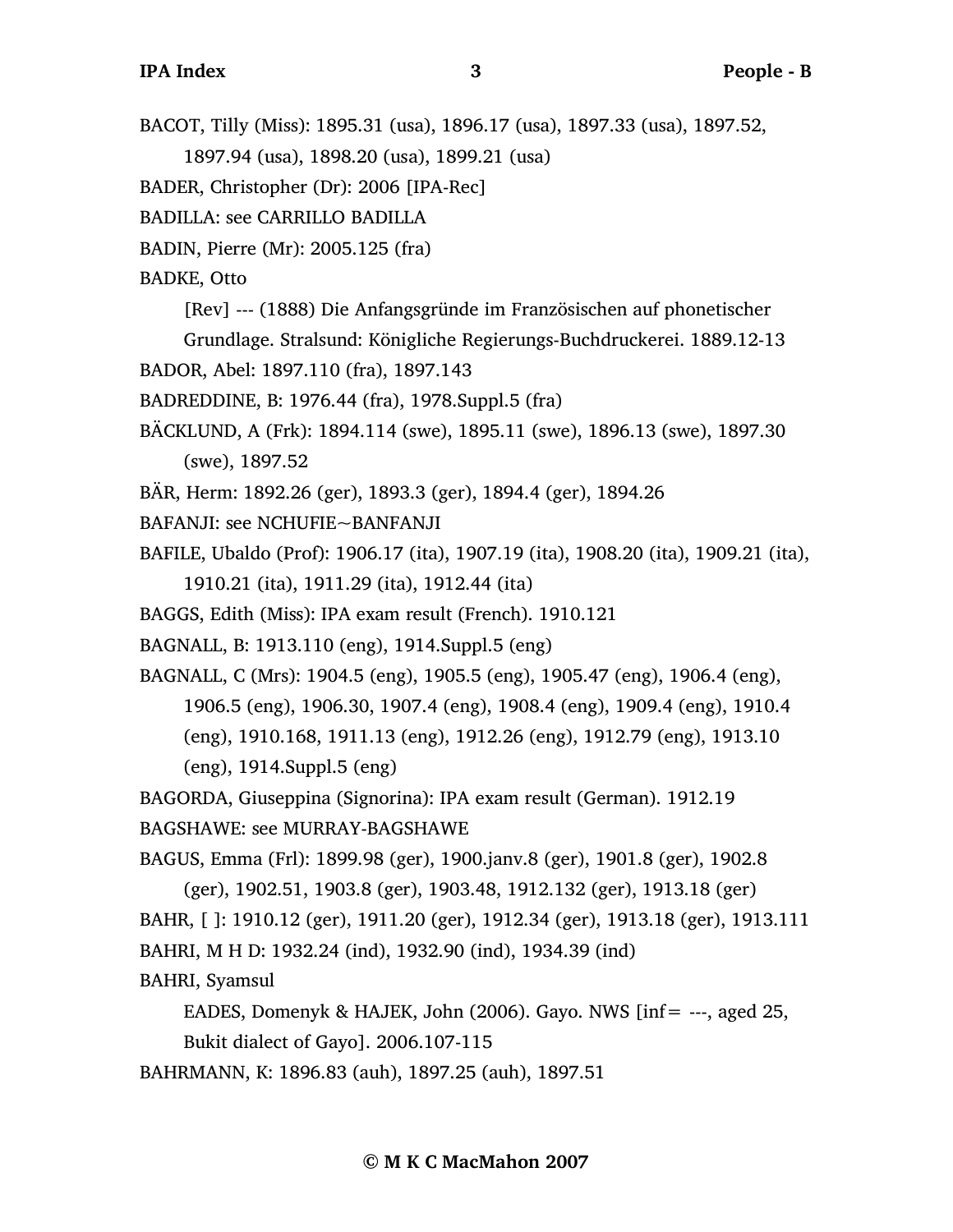BACOT, Tilly (Miss): 1895.31 (usa), 1896.17 (usa), 1897.33 (usa), 1897.52, 1897.94 (usa), 1898.20 (usa), 1899.21 (usa)

BADER, Christopher (Dr): 2006 [IPA-Rec]

BADILLA: see CARRILLO BADILLA

BADIN, Pierre (Mr): 2005.125 (fra)

BADKE, Otto

[Rev] --- (1888) Die Anfangsgründe im Französischen auf phonetischer

Grundlage. Stralsund: Königliche Regierungs-Buchdruckerei. 1889.12-13

BADOR, Abel: 1897.110 (fra), 1897.143

BADREDDINE, B: 1976.44 (fra), 1978.Suppl.5 (fra)

BÄCKLUND, A (Frk): 1894.114 (swe), 1895.11 (swe), 1896.13 (swe), 1897.30 (swe), 1897.52

BÄR, Herm: 1892.26 (ger), 1893.3 (ger), 1894.4 (ger), 1894.26

BAFANJI: see NCHUFIE~BANFANJI

BAFILE, Ubaldo (Prof): 1906.17 (ita), 1907.19 (ita), 1908.20 (ita), 1909.21 (ita), 1910.21 (ita), 1911.29 (ita), 1912.44 (ita)

BAGGS, Edith (Miss): IPA exam result (French). 1910.121

BAGNALL, B: 1913.110 (eng), 1914.Suppl.5 (eng)

BAGNALL, C (Mrs): 1904.5 (eng), 1905.5 (eng), 1905.47 (eng), 1906.4 (eng), 1906.5 (eng), 1906.30, 1907.4 (eng), 1908.4 (eng), 1909.4 (eng), 1910.4 (eng), 1910.168, 1911.13 (eng), 1912.26 (eng), 1912.79 (eng), 1913.10 (eng), 1914.Suppl.5 (eng)

BAGORDA, Giuseppina (Signorina): IPA exam result (German). 1912.19

BAGSHAWE: see MURRAY-BAGSHAWE

BAGUS, Emma (Frl): 1899.98 (ger), 1900.janv.8 (ger), 1901.8 (ger), 1902.8

(ger), 1902.51, 1903.8 (ger), 1903.48, 1912.132 (ger), 1913.18 (ger) BAHR, [ ]: 1910.12 (ger), 1911.20 (ger), 1912.34 (ger), 1913.18 (ger), 1913.111 BAHRI, M H D: 1932.24 (ind), 1932.90 (ind), 1934.39 (ind)

BAHRI, Syamsul

EADES, Domenyk & HAJEK, John (2006). Gayo. NWS [inf= ---, aged 25, Bukit dialect of Gayo]. 2006.107-115

BAHRMANN, K: 1896.83 (auh), 1897.25 (auh), 1897.51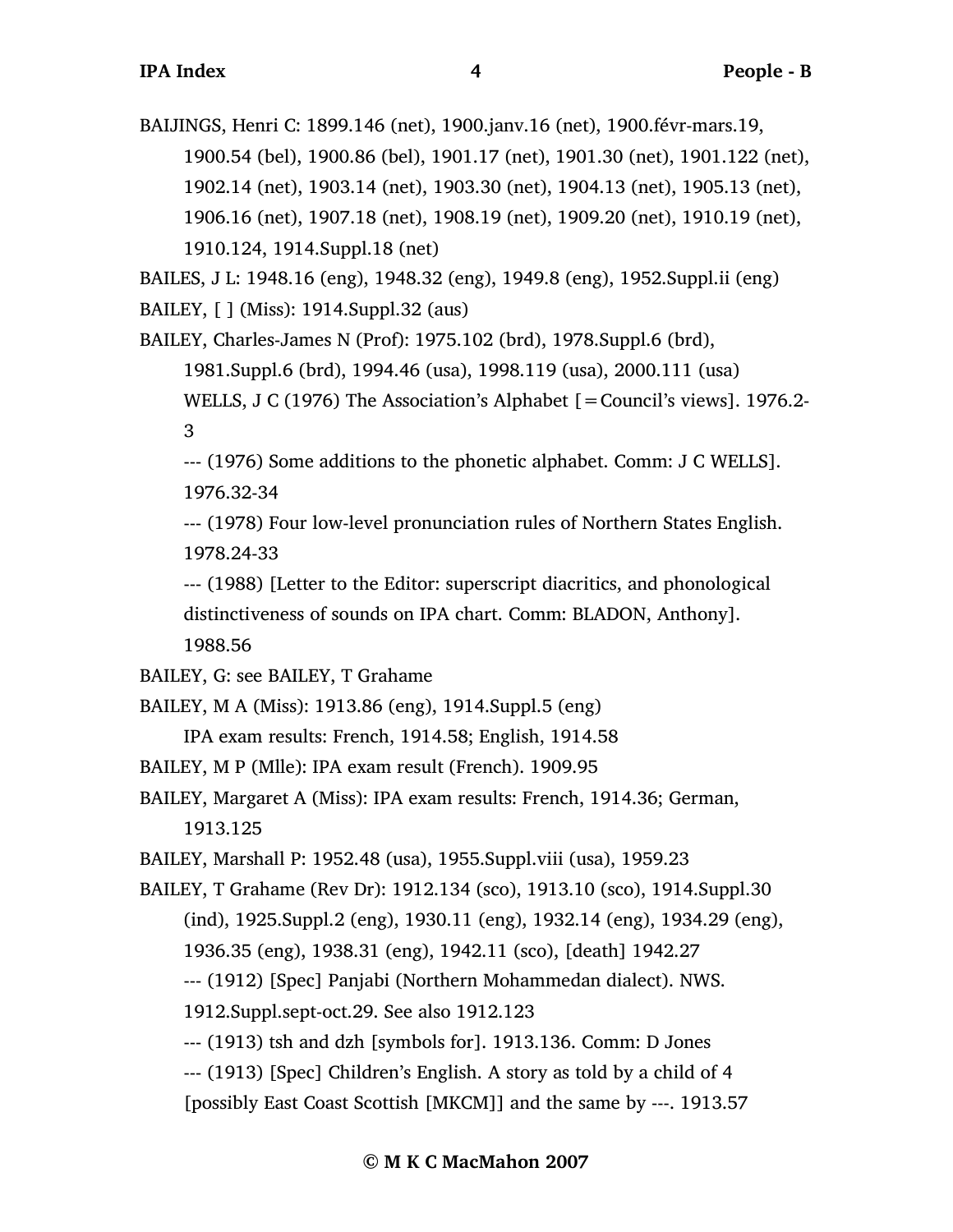BAIJINGS, Henri C: 1899.146 (net), 1900.janv.16 (net), 1900.févr-mars.19, 1900.54 (bel), 1900.86 (bel), 1901.17 (net), 1901.30 (net), 1901.122 (net), 1902.14 (net), 1903.14 (net), 1903.30 (net), 1904.13 (net), 1905.13 (net), 1906.16 (net), 1907.18 (net), 1908.19 (net), 1909.20 (net), 1910.19 (net), 1910.124, 1914.Suppl.18 (net)

BAILES, J L: 1948.16 (eng), 1948.32 (eng), 1949.8 (eng), 1952.Suppl.ii (eng) BAILEY, [ ] (Miss): 1914.Suppl.32 (aus)

BAILEY, Charles-James N (Prof): 1975.102 (brd), 1978.Suppl.6 (brd), 1981.Suppl.6 (brd), 1994.46 (usa), 1998.119 (usa), 2000.111 (usa) WELLS, J C (1976) The Association's Alphabet [=Council's views]. 1976.2- 3

--- (1976) Some additions to the phonetic alphabet. Comm: J C WELLS]. 1976.32-34

--- (1978) Four low-level pronunciation rules of Northern States English. 1978.24-33

--- (1988) [Letter to the Editor: superscript diacritics, and phonological distinctiveness of sounds on IPA chart. Comm: BLADON, Anthony]. 1988.56

```
BAILEY, G: see BAILEY, T Grahame
```
BAILEY, M A (Miss): 1913.86 (eng), 1914.Suppl.5 (eng)

IPA exam results: French, 1914.58; English, 1914.58

- BAILEY, M P (Mlle): IPA exam result (French). 1909.95
- BAILEY, Margaret A (Miss): IPA exam results: French, 1914.36; German, 1913.125

BAILEY, Marshall P: 1952.48 (usa), 1955.Suppl.viii (usa), 1959.23

BAILEY, T Grahame (Rev Dr): 1912.134 (sco), 1913.10 (sco), 1914.Suppl.30 (ind), 1925.Suppl.2 (eng), 1930.11 (eng), 1932.14 (eng), 1934.29 (eng), 1936.35 (eng), 1938.31 (eng), 1942.11 (sco), [death] 1942.27 --- (1912) [Spec] Panjabi (Northern Mohammedan dialect). NWS. 1912.Suppl.sept-oct.29. See also 1912.123

--- (1913) tsh and dzh [symbols for]. 1913.136. Comm: D Jones

--- (1913) [Spec] Children's English. A story as told by a child of 4

[possibly East Coast Scottish [MKCM]] and the same by ---. 1913.57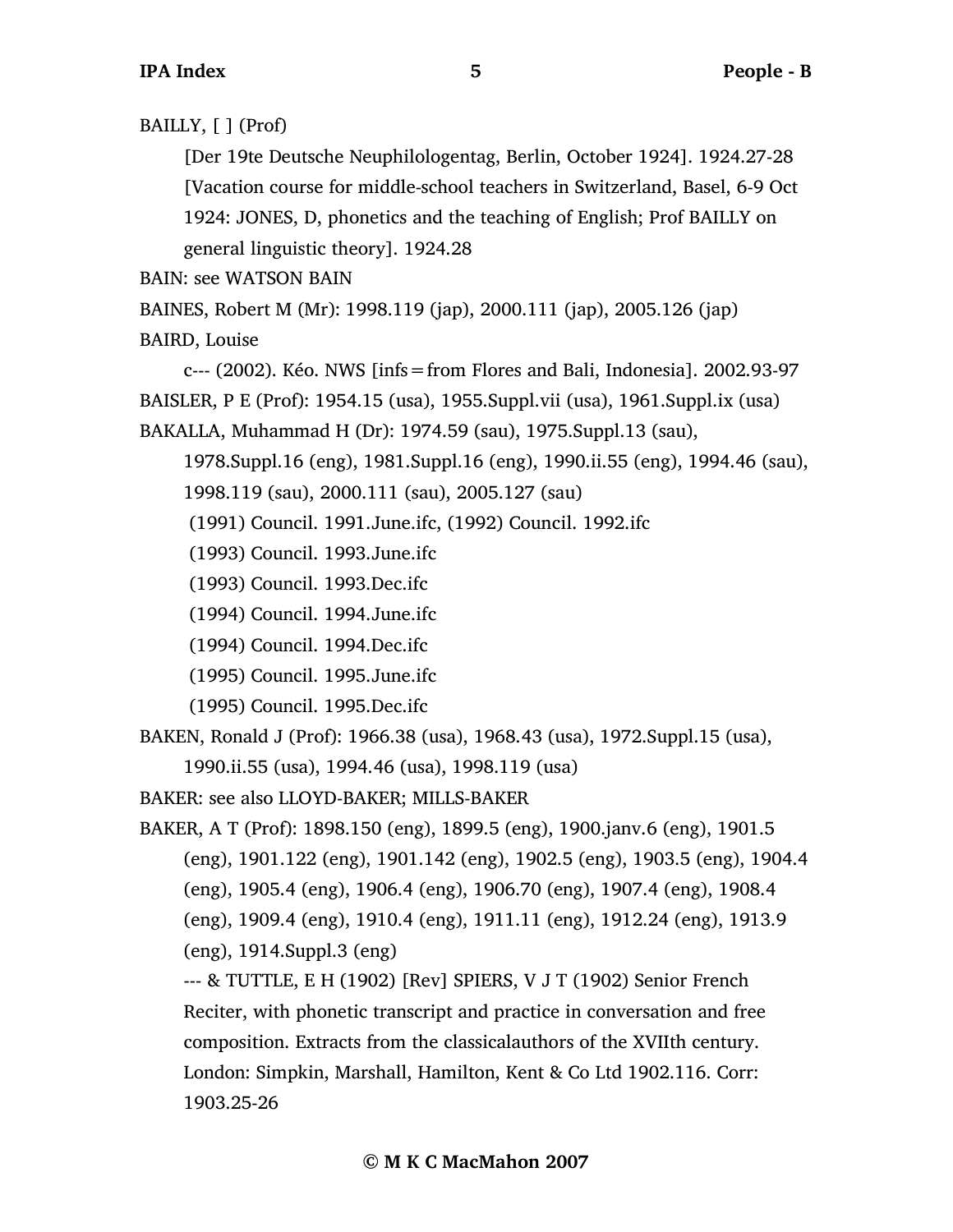BAILLY, [ ] (Prof)

[Der 19te Deutsche Neuphilologentag, Berlin, October 1924]. 1924.27-28 [Vacation course for middle-school teachers in Switzerland, Basel, 6-9 Oct 1924: JONES, D, phonetics and the teaching of English; Prof BAILLY on general linguistic theory]. 1924.28

BAIN: see WATSON BAIN

BAINES, Robert M (Mr): 1998.119 (jap), 2000.111 (jap), 2005.126 (jap)

BAIRD, Louise

c--- (2002). Kéo. NWS [infs=from Flores and Bali, Indonesia]. 2002.93-97 BAISLER, P E (Prof): 1954.15 (usa), 1955.Suppl.vii (usa), 1961.Suppl.ix (usa) BAKALLA, Muhammad H (Dr): 1974.59 (sau), 1975.Suppl.13 (sau),

1978.Suppl.16 (eng), 1981.Suppl.16 (eng), 1990.ii.55 (eng), 1994.46 (sau),

1998.119 (sau), 2000.111 (sau), 2005.127 (sau)

(1991) Council. 1991.June.ifc, (1992) Council. 1992.ifc

(1993) Council. 1993.June.ifc

(1993) Council. 1993.Dec.ifc

(1994) Council. 1994.June.ifc

(1994) Council. 1994.Dec.ifc

(1995) Council. 1995.June.ifc

(1995) Council. 1995.Dec.ifc

BAKEN, Ronald J (Prof): 1966.38 (usa), 1968.43 (usa), 1972.Suppl.15 (usa), 1990.ii.55 (usa), 1994.46 (usa), 1998.119 (usa)

BAKER: see also LLOYD-BAKER; MILLS-BAKER

BAKER, A T (Prof): 1898.150 (eng), 1899.5 (eng), 1900.janv.6 (eng), 1901.5 (eng), 1901.122 (eng), 1901.142 (eng), 1902.5 (eng), 1903.5 (eng), 1904.4 (eng), 1905.4 (eng), 1906.4 (eng), 1906.70 (eng), 1907.4 (eng), 1908.4 (eng), 1909.4 (eng), 1910.4 (eng), 1911.11 (eng), 1912.24 (eng), 1913.9 (eng), 1914.Suppl.3 (eng)

--- & TUTTLE, E H (1902) [Rev] SPIERS, V J T (1902) Senior French Reciter, with phonetic transcript and practice in conversation and free composition. Extracts from the classicalauthors of the XVIIth century. London: Simpkin, Marshall, Hamilton, Kent & Co Ltd 1902.116. Corr: 1903.25-26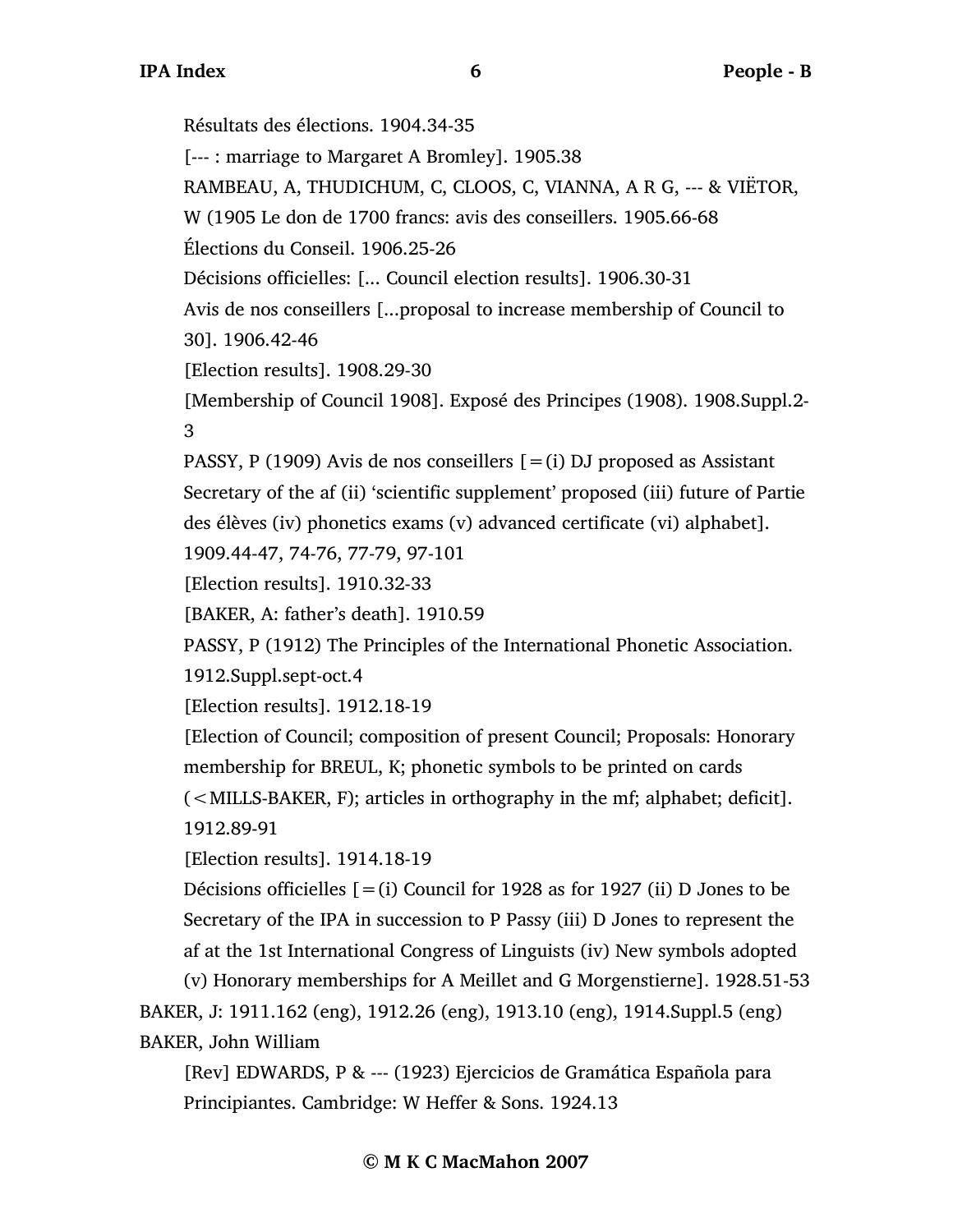**© M K C MacMahon 2007** Résultats des élections. 1904.34-35 [--- : marriage to Margaret A Bromley]. 1905.38 RAMBEAU, A, THUDICHUM, C, CLOOS, C, VIANNA, A R G, --- & VIËTOR, W (1905 Le don de 1700 francs: avis des conseillers. 1905.66-68 Élections du Conseil. 1906.25-26 Décisions officielles: [... Council election results]. 1906.30-31 Avis de nos conseillers [...proposal to increase membership of Council to 30]. 1906.42-46 [Election results]. 1908.29-30 [Membership of Council 1908]. Exposé des Principes (1908). 1908.Suppl.2- 3 PASSY, P (1909) Avis de nos conseillers  $[=(i)$  DJ proposed as Assistant Secretary of the af (ii) 'scientific supplement' proposed (iii) future of Partie des élèves (iv) phonetics exams (v) advanced certificate (vi) alphabet]. 1909.44-47, 74-76, 77-79, 97-101 [Election results]. 1910.32-33 [BAKER, A: father's death]. 1910.59 PASSY, P (1912) The Principles of the International Phonetic Association. 1912.Suppl.sept-oct.4 [Election results]. 1912.18-19 [Election of Council; composition of present Council; Proposals: Honorary membership for BREUL, K; phonetic symbols to be printed on cards (<MILLS-BAKER, F); articles in orthography in the mf; alphabet; deficit]. 1912.89-91 [Election results]. 1914.18-19 Décisions officielles  $[=(i)$  Council for 1928 as for 1927 (ii) D Jones to be Secretary of the IPA in succession to P Passy (iii) D Jones to represent the af at the 1st International Congress of Linguists (iv) New symbols adopted (v) Honorary memberships for A Meillet and G Morgenstierne]. 1928.51-53 BAKER, J: 1911.162 (eng), 1912.26 (eng), 1913.10 (eng), 1914.Suppl.5 (eng) BAKER, John William [Rev] EDWARDS, P & --- (1923) Ejercicios de Gramática Española para Principiantes. Cambridge: W Heffer & Sons. 1924.13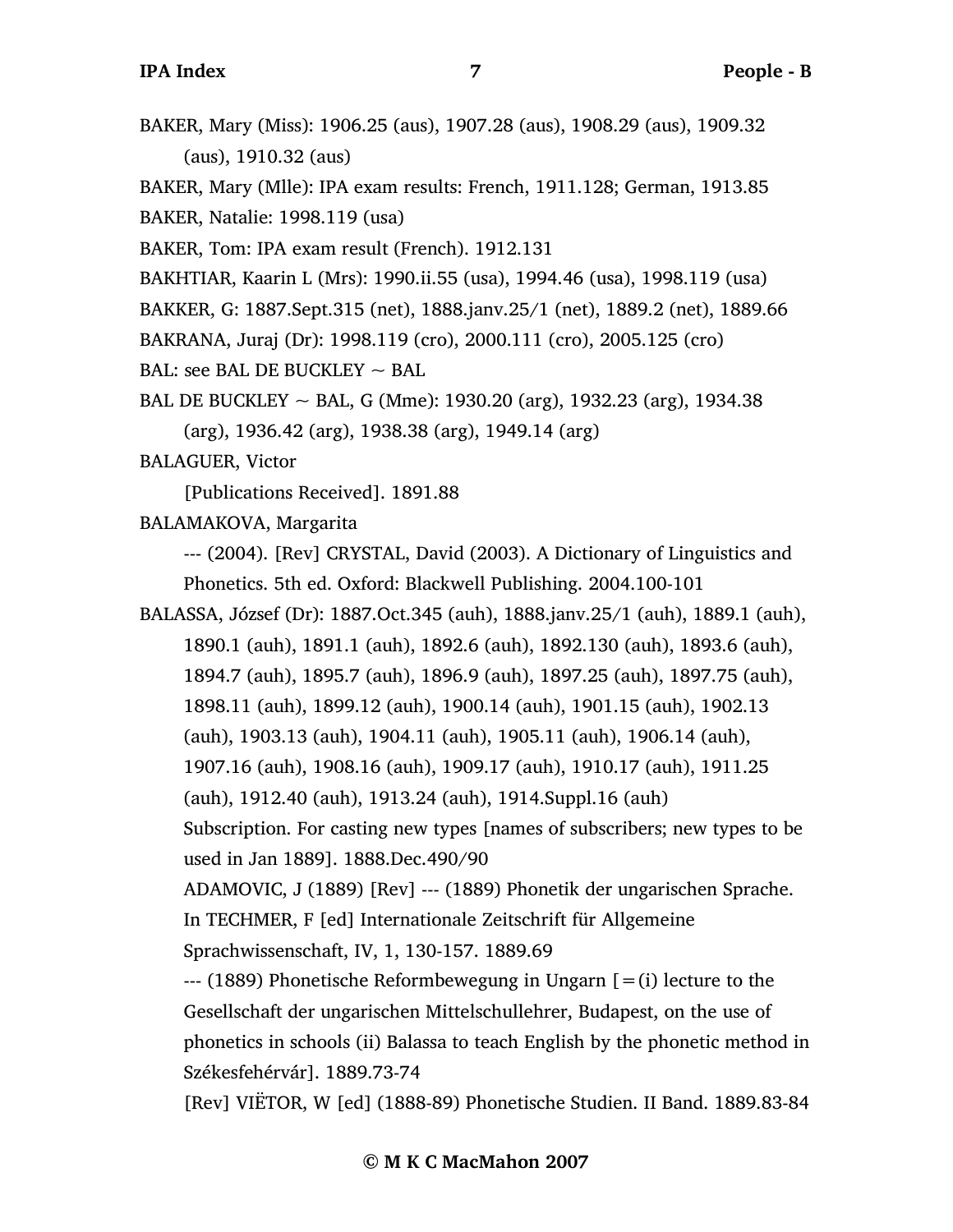BAKER, Mary (Miss): 1906.25 (aus), 1907.28 (aus), 1908.29 (aus), 1909.32 (aus), 1910.32 (aus)

BAKER, Mary (Mlle): IPA exam results: French, 1911.128; German, 1913.85 BAKER, Natalie: 1998.119 (usa)

BAKER, Tom: IPA exam result (French). 1912.131

BAKHTIAR, Kaarin L (Mrs): 1990.ii.55 (usa), 1994.46 (usa), 1998.119 (usa)

BAKKER, G: 1887.Sept.315 (net), 1888.janv.25/1 (net), 1889.2 (net), 1889.66

BAKRANA, Juraj (Dr): 1998.119 (cro), 2000.111 (cro), 2005.125 (cro)

BAL: see BAL DE BUCKLEY  $\sim$  BAL

BAL DE BUCKLEY  $\sim$  BAL, G (Mme): 1930.20 (arg), 1932.23 (arg), 1934.38 (arg), 1936.42 (arg), 1938.38 (arg), 1949.14 (arg)

BALAGUER, Victor

[Publications Received]. 1891.88

BALAMAKOVA, Margarita

--- (2004). [Rev] CRYSTAL, David (2003). A Dictionary of Linguistics and Phonetics. 5th ed. Oxford: Blackwell Publishing. 2004.100-101

BALASSA, József (Dr): 1887.Oct.345 (auh), 1888.janv.25/1 (auh), 1889.1 (auh), 1890.1 (auh), 1891.1 (auh), 1892.6 (auh), 1892.130 (auh), 1893.6 (auh), 1894.7 (auh), 1895.7 (auh), 1896.9 (auh), 1897.25 (auh), 1897.75 (auh), 1898.11 (auh), 1899.12 (auh), 1900.14 (auh), 1901.15 (auh), 1902.13 (auh), 1903.13 (auh), 1904.11 (auh), 1905.11 (auh), 1906.14 (auh), 1907.16 (auh), 1908.16 (auh), 1909.17 (auh), 1910.17 (auh), 1911.25 (auh), 1912.40 (auh), 1913.24 (auh), 1914.Suppl.16 (auh) Subscription. For casting new types [names of subscribers; new types to be used in Jan 1889]. 1888.Dec.490/90 ADAMOVIC, J (1889) [Rev] --- (1889) Phonetik der ungarischen Sprache. In TECHMER, F [ed] Internationale Zeitschrift für Allgemeine Sprachwissenschaft, IV, 1, 130-157. 1889.69  $-$ -- (1889) Phonetische Reformbewegung in Ungarn  $[=(i)]$  lecture to the Gesellschaft der ungarischen Mittelschullehrer, Budapest, on the use of phonetics in schools (ii) Balassa to teach English by the phonetic method in Székesfehérvár]. 1889.73-74 [Rev] VIËTOR, W [ed] (1888-89) Phonetische Studien. II Band. 1889.83-84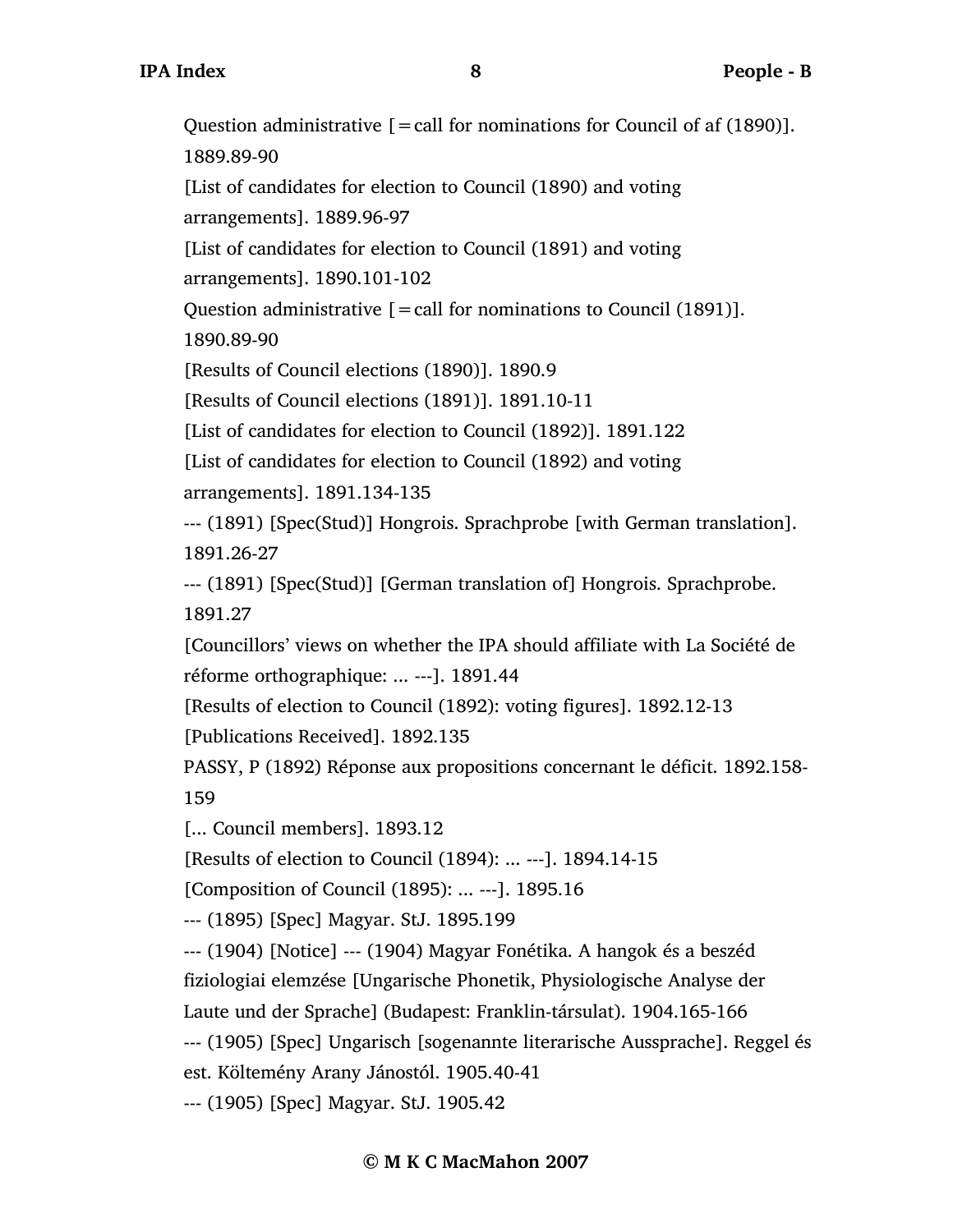Question administrative  $[]=$  call for nominations for Council of af (1890)]. 1889.89-90 [List of candidates for election to Council (1890) and voting arrangements]. 1889.96-97 [List of candidates for election to Council (1891) and voting arrangements]. 1890.101-102 Question administrative  $[=$  call for nominations to Council (1891)]. 1890.89-90 [Results of Council elections (1890)]. 1890.9 [Results of Council elections (1891)]. 1891.10-11 [List of candidates for election to Council (1892)]. 1891.122 [List of candidates for election to Council (1892) and voting arrangements]. 1891.134-135 --- (1891) [Spec(Stud)] Hongrois. Sprachprobe [with German translation]. 1891.26-27 --- (1891) [Spec(Stud)] [German translation of] Hongrois. Sprachprobe. 1891.27 [Councillors' views on whether the IPA should affiliate with La Société de réforme orthographique: ... ---]. 1891.44 [Results of election to Council (1892): voting figures]. 1892.12-13 [Publications Received]. 1892.135 PASSY, P (1892) Réponse aux propositions concernant le déficit. 1892.158- 159 [... Council members]. 1893.12 [Results of election to Council (1894): ... ---]. 1894.14-15 [Composition of Council (1895): ... ---]. 1895.16 --- (1895) [Spec] Magyar. StJ. 1895.199 --- (1904) [Notice] --- (1904) Magyar Fonétika. A hangok és a beszéd fiziologiai elemzése [Ungarische Phonetik, Physiologische Analyse der Laute und der Sprache] (Budapest: Franklin-társulat). 1904.165-166 --- (1905) [Spec] Ungarisch [sogenannte literarische Aussprache]. Reggel és est. Költemény Arany Jánostól. 1905.40-41 --- (1905) [Spec] Magyar. StJ. 1905.42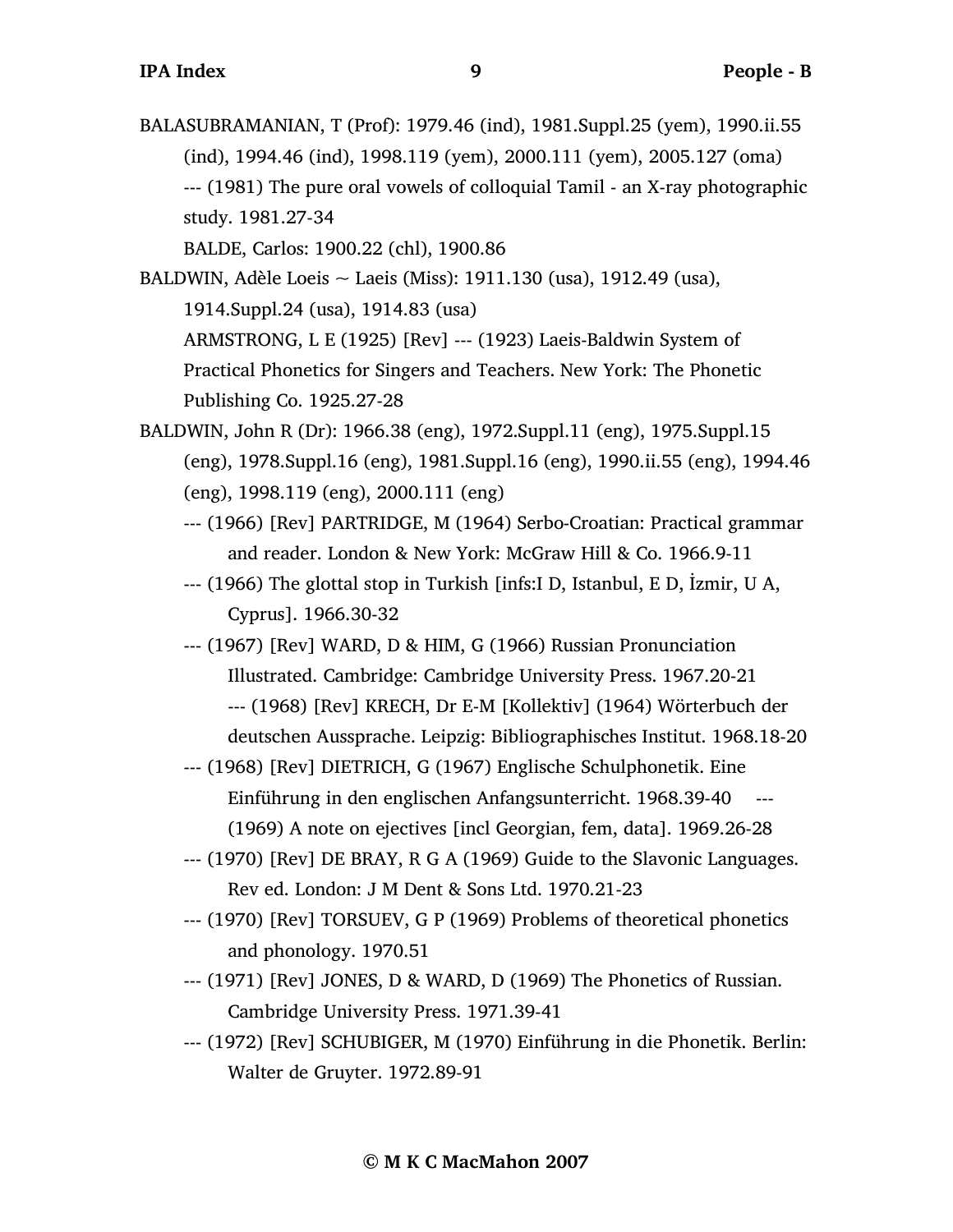BALASUBRAMANIAN, T (Prof): 1979.46 (ind), 1981.Suppl.25 (yem), 1990.ii.55 (ind), 1994.46 (ind), 1998.119 (yem), 2000.111 (yem), 2005.127 (oma) --- (1981) The pure oral vowels of colloquial Tamil - an X-ray photographic study. 1981.27-34

BALDE, Carlos: 1900.22 (chl), 1900.86

- BALDWIN, Adèle Loeis ~ Laeis (Miss): 1911.130 (usa), 1912.49 (usa), 1914.Suppl.24 (usa), 1914.83 (usa) ARMSTRONG, L E (1925) [Rev] --- (1923) Laeis-Baldwin System of Practical Phonetics for Singers and Teachers. New York: The Phonetic Publishing Co. 1925.27-28
- BALDWIN, John R (Dr): 1966.38 (eng), 1972.Suppl.11 (eng), 1975.Suppl.15 (eng), 1978.Suppl.16 (eng), 1981.Suppl.16 (eng), 1990.ii.55 (eng), 1994.46 (eng), 1998.119 (eng), 2000.111 (eng)
	- --- (1966) [Rev] PARTRIDGE, M (1964) Serbo-Croatian: Practical grammar and reader. London & New York: McGraw Hill & Co. 1966.9-11
	- --- (1966) The glottal stop in Turkish [infs:I D, Istanbul, E D, İzmir, U A, Cyprus]. 1966.30-32
	- --- (1967) [Rev] WARD, D & HIM, G (1966) Russian Pronunciation Illustrated. Cambridge: Cambridge University Press. 1967.20-21 --- (1968) [Rev] KRECH, Dr E-M [Kollektiv] (1964) Wörterbuch der deutschen Aussprache. Leipzig: Bibliographisches Institut. 1968.18-20
	- --- (1968) [Rev] DIETRICH, G (1967) Englische Schulphonetik. Eine Einführung in den englischen Anfangsunterricht. 1968.39-40 --- (1969) A note on ejectives [incl Georgian, fem, data]. 1969.26-28
	- --- (1970) [Rev] DE BRAY, R G A (1969) Guide to the Slavonic Languages. Rev ed. London: J M Dent & Sons Ltd. 1970.21-23
	- --- (1970) [Rev] TORSUEV, G P (1969) Problems of theoretical phonetics and phonology. 1970.51
	- --- (1971) [Rev] JONES, D & WARD, D (1969) The Phonetics of Russian. Cambridge University Press. 1971.39-41
	- --- (1972) [Rev] SCHUBIGER, M (1970) Einführung in die Phonetik. Berlin: Walter de Gruyter. 1972.89-91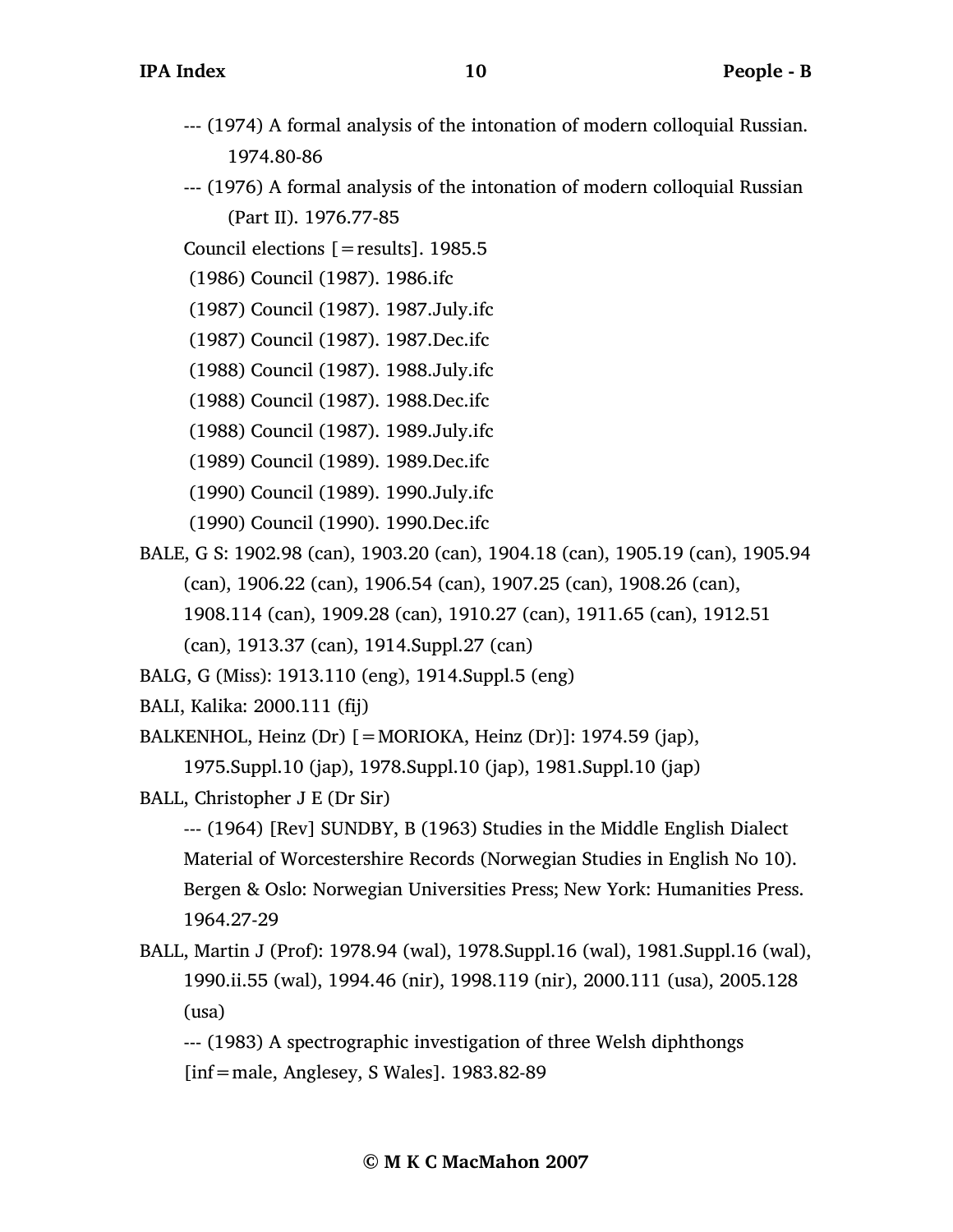- --- (1974) A formal analysis of the intonation of modern colloquial Russian. 1974.80-86
- --- (1976) A formal analysis of the intonation of modern colloquial Russian (Part II). 1976.77-85
- Council elections [=results]. 1985.5
- (1986) Council (1987). 1986.ifc
- (1987) Council (1987). 1987.July.ifc
- (1987) Council (1987). 1987.Dec.ifc
- (1988) Council (1987). 1988.July.ifc
- (1988) Council (1987). 1988.Dec.ifc
- (1988) Council (1987). 1989.July.ifc
- (1989) Council (1989). 1989.Dec.ifc
- (1990) Council (1989). 1990.July.ifc
- (1990) Council (1990). 1990.Dec.ifc
- BALE, G S: 1902.98 (can), 1903.20 (can), 1904.18 (can), 1905.19 (can), 1905.94 (can), 1906.22 (can), 1906.54 (can), 1907.25 (can), 1908.26 (can), 1908.114 (can), 1909.28 (can), 1910.27 (can), 1911.65 (can), 1912.51 (can), 1913.37 (can), 1914.Suppl.27 (can)
- BALG, G (Miss): 1913.110 (eng), 1914.Suppl.5 (eng)
- BALI, Kalika: 2000.111 (fij)
- BALKENHOL, Heinz (Dr)  $[=MORIOKA, Heinz (Dr)]$ : 1974.59 (jap),

```
1975.Suppl.10 (jap), 1978.Suppl.10 (jap), 1981.Suppl.10 (jap)
```
BALL, Christopher J E (Dr Sir)

--- (1964) [Rev] SUNDBY, B (1963) Studies in the Middle English Dialect Material of Worcestershire Records (Norwegian Studies in English No 10). Bergen & Oslo: Norwegian Universities Press; New York: Humanities Press. 1964.27-29

- BALL, Martin J (Prof): 1978.94 (wal), 1978.Suppl.16 (wal), 1981.Suppl.16 (wal), 1990.ii.55 (wal), 1994.46 (nir), 1998.119 (nir), 2000.111 (usa), 2005.128 (usa)
	- --- (1983) A spectrographic investigation of three Welsh diphthongs [inf=male, Anglesey, S Wales]. 1983.82-89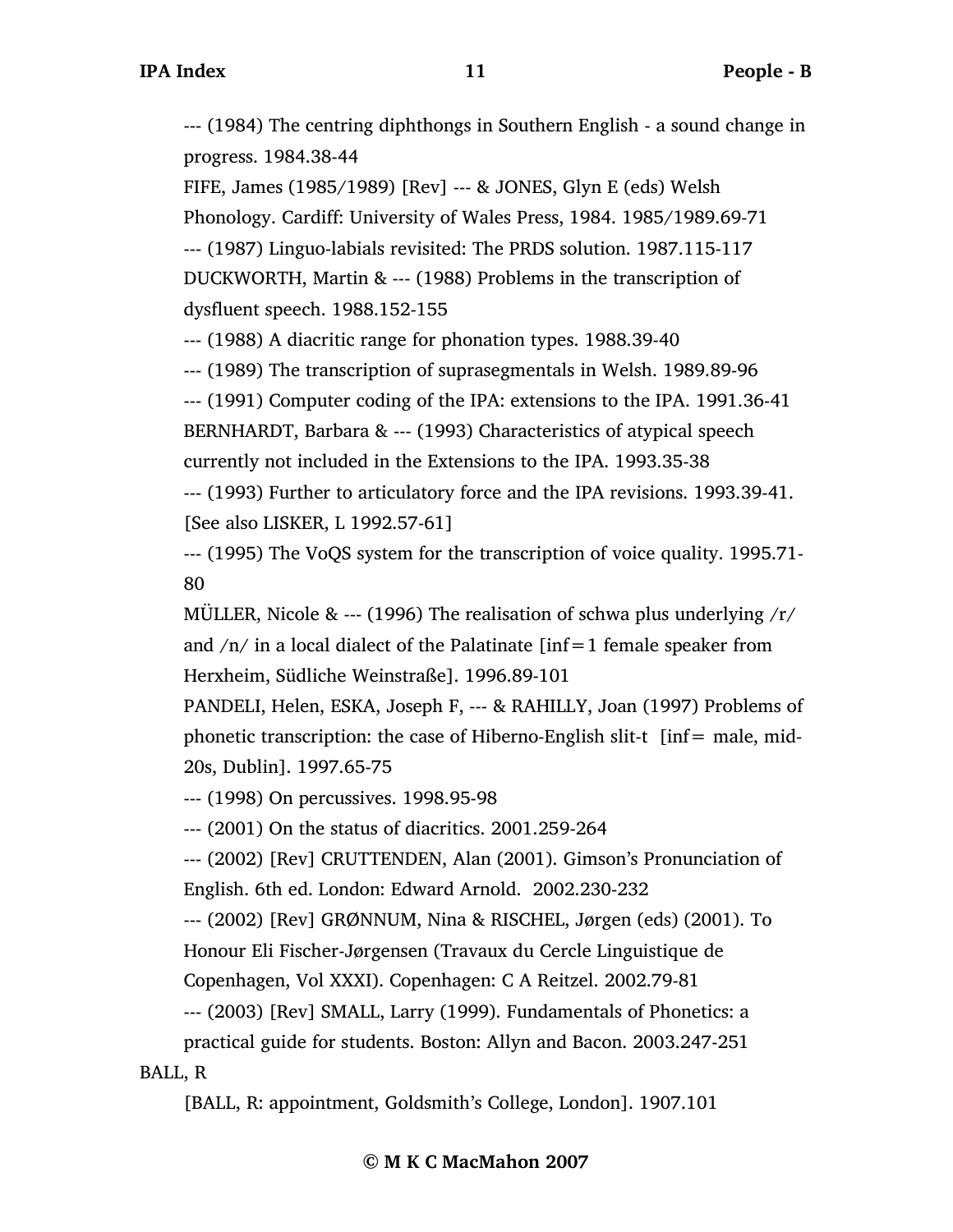--- (1984) The centring diphthongs in Southern English - a sound change in progress. 1984.38-44

FIFE, James (1985/1989) [Rev] --- & JONES, Glyn E (eds) Welsh Phonology. Cardiff: University of Wales Press, 1984. 1985/1989.69-71 --- (1987) Linguo-labials revisited: The PRDS solution. 1987.115-117 DUCKWORTH, Martin & --- (1988) Problems in the transcription of dysfluent speech. 1988.152-155

--- (1988) A diacritic range for phonation types. 1988.39-40

--- (1989) The transcription of suprasegmentals in Welsh. 1989.89-96

--- (1991) Computer coding of the IPA: extensions to the IPA. 1991.36-41

BERNHARDT, Barbara & --- (1993) Characteristics of atypical speech currently not included in the Extensions to the IPA. 1993.35-38

--- (1993) Further to articulatory force and the IPA revisions. 1993.39-41. [See also LISKER, L 1992.57-61]

--- (1995) The VoQS system for the transcription of voice quality. 1995.71- 80

MÜLLER, Nicole & --- (1996) The realisation of schwa plus underlying  $\gamma/\gamma$ and  $/n/$  in a local dialect of the Palatinate  $\lceil \inf_{n=1}$  female speaker from Herxheim, Südliche Weinstraße]. 1996.89-101

PANDELI, Helen, ESKA, Joseph F, --- & RAHILLY, Joan (1997) Problems of phonetic transcription: the case of Hiberno-English slit-t  $[inf = male, mid-$ 20s, Dublin]. 1997.65-75

--- (1998) On percussives. 1998.95-98

--- (2001) On the status of diacritics. 2001.259-264

--- (2002) [Rev] CRUTTENDEN, Alan (2001). Gimson's Pronunciation of English. 6th ed. London: Edward Arnold. 2002.230-232

--- (2002) [Rev] GRØNNUM, Nina & RISCHEL, Jørgen (eds) (2001). To

Honour Eli Fischer-Jørgensen (Travaux du Cercle Linguistique de Copenhagen, Vol XXXI). Copenhagen: C A Reitzel. 2002.79-81

--- (2003) [Rev] SMALL, Larry (1999). Fundamentals of Phonetics: a practical guide for students. Boston: Allyn and Bacon. 2003.247-251 BALL, R

[BALL, R: appointment, Goldsmith's College, London]. 1907.101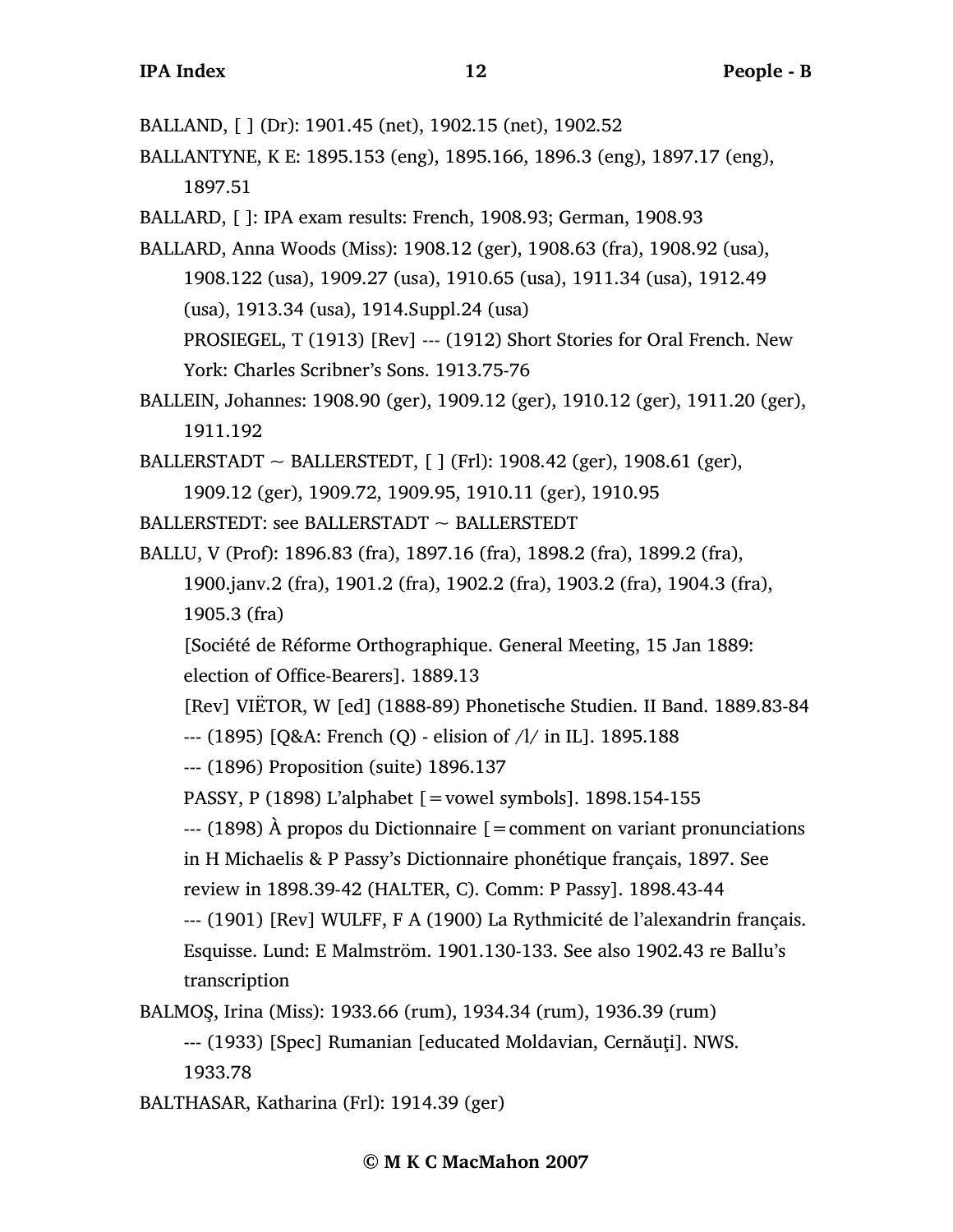BALLAND, [ ] (Dr): 1901.45 (net), 1902.15 (net), 1902.52

BALLANTYNE, K E: 1895.153 (eng), 1895.166, 1896.3 (eng), 1897.17 (eng), 1897.51

BALLARD, [ ]: IPA exam results: French, 1908.93; German, 1908.93

BALLARD, Anna Woods (Miss): 1908.12 (ger), 1908.63 (fra), 1908.92 (usa), 1908.122 (usa), 1909.27 (usa), 1910.65 (usa), 1911.34 (usa), 1912.49 (usa), 1913.34 (usa), 1914.Suppl.24 (usa) PROSIEGEL, T (1913) [Rev] --- (1912) Short Stories for Oral French. New York: Charles Scribner's Sons. 1913.75-76

BALLEIN, Johannes: 1908.90 (ger), 1909.12 (ger), 1910.12 (ger), 1911.20 (ger), 1911.192

BALLERSTADT  $\sim$  BALLERSTEDT, [ ] (Frl): 1908.42 (ger), 1908.61 (ger), 1909.12 (ger), 1909.72, 1909.95, 1910.11 (ger), 1910.95

BALLERSTEDT: see BALLERSTADT  $\sim$  BALLERSTEDT

BALLU, V (Prof): 1896.83 (fra), 1897.16 (fra), 1898.2 (fra), 1899.2 (fra), 1900.janv.2 (fra), 1901.2 (fra), 1902.2 (fra), 1903.2 (fra), 1904.3 (fra), 1905.3 (fra)

[Société de Réforme Orthographique. General Meeting, 15 Jan 1889:

election of Office-Bearers]. 1889.13

[Rev] VIËTOR, W [ed] (1888-89) Phonetische Studien. II Band. 1889.83-84

--- (1895) [Q&A: French (Q) - elision of /l/ in IL]. 1895.188

--- (1896) Proposition (suite) 1896.137

PASSY, P (1898) L'alphabet [=vowel symbols]. 1898.154-155

 $-$ -- $(1898)$  Å propos du Dictionnaire [=comment on variant pronunciations] in H Michaelis & P Passy's Dictionnaire phonétique français, 1897. See

review in 1898.39-42 (HALTER, C). Comm: P Passy]. 1898.43-44

--- (1901) [Rev] WULFF, F A (1900) La Rythmicité de l'alexandrin français.

Esquisse. Lund: E Malmström. 1901.130-133. See also 1902.43 re Ballu's transcription

BALMOŞ, Irina (Miss): 1933.66 (rum), 1934.34 (rum), 1936.39 (rum)

--- (1933) [Spec] Rumanian [educated Moldavian, Cernăuţi]. NWS. 1933.78

BALTHASAR, Katharina (Frl): 1914.39 (ger)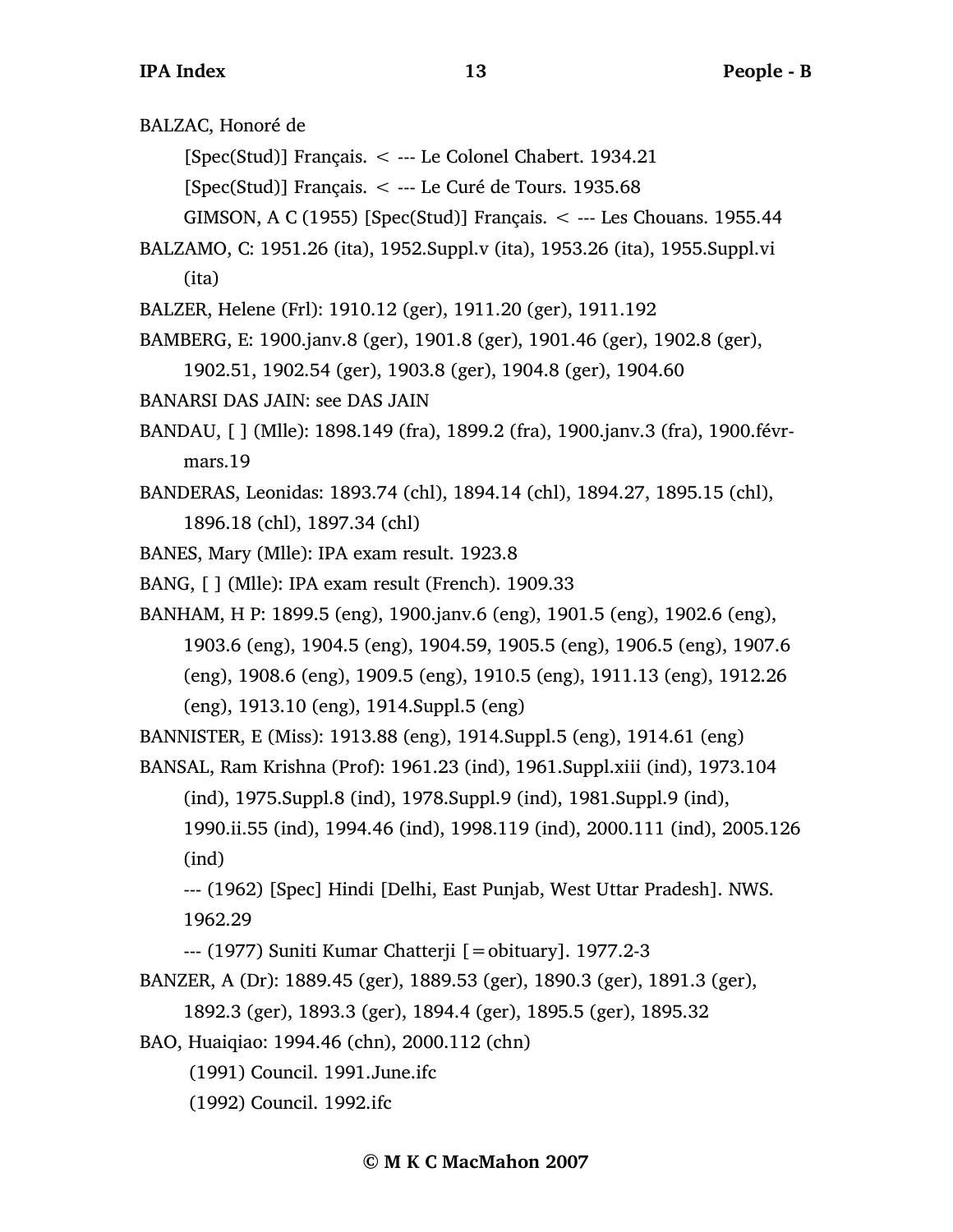BALZAC, Honoré de

[Spec(Stud)] Français. < --- Le Colonel Chabert. 1934.21

 $[Spec(Stud)]$  Français.  $\lt$  --- Le Curé de Tours. 1935.68

- GIMSON, A C (1955) [Spec(Stud)] Français.  $\lt$  --- Les Chouans. 1955.44
- BALZAMO, C: 1951.26 (ita), 1952.Suppl.v (ita), 1953.26 (ita), 1955.Suppl.vi (ita)
- BALZER, Helene (Frl): 1910.12 (ger), 1911.20 (ger), 1911.192
- BAMBERG, E: 1900.janv.8 (ger), 1901.8 (ger), 1901.46 (ger), 1902.8 (ger),

```
1902.51, 1902.54 (ger), 1903.8 (ger), 1904.8 (ger), 1904.60
```
- BANARSI DAS JAIN: see DAS JAIN
- BANDAU, [ ] (Mlle): 1898.149 (fra), 1899.2 (fra), 1900.janv.3 (fra), 1900.févrmars.19
- BANDERAS, Leonidas: 1893.74 (chl), 1894.14 (chl), 1894.27, 1895.15 (chl), 1896.18 (chl), 1897.34 (chl)
- BANES, Mary (Mlle): IPA exam result. 1923.8
- BANG, [ ] (Mlle): IPA exam result (French). 1909.33
- BANHAM, H P: 1899.5 (eng), 1900.janv.6 (eng), 1901.5 (eng), 1902.6 (eng), 1903.6 (eng), 1904.5 (eng), 1904.59, 1905.5 (eng), 1906.5 (eng), 1907.6 (eng), 1908.6 (eng), 1909.5 (eng), 1910.5 (eng), 1911.13 (eng), 1912.26 (eng), 1913.10 (eng), 1914.Suppl.5 (eng)

BANNISTER, E (Miss): 1913.88 (eng), 1914.Suppl.5 (eng), 1914.61 (eng)

BANSAL, Ram Krishna (Prof): 1961.23 (ind), 1961.Suppl.xiii (ind), 1973.104 (ind), 1975.Suppl.8 (ind), 1978.Suppl.9 (ind), 1981.Suppl.9 (ind), 1990.ii.55 (ind), 1994.46 (ind), 1998.119 (ind), 2000.111 (ind), 2005.126 (ind)

--- (1962) [Spec] Hindi [Delhi, East Punjab, West Uttar Pradesh]. NWS. 1962.29

--- (1977) Suniti Kumar Chatterji [=obituary]. 1977.2-3

BANZER, A (Dr): 1889.45 (ger), 1889.53 (ger), 1890.3 (ger), 1891.3 (ger), 1892.3 (ger), 1893.3 (ger), 1894.4 (ger), 1895.5 (ger), 1895.32

BAO, Huaiqiao: 1994.46 (chn), 2000.112 (chn)

- (1991) Council. 1991.June.ifc
- (1992) Council. 1992.ifc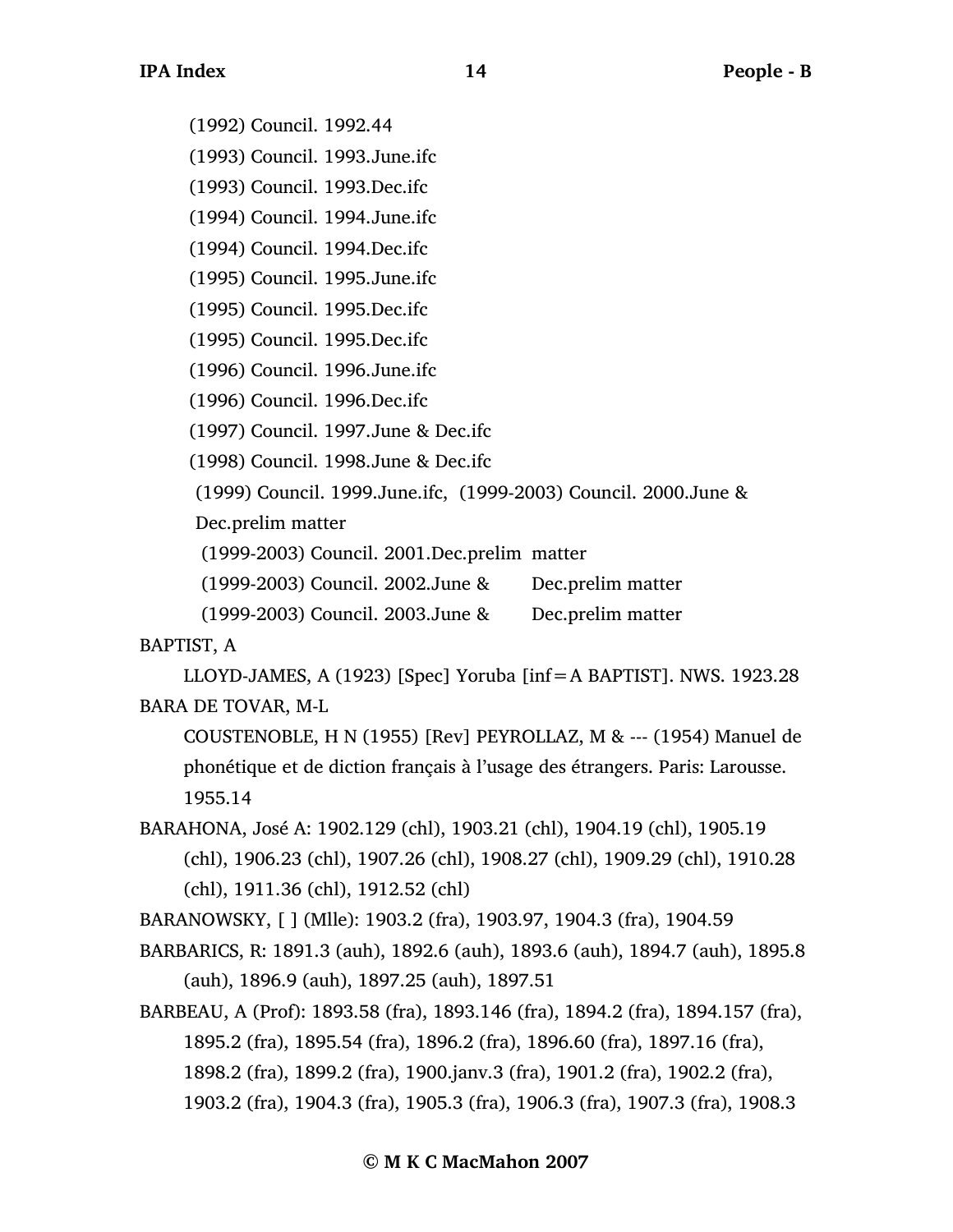(1992) Council. 1992.44

(1993) Council. 1993.June.ifc

(1993) Council. 1993.Dec.ifc

(1994) Council. 1994.June.ifc

(1994) Council. 1994.Dec.ifc

(1995) Council. 1995.June.ifc

(1995) Council. 1995.Dec.ifc

(1995) Council. 1995.Dec.ifc

(1996) Council. 1996.June.ifc

(1996) Council. 1996.Dec.ifc

(1997) Council. 1997.June & Dec.ifc

(1998) Council. 1998.June & Dec.ifc

(1999) Council. 1999.June.ifc, (1999-2003) Council. 2000.June &

Dec.prelim matter

(1999-2003) Council. 2001.Dec.prelim matter

(1999-2003) Council. 2002.June & Dec.prelim matter

(1999-2003) Council. 2003.June & Dec.prelim matter

BAPTIST, A

LLOYD-JAMES, A (1923) [Spec] Yoruba [inf=A BAPTIST]. NWS. 1923.28 BARA DE TOVAR, M-L

COUSTENOBLE, H N (1955) [Rev] PEYROLLAZ, M & --- (1954) Manuel de phonétique et de diction français à l'usage des étrangers. Paris: Larousse. 1955.14

BARAHONA, José A: 1902.129 (chl), 1903.21 (chl), 1904.19 (chl), 1905.19 (chl), 1906.23 (chl), 1907.26 (chl), 1908.27 (chl), 1909.29 (chl), 1910.28 (chl), 1911.36 (chl), 1912.52 (chl)

BARANOWSKY, [ ] (Mlle): 1903.2 (fra), 1903.97, 1904.3 (fra), 1904.59

BARBARICS, R: 1891.3 (auh), 1892.6 (auh), 1893.6 (auh), 1894.7 (auh), 1895.8 (auh), 1896.9 (auh), 1897.25 (auh), 1897.51

BARBEAU, A (Prof): 1893.58 (fra), 1893.146 (fra), 1894.2 (fra), 1894.157 (fra), 1895.2 (fra), 1895.54 (fra), 1896.2 (fra), 1896.60 (fra), 1897.16 (fra), 1898.2 (fra), 1899.2 (fra), 1900.janv.3 (fra), 1901.2 (fra), 1902.2 (fra), 1903.2 (fra), 1904.3 (fra), 1905.3 (fra), 1906.3 (fra), 1907.3 (fra), 1908.3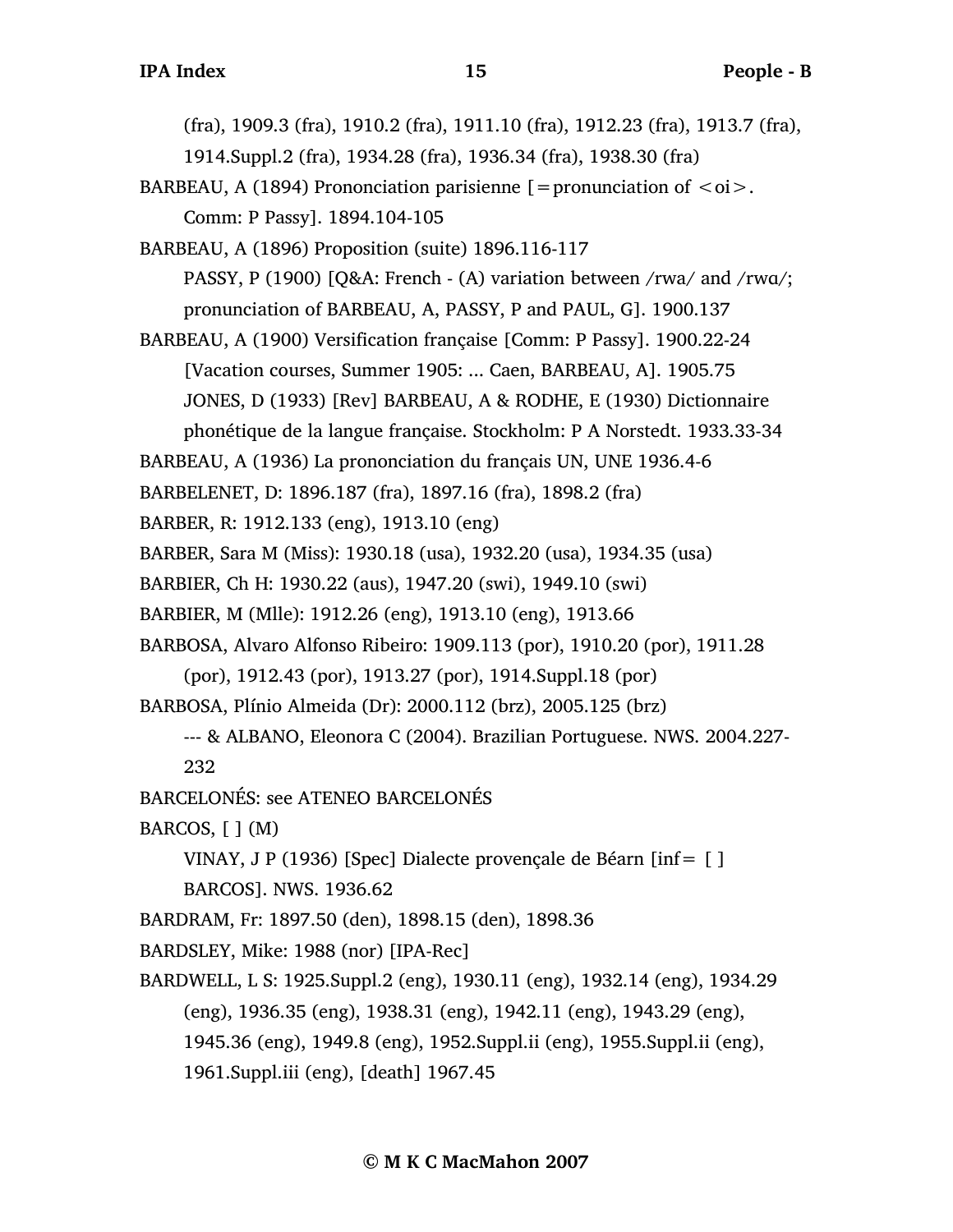(fra), 1909.3 (fra), 1910.2 (fra), 1911.10 (fra), 1912.23 (fra), 1913.7 (fra),

1914.Suppl.2 (fra), 1934.28 (fra), 1936.34 (fra), 1938.30 (fra)

BARBEAU, A (1894) Prononciation parisienne  $\mathfrak{[}=$  pronunciation of  $\langle \circ \mathfrak{0} \rangle$ . Comm: P Passy]. 1894.104-105

BARBEAU, A (1896) Proposition (suite) 1896.116-117 PASSY, P (1900) [Q&A: French - (A) variation between /rwa/ and /rwɑ/; pronunciation of BARBEAU, A, PASSY, P and PAUL, G]. 1900.137

BARBEAU, A (1900) Versification française [Comm: P Passy]. 1900.22-24 [Vacation courses, Summer 1905: ... Caen, BARBEAU, A]. 1905.75 JONES, D (1933) [Rev] BARBEAU, A & RODHE, E (1930) Dictionnaire phonétique de la langue française. Stockholm: P A Norstedt. 1933.33-34

BARBEAU, A (1936) La prononciation du français UN, UNE 1936.4-6

BARBELENET, D: 1896.187 (fra), 1897.16 (fra), 1898.2 (fra)

BARBER, R: 1912.133 (eng), 1913.10 (eng)

BARBER, Sara M (Miss): 1930.18 (usa), 1932.20 (usa), 1934.35 (usa)

BARBIER, Ch H: 1930.22 (aus), 1947.20 (swi), 1949.10 (swi)

BARBIER, M (Mlle): 1912.26 (eng), 1913.10 (eng), 1913.66

BARBOSA, Alvaro Alfonso Ribeiro: 1909.113 (por), 1910.20 (por), 1911.28

(por), 1912.43 (por), 1913.27 (por), 1914.Suppl.18 (por)

BARBOSA, Plínio Almeida (Dr): 2000.112 (brz), 2005.125 (brz)

--- & ALBANO, Eleonora C (2004). Brazilian Portuguese. NWS. 2004.227- 232

BARCELONÉS: see ATENEO BARCELONÉS

BARCOS,  $[ ] (M)$ 

VINAY, J P (1936) [Spec] Dialecte provençale de Béarn [inf= [ ]

BARCOS]. NWS. 1936.62

BARDRAM, Fr: 1897.50 (den), 1898.15 (den), 1898.36

BARDSLEY, Mike: 1988 (nor) [IPA-Rec]

BARDWELL, L S: 1925.Suppl.2 (eng), 1930.11 (eng), 1932.14 (eng), 1934.29 (eng), 1936.35 (eng), 1938.31 (eng), 1942.11 (eng), 1943.29 (eng), 1945.36 (eng), 1949.8 (eng), 1952.Suppl.ii (eng), 1955.Suppl.ii (eng), 1961.Suppl.iii (eng), [death] 1967.45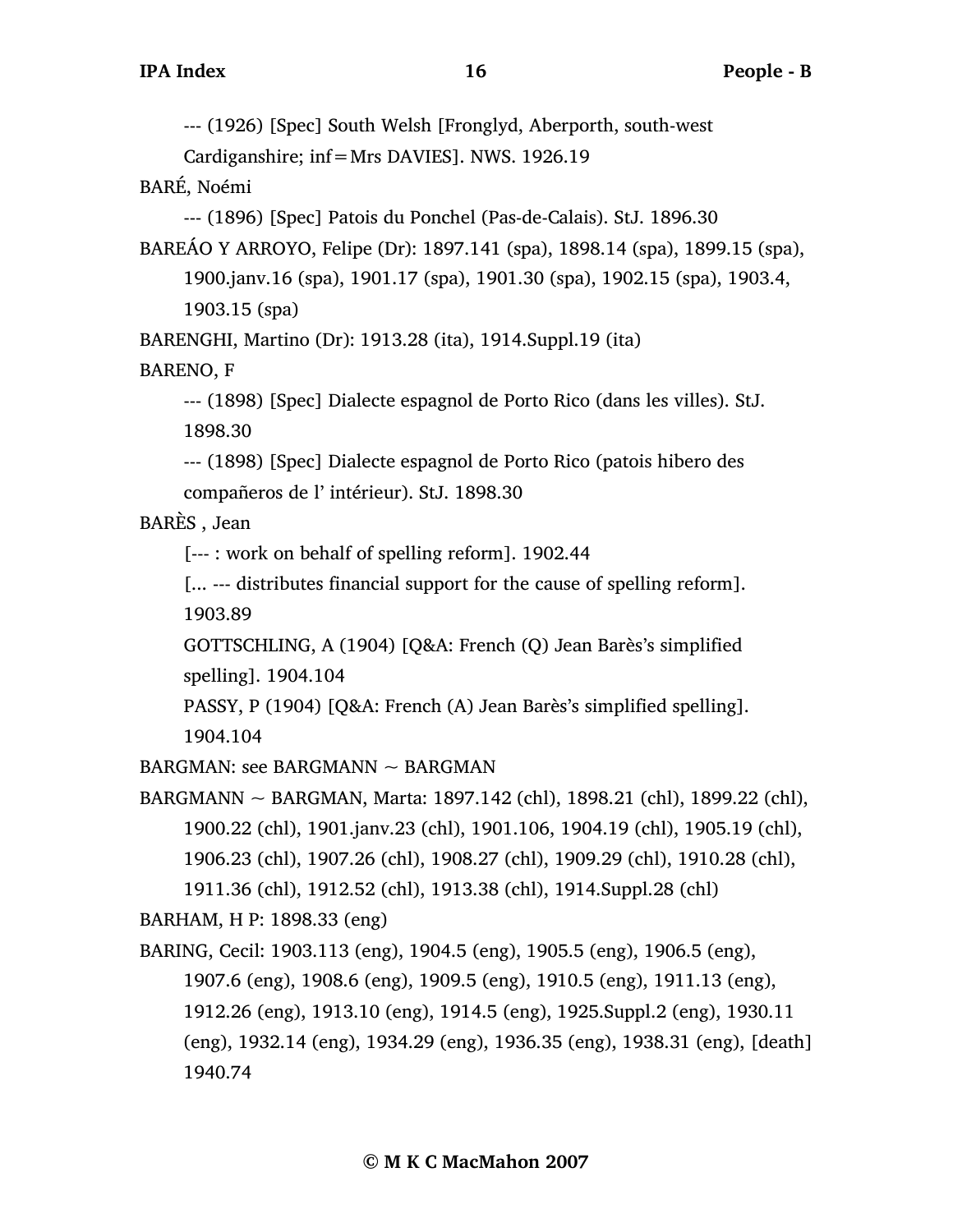--- (1926) [Spec] South Welsh [Fronglyd, Aberporth, south-west

Cardiganshire; inf=Mrs DAVIES]. NWS. 1926.19

BARÉ, Noémi

--- (1896) [Spec] Patois du Ponchel (Pas-de-Calais). StJ. 1896.30

BAREÁO Y ARROYO, Felipe (Dr): 1897.141 (spa), 1898.14 (spa), 1899.15 (spa), 1900.janv.16 (spa), 1901.17 (spa), 1901.30 (spa), 1902.15 (spa), 1903.4,

1903.15 (spa)

BARENGHI, Martino (Dr): 1913.28 (ita), 1914.Suppl.19 (ita)

BARENO, F

--- (1898) [Spec] Dialecte espagnol de Porto Rico (dans les villes). StJ. 1898.30

--- (1898) [Spec] Dialecte espagnol de Porto Rico (patois hibero des compañeros de l' intérieur). StJ. 1898.30

BARÈS , Jean

[--- : work on behalf of spelling reform]. 1902.44

[... --- distributes financial support for the cause of spelling reform]. 1903.89

GOTTSCHLING, A (1904) [Q&A: French (Q) Jean Barès's simplified spelling]. 1904.104

PASSY, P (1904) [Q&A: French (A) Jean Barès's simplified spelling]. 1904.104

BARGMAN: see BARGMANN ~ BARGMAN

BARGMANN ~ BARGMAN, Marta: 1897.142 (chl), 1898.21 (chl), 1899.22 (chl), 1900.22 (chl), 1901.janv.23 (chl), 1901.106, 1904.19 (chl), 1905.19 (chl), 1906.23 (chl), 1907.26 (chl), 1908.27 (chl), 1909.29 (chl), 1910.28 (chl), 1911.36 (chl), 1912.52 (chl), 1913.38 (chl), 1914.Suppl.28 (chl)

BARHAM, H P: 1898.33 (eng)

BARING, Cecil: 1903.113 (eng), 1904.5 (eng), 1905.5 (eng), 1906.5 (eng), 1907.6 (eng), 1908.6 (eng), 1909.5 (eng), 1910.5 (eng), 1911.13 (eng), 1912.26 (eng), 1913.10 (eng), 1914.5 (eng), 1925.Suppl.2 (eng), 1930.11 (eng), 1932.14 (eng), 1934.29 (eng), 1936.35 (eng), 1938.31 (eng), [death] 1940.74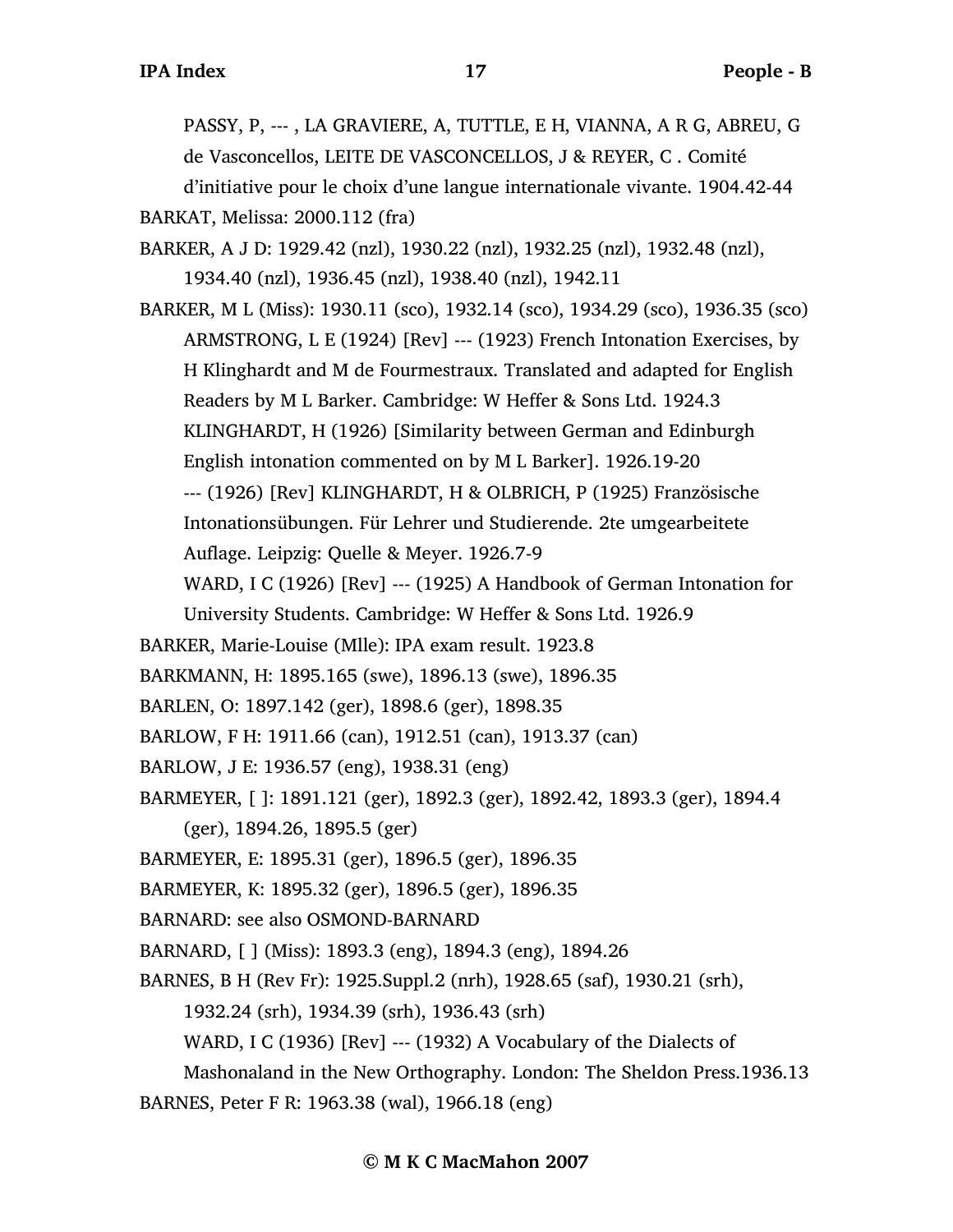PASSY, P, --- , LA GRAVIERE, A, TUTTLE, E H, VIANNA, A R G, ABREU, G de Vasconcellos, LEITE DE VASCONCELLOS, J & REYER, C . Comité

d'initiative pour le choix d'une langue internationale vivante. 1904.42-44 BARKAT, Melissa: 2000.112 (fra)

BARKER, A J D: 1929.42 (nzl), 1930.22 (nzl), 1932.25 (nzl), 1932.48 (nzl), 1934.40 (nzl), 1936.45 (nzl), 1938.40 (nzl), 1942.11

BARKER, M L (Miss): 1930.11 (sco), 1932.14 (sco), 1934.29 (sco), 1936.35 (sco) ARMSTRONG, L E (1924) [Rev] --- (1923) French Intonation Exercises, by H Klinghardt and M de Fourmestraux. Translated and adapted for English Readers by M L Barker. Cambridge: W Heffer & Sons Ltd. 1924.3 KLINGHARDT, H (1926) [Similarity between German and Edinburgh English intonation commented on by M L Barker]. 1926.19-20 --- (1926) [Rev] KLINGHARDT, H & OLBRICH, P (1925) Französische Intonationsübungen. Für Lehrer und Studierende. 2te umgearbeitete Auflage. Leipzig: Quelle & Meyer. 1926.7-9

WARD, I C (1926) [Rev] --- (1925) A Handbook of German Intonation for

University Students. Cambridge: W Heffer & Sons Ltd. 1926.9

BARKER, Marie-Louise (Mlle): IPA exam result. 1923.8

BARKMANN, H: 1895.165 (swe), 1896.13 (swe), 1896.35

BARLEN, O: 1897.142 (ger), 1898.6 (ger), 1898.35

BARLOW, F H: 1911.66 (can), 1912.51 (can), 1913.37 (can)

BARLOW, J E: 1936.57 (eng), 1938.31 (eng)

BARMEYER, [ ]: 1891.121 (ger), 1892.3 (ger), 1892.42, 1893.3 (ger), 1894.4

(ger), 1894.26, 1895.5 (ger)

BARMEYER, E: 1895.31 (ger), 1896.5 (ger), 1896.35

BARMEYER, K: 1895.32 (ger), 1896.5 (ger), 1896.35

BARNARD: see also OSMOND-BARNARD

BARNARD, [ ] (Miss): 1893.3 (eng), 1894.3 (eng), 1894.26

BARNES, B H (Rev Fr): 1925.Suppl.2 (nrh), 1928.65 (saf), 1930.21 (srh),

1932.24 (srh), 1934.39 (srh), 1936.43 (srh)

WARD, I C (1936) [Rev] --- (1932) A Vocabulary of the Dialects of

Mashonaland in the New Orthography. London: The Sheldon Press.1936.13 BARNES, Peter F R: 1963.38 (wal), 1966.18 (eng)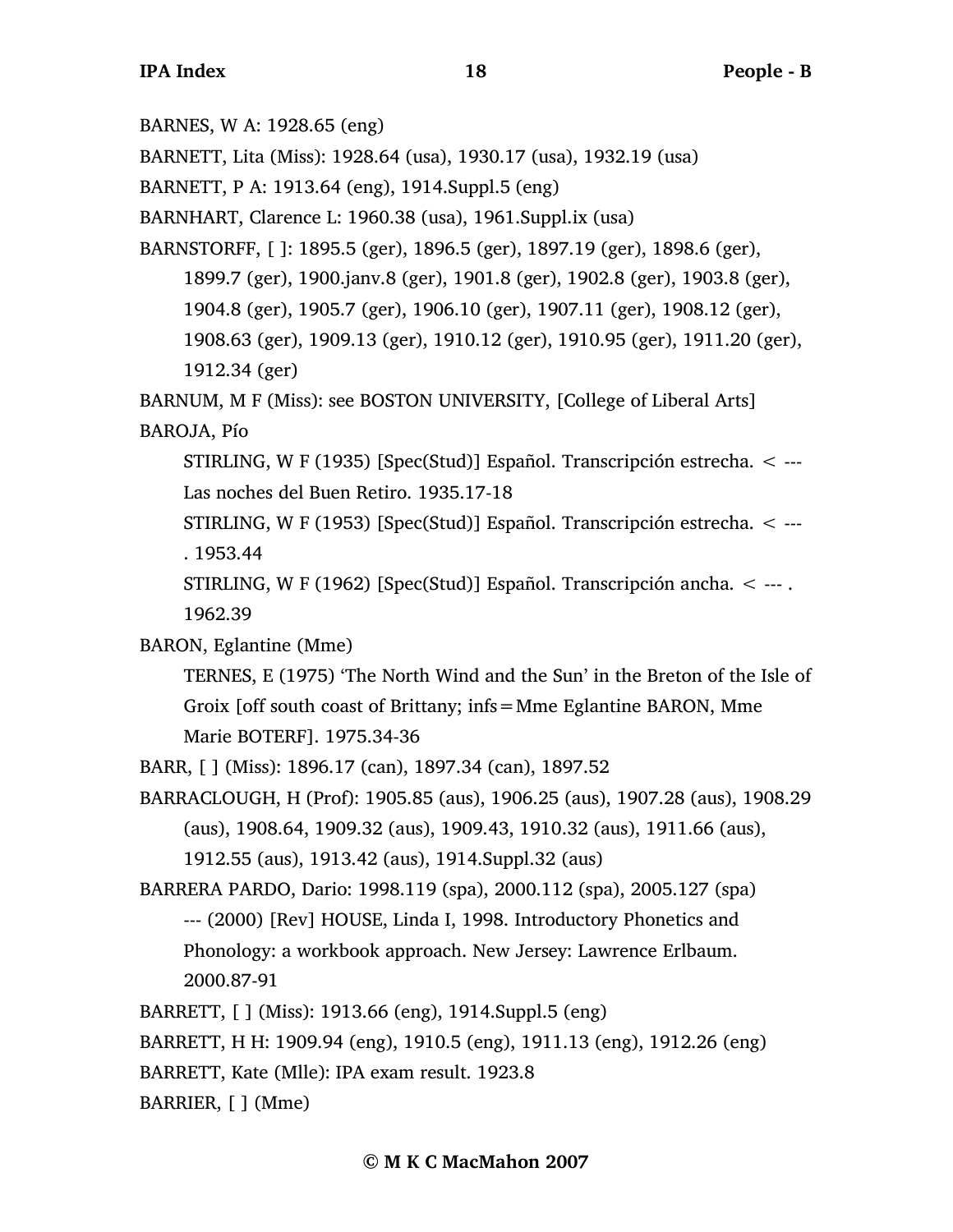BARNES, W A: 1928.65 (eng)

BARNETT, Lita (Miss): 1928.64 (usa), 1930.17 (usa), 1932.19 (usa)

BARNETT, P A: 1913.64 (eng), 1914.Suppl.5 (eng)

BARNHART, Clarence L: 1960.38 (usa), 1961.Suppl.ix (usa)

BARNSTORFF, [ ]: 1895.5 (ger), 1896.5 (ger), 1897.19 (ger), 1898.6 (ger), 1899.7 (ger), 1900.janv.8 (ger), 1901.8 (ger), 1902.8 (ger), 1903.8 (ger), 1904.8 (ger), 1905.7 (ger), 1906.10 (ger), 1907.11 (ger), 1908.12 (ger), 1908.63 (ger), 1909.13 (ger), 1910.12 (ger), 1910.95 (ger), 1911.20 (ger), 1912.34 (ger)

BARNUM, M F (Miss): see BOSTON UNIVERSITY, [College of Liberal Arts] BAROJA, Pío

STIRLING, W F (1935) [Spec(Stud)] Español. Transcripción estrecha. < --- Las noches del Buen Retiro. 1935.17-18

STIRLING, W F (1953) [Spec(Stud)] Español. Transcripción estrecha. < --- . 1953.44

STIRLING, W F (1962) [Spec(Stud)] Español. Transcripción ancha. < --- . 1962.39

BARON, Eglantine (Mme)

TERNES, E (1975) 'The North Wind and the Sun' in the Breton of the Isle of Groix [off south coast of Brittany; infs=Mme Eglantine BARON, Mme Marie BOTERF]. 1975.34-36

BARR, [ ] (Miss): 1896.17 (can), 1897.34 (can), 1897.52

BARRACLOUGH, H (Prof): 1905.85 (aus), 1906.25 (aus), 1907.28 (aus), 1908.29 (aus), 1908.64, 1909.32 (aus), 1909.43, 1910.32 (aus), 1911.66 (aus), 1912.55 (aus), 1913.42 (aus), 1914.Suppl.32 (aus)

BARRERA PARDO, Dario: 1998.119 (spa), 2000.112 (spa), 2005.127 (spa) --- (2000) [Rev] HOUSE, Linda I, 1998. Introductory Phonetics and Phonology: a workbook approach. New Jersey: Lawrence Erlbaum. 2000.87-91

BARRETT, [ ] (Miss): 1913.66 (eng), 1914.Suppl.5 (eng)

BARRETT, H H: 1909.94 (eng), 1910.5 (eng), 1911.13 (eng), 1912.26 (eng)

BARRETT, Kate (Mlle): IPA exam result. 1923.8

BARRIER, [ ] (Mme)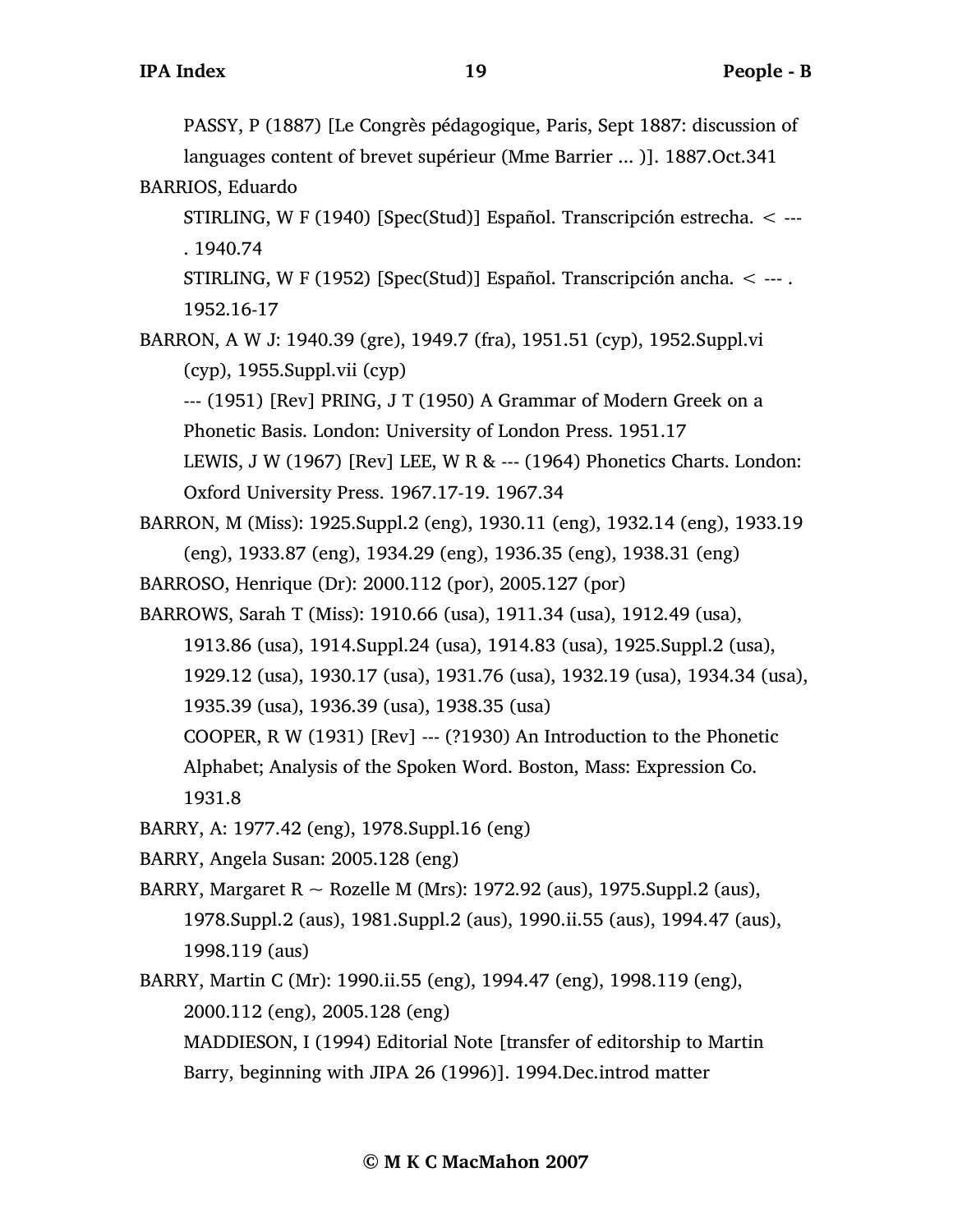PASSY, P (1887) [Le Congrès pédagogique, Paris, Sept 1887: discussion of

languages content of brevet supérieur (Mme Barrier ... )]. 1887.Oct.341 BARRIOS, Eduardo

STIRLING, W F (1940) [Spec(Stud)] Español. Transcripción estrecha. < --- . 1940.74

STIRLING, W F (1952) [Spec(Stud)] Español. Transcripción ancha. < --- . 1952.16-17

BARRON, A W J: 1940.39 (gre), 1949.7 (fra), 1951.51 (cyp), 1952.Suppl.vi (cyp), 1955.Suppl.vii (cyp)

--- (1951) [Rev] PRING, J T (1950) A Grammar of Modern Greek on a Phonetic Basis. London: University of London Press. 1951.17

LEWIS, J W (1967) [Rev] LEE, W R & --- (1964) Phonetics Charts. London: Oxford University Press. 1967.17-19. 1967.34

BARRON, M (Miss): 1925.Suppl.2 (eng), 1930.11 (eng), 1932.14 (eng), 1933.19 (eng), 1933.87 (eng), 1934.29 (eng), 1936.35 (eng), 1938.31 (eng)

- BARROSO, Henrique (Dr): 2000.112 (por), 2005.127 (por)
- BARROWS, Sarah T (Miss): 1910.66 (usa), 1911.34 (usa), 1912.49 (usa),
	- 1913.86 (usa), 1914.Suppl.24 (usa), 1914.83 (usa), 1925.Suppl.2 (usa),
	- 1929.12 (usa), 1930.17 (usa), 1931.76 (usa), 1932.19 (usa), 1934.34 (usa),
	- 1935.39 (usa), 1936.39 (usa), 1938.35 (usa)
	- COOPER, R W (1931) [Rev] --- (?1930) An Introduction to the Phonetic

Alphabet; Analysis of the Spoken Word. Boston, Mass: Expression Co. 1931.8

- BARRY, A: 1977.42 (eng), 1978.Suppl.16 (eng)
- BARRY, Angela Susan: 2005.128 (eng)
- BARRY, Margaret R  $\sim$  Rozelle M (Mrs): 1972.92 (aus), 1975. Suppl. 2 (aus), 1978.Suppl.2 (aus), 1981.Suppl.2 (aus), 1990.ii.55 (aus), 1994.47 (aus), 1998.119 (aus)
- BARRY, Martin C (Mr): 1990.ii.55 (eng), 1994.47 (eng), 1998.119 (eng), 2000.112 (eng), 2005.128 (eng) MADDIESON, I (1994) Editorial Note [transfer of editorship to Martin

Barry, beginning with JIPA 26 (1996)]. 1994.Dec.introd matter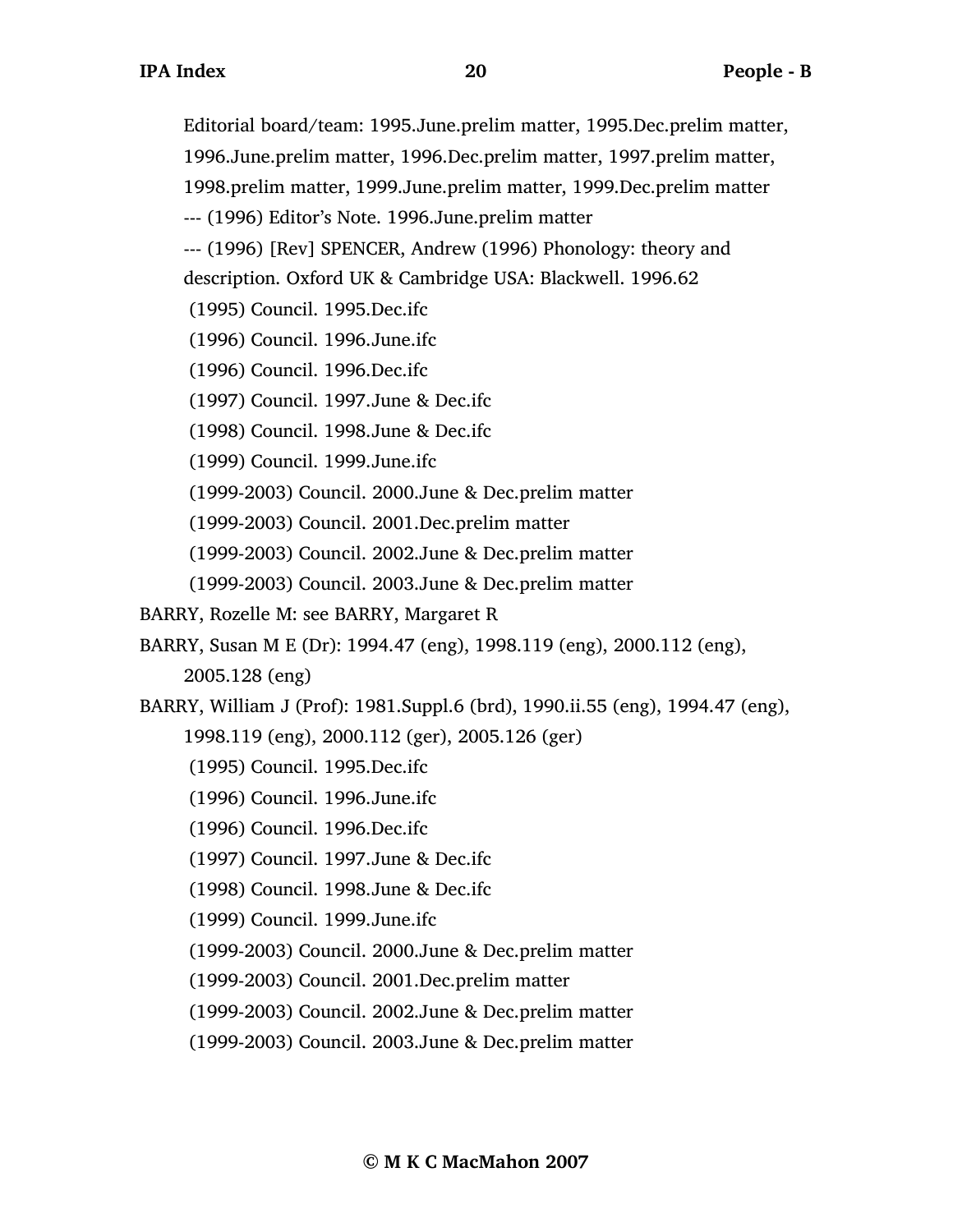Editorial board/team: 1995.June.prelim matter, 1995.Dec.prelim matter,

1996.June.prelim matter, 1996.Dec.prelim matter, 1997.prelim matter,

1998.prelim matter, 1999.June.prelim matter, 1999.Dec.prelim matter

--- (1996) Editor's Note. 1996.June.prelim matter

--- (1996) [Rev] SPENCER, Andrew (1996) Phonology: theory and

description. Oxford UK & Cambridge USA: Blackwell. 1996.62

- (1995) Council. 1995.Dec.ifc
- (1996) Council. 1996.June.ifc
- (1996) Council. 1996.Dec.ifc
- (1997) Council. 1997.June & Dec.ifc
- (1998) Council. 1998.June & Dec.ifc
- (1999) Council. 1999.June.ifc
- (1999-2003) Council. 2000.June & Dec.prelim matter
- (1999-2003) Council. 2001.Dec.prelim matter
- (1999-2003) Council. 2002.June & Dec.prelim matter
- (1999-2003) Council. 2003.June & Dec.prelim matter
- BARRY, Rozelle M: see BARRY, Margaret R
- BARRY, Susan M E (Dr): 1994.47 (eng), 1998.119 (eng), 2000.112 (eng),

2005.128 (eng)

- BARRY, William J (Prof): 1981.Suppl.6 (brd), 1990.ii.55 (eng), 1994.47 (eng),
	- 1998.119 (eng), 2000.112 (ger), 2005.126 (ger)
	- (1995) Council. 1995.Dec.ifc
	- (1996) Council. 1996.June.ifc
	- (1996) Council. 1996.Dec.ifc
	- (1997) Council. 1997.June & Dec.ifc
	- (1998) Council. 1998.June & Dec.ifc
	- (1999) Council. 1999.June.ifc
	- (1999-2003) Council. 2000.June & Dec.prelim matter
	- (1999-2003) Council. 2001.Dec.prelim matter
	- (1999-2003) Council. 2002.June & Dec.prelim matter
	- (1999-2003) Council. 2003.June & Dec.prelim matter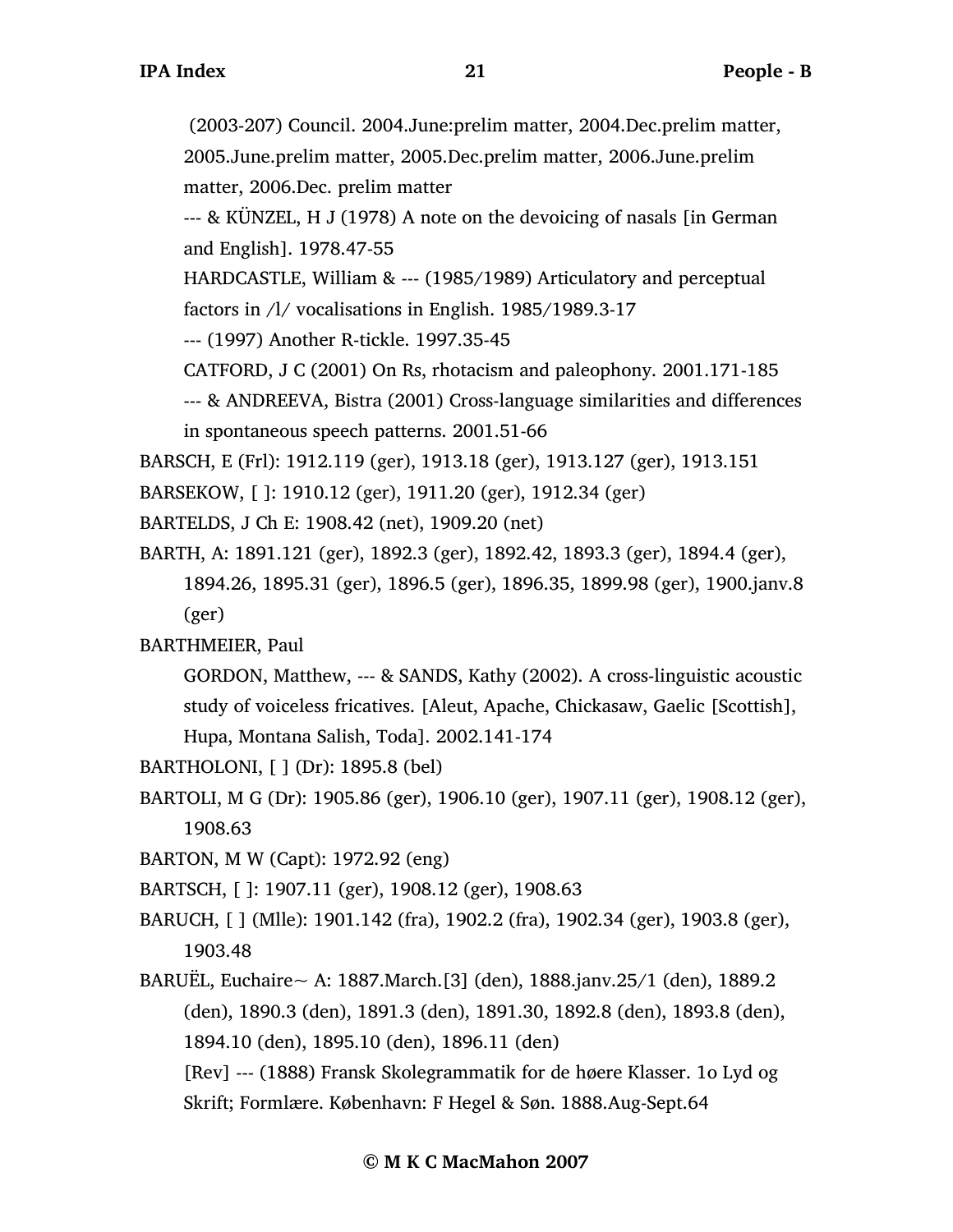(2003-207) Council. 2004.June:prelim matter, 2004.Dec.prelim matter, 2005.June.prelim matter, 2005.Dec.prelim matter, 2006.June.prelim matter, 2006.Dec. prelim matter

--- & KÜNZEL, H J (1978) A note on the devoicing of nasals [in German and English]. 1978.47-55

HARDCASTLE, William & --- (1985/1989) Articulatory and perceptual factors in /l/ vocalisations in English. 1985/1989.3-17

--- (1997) Another R-tickle. 1997.35-45

CATFORD, J C (2001) On Rs, rhotacism and paleophony. 2001.171-185

--- & ANDREEVA, Bistra (2001) Cross-language similarities and differences in spontaneous speech patterns. 2001.51-66

BARSCH, E (Frl): 1912.119 (ger), 1913.18 (ger), 1913.127 (ger), 1913.151

BARSEKOW, [ ]: 1910.12 (ger), 1911.20 (ger), 1912.34 (ger)

BARTELDS, J Ch E: 1908.42 (net), 1909.20 (net)

BARTH, A: 1891.121 (ger), 1892.3 (ger), 1892.42, 1893.3 (ger), 1894.4 (ger), 1894.26, 1895.31 (ger), 1896.5 (ger), 1896.35, 1899.98 (ger), 1900.janv.8 (ger)

BARTHMEIER, Paul

GORDON, Matthew, --- & SANDS, Kathy (2002). A cross-linguistic acoustic study of voiceless fricatives. [Aleut, Apache, Chickasaw, Gaelic [Scottish], Hupa, Montana Salish, Toda]. 2002.141-174

- BARTHOLONI, [ ] (Dr): 1895.8 (bel)
- BARTOLI, M G (Dr): 1905.86 (ger), 1906.10 (ger), 1907.11 (ger), 1908.12 (ger), 1908.63
- BARTON, M W (Capt): 1972.92 (eng)

BARTSCH, [ ]: 1907.11 (ger), 1908.12 (ger), 1908.63

- BARUCH, [ ] (Mlle): 1901.142 (fra), 1902.2 (fra), 1902.34 (ger), 1903.8 (ger), 1903.48
- BARUËL, Euchaire $\sim A: 1887$ .March. [3] (den), 1888. janv. 25/1 (den), 1889. 2 (den), 1890.3 (den), 1891.3 (den), 1891.30, 1892.8 (den), 1893.8 (den), 1894.10 (den), 1895.10 (den), 1896.11 (den)

[Rev] --- (1888) Fransk Skolegrammatik for de høere Klasser. 1o Lyd og Skrift; Formlære. København: F Hegel & Søn. 1888.Aug-Sept.64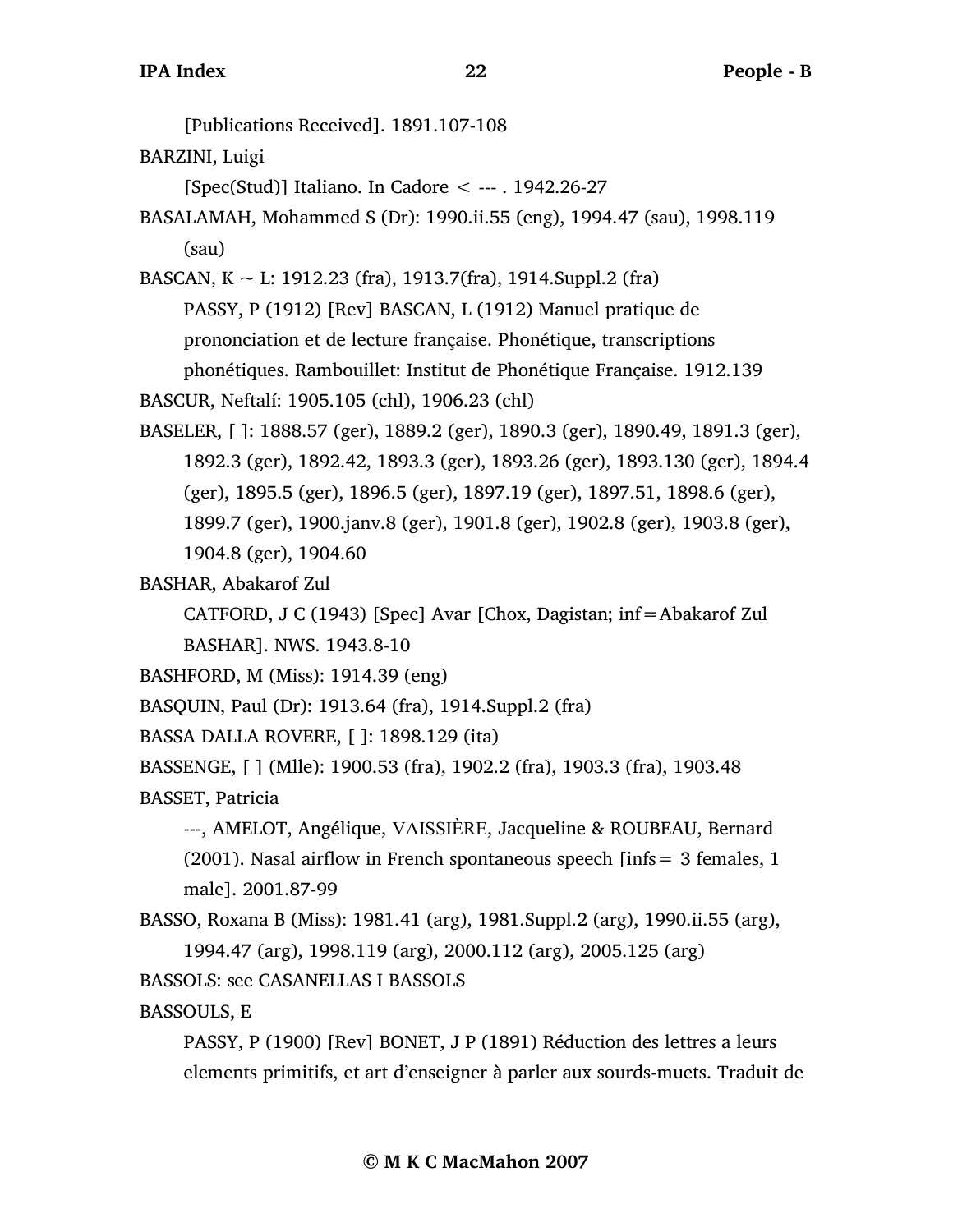[Publications Received]. 1891.107-108 BARZINI, Luigi [Spec(Stud)] Italiano. In Cadore < --- . 1942.26-27 BASALAMAH, Mohammed S (Dr): 1990.ii.55 (eng), 1994.47 (sau), 1998.119 (sau) BASCAN,  $K \sim L$ : 1912.23 (fra), 1913.7(fra), 1914.Suppl.2 (fra) PASSY, P (1912) [Rev] BASCAN, L (1912) Manuel pratique de prononciation et de lecture française. Phonétique, transcriptions phonétiques. Rambouillet: Institut de Phonétique Française. 1912.139 BASCUR, Neftalí: 1905.105 (chl), 1906.23 (chl) BASELER, [ ]: 1888.57 (ger), 1889.2 (ger), 1890.3 (ger), 1890.49, 1891.3 (ger), 1892.3 (ger), 1892.42, 1893.3 (ger), 1893.26 (ger), 1893.130 (ger), 1894.4 (ger), 1895.5 (ger), 1896.5 (ger), 1897.19 (ger), 1897.51, 1898.6 (ger), 1899.7 (ger), 1900.janv.8 (ger), 1901.8 (ger), 1902.8 (ger), 1903.8 (ger), 1904.8 (ger), 1904.60 BASHAR, Abakarof Zul CATFORD, J C (1943) [Spec] Avar [Chox, Dagistan; inf=Abakarof Zul BASHAR]. NWS. 1943.8-10

BASHFORD, M (Miss): 1914.39 (eng)

BASQUIN, Paul (Dr): 1913.64 (fra), 1914.Suppl.2 (fra)

BASSA DALLA ROVERE, [ ]: 1898.129 (ita)

BASSENGE, [ ] (Mlle): 1900.53 (fra), 1902.2 (fra), 1903.3 (fra), 1903.48 BASSET, Patricia

---, AMELOT, Angélique, VAISSIÈRE, Jacqueline & ROUBEAU, Bernard (2001). Nasal airflow in French spontaneous speech [infs  $= 3$  females, 1 male]. 2001.87-99

BASSO, Roxana B (Miss): 1981.41 (arg), 1981.Suppl.2 (arg), 1990.ii.55 (arg), 1994.47 (arg), 1998.119 (arg), 2000.112 (arg), 2005.125 (arg)

BASSOLS: see CASANELLAS I BASSOLS

BASSOULS, E

PASSY, P (1900) [Rev] BONET, J P (1891) Réduction des lettres a leurs elements primitifs, et art d'enseigner à parler aux sourds-muets. Traduit de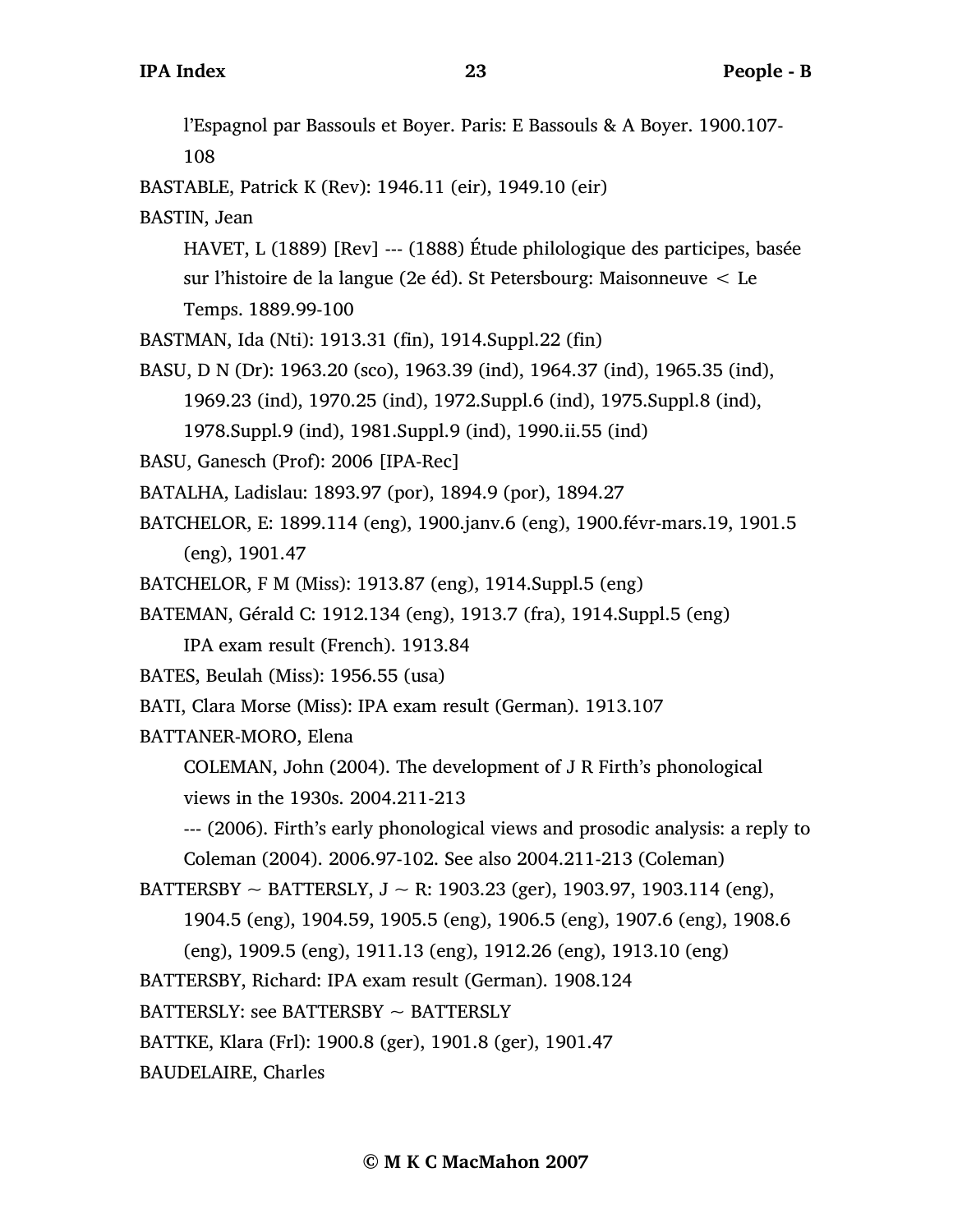l'Espagnol par Bassouls et Boyer. Paris: E Bassouls & A Boyer. 1900.107- 108 BASTABLE, Patrick K (Rev): 1946.11 (eir), 1949.10 (eir) BASTIN, Jean HAVET, L (1889) [Rev] --- (1888) Étude philologique des participes, basée sur l'histoire de la langue (2e éd). St Petersbourg: Maisonneuve < Le Temps. 1889.99-100 BASTMAN, Ida (Nti): 1913.31 (fin), 1914.Suppl.22 (fin) BASU, D N (Dr): 1963.20 (sco), 1963.39 (ind), 1964.37 (ind), 1965.35 (ind), 1969.23 (ind), 1970.25 (ind), 1972.Suppl.6 (ind), 1975.Suppl.8 (ind), 1978.Suppl.9 (ind), 1981.Suppl.9 (ind), 1990.ii.55 (ind) BASU, Ganesch (Prof): 2006 [IPA-Rec] BATALHA, Ladislau: 1893.97 (por), 1894.9 (por), 1894.27 BATCHELOR, E: 1899.114 (eng), 1900.janv.6 (eng), 1900.févr-mars.19, 1901.5 (eng), 1901.47 BATCHELOR, F M (Miss): 1913.87 (eng), 1914.Suppl.5 (eng) BATEMAN, Gérald C: 1912.134 (eng), 1913.7 (fra), 1914.Suppl.5 (eng) IPA exam result (French). 1913.84 BATES, Beulah (Miss): 1956.55 (usa) BATI, Clara Morse (Miss): IPA exam result (German). 1913.107 BATTANER-MORO, Elena COLEMAN, John (2004). The development of J R Firth's phonological views in the 1930s. 2004.211-213 --- (2006). Firth's early phonological views and prosodic analysis: a reply to Coleman (2004). 2006.97-102. See also 2004.211-213 (Coleman) BATTERSBY  $\sim$  BATTERSLY, J  $\sim$  R: 1903.23 (ger), 1903.97, 1903.114 (eng), 1904.5 (eng), 1904.59, 1905.5 (eng), 1906.5 (eng), 1907.6 (eng), 1908.6 (eng), 1909.5 (eng), 1911.13 (eng), 1912.26 (eng), 1913.10 (eng) BATTERSBY, Richard: IPA exam result (German). 1908.124  $BATTERSLY:$  see BATTERSBY  $\sim$  BATTERSLY BATTKE, Klara (Frl): 1900.8 (ger), 1901.8 (ger), 1901.47 BAUDELAIRE, Charles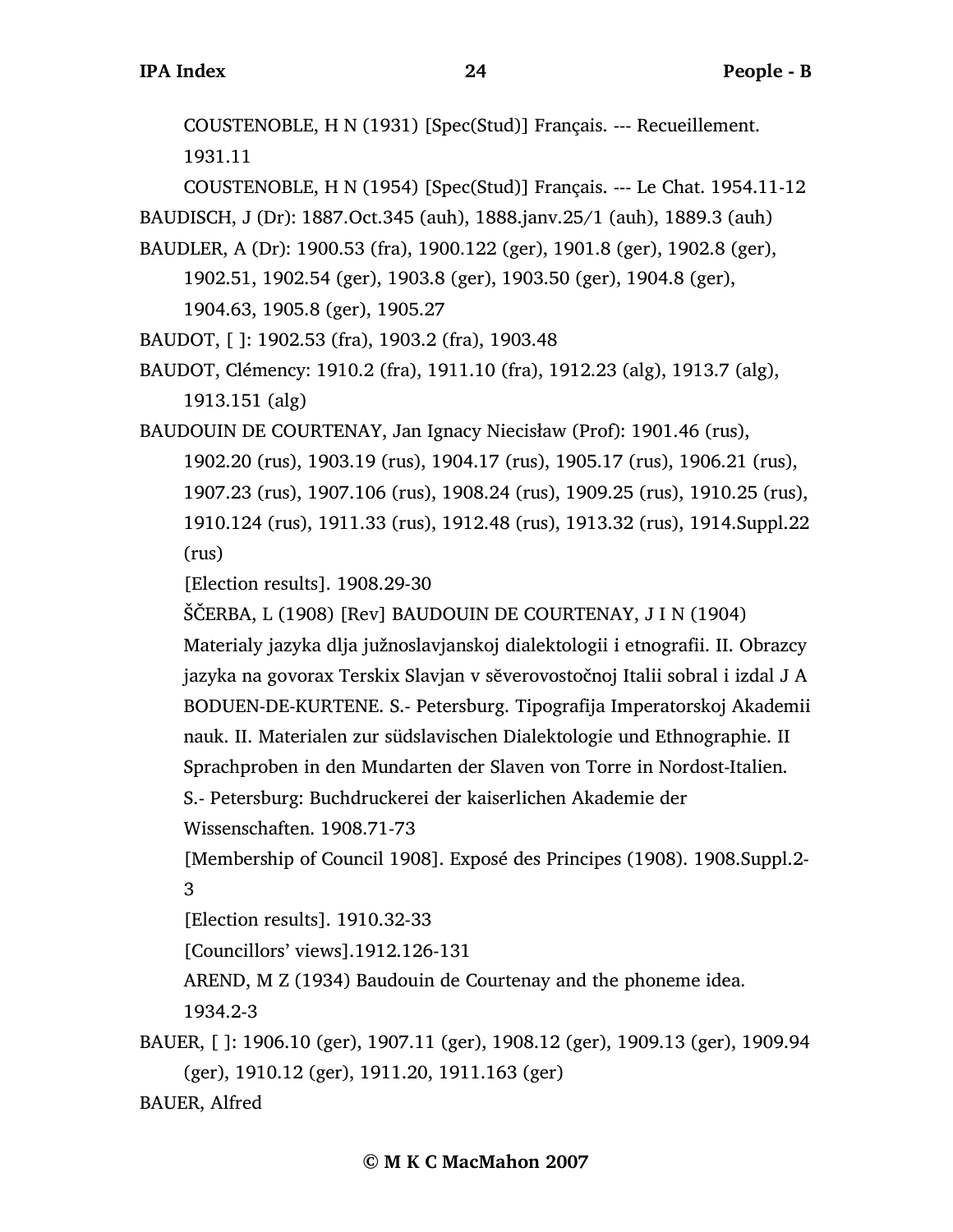COUSTENOBLE, H N (1931) [Spec(Stud)] Français. --- Recueillement. 1931.11

COUSTENOBLE, H N (1954) [Spec(Stud)] Français. --- Le Chat. 1954.11-12 BAUDISCH, J (Dr): 1887.Oct.345 (auh), 1888.janv.25/1 (auh), 1889.3 (auh) BAUDLER, A (Dr): 1900.53 (fra), 1900.122 (ger), 1901.8 (ger), 1902.8 (ger),

1902.51, 1902.54 (ger), 1903.8 (ger), 1903.50 (ger), 1904.8 (ger), 1904.63, 1905.8 (ger), 1905.27

BAUDOT, [ ]: 1902.53 (fra), 1903.2 (fra), 1903.48

BAUDOT, Clémency: 1910.2 (fra), 1911.10 (fra), 1912.23 (alg), 1913.7 (alg), 1913.151 (alg)

BAUDOUIN DE COURTENAY, Jan Ignacy Niecisław (Prof): 1901.46 (rus), 1902.20 (rus), 1903.19 (rus), 1904.17 (rus), 1905.17 (rus), 1906.21 (rus), 1907.23 (rus), 1907.106 (rus), 1908.24 (rus), 1909.25 (rus), 1910.25 (rus), 1910.124 (rus), 1911.33 (rus), 1912.48 (rus), 1913.32 (rus), 1914.Suppl.22 (rus)

[Election results]. 1908.29-30

ŠČERBA, L (1908) [Rev] BAUDOUIN DE COURTENAY, J I N (1904)

Materialy jazyka dlja južnoslavjanskoj dialektologii i etnografii. II. Obrazcy jazyka na govorax Terskix Slavjan v sĕverovostočnoj Italii sobral i izdal J A BODUEN-DE-KURTENE. S.- Petersburg. Tipografija Imperatorskoj Akademii nauk. II. Materialen zur südslavischen Dialektologie und Ethnographie. II Sprachproben in den Mundarten der Slaven von Torre in Nordost-Italien.

S.- Petersburg: Buchdruckerei der kaiserlichen Akademie der

Wissenschaften. 1908.71-73

[Membership of Council 1908]. Exposé des Principes (1908). 1908.Suppl.2- 3

[Election results]. 1910.32-33

[Councillors' views].1912.126-131

AREND, M Z (1934) Baudouin de Courtenay and the phoneme idea.

1934.2-3

BAUER, [ ]: 1906.10 (ger), 1907.11 (ger), 1908.12 (ger), 1909.13 (ger), 1909.94 (ger), 1910.12 (ger), 1911.20, 1911.163 (ger)

BAUER, Alfred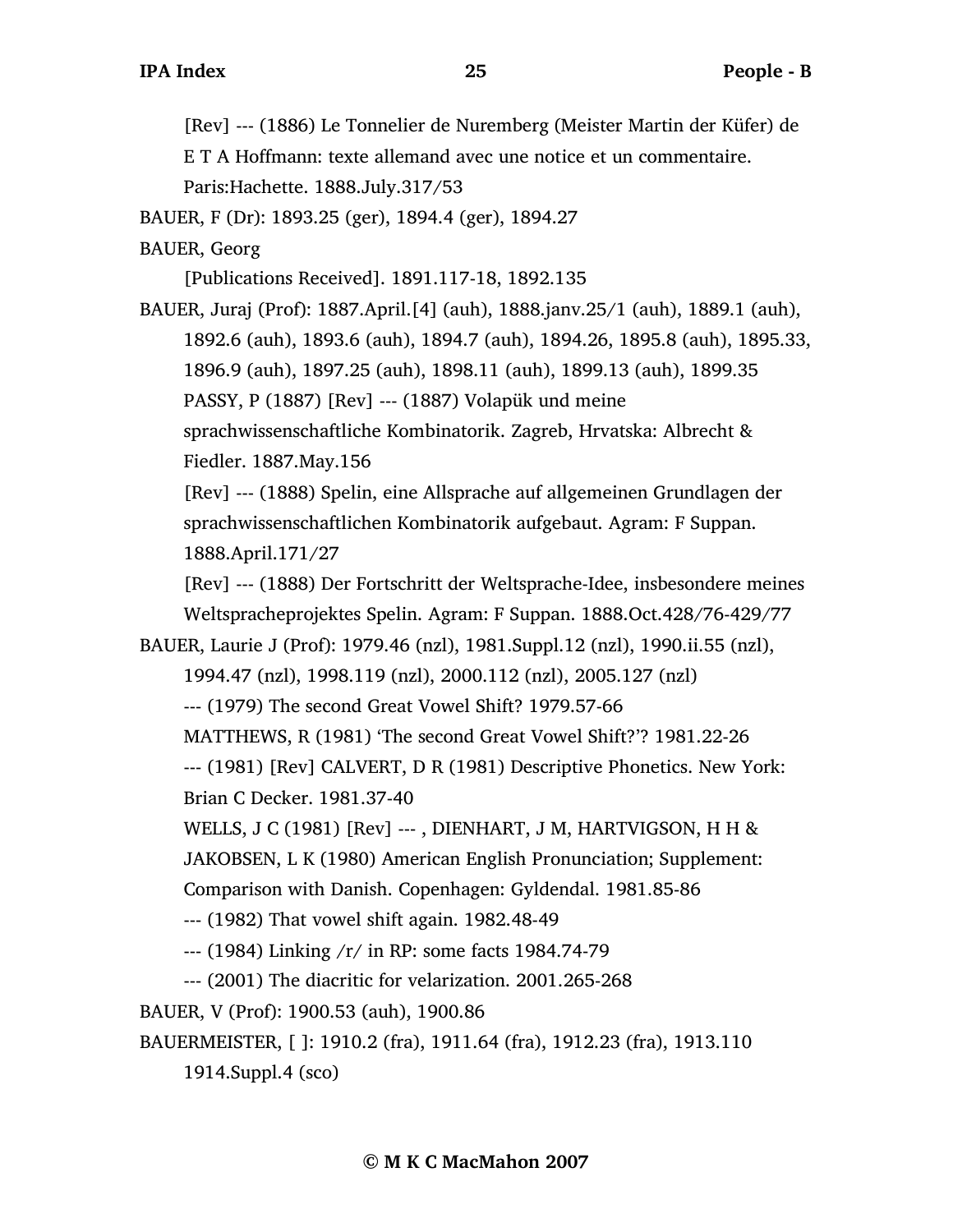[Rev] --- (1886) Le Tonnelier de Nuremberg (Meister Martin der Küfer) de

E T A Hoffmann: texte allemand avec une notice et un commentaire. Paris:Hachette. 1888.July.317/53

BAUER, F (Dr): 1893.25 (ger), 1894.4 (ger), 1894.27

BAUER, Georg

[Publications Received]. 1891.117-18, 1892.135

BAUER, Juraj (Prof): 1887.April.[4] (auh), 1888.janv.25/1 (auh), 1889.1 (auh), 1892.6 (auh), 1893.6 (auh), 1894.7 (auh), 1894.26, 1895.8 (auh), 1895.33, 1896.9 (auh), 1897.25 (auh), 1898.11 (auh), 1899.13 (auh), 1899.35 PASSY, P (1887) [Rev] --- (1887) Volapük und meine sprachwissenschaftliche Kombinatorik. Zagreb, Hrvatska: Albrecht & Fiedler. 1887.May.156

[Rev] --- (1888) Spelin, eine Allsprache auf allgemeinen Grundlagen der sprachwissenschaftlichen Kombinatorik aufgebaut. Agram: F Suppan. 1888.April.171/27

[Rev] --- (1888) Der Fortschritt der Weltsprache-Idee, insbesondere meines Weltspracheprojektes Spelin. Agram: F Suppan. 1888.Oct.428/76-429/77

BAUER, Laurie J (Prof): 1979.46 (nzl), 1981.Suppl.12 (nzl), 1990.ii.55 (nzl),

1994.47 (nzl), 1998.119 (nzl), 2000.112 (nzl), 2005.127 (nzl)

--- (1979) The second Great Vowel Shift? 1979.57-66

MATTHEWS, R (1981) 'The second Great Vowel Shift?'? 1981.22-26

--- (1981) [Rev] CALVERT, D R (1981) Descriptive Phonetics. New York: Brian C Decker. 1981.37-40

WELLS, J C (1981) [Rev] ---, DIENHART, J M, HARTVIGSON, H H &

JAKOBSEN, L K (1980) American English Pronunciation; Supplement:

Comparison with Danish. Copenhagen: Gyldendal. 1981.85-86

--- (1982) That vowel shift again. 1982.48-49

--- (1984) Linking /r/ in RP: some facts 1984.74-79

--- (2001) The diacritic for velarization. 2001.265-268

BAUER, V (Prof): 1900.53 (auh), 1900.86

BAUERMEISTER, [ ]: 1910.2 (fra), 1911.64 (fra), 1912.23 (fra), 1913.110

1914.Suppl.4 (sco)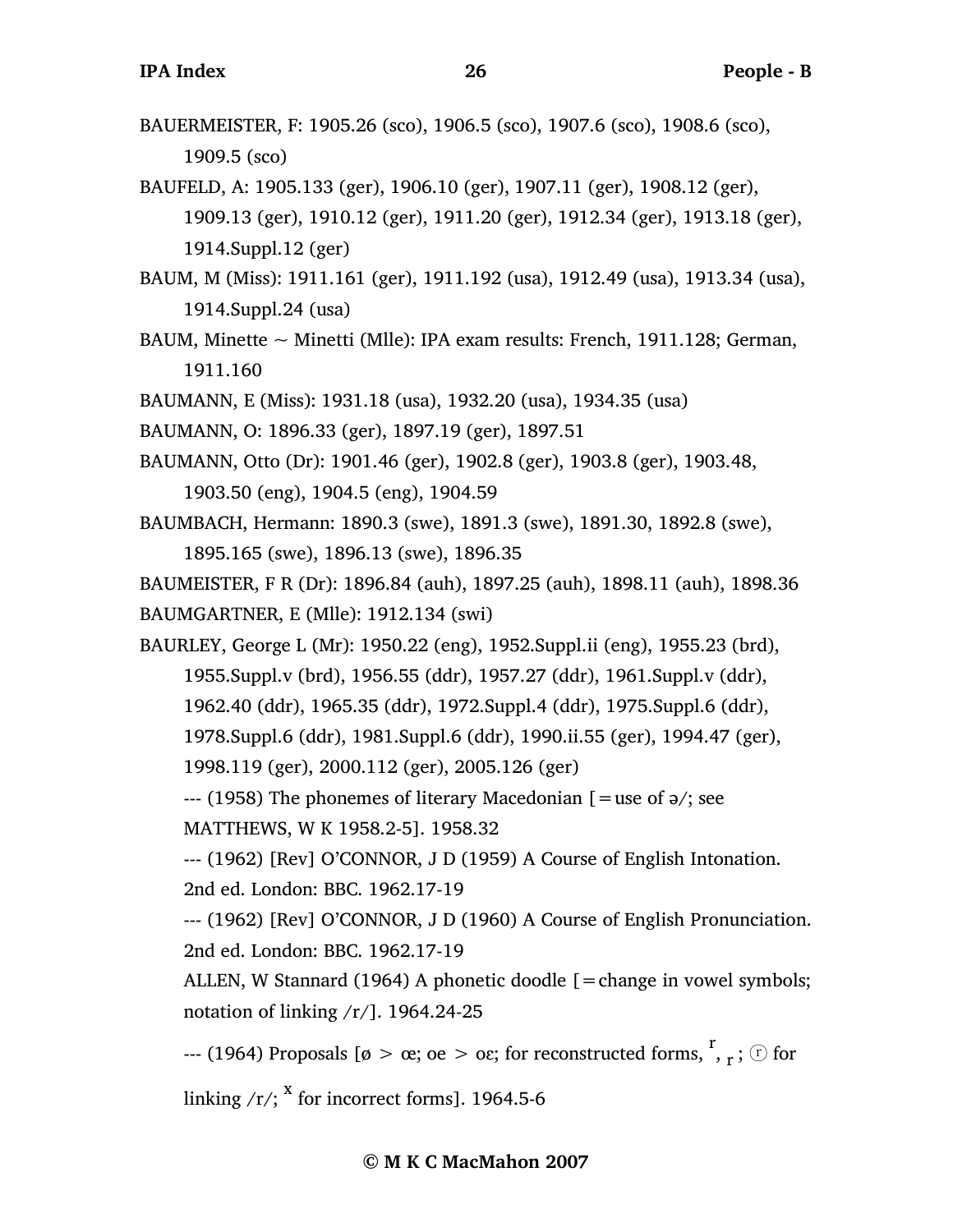- BAUERMEISTER, F: 1905.26 (sco), 1906.5 (sco), 1907.6 (sco), 1908.6 (sco), 1909.5 (sco)
- BAUFELD, A: 1905.133 (ger), 1906.10 (ger), 1907.11 (ger), 1908.12 (ger), 1909.13 (ger), 1910.12 (ger), 1911.20 (ger), 1912.34 (ger), 1913.18 (ger), 1914.Suppl.12 (ger)
- BAUM, M (Miss): 1911.161 (ger), 1911.192 (usa), 1912.49 (usa), 1913.34 (usa), 1914.Suppl.24 (usa)
- BAUM, Minette  $\sim$  Minetti (Mlle): IPA exam results: French, 1911.128; German, 1911.160
- BAUMANN, E (Miss): 1931.18 (usa), 1932.20 (usa), 1934.35 (usa)
- BAUMANN, O: 1896.33 (ger), 1897.19 (ger), 1897.51
- BAUMANN, Otto (Dr): 1901.46 (ger), 1902.8 (ger), 1903.8 (ger), 1903.48, 1903.50 (eng), 1904.5 (eng), 1904.59
- BAUMBACH, Hermann: 1890.3 (swe), 1891.3 (swe), 1891.30, 1892.8 (swe), 1895.165 (swe), 1896.13 (swe), 1896.35

BAUMEISTER, F R (Dr): 1896.84 (auh), 1897.25 (auh), 1898.11 (auh), 1898.36 BAUMGARTNER, E (Mlle): 1912.134 (swi)

BAURLEY, George L (Mr): 1950.22 (eng), 1952.Suppl.ii (eng), 1955.23 (brd), 1955.Suppl.v (brd), 1956.55 (ddr), 1957.27 (ddr), 1961.Suppl.v (ddr), 1962.40 (ddr), 1965.35 (ddr), 1972.Suppl.4 (ddr), 1975.Suppl.6 (ddr), 1978.Suppl.6 (ddr), 1981.Suppl.6 (ddr), 1990.ii.55 (ger), 1994.47 (ger), 1998.119 (ger), 2000.112 (ger), 2005.126 (ger)

 $-$ --- (1958) The phonemes of literary Macedonian  $\mathfrak{[} =$ use of  $\mathfrak{[} \cdot \mathfrak{[} \cdot \mathfrak{[} \cdot \mathfrak{[} \cdot \mathfrak{[} \cdot \mathfrak{[} \cdot \mathfrak{[} \cdot \mathfrak{[} \cdot \mathfrak{[} \cdot \mathfrak{[} \cdot \mathfrak{[} \cdot \mathfrak{[} \cdot \mathfrak{[} \cdot \mathfrak{[} \cdot \mathfrak{[} \cdot \mathfrak{[} \cdot \mathfrak{[} \cdot$ 

MATTHEWS, W K 1958.2-5]. 1958.32

--- (1962) [Rev] O'CONNOR, J D (1959) A Course of English Intonation. 2nd ed. London: BBC. 1962.17-19

--- (1962) [Rev] O'CONNOR, J D (1960) A Course of English Pronunciation. 2nd ed. London: BBC. 1962.17-19

ALLEN, W Stannard (1964) A phonetic doodle  $[$  = change in vowel symbols; notation of linking  $/r/l$ . 1964.24-25

--- (1964) Proposals [ø > œ; oe > oɛ; for reconstructed forms,  $\frac{r}{r}$ ,  $\frac{r}{r}$ ;  $\odot$  for

linking /r/;  $^{\text{x}}$  for incorrect forms]. 1964.5-6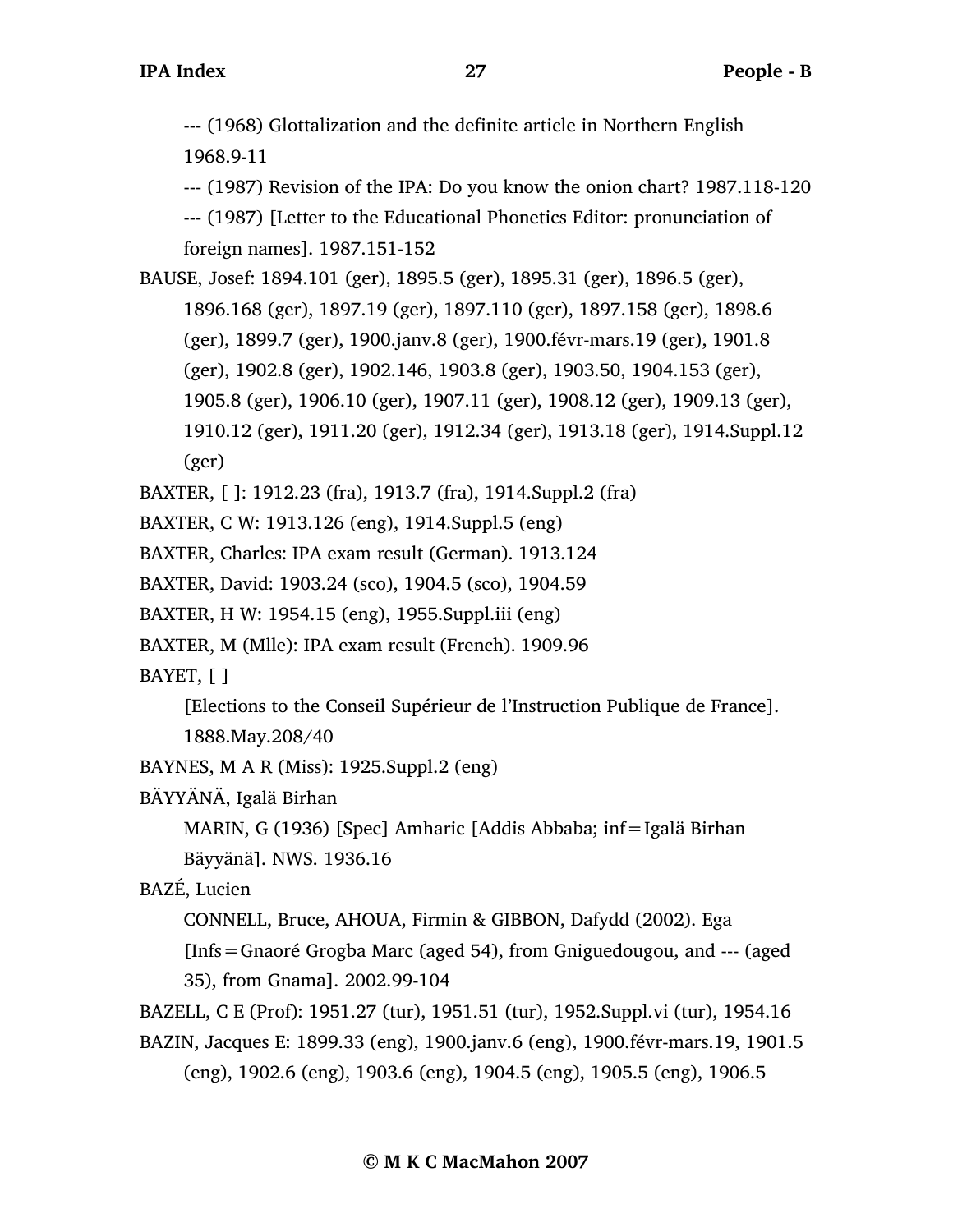--- (1968) Glottalization and the definite article in Northern English 1968.9-11

--- (1987) Revision of the IPA: Do you know the onion chart? 1987.118-120

--- (1987) [Letter to the Educational Phonetics Editor: pronunciation of foreign names]. 1987.151-152

BAUSE, Josef: 1894.101 (ger), 1895.5 (ger), 1895.31 (ger), 1896.5 (ger), 1896.168 (ger), 1897.19 (ger), 1897.110 (ger), 1897.158 (ger), 1898.6 (ger), 1899.7 (ger), 1900.janv.8 (ger), 1900.févr-mars.19 (ger), 1901.8 (ger), 1902.8 (ger), 1902.146, 1903.8 (ger), 1903.50, 1904.153 (ger), 1905.8 (ger), 1906.10 (ger), 1907.11 (ger), 1908.12 (ger), 1909.13 (ger), 1910.12 (ger), 1911.20 (ger), 1912.34 (ger), 1913.18 (ger), 1914.Suppl.12 (ger)

BAXTER, [ ]: 1912.23 (fra), 1913.7 (fra), 1914.Suppl.2 (fra)

BAXTER, C W: 1913.126 (eng), 1914.Suppl.5 (eng)

BAXTER, Charles: IPA exam result (German). 1913.124

BAXTER, David: 1903.24 (sco), 1904.5 (sco), 1904.59

- BAXTER, H W: 1954.15 (eng), 1955.Suppl.iii (eng)
- BAXTER, M (Mlle): IPA exam result (French). 1909.96

BAYET, [ ]

[Elections to the Conseil Supérieur de l'Instruction Publique de France].

1888.May.208/40

BAYNES, M A R (Miss): 1925.Suppl.2 (eng)

BÄYYÄNÄ, Igalä Birhan

MARIN, G (1936) [Spec] Amharic [Addis Abbaba; inf=Igalä Birhan Bäyyänä]. NWS. 1936.16

BAZÉ, Lucien

CONNELL, Bruce, AHOUA, Firmin & GIBBON, Dafydd (2002). Ega

[Infs=Gnaoré Grogba Marc (aged 54), from Gniguedougou, and --- (aged 35), from Gnama]. 2002.99-104

BAZELL, C E (Prof): 1951.27 (tur), 1951.51 (tur), 1952.Suppl.vi (tur), 1954.16

BAZIN, Jacques E: 1899.33 (eng), 1900.janv.6 (eng), 1900.févr-mars.19, 1901.5 (eng), 1902.6 (eng), 1903.6 (eng), 1904.5 (eng), 1905.5 (eng), 1906.5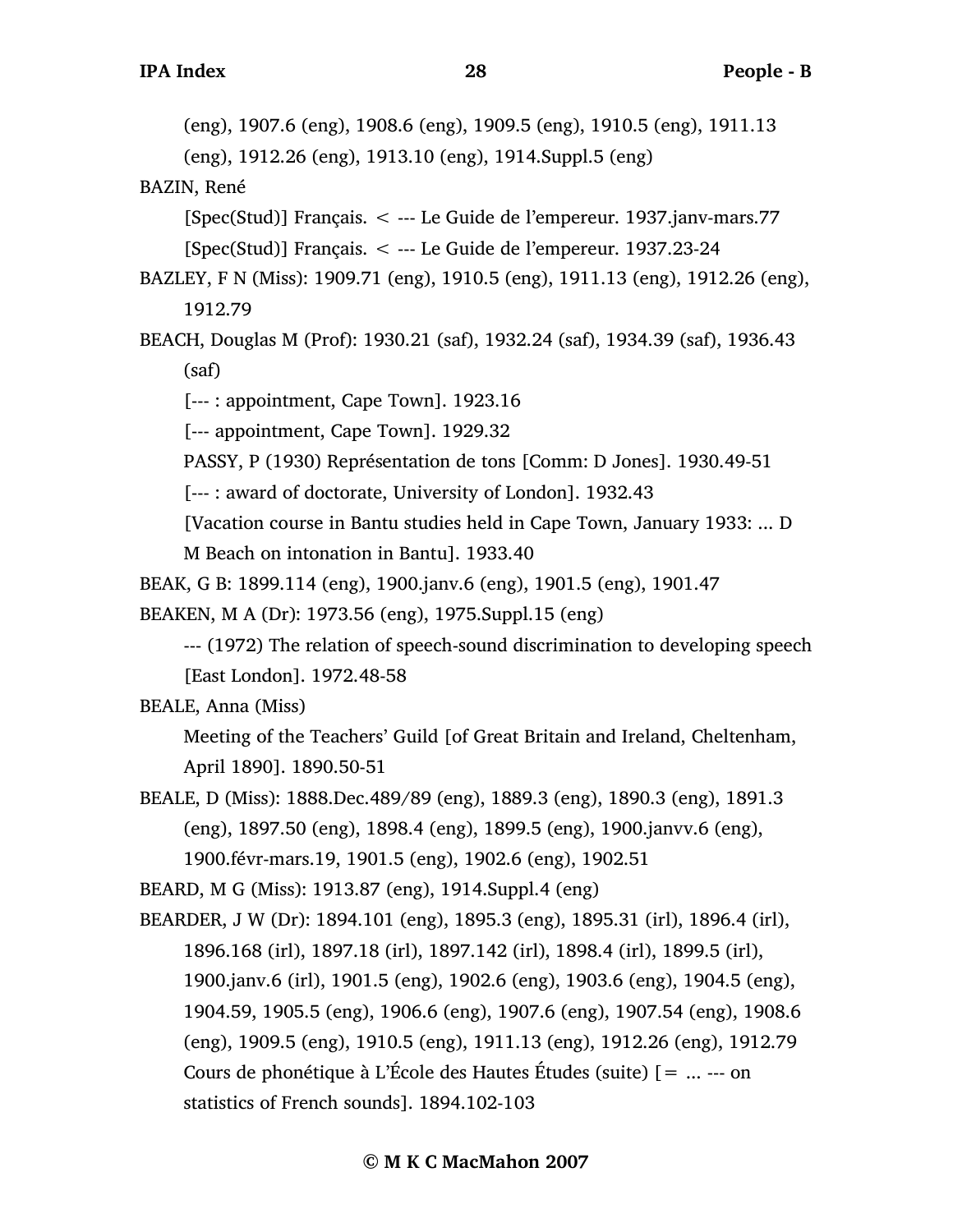(eng), 1907.6 (eng), 1908.6 (eng), 1909.5 (eng), 1910.5 (eng), 1911.13

(eng), 1912.26 (eng), 1913.10 (eng), 1914.Suppl.5 (eng)

BAZIN, René

[Spec(Stud)] Français. < --- Le Guide de l'empereur. 1937.janv-mars.77

[Spec(Stud)] Français. < --- Le Guide de l'empereur. 1937.23-24

- BAZLEY, F N (Miss): 1909.71 (eng), 1910.5 (eng), 1911.13 (eng), 1912.26 (eng), 1912.79
- BEACH, Douglas M (Prof): 1930.21 (saf), 1932.24 (saf), 1934.39 (saf), 1936.43 (saf)

[--- : appointment, Cape Town]. 1923.16

[--- appointment, Cape Town]. 1929.32

PASSY, P (1930) Représentation de tons [Comm: D Jones]. 1930.49-51

[--- : award of doctorate, University of London]. 1932.43

[Vacation course in Bantu studies held in Cape Town, January 1933: ... D

M Beach on intonation in Bantu]. 1933.40

BEAK, G B: 1899.114 (eng), 1900.janv.6 (eng), 1901.5 (eng), 1901.47

BEAKEN, M A (Dr): 1973.56 (eng), 1975.Suppl.15 (eng)

--- (1972) The relation of speech-sound discrimination to developing speech [East London]. 1972.48-58

BEALE, Anna (Miss)

Meeting of the Teachers' Guild [of Great Britain and Ireland, Cheltenham, April 1890]. 1890.50-51

BEALE, D (Miss): 1888.Dec.489/89 (eng), 1889.3 (eng), 1890.3 (eng), 1891.3 (eng), 1897.50 (eng), 1898.4 (eng), 1899.5 (eng), 1900.janvv.6 (eng), 1900.févr-mars.19, 1901.5 (eng), 1902.6 (eng), 1902.51

BEARD, M G (Miss): 1913.87 (eng), 1914.Suppl.4 (eng)

BEARDER, J W (Dr): 1894.101 (eng), 1895.3 (eng), 1895.31 (irl), 1896.4 (irl), 1896.168 (irl), 1897.18 (irl), 1897.142 (irl), 1898.4 (irl), 1899.5 (irl), 1900.janv.6 (irl), 1901.5 (eng), 1902.6 (eng), 1903.6 (eng), 1904.5 (eng), 1904.59, 1905.5 (eng), 1906.6 (eng), 1907.6 (eng), 1907.54 (eng), 1908.6 (eng), 1909.5 (eng), 1910.5 (eng), 1911.13 (eng), 1912.26 (eng), 1912.79 Cours de phonétique à L'École des Hautes Études (suite) [= ... --- on statistics of French sounds]. 1894.102-103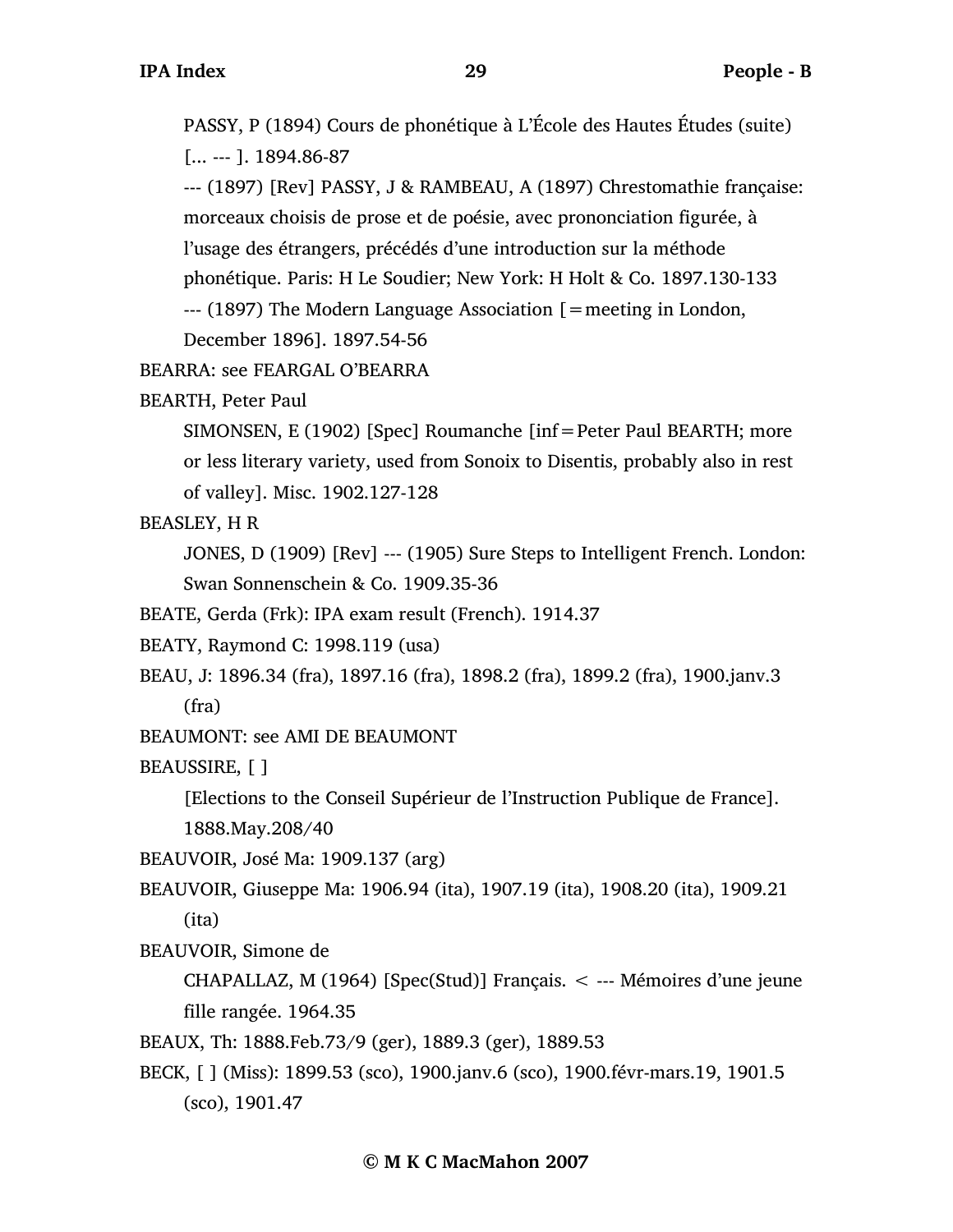PASSY, P (1894) Cours de phonétique à L'École des Hautes Études (suite) [... --- ]. 1894.86-87

--- (1897) [Rev] PASSY, J & RAMBEAU, A (1897) Chrestomathie française: morceaux choisis de prose et de poésie, avec prononciation figurée, à l'usage des étrangers, précédés d'une introduction sur la méthode phonétique. Paris: H Le Soudier; New York: H Holt & Co. 1897.130-133 --- (1897) The Modern Language Association [=meeting in London, December 1896]. 1897.54-56

BEARRA: see FEARGAL O'BEARRA

BEARTH, Peter Paul

SIMONSEN, E (1902) [Spec] Roumanche [inf=Peter Paul BEARTH; more or less literary variety, used from Sonoix to Disentis, probably also in rest of valley]. Misc. 1902.127-128

BEASLEY, H R

JONES, D (1909) [Rev] --- (1905) Sure Steps to Intelligent French. London: Swan Sonnenschein & Co. 1909.35-36

BEATE, Gerda (Frk): IPA exam result (French). 1914.37

BEATY, Raymond C: 1998.119 (usa)

BEAU, J: 1896.34 (fra), 1897.16 (fra), 1898.2 (fra), 1899.2 (fra), 1900.janv.3 (fra)

BEAUMONT: see AMI DE BEAUMONT

BEAUSSIRE, [ ]

[Elections to the Conseil Supérieur de l'Instruction Publique de France].

1888.May.208/40

BEAUVOIR, José Ma: 1909.137 (arg)

BEAUVOIR, Giuseppe Ma: 1906.94 (ita), 1907.19 (ita), 1908.20 (ita), 1909.21 (ita)

BEAUVOIR, Simone de

CHAPALLAZ, M (1964) [Spec(Stud)] Français. < --- Mémoires d'une jeune fille rangée. 1964.35

BEAUX, Th: 1888.Feb.73/9 (ger), 1889.3 (ger), 1889.53

BECK, [ ] (Miss): 1899.53 (sco), 1900.janv.6 (sco), 1900.févr-mars.19, 1901.5 (sco), 1901.47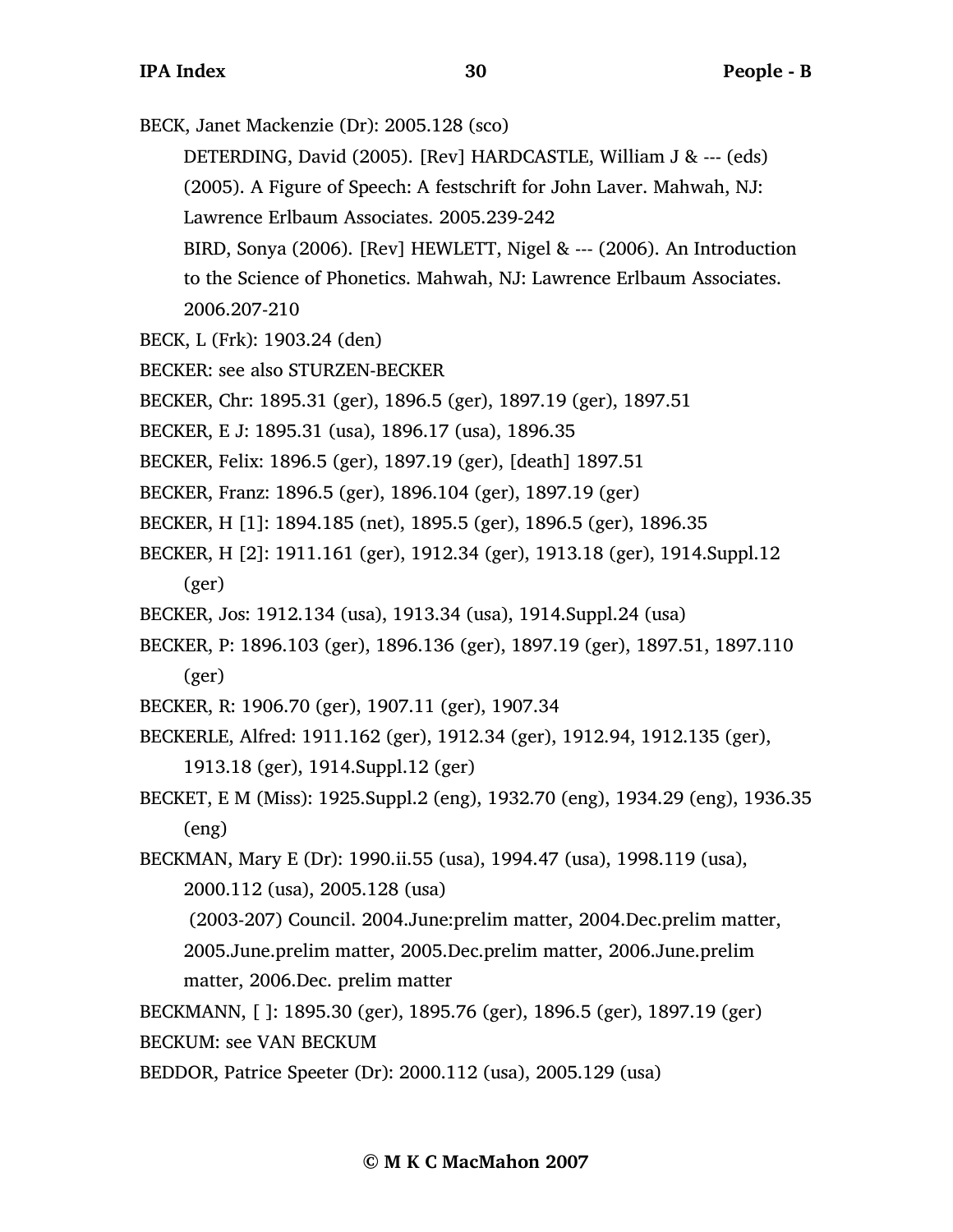BECK, Janet Mackenzie (Dr): 2005.128 (sco)

DETERDING, David (2005). [Rev] HARDCASTLE, William J & --- (eds)

(2005). A Figure of Speech: A festschrift for John Laver. Mahwah, NJ: Lawrence Erlbaum Associates. 2005.239-242

- BIRD, Sonya (2006). [Rev] HEWLETT, Nigel & --- (2006). An Introduction to the Science of Phonetics. Mahwah, NJ: Lawrence Erlbaum Associates. 2006.207-210
- BECK, L (Frk): 1903.24 (den)
- BECKER: see also STURZEN-BECKER
- BECKER, Chr: 1895.31 (ger), 1896.5 (ger), 1897.19 (ger), 1897.51
- BECKER, E J: 1895.31 (usa), 1896.17 (usa), 1896.35
- BECKER, Felix: 1896.5 (ger), 1897.19 (ger), [death] 1897.51
- BECKER, Franz: 1896.5 (ger), 1896.104 (ger), 1897.19 (ger)
- BECKER, H [1]: 1894.185 (net), 1895.5 (ger), 1896.5 (ger), 1896.35
- BECKER, H [2]: 1911.161 (ger), 1912.34 (ger), 1913.18 (ger), 1914.Suppl.12 (ger)
- BECKER, Jos: 1912.134 (usa), 1913.34 (usa), 1914.Suppl.24 (usa)
- BECKER, P: 1896.103 (ger), 1896.136 (ger), 1897.19 (ger), 1897.51, 1897.110 (ger)
- BECKER, R: 1906.70 (ger), 1907.11 (ger), 1907.34
- BECKERLE, Alfred: 1911.162 (ger), 1912.34 (ger), 1912.94, 1912.135 (ger),
	- 1913.18 (ger), 1914.Suppl.12 (ger)
- BECKET, E M (Miss): 1925.Suppl.2 (eng), 1932.70 (eng), 1934.29 (eng), 1936.35 (eng)
- BECKMAN, Mary E (Dr): 1990.ii.55 (usa), 1994.47 (usa), 1998.119 (usa),

2000.112 (usa), 2005.128 (usa)

(2003-207) Council. 2004.June:prelim matter, 2004.Dec.prelim matter, 2005.June.prelim matter, 2005.Dec.prelim matter, 2006.June.prelim matter, 2006.Dec. prelim matter

- BECKMANN, [ ]: 1895.30 (ger), 1895.76 (ger), 1896.5 (ger), 1897.19 (ger)
- BECKUM: see VAN BECKUM
- BEDDOR, Patrice Speeter (Dr): 2000.112 (usa), 2005.129 (usa)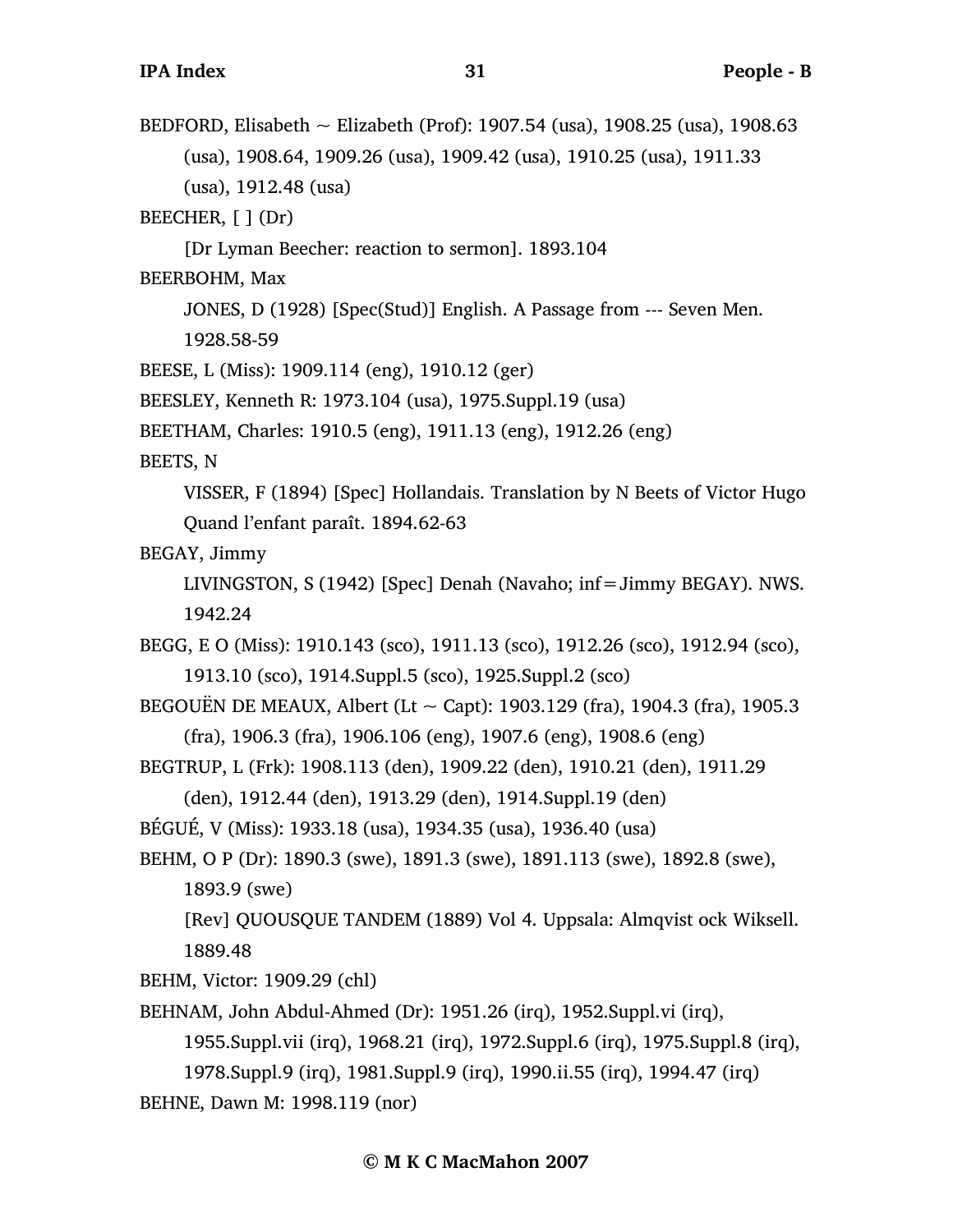BEDFORD, Elisabeth ~ Elizabeth (Prof): 1907.54 (usa), 1908.25 (usa), 1908.63 (usa), 1908.64, 1909.26 (usa), 1909.42 (usa), 1910.25 (usa), 1911.33 (usa), 1912.48 (usa)

BEECHER,  $[ ]$  (Dr)

[Dr Lyman Beecher: reaction to sermon]. 1893.104

BEERBOHM, Max

JONES, D (1928) [Spec(Stud)] English. A Passage from --- Seven Men.

1928.58-59

BEESE, L (Miss): 1909.114 (eng), 1910.12 (ger)

BEESLEY, Kenneth R: 1973.104 (usa), 1975.Suppl.19 (usa)

BEETHAM, Charles: 1910.5 (eng), 1911.13 (eng), 1912.26 (eng)

BEETS, N

VISSER, F (1894) [Spec] Hollandais. Translation by N Beets of Victor Hugo Quand l'enfant paraît. 1894.62-63

BEGAY, Jimmy

LIVINGSTON, S (1942) [Spec] Denah (Navaho; inf=Jimmy BEGAY). NWS. 1942.24

BEGG, E O (Miss): 1910.143 (sco), 1911.13 (sco), 1912.26 (sco), 1912.94 (sco), 1913.10 (sco), 1914.Suppl.5 (sco), 1925.Suppl.2 (sco)

BEGOUËN DE MEAUX, Albert (Lt  $\sim$  Capt): 1903.129 (fra), 1904.3 (fra), 1905.3 (fra), 1906.3 (fra), 1906.106 (eng), 1907.6 (eng), 1908.6 (eng)

BEGTRUP, L (Frk): 1908.113 (den), 1909.22 (den), 1910.21 (den), 1911.29

(den), 1912.44 (den), 1913.29 (den), 1914.Suppl.19 (den)

BÉGUÉ, V (Miss): 1933.18 (usa), 1934.35 (usa), 1936.40 (usa)

BEHM, O P (Dr): 1890.3 (swe), 1891.3 (swe), 1891.113 (swe), 1892.8 (swe), 1893.9 (swe)

[Rev] QUOUSQUE TANDEM (1889) Vol 4. Uppsala: Almqvist ock Wiksell. 1889.48

BEHM, Victor: 1909.29 (chl)

BEHNAM, John Abdul-Ahmed (Dr): 1951.26 (irq), 1952.Suppl.vi (irq),

1955.Suppl.vii (irq), 1968.21 (irq), 1972.Suppl.6 (irq), 1975.Suppl.8 (irq),

1978.Suppl.9 (irq), 1981.Suppl.9 (irq), 1990.ii.55 (irq), 1994.47 (irq)

BEHNE, Dawn M: 1998.119 (nor)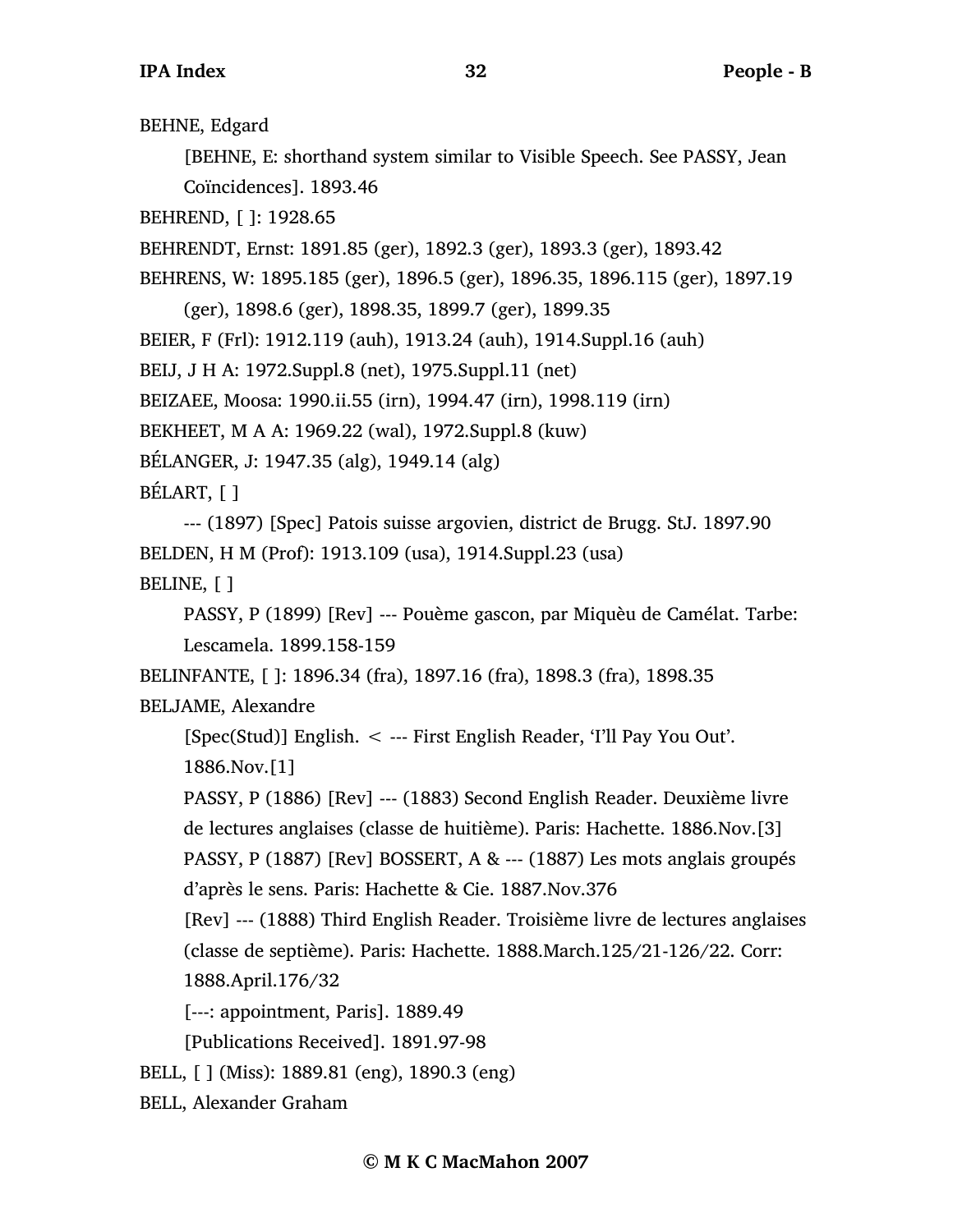BEHNE, Edgard

[BEHNE, E: shorthand system similar to Visible Speech. See PASSY, Jean Coïncidences]. 1893.46

BEHREND, [ ]: 1928.65

BEHRENDT, Ernst: 1891.85 (ger), 1892.3 (ger), 1893.3 (ger), 1893.42

BEHRENS, W: 1895.185 (ger), 1896.5 (ger), 1896.35, 1896.115 (ger), 1897.19

(ger), 1898.6 (ger), 1898.35, 1899.7 (ger), 1899.35

BEIER, F (Frl): 1912.119 (auh), 1913.24 (auh), 1914.Suppl.16 (auh)

BEIJ, J H A: 1972.Suppl.8 (net), 1975.Suppl.11 (net)

BEIZAEE, Moosa: 1990.ii.55 (irn), 1994.47 (irn), 1998.119 (irn)

BEKHEET, M A A: 1969.22 (wal), 1972.Suppl.8 (kuw)

BÉLANGER, J: 1947.35 (alg), 1949.14 (alg)

BÉLART, [ ]

--- (1897) [Spec] Patois suisse argovien, district de Brugg. StJ. 1897.90 BELDEN, H M (Prof): 1913.109 (usa), 1914.Suppl.23 (usa) BELINE, [ ]

PASSY, P (1899) [Rev] --- Pouème gascon, par Miquèu de Camélat. Tarbe: Lescamela. 1899.158-159

BELINFANTE, [ ]: 1896.34 (fra), 1897.16 (fra), 1898.3 (fra), 1898.35 BELJAME, Alexandre

[Spec(Stud)] English. < --- First English Reader, 'I'll Pay You Out'. 1886.Nov.[1]

PASSY, P (1886) [Rev] --- (1883) Second English Reader. Deuxième livre de lectures anglaises (classe de huitième). Paris: Hachette. 1886.Nov.[3] PASSY, P (1887) [Rev] BOSSERT, A & --- (1887) Les mots anglais groupés d'après le sens. Paris: Hachette & Cie. 1887.Nov.376

[Rev] --- (1888) Third English Reader. Troisième livre de lectures anglaises (classe de septième). Paris: Hachette. 1888.March.125/21-126/22. Corr: 1888.April.176/32

[---: appointment, Paris]. 1889.49

[Publications Received]. 1891.97-98

BELL, [ ] (Miss): 1889.81 (eng), 1890.3 (eng)

BELL, Alexander Graham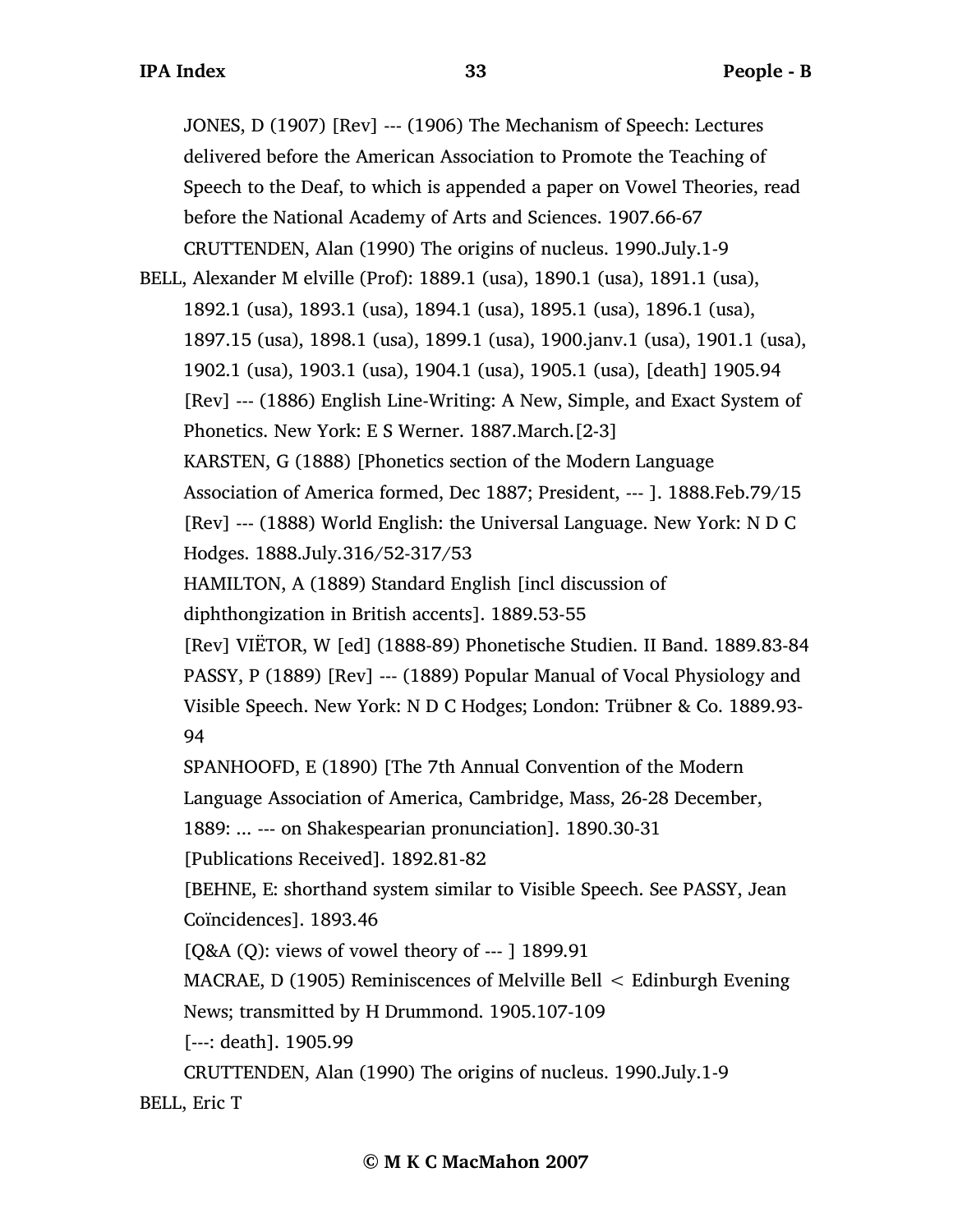JONES, D (1907) [Rev] --- (1906) The Mechanism of Speech: Lectures delivered before the American Association to Promote the Teaching of Speech to the Deaf, to which is appended a paper on Vowel Theories, read before the National Academy of Arts and Sciences. 1907.66-67 CRUTTENDEN, Alan (1990) The origins of nucleus. 1990.July.1-9

BELL, Alexander M elville (Prof): 1889.1 (usa), 1890.1 (usa), 1891.1 (usa), 1892.1 (usa), 1893.1 (usa), 1894.1 (usa), 1895.1 (usa), 1896.1 (usa), 1897.15 (usa), 1898.1 (usa), 1899.1 (usa), 1900.janv.1 (usa), 1901.1 (usa), 1902.1 (usa), 1903.1 (usa), 1904.1 (usa), 1905.1 (usa), [death] 1905.94 [Rev] --- (1886) English Line-Writing: A New, Simple, and Exact System of Phonetics. New York: E S Werner. 1887.March.[2-3] KARSTEN, G (1888) [Phonetics section of the Modern Language Association of America formed, Dec 1887; President, --- ]. 1888.Feb.79/15 [Rev] --- (1888) World English: the Universal Language. New York: N D C Hodges. 1888.July.316/52-317/53 HAMILTON, A (1889) Standard English [incl discussion of diphthongization in British accents]. 1889.53-55 [Rev] VIËTOR, W [ed] (1888-89) Phonetische Studien. II Band. 1889.83-84 PASSY, P (1889) [Rev] --- (1889) Popular Manual of Vocal Physiology and Visible Speech. New York: N D C Hodges; London: Trübner & Co. 1889.93- 94 SPANHOOFD, E (1890) [The 7th Annual Convention of the Modern Language Association of America, Cambridge, Mass, 26-28 December, 1889: ... --- on Shakespearian pronunciation]. 1890.30-31 [Publications Received]. 1892.81-82 [BEHNE, E: shorthand system similar to Visible Speech. See PASSY, Jean Coïncidences]. 1893.46 [Q&A (Q): views of vowel theory of --- ] 1899.91 MACRAE, D (1905) Reminiscences of Melville Bell < Edinburgh Evening

News; transmitted by H Drummond. 1905.107-109

[---: death]. 1905.99

CRUTTENDEN, Alan (1990) The origins of nucleus. 1990.July.1-9 BELL, Eric T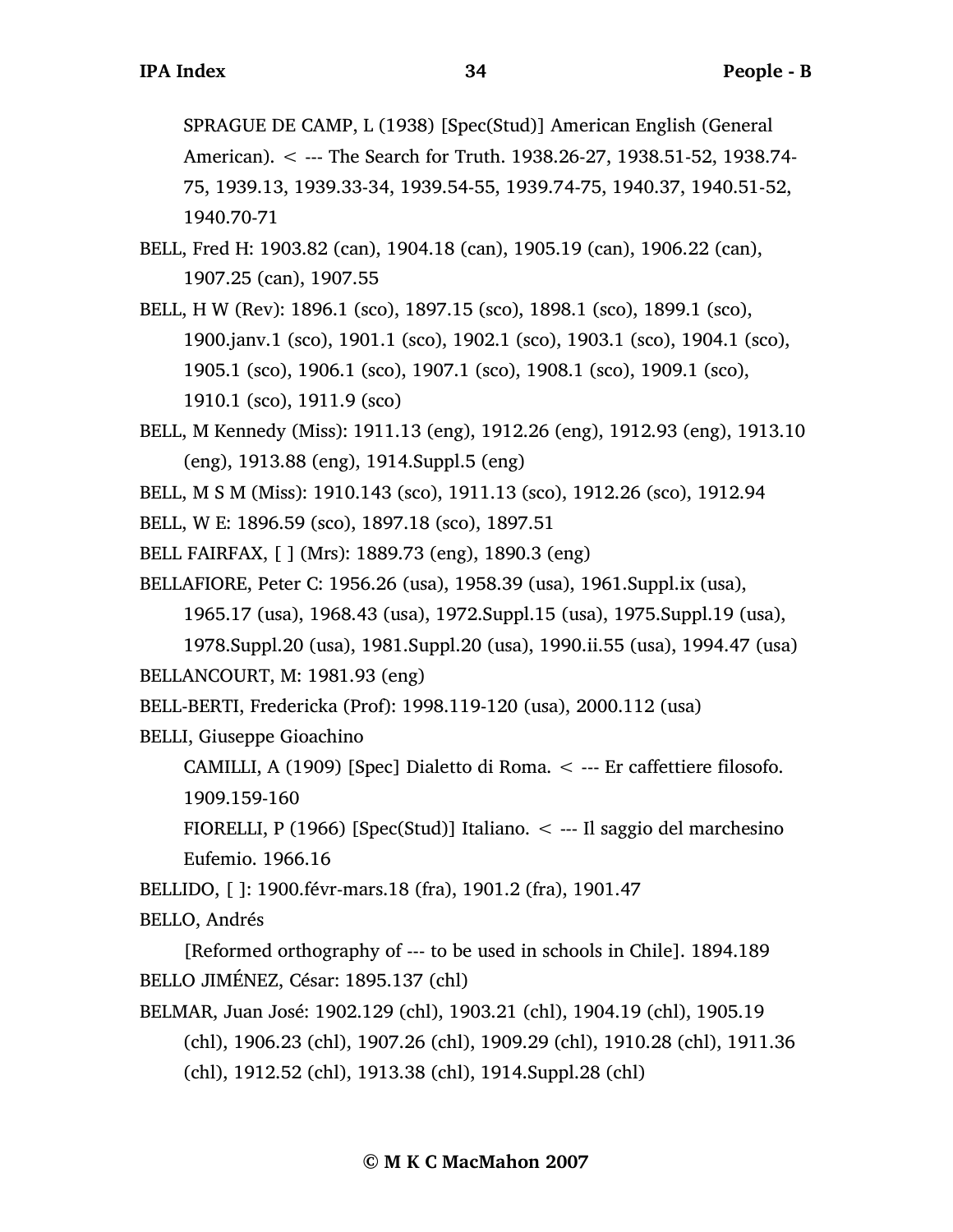SPRAGUE DE CAMP, L (1938) [Spec(Stud)] American English (General American). < --- The Search for Truth. 1938.26-27, 1938.51-52, 1938.74- 75, 1939.13, 1939.33-34, 1939.54-55, 1939.74-75, 1940.37, 1940.51-52, 1940.70-71

- BELL, Fred H: 1903.82 (can), 1904.18 (can), 1905.19 (can), 1906.22 (can), 1907.25 (can), 1907.55
- BELL, H W (Rev): 1896.1 (sco), 1897.15 (sco), 1898.1 (sco), 1899.1 (sco), 1900.janv.1 (sco), 1901.1 (sco), 1902.1 (sco), 1903.1 (sco), 1904.1 (sco), 1905.1 (sco), 1906.1 (sco), 1907.1 (sco), 1908.1 (sco), 1909.1 (sco), 1910.1 (sco), 1911.9 (sco)
- BELL, M Kennedy (Miss): 1911.13 (eng), 1912.26 (eng), 1912.93 (eng), 1913.10 (eng), 1913.88 (eng), 1914.Suppl.5 (eng)
- BELL, M S M (Miss): 1910.143 (sco), 1911.13 (sco), 1912.26 (sco), 1912.94
- BELL, W E: 1896.59 (sco), 1897.18 (sco), 1897.51
- BELL FAIRFAX, [ ] (Mrs): 1889.73 (eng), 1890.3 (eng)
- BELLAFIORE, Peter C: 1956.26 (usa), 1958.39 (usa), 1961.Suppl.ix (usa), 1965.17 (usa), 1968.43 (usa), 1972.Suppl.15 (usa), 1975.Suppl.19 (usa),
	- 1978.Suppl.20 (usa), 1981.Suppl.20 (usa), 1990.ii.55 (usa), 1994.47 (usa)

BELLANCOURT, M: 1981.93 (eng)

BELL-BERTI, Fredericka (Prof): 1998.119-120 (usa), 2000.112 (usa)

BELLI, Giuseppe Gioachino

CAMILLI, A (1909) [Spec] Dialetto di Roma. < --- Er caffettiere filosofo. 1909.159-160

FIORELLI, P (1966) [Spec(Stud)] Italiano.  $\lt$  --- Il saggio del marchesino Eufemio. 1966.16

BELLIDO, [ ]: 1900.févr-mars.18 (fra), 1901.2 (fra), 1901.47

BELLO, Andrés

[Reformed orthography of --- to be used in schools in Chile]. 1894.189 BELLO JIMÉNEZ, César: 1895.137 (chl)

- BELMAR, Juan José: 1902.129 (chl), 1903.21 (chl), 1904.19 (chl), 1905.19 (chl), 1906.23 (chl), 1907.26 (chl), 1909.29 (chl), 1910.28 (chl), 1911.36
	- (chl), 1912.52 (chl), 1913.38 (chl), 1914.Suppl.28 (chl)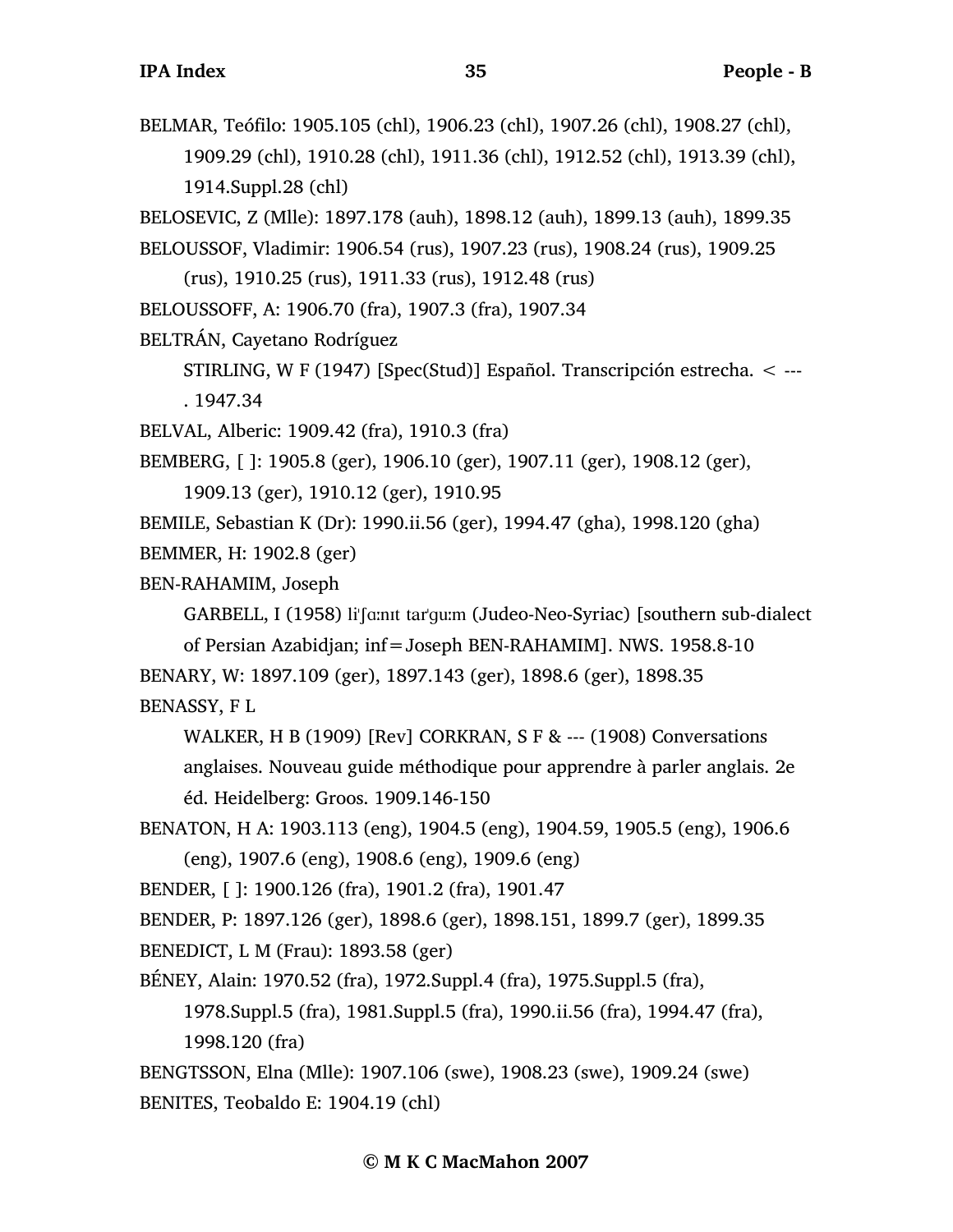BELMAR, Teófilo: 1905.105 (chl), 1906.23 (chl), 1907.26 (chl), 1908.27 (chl), 1909.29 (chl), 1910.28 (chl), 1911.36 (chl), 1912.52 (chl), 1913.39 (chl), 1914.Suppl.28 (chl)

BELOSEVIC, Z (Mlle): 1897.178 (auh), 1898.12 (auh), 1899.13 (auh), 1899.35 BELOUSSOF, Vladimir: 1906.54 (rus), 1907.23 (rus), 1908.24 (rus), 1909.25

(rus), 1910.25 (rus), 1911.33 (rus), 1912.48 (rus)

BELOUSSOFF, A: 1906.70 (fra), 1907.3 (fra), 1907.34

BELTRÁN, Cayetano Rodríguez

STIRLING, W F (1947) [Spec(Stud)] Español. Transcripción estrecha. < --- . 1947.34

BELVAL, Alberic: 1909.42 (fra), 1910.3 (fra)

BEMBERG, [ ]: 1905.8 (ger), 1906.10 (ger), 1907.11 (ger), 1908.12 (ger),

1909.13 (ger), 1910.12 (ger), 1910.95

BEMILE, Sebastian K (Dr): 1990.ii.56 (ger), 1994.47 (gha), 1998.120 (gha)

BEMMER, H: 1902.8 (ger)

BEN-RAHAMIM, Joseph

GARBELL, I (1958) li'famit tar'gum (Judeo-Neo-Syriac) [southern sub-dialect

of Persian Azabidjan; inf=Joseph BEN-RAHAMIM]. NWS. 1958.8-10

BENARY, W: 1897.109 (ger), 1897.143 (ger), 1898.6 (ger), 1898.35 BENASSY, F L

WALKER, H B (1909) [Rev] CORKRAN, S F & --- (1908) Conversations anglaises. Nouveau guide méthodique pour apprendre à parler anglais. 2e éd. Heidelberg: Groos. 1909.146-150

BENATON, H A: 1903.113 (eng), 1904.5 (eng), 1904.59, 1905.5 (eng), 1906.6 (eng), 1907.6 (eng), 1908.6 (eng), 1909.6 (eng)

BENDER, [ ]: 1900.126 (fra), 1901.2 (fra), 1901.47

BENDER, P: 1897.126 (ger), 1898.6 (ger), 1898.151, 1899.7 (ger), 1899.35

BENEDICT, L M (Frau): 1893.58 (ger)

BÉNEY, Alain: 1970.52 (fra), 1972.Suppl.4 (fra), 1975.Suppl.5 (fra),

1978.Suppl.5 (fra), 1981.Suppl.5 (fra), 1990.ii.56 (fra), 1994.47 (fra), 1998.120 (fra)

BENGTSSON, Elna (Mlle): 1907.106 (swe), 1908.23 (swe), 1909.24 (swe) BENITES, Teobaldo E: 1904.19 (chl)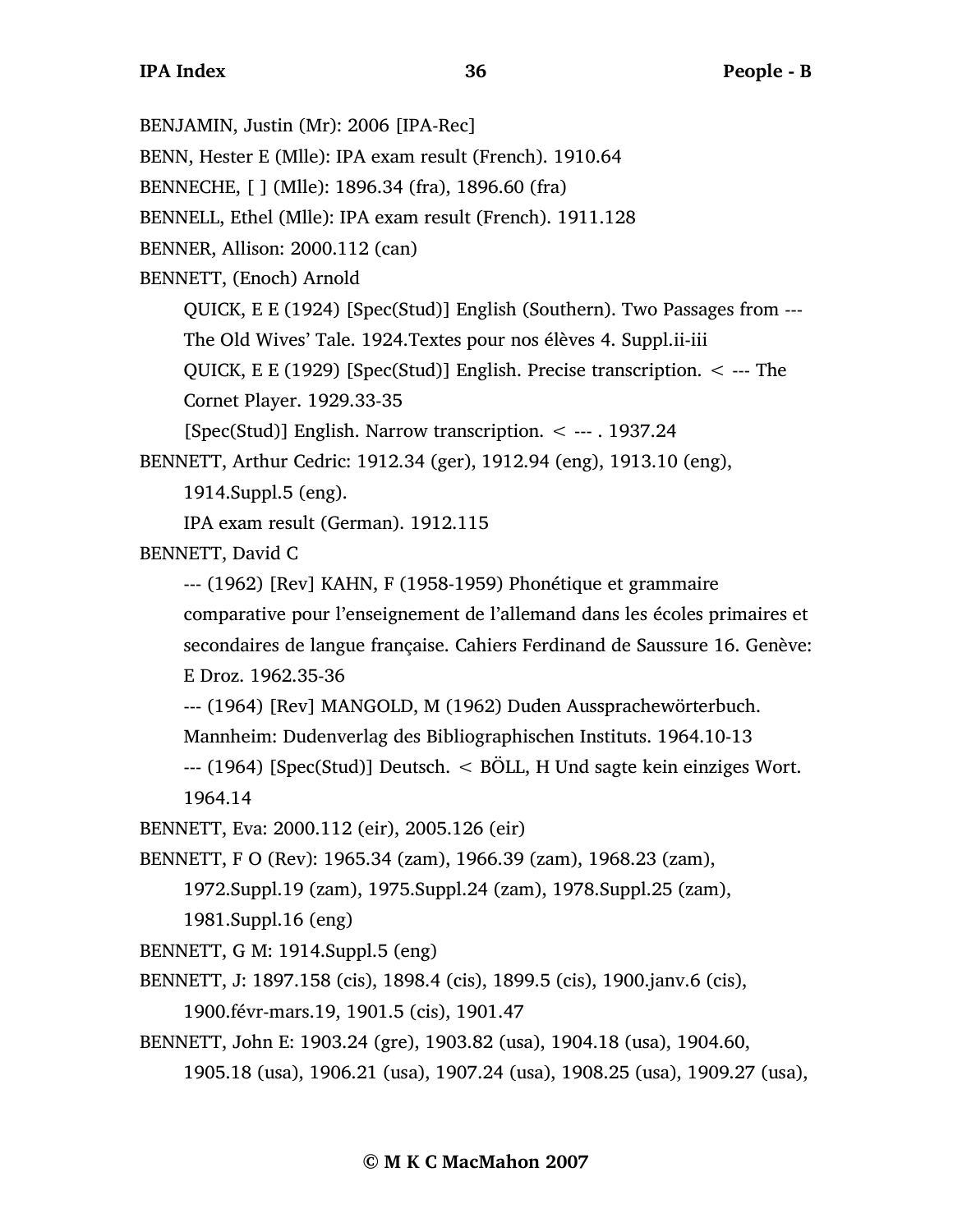BENJAMIN, Justin (Mr): 2006 [IPA-Rec] BENN, Hester E (Mlle): IPA exam result (French). 1910.64 BENNECHE, [ ] (Mlle): 1896.34 (fra), 1896.60 (fra) BENNELL, Ethel (Mlle): IPA exam result (French). 1911.128 BENNER, Allison: 2000.112 (can) BENNETT, (Enoch) Arnold QUICK, E E (1924) [Spec(Stud)] English (Southern). Two Passages from --- The Old Wives' Tale. 1924.Textes pour nos élèves 4. Suppl.ii-iii QUICK, E E (1929) [Spec(Stud)] English. Precise transcription. < --- The Cornet Player. 1929.33-35 [Spec(Stud)] English. Narrow transcription. < --- . 1937.24 BENNETT, Arthur Cedric: 1912.34 (ger), 1912.94 (eng), 1913.10 (eng), 1914.Suppl.5 (eng). IPA exam result (German). 1912.115 BENNETT, David C --- (1962) [Rev] KAHN, F (1958-1959) Phonétique et grammaire comparative pour l'enseignement de l'allemand dans les écoles primaires et secondaires de langue française. Cahiers Ferdinand de Saussure 16. Genève: E Droz. 1962.35-36 --- (1964) [Rev] MANGOLD, M (1962) Duden Aussprachewörterbuch. Mannheim: Dudenverlag des Bibliographischen Instituts. 1964.10-13 --- (1964) [Spec(Stud)] Deutsch. < BÖLL, H Und sagte kein einziges Wort. 1964.14 BENNETT, Eva: 2000.112 (eir), 2005.126 (eir) BENNETT, F O (Rev): 1965.34 (zam), 1966.39 (zam), 1968.23 (zam), 1972.Suppl.19 (zam), 1975.Suppl.24 (zam), 1978.Suppl.25 (zam), 1981.Suppl.16 (eng) BENNETT, G M: 1914.Suppl.5 (eng) BENNETT, J: 1897.158 (cis), 1898.4 (cis), 1899.5 (cis), 1900.janv.6 (cis), 1900.févr-mars.19, 1901.5 (cis), 1901.47 BENNETT, John E: 1903.24 (gre), 1903.82 (usa), 1904.18 (usa), 1904.60,

1905.18 (usa), 1906.21 (usa), 1907.24 (usa), 1908.25 (usa), 1909.27 (usa),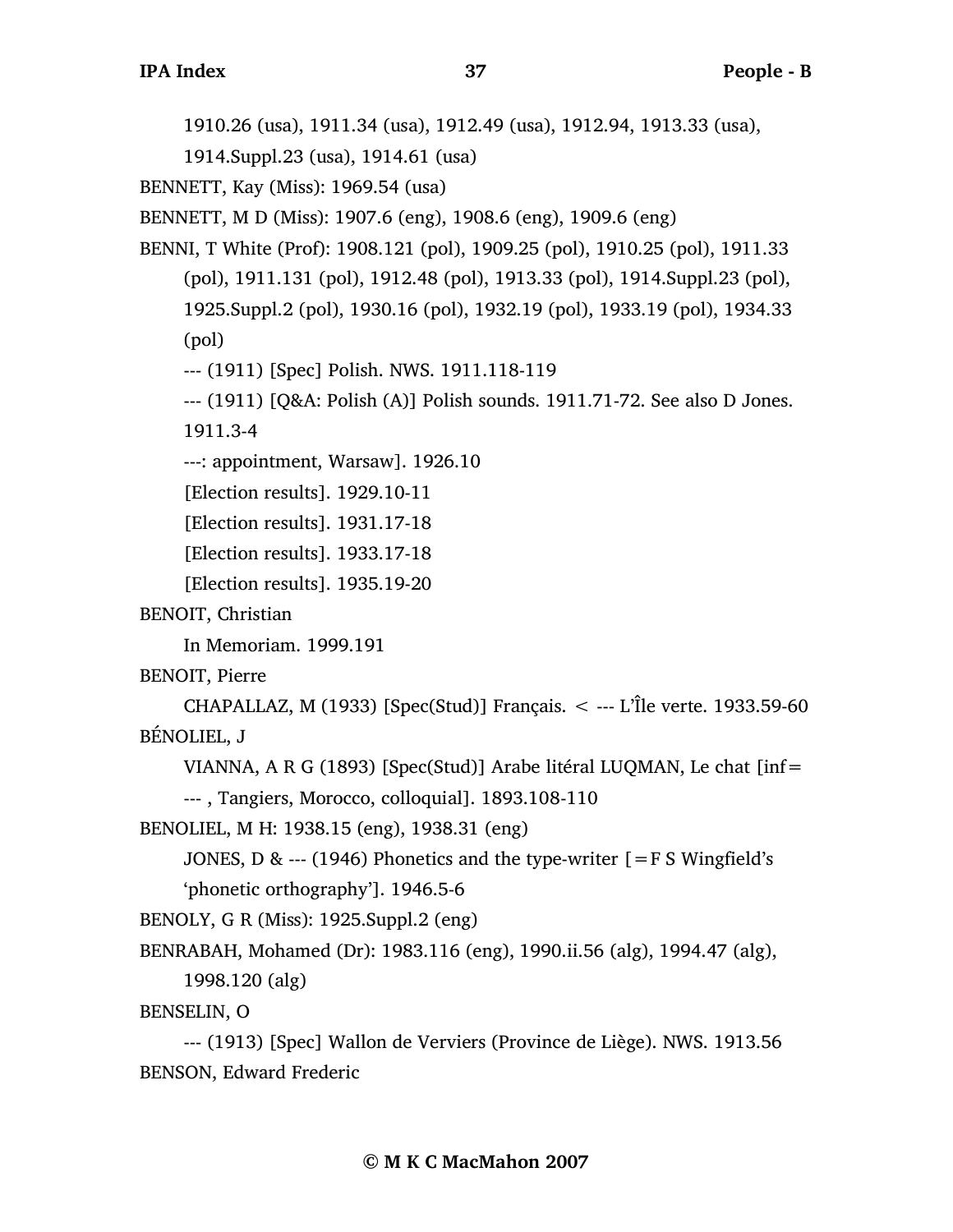1910.26 (usa), 1911.34 (usa), 1912.49 (usa), 1912.94, 1913.33 (usa),

1914.Suppl.23 (usa), 1914.61 (usa)

BENNETT, Kay (Miss): 1969.54 (usa)

BENNETT, M D (Miss): 1907.6 (eng), 1908.6 (eng), 1909.6 (eng)

BENNI, T White (Prof): 1908.121 (pol), 1909.25 (pol), 1910.25 (pol), 1911.33 (pol), 1911.131 (pol), 1912.48 (pol), 1913.33 (pol), 1914.Suppl.23 (pol), 1925.Suppl.2 (pol), 1930.16 (pol), 1932.19 (pol), 1933.19 (pol), 1934.33 (pol)

--- (1911) [Spec] Polish. NWS. 1911.118-119

--- (1911) [Q&A: Polish (A)] Polish sounds. 1911.71-72. See also D Jones.

1911.3-4

---: appointment, Warsaw]. 1926.10

[Election results]. 1929.10-11

[Election results]. 1931.17-18

[Election results]. 1933.17-18

[Election results]. 1935.19-20

BENOIT, Christian

In Memoriam. 1999.191

BENOIT, Pierre

CHAPALLAZ, M  $(1933)$  [Spec(Stud)] Français.  $\lt$  --- L'Île verte. 1933.59-60 BÉNOLIEL, J

VIANNA, A R G (1893) [Spec(Stud)] Arabe litéral LUQMAN, Le chat [inf=

--- , Tangiers, Morocco, colloquial]. 1893.108-110

BENOLIEL, M H: 1938.15 (eng), 1938.31 (eng)

JONES, D & --- (1946) Phonetics and the type-writer  $[=$  F S Wingfield's

'phonetic orthography']. 1946.5-6

BENOLY, G R (Miss): 1925.Suppl.2 (eng)

BENRABAH, Mohamed (Dr): 1983.116 (eng), 1990.ii.56 (alg), 1994.47 (alg),

1998.120 (alg)

BENSELIN, O

--- (1913) [Spec] Wallon de Verviers (Province de Liège). NWS. 1913.56 BENSON, Edward Frederic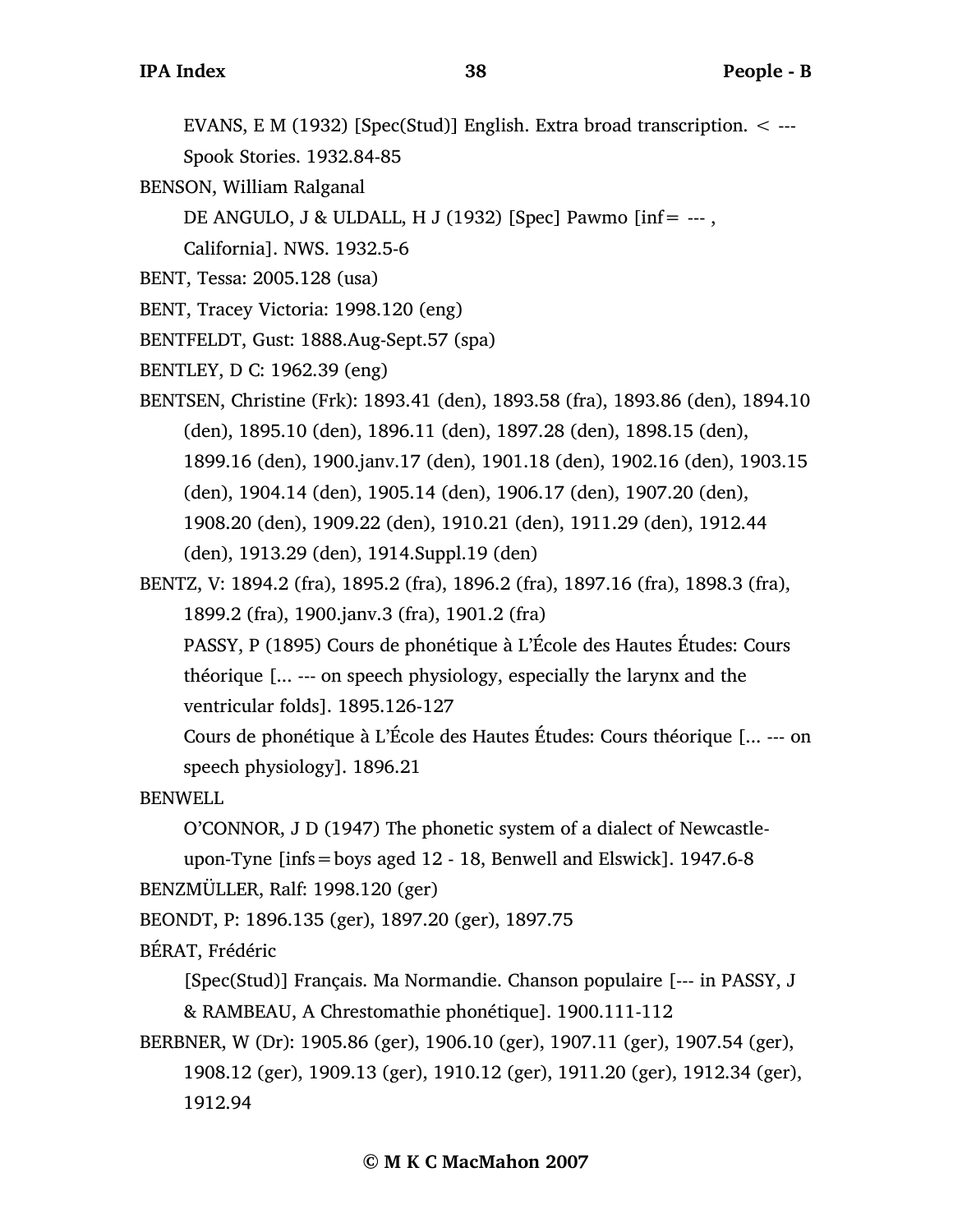EVANS, E M (1932) [Spec(Stud)] English. Extra broad transcription. < --- Spook Stories. 1932.84-85

- BENSON, William Ralganal
	- DE ANGULO, J & ULDALL, H J (1932) [Spec] Pawmo [inf= --- ,

California]. NWS. 1932.5-6

- BENT, Tessa: 2005.128 (usa)
- BENT, Tracey Victoria: 1998.120 (eng)
- BENTFELDT, Gust: 1888.Aug-Sept.57 (spa)
- BENTLEY, D C: 1962.39 (eng)

BENTSEN, Christine (Frk): 1893.41 (den), 1893.58 (fra), 1893.86 (den), 1894.10 (den), 1895.10 (den), 1896.11 (den), 1897.28 (den), 1898.15 (den), 1899.16 (den), 1900.janv.17 (den), 1901.18 (den), 1902.16 (den), 1903.15 (den), 1904.14 (den), 1905.14 (den), 1906.17 (den), 1907.20 (den), 1908.20 (den), 1909.22 (den), 1910.21 (den), 1911.29 (den), 1912.44 (den), 1913.29 (den), 1914.Suppl.19 (den)

- BENTZ, V: 1894.2 (fra), 1895.2 (fra), 1896.2 (fra), 1897.16 (fra), 1898.3 (fra), 1899.2 (fra), 1900.janv.3 (fra), 1901.2 (fra)
	- PASSY, P (1895) Cours de phonétique à L'École des Hautes Études: Cours théorique [... --- on speech physiology, especially the larynx and the ventricular folds]. 1895.126-127

Cours de phonétique à L'École des Hautes Études: Cours théorique [... --- on speech physiology]. 1896.21

**BENWELL** 

O'CONNOR, J D (1947) The phonetic system of a dialect of Newcastle-

```
upon-Tyne [infs=boys aged 12 - 18, Benwell and Elswick]. 1947.6-8
```

```
BENZMÜLLER, Ralf: 1998.120 (ger)
```
BEONDT, P: 1896.135 (ger), 1897.20 (ger), 1897.75

BÉRAT, Frédéric

[Spec(Stud)] Français. Ma Normandie. Chanson populaire [--- in PASSY, J & RAMBEAU, A Chrestomathie phonétique]. 1900.111-112

```
BERBNER, W (Dr): 1905.86 (ger), 1906.10 (ger), 1907.11 (ger), 1907.54 (ger), 
     1908.12 (ger), 1909.13 (ger), 1910.12 (ger), 1911.20 (ger), 1912.34 (ger), 
     1912.94
```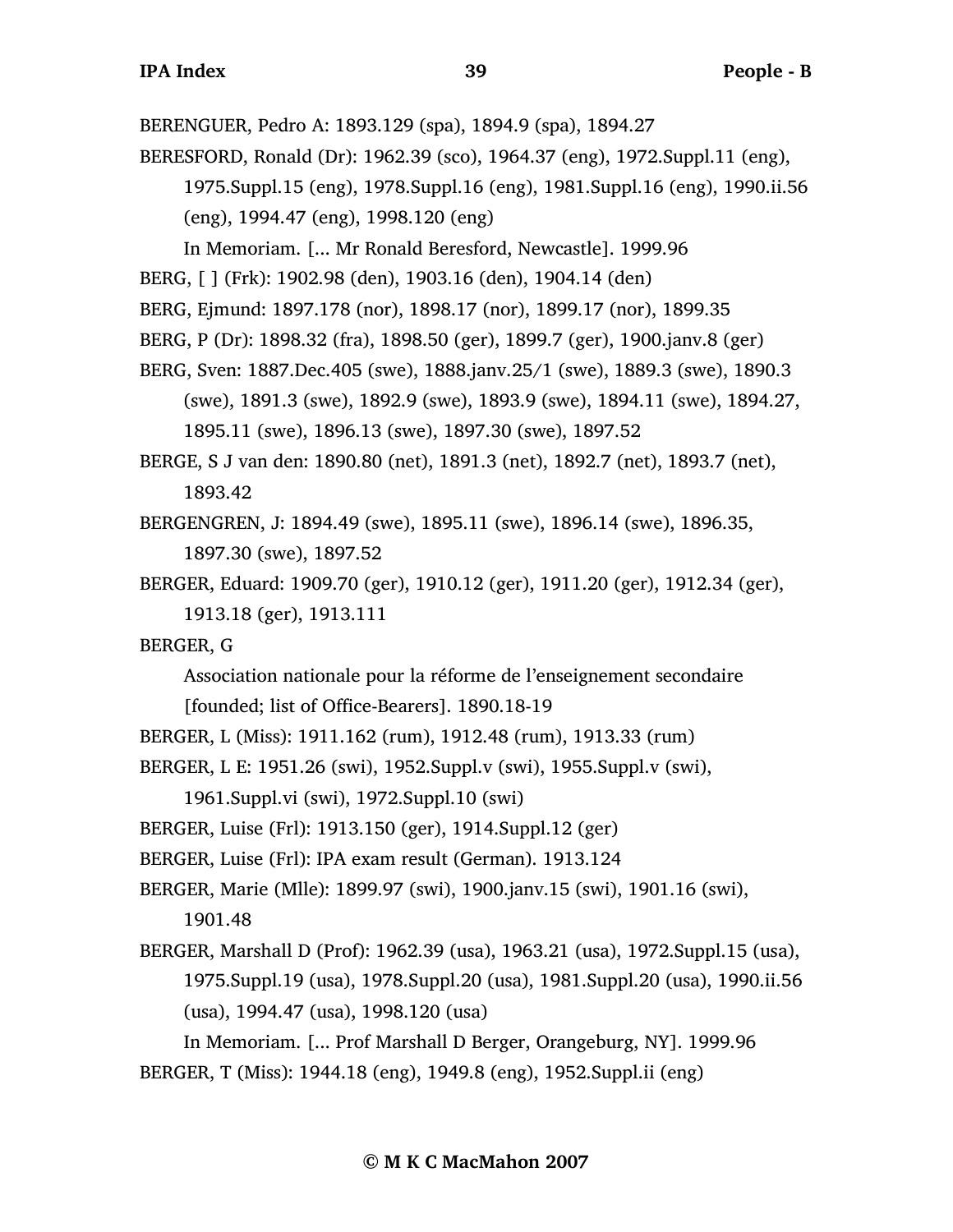BERENGUER, Pedro A: 1893.129 (spa), 1894.9 (spa), 1894.27

BERESFORD, Ronald (Dr): 1962.39 (sco), 1964.37 (eng), 1972.Suppl.11 (eng), 1975.Suppl.15 (eng), 1978.Suppl.16 (eng), 1981.Suppl.16 (eng), 1990.ii.56

(eng), 1994.47 (eng), 1998.120 (eng)

- In Memoriam. [... Mr Ronald Beresford, Newcastle]. 1999.96
- BERG, [ ] (Frk): 1902.98 (den), 1903.16 (den), 1904.14 (den)
- BERG, Ejmund: 1897.178 (nor), 1898.17 (nor), 1899.17 (nor), 1899.35
- BERG, P (Dr): 1898.32 (fra), 1898.50 (ger), 1899.7 (ger), 1900.janv.8 (ger)
- BERG, Sven: 1887.Dec.405 (swe), 1888.janv.25/1 (swe), 1889.3 (swe), 1890.3 (swe), 1891.3 (swe), 1892.9 (swe), 1893.9 (swe), 1894.11 (swe), 1894.27,
	- 1895.11 (swe), 1896.13 (swe), 1897.30 (swe), 1897.52
- BERGE, S J van den: 1890.80 (net), 1891.3 (net), 1892.7 (net), 1893.7 (net), 1893.42
- BERGENGREN, J: 1894.49 (swe), 1895.11 (swe), 1896.14 (swe), 1896.35, 1897.30 (swe), 1897.52
- BERGER, Eduard: 1909.70 (ger), 1910.12 (ger), 1911.20 (ger), 1912.34 (ger), 1913.18 (ger), 1913.111
- BERGER, G
	- Association nationale pour la réforme de l'enseignement secondaire [founded; list of Office-Bearers]. 1890.18-19
- BERGER, L (Miss): 1911.162 (rum), 1912.48 (rum), 1913.33 (rum)
- BERGER, L E: 1951.26 (swi), 1952.Suppl.v (swi), 1955.Suppl.v (swi),

1961.Suppl.vi (swi), 1972.Suppl.10 (swi)

- BERGER, Luise (Frl): 1913.150 (ger), 1914.Suppl.12 (ger)
- BERGER, Luise (Frl): IPA exam result (German). 1913.124
- BERGER, Marie (Mlle): 1899.97 (swi), 1900.janv.15 (swi), 1901.16 (swi), 1901.48
- BERGER, Marshall D (Prof): 1962.39 (usa), 1963.21 (usa), 1972.Suppl.15 (usa), 1975.Suppl.19 (usa), 1978.Suppl.20 (usa), 1981.Suppl.20 (usa), 1990.ii.56 (usa), 1994.47 (usa), 1998.120 (usa)

```
In Memoriam. [... Prof Marshall D Berger, Orangeburg, NY]. 1999.96
BERGER, T (Miss): 1944.18 (eng), 1949.8 (eng), 1952.Suppl.ii (eng)
```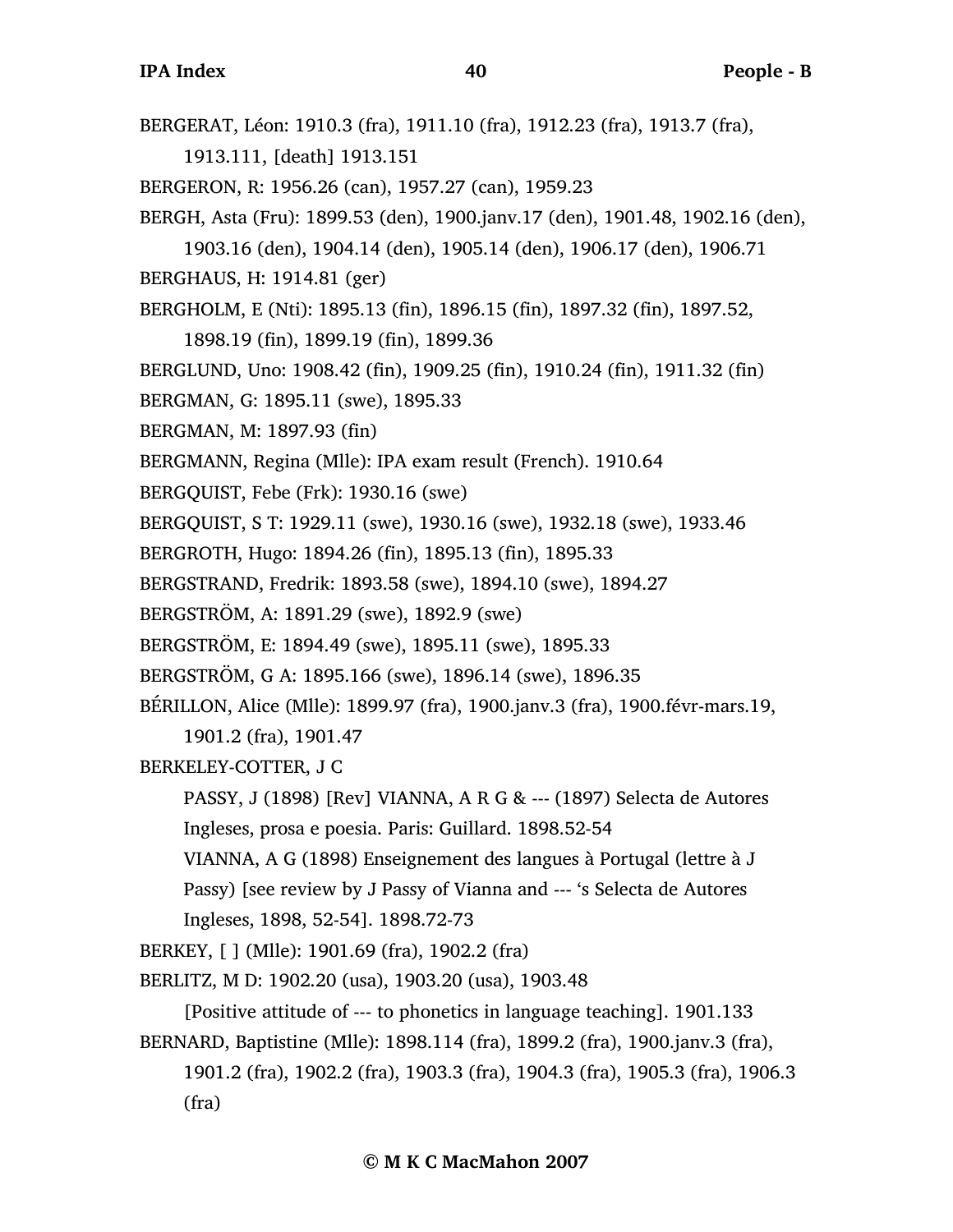BERGERAT, Léon: 1910.3 (fra), 1911.10 (fra), 1912.23 (fra), 1913.7 (fra),

1913.111, [death] 1913.151

- BERGERON, R: 1956.26 (can), 1957.27 (can), 1959.23
- BERGH, Asta (Fru): 1899.53 (den), 1900.janv.17 (den), 1901.48, 1902.16 (den),
- 1903.16 (den), 1904.14 (den), 1905.14 (den), 1906.17 (den), 1906.71

BERGHAUS, H: 1914.81 (ger)

- BERGHOLM, E (Nti): 1895.13 (fin), 1896.15 (fin), 1897.32 (fin), 1897.52,
	- 1898.19 (fin), 1899.19 (fin), 1899.36
- BERGLUND, Uno: 1908.42 (fin), 1909.25 (fin), 1910.24 (fin), 1911.32 (fin)
- BERGMAN, G: 1895.11 (swe), 1895.33
- BERGMAN, M: 1897.93 (fin)
- BERGMANN, Regina (Mlle): IPA exam result (French). 1910.64
- BERGQUIST, Febe (Frk): 1930.16 (swe)
- BERGQUIST, S T: 1929.11 (swe), 1930.16 (swe), 1932.18 (swe), 1933.46
- BERGROTH, Hugo: 1894.26 (fin), 1895.13 (fin), 1895.33
- BERGSTRAND, Fredrik: 1893.58 (swe), 1894.10 (swe), 1894.27
- BERGSTRÖM, A: 1891.29 (swe), 1892.9 (swe)
- BERGSTRÖM, E: 1894.49 (swe), 1895.11 (swe), 1895.33
- BERGSTRÖM, G A: 1895.166 (swe), 1896.14 (swe), 1896.35
- BÉRILLON, Alice (Mlle): 1899.97 (fra), 1900.janv.3 (fra), 1900.févr-mars.19, 1901.2 (fra), 1901.47
- BERKELEY-COTTER, J C
	- PASSY, J (1898) [Rev] VIANNA, A R G & --- (1897) Selecta de Autores Ingleses, prosa e poesia. Paris: Guillard. 1898.52-54
	- VIANNA, A G (1898) Enseignement des langues à Portugal (lettre à J
	- Passy) [see review by J Passy of Vianna and --- 's Selecta de Autores Ingleses, 1898, 52-54]. 1898.72-73
- BERKEY, [ ] (Mlle): 1901.69 (fra), 1902.2 (fra)
- BERLITZ, M D: 1902.20 (usa), 1903.20 (usa), 1903.48
	- [Positive attitude of --- to phonetics in language teaching]. 1901.133
- BERNARD, Baptistine (Mlle): 1898.114 (fra), 1899.2 (fra), 1900.janv.3 (fra),
	- 1901.2 (fra), 1902.2 (fra), 1903.3 (fra), 1904.3 (fra), 1905.3 (fra), 1906.3 (fra)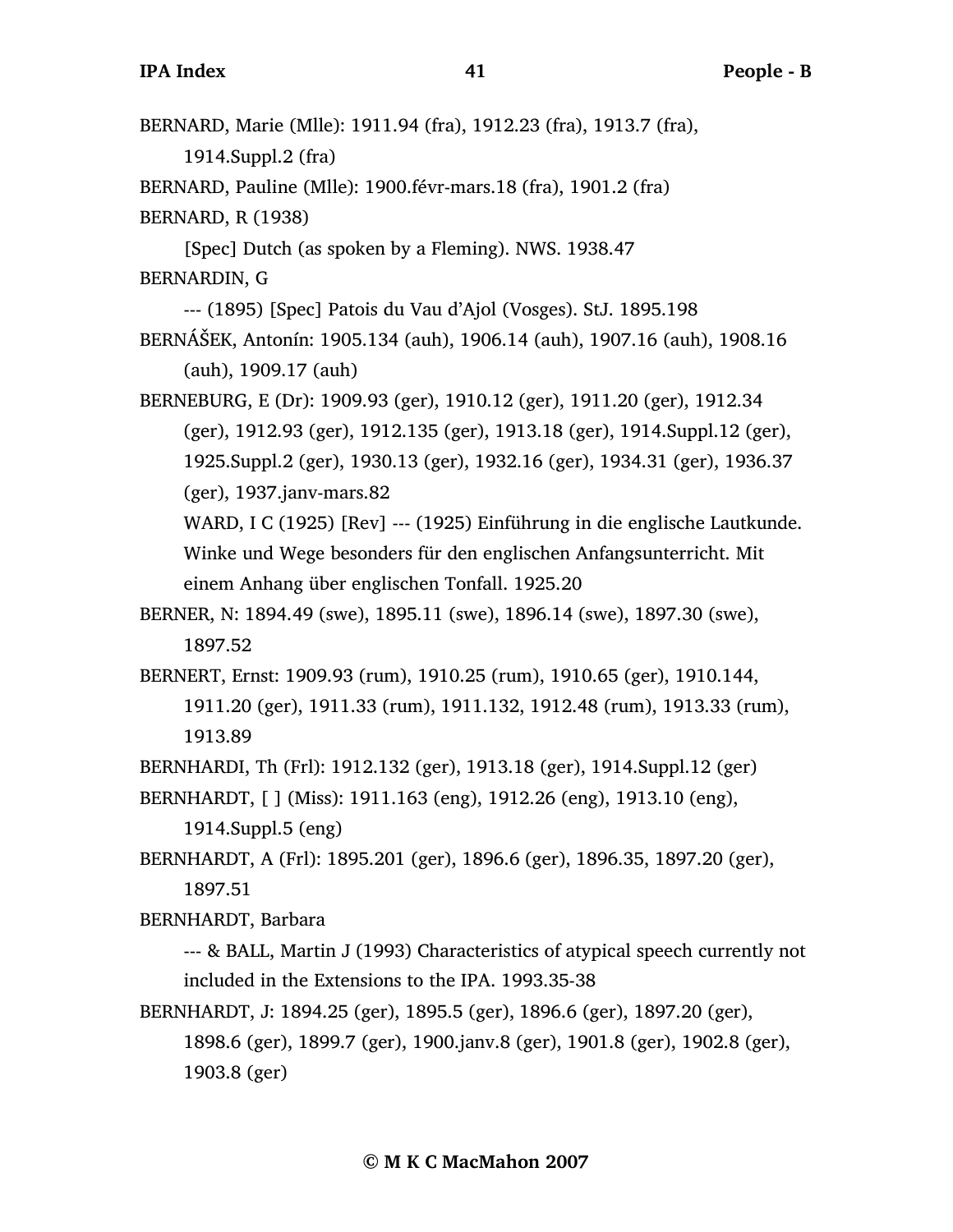| BERNARD, Marie (Mlle): 1911.94 (fra), 1912.23 (fra), 1913.7 (fra),           |
|------------------------------------------------------------------------------|
| 1914.Suppl.2 (fra)                                                           |
| BERNARD, Pauline (Mlle): 1900.févr-mars.18 (fra), 1901.2 (fra)               |
| <b>BERNARD, R (1938)</b>                                                     |
| [Spec] Dutch (as spoken by a Fleming). NWS. 1938.47                          |
| BERNARDIN, G                                                                 |
| --- (1895) [Spec] Patois du Vau d'Ajol (Vosges). StJ. 1895.198               |
| BERNÁŠEK, Antonín: 1905.134 (auh), 1906.14 (auh), 1907.16 (auh), 1908.16     |
| $(auh)$ , 1909.17 $(auh)$                                                    |
| BERNEBURG, E (Dr): 1909.93 (ger), 1910.12 (ger), 1911.20 (ger), 1912.34      |
| (ger), 1912.93 (ger), 1912.135 (ger), 1913.18 (ger), 1914.Suppl.12 (ger),    |
| 1925.Suppl.2 (ger), 1930.13 (ger), 1932.16 (ger), 1934.31 (ger), 1936.37     |
| (ger), 1937.janv-mars.82                                                     |
| WARD, I C (1925) [Rev] --- (1925) Einführung in die englische Lautkunde.     |
| Winke und Wege besonders für den englischen Anfangsunterricht. Mit           |
| einem Anhang über englischen Tonfall. 1925.20                                |
| BERNER, N: 1894.49 (swe), 1895.11 (swe), 1896.14 (swe), 1897.30 (swe),       |
| 1897.52                                                                      |
| BERNERT, Ernst: 1909.93 (rum), 1910.25 (rum), 1910.65 (ger), 1910.144,       |
| 1911.20 (ger), 1911.33 (rum), 1911.132, 1912.48 (rum), 1913.33 (rum),        |
| 1913.89                                                                      |
| BERNHARDI, Th (Frl): 1912.132 (ger), 1913.18 (ger), 1914. Suppl. 12 (ger)    |
| BERNHARDT, [ ] (Miss): 1911.163 (eng), 1912.26 (eng), 1913.10 (eng),         |
| 1914.Suppl.5 (eng)                                                           |
| BERNHARDT, A (Frl): 1895.201 (ger), 1896.6 (ger), 1896.35, 1897.20 (ger),    |
| 1897.51                                                                      |
| BERNHARDT, Barbara                                                           |
| --- & BALL, Martin J (1993) Characteristics of atypical speech currently not |

included in the Extensions to the IPA. 1993.35-38

BERNHARDT, J: 1894.25 (ger), 1895.5 (ger), 1896.6 (ger), 1897.20 (ger), 1898.6 (ger), 1899.7 (ger), 1900.janv.8 (ger), 1901.8 (ger), 1902.8 (ger), 1903.8 (ger)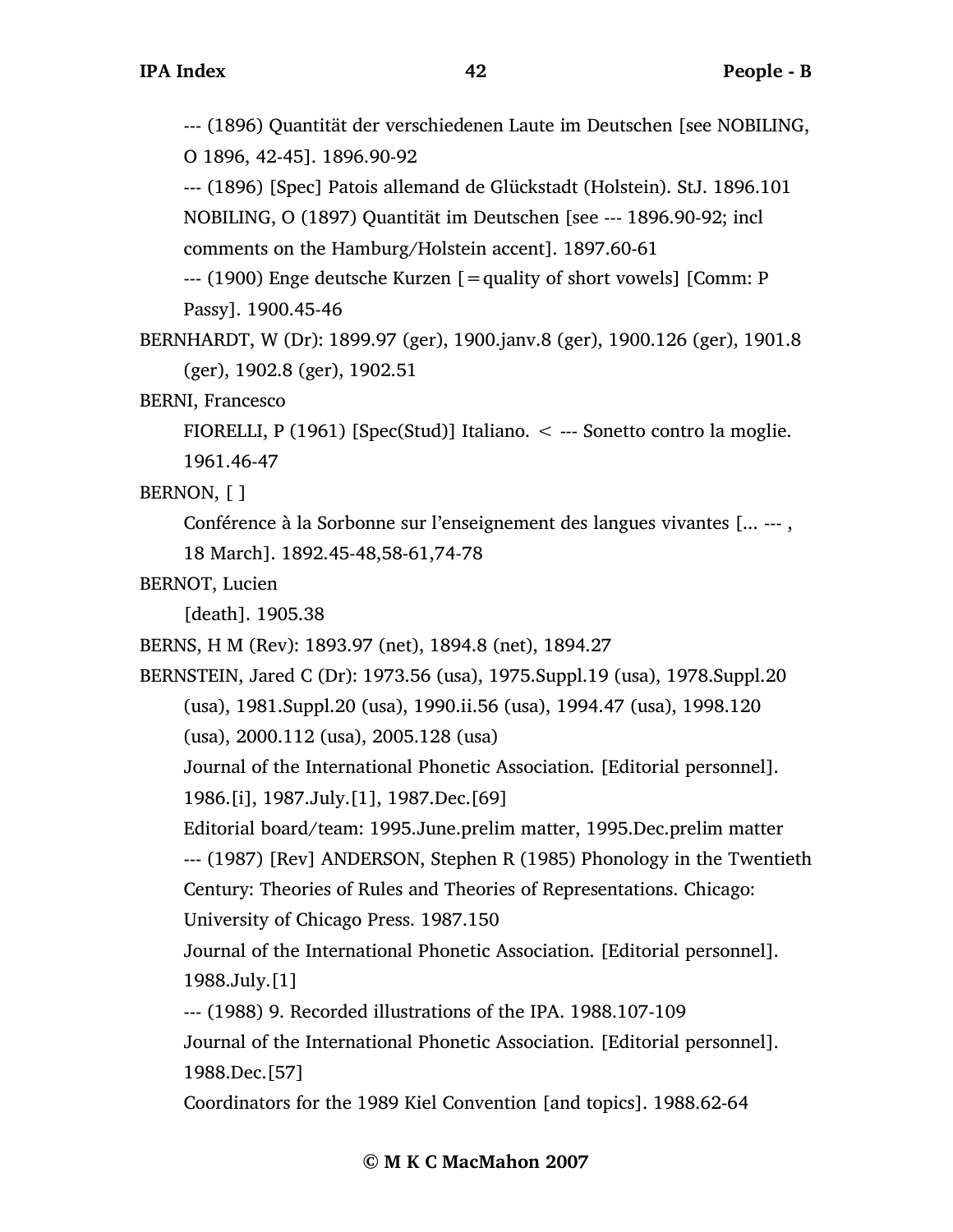--- (1896) Quantität der verschiedenen Laute im Deutschen [see NOBILING, O 1896, 42-45]. 1896.90-92

--- (1896) [Spec] Patois allemand de Glückstadt (Holstein). StJ. 1896.101 NOBILING, O (1897) Quantität im Deutschen [see --- 1896.90-92; incl

comments on the Hamburg/Holstein accent]. 1897.60-61

 $-$ -- (1900) Enge deutsche Kurzen  $\beta$  = quality of short vowels  $\beta$  [Comm: P Passy]. 1900.45-46

BERNHARDT, W (Dr): 1899.97 (ger), 1900.janv.8 (ger), 1900.126 (ger), 1901.8 (ger), 1902.8 (ger), 1902.51

BERNI, Francesco

FIORELLI, P (1961) [Spec(Stud)] Italiano.  $\lt$  --- Sonetto contro la moglie. 1961.46-47

BERNON, [ ]

Conférence à la Sorbonne sur l'enseignement des langues vivantes [... --- ,

18 March]. 1892.45-48,58-61,74-78

BERNOT, Lucien

[death]. 1905.38

BERNS, H M (Rev): 1893.97 (net), 1894.8 (net), 1894.27

BERNSTEIN, Jared C (Dr): 1973.56 (usa), 1975.Suppl.19 (usa), 1978.Suppl.20 (usa), 1981.Suppl.20 (usa), 1990.ii.56 (usa), 1994.47 (usa), 1998.120 (usa), 2000.112 (usa), 2005.128 (usa)

Journal of the International Phonetic Association. [Editorial personnel]. 1986.[i], 1987.July.[1], 1987.Dec.[69]

Editorial board/team: 1995.June.prelim matter, 1995.Dec.prelim matter

--- (1987) [Rev] ANDERSON, Stephen R (1985) Phonology in the Twentieth

Century: Theories of Rules and Theories of Representations. Chicago: University of Chicago Press. 1987.150

Journal of the International Phonetic Association. [Editorial personnel]. 1988.July.[1]

--- (1988) 9. Recorded illustrations of the IPA. 1988.107-109

Journal of the International Phonetic Association. [Editorial personnel]. 1988.Dec.[57]

Coordinators for the 1989 Kiel Convention [and topics]. 1988.62-64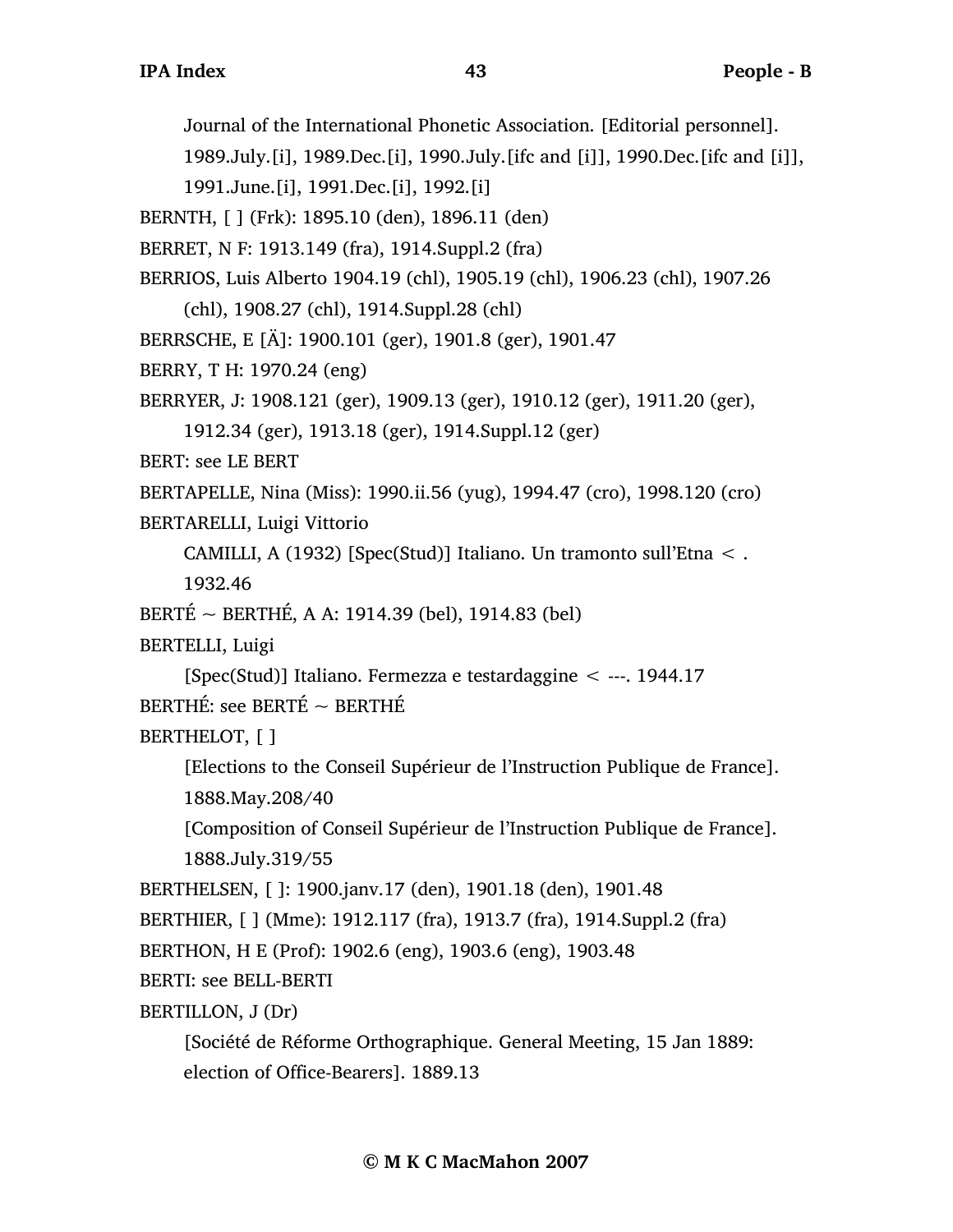Journal of the International Phonetic Association. [Editorial personnel].

1989.July.[i], 1989.Dec.[i], 1990.July.[ifc and [i]], 1990.Dec.[ifc and [i]],

1991.June.[i], 1991.Dec.[i], 1992.[i]

BERNTH, [ ] (Frk): 1895.10 (den), 1896.11 (den)

BERRET, N F: 1913.149 (fra), 1914.Suppl.2 (fra)

BERRIOS, Luis Alberto 1904.19 (chl), 1905.19 (chl), 1906.23 (chl), 1907.26

(chl), 1908.27 (chl), 1914.Suppl.28 (chl)

BERRSCHE, E [Ä]: 1900.101 (ger), 1901.8 (ger), 1901.47

```
BERRY, T H: 1970.24 (eng)
```

```
BERRYER, J: 1908.121 (ger), 1909.13 (ger), 1910.12 (ger), 1911.20 (ger),
```

```
1912.34 (ger), 1913.18 (ger), 1914.Suppl.12 (ger)
```
BERT: see LE BERT

BERTAPELLE, Nina (Miss): 1990.ii.56 (yug), 1994.47 (cro), 1998.120 (cro)

BERTARELLI, Luigi Vittorio

```
CAMILLI, A (1932) [Spec(Stud)] Italiano. Un tramonto sull'Etna < .
```
1932.46

BERTÉ ~ BERTHÉ, A A: 1914.39 (bel), 1914.83 (bel)

BERTELLI, Luigi

[Spec(Stud)] Italiano. Fermezza e testardaggine < ---. 1944.17 BERTHÉ: see BERTÉ ~ BERTHÉ

BERTHELOT, [ ]

[Elections to the Conseil Supérieur de l'Instruction Publique de France]. 1888.May.208/40

[Composition of Conseil Supérieur de l'Instruction Publique de France]. 1888.July.319/55

```
BERTHELSEN, [ ]: 1900.janv.17 (den), 1901.18 (den), 1901.48
```
BERTHIER, [ ] (Mme): 1912.117 (fra), 1913.7 (fra), 1914.Suppl.2 (fra)

BERTHON, H E (Prof): 1902.6 (eng), 1903.6 (eng), 1903.48

BERTI: see BELL-BERTI

BERTILLON, J (Dr)

```
[Société de Réforme Orthographique. General Meeting, 15 Jan 1889: 
election of Office-Bearers]. 1889.13
```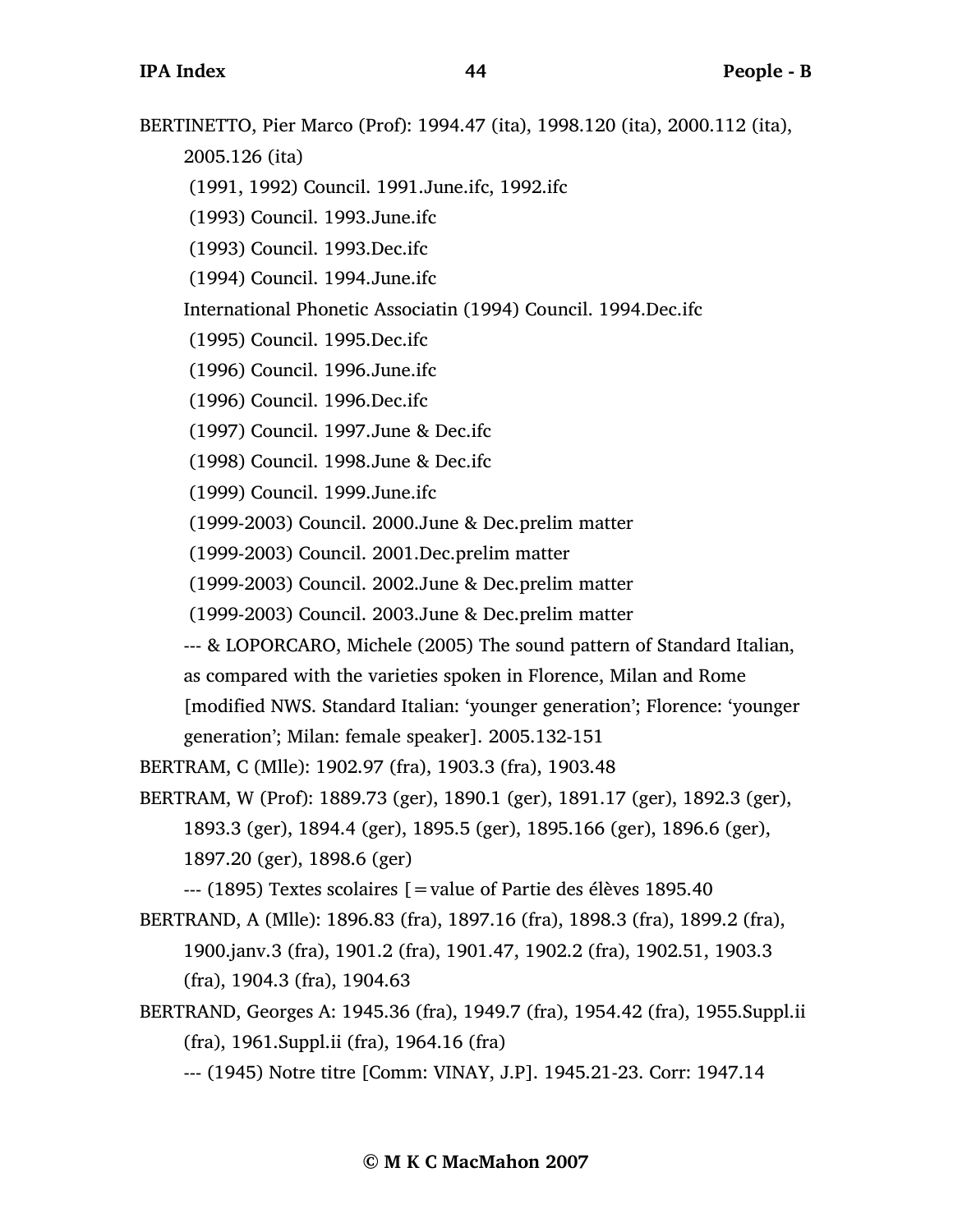BERTINETTO, Pier Marco (Prof): 1994.47 (ita), 1998.120 (ita), 2000.112 (ita),

2005.126 (ita)

- (1991, 1992) Council. 1991.June.ifc, 1992.ifc
- (1993) Council. 1993.June.ifc
- (1993) Council. 1993.Dec.ifc
- (1994) Council. 1994.June.ifc

International Phonetic Associatin (1994) Council. 1994.Dec.ifc

- (1995) Council. 1995.Dec.ifc
- (1996) Council. 1996.June.ifc
- (1996) Council. 1996.Dec.ifc
- (1997) Council. 1997.June & Dec.ifc
- (1998) Council. 1998.June & Dec.ifc
- (1999) Council. 1999.June.ifc
- (1999-2003) Council. 2000.June & Dec.prelim matter
- (1999-2003) Council. 2001.Dec.prelim matter
- (1999-2003) Council. 2002.June & Dec.prelim matter
- (1999-2003) Council. 2003.June & Dec.prelim matter
- --- & LOPORCARO, Michele (2005) The sound pattern of Standard Italian,
- as compared with the varieties spoken in Florence, Milan and Rome

[modified NWS. Standard Italian: 'younger generation'; Florence: 'younger generation'; Milan: female speaker]. 2005.132-151

- BERTRAM, C (Mlle): 1902.97 (fra), 1903.3 (fra), 1903.48
- BERTRAM, W (Prof): 1889.73 (ger), 1890.1 (ger), 1891.17 (ger), 1892.3 (ger), 1893.3 (ger), 1894.4 (ger), 1895.5 (ger), 1895.166 (ger), 1896.6 (ger), 1897.20 (ger), 1898.6 (ger)

--- (1895) Textes scolaires [=value of Partie des élèves 1895.40

- BERTRAND, A (Mlle): 1896.83 (fra), 1897.16 (fra), 1898.3 (fra), 1899.2 (fra), 1900.janv.3 (fra), 1901.2 (fra), 1901.47, 1902.2 (fra), 1902.51, 1903.3 (fra), 1904.3 (fra), 1904.63
- BERTRAND, Georges A: 1945.36 (fra), 1949.7 (fra), 1954.42 (fra), 1955.Suppl.ii (fra), 1961.Suppl.ii (fra), 1964.16 (fra)
	- --- (1945) Notre titre [Comm: VINAY, J.P]. 1945.21-23. Corr: 1947.14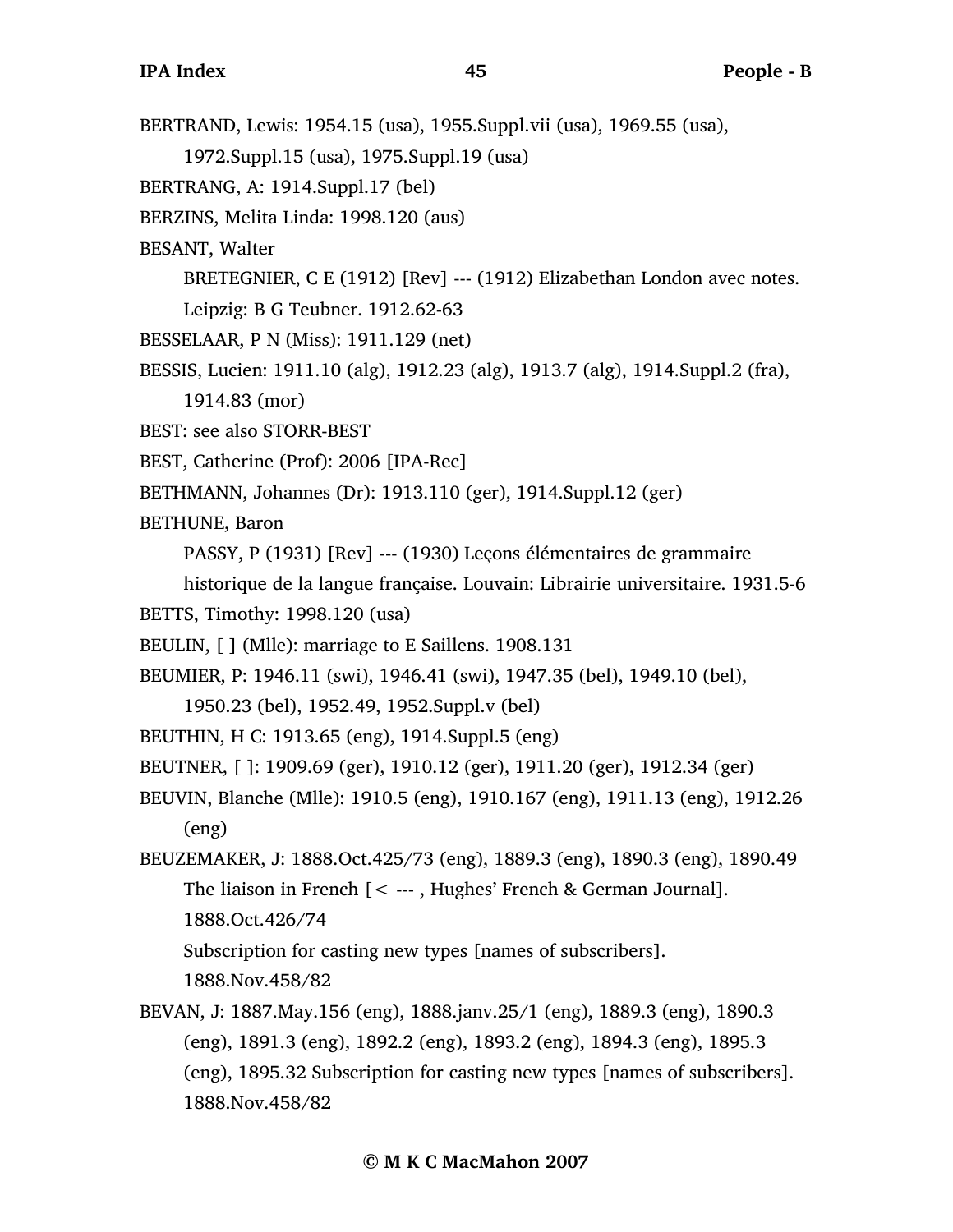BERTRAND, Lewis: 1954.15 (usa), 1955.Suppl.vii (usa), 1969.55 (usa), 1972.Suppl.15 (usa), 1975.Suppl.19 (usa) BERTRANG, A: 1914.Suppl.17 (bel) BERZINS, Melita Linda: 1998.120 (aus) BESANT, Walter BRETEGNIER, C E (1912) [Rev] --- (1912) Elizabethan London avec notes. Leipzig: B G Teubner. 1912.62-63 BESSELAAR, P N (Miss): 1911.129 (net) BESSIS, Lucien: 1911.10 (alg), 1912.23 (alg), 1913.7 (alg), 1914.Suppl.2 (fra), 1914.83 (mor) BEST: see also STORR-BEST BEST, Catherine (Prof): 2006 [IPA-Rec] BETHMANN, Johannes (Dr): 1913.110 (ger), 1914.Suppl.12 (ger) BETHUNE, Baron PASSY, P (1931) [Rev] --- (1930) Leçons élémentaires de grammaire historique de la langue française. Louvain: Librairie universitaire. 1931.5-6 BETTS, Timothy: 1998.120 (usa) BEULIN, [ ] (Mlle): marriage to E Saillens. 1908.131 BEUMIER, P: 1946.11 (swi), 1946.41 (swi), 1947.35 (bel), 1949.10 (bel), 1950.23 (bel), 1952.49, 1952.Suppl.v (bel) BEUTHIN, H C: 1913.65 (eng), 1914.Suppl.5 (eng) BEUTNER, [ ]: 1909.69 (ger), 1910.12 (ger), 1911.20 (ger), 1912.34 (ger) BEUVIN, Blanche (Mlle): 1910.5 (eng), 1910.167 (eng), 1911.13 (eng), 1912.26 (eng) BEUZEMAKER, J: 1888.Oct.425/73 (eng), 1889.3 (eng), 1890.3 (eng), 1890.49 The liaison in French  $[< -1, 1]$  Hughes' French & German Journal]. 1888.Oct.426/74 Subscription for casting new types [names of subscribers]. 1888.Nov.458/82 BEVAN, J: 1887.May.156 (eng), 1888.janv.25/1 (eng), 1889.3 (eng), 1890.3 (eng), 1891.3 (eng), 1892.2 (eng), 1893.2 (eng), 1894.3 (eng), 1895.3 (eng), 1895.32 Subscription for casting new types [names of subscribers]. 1888.Nov.458/82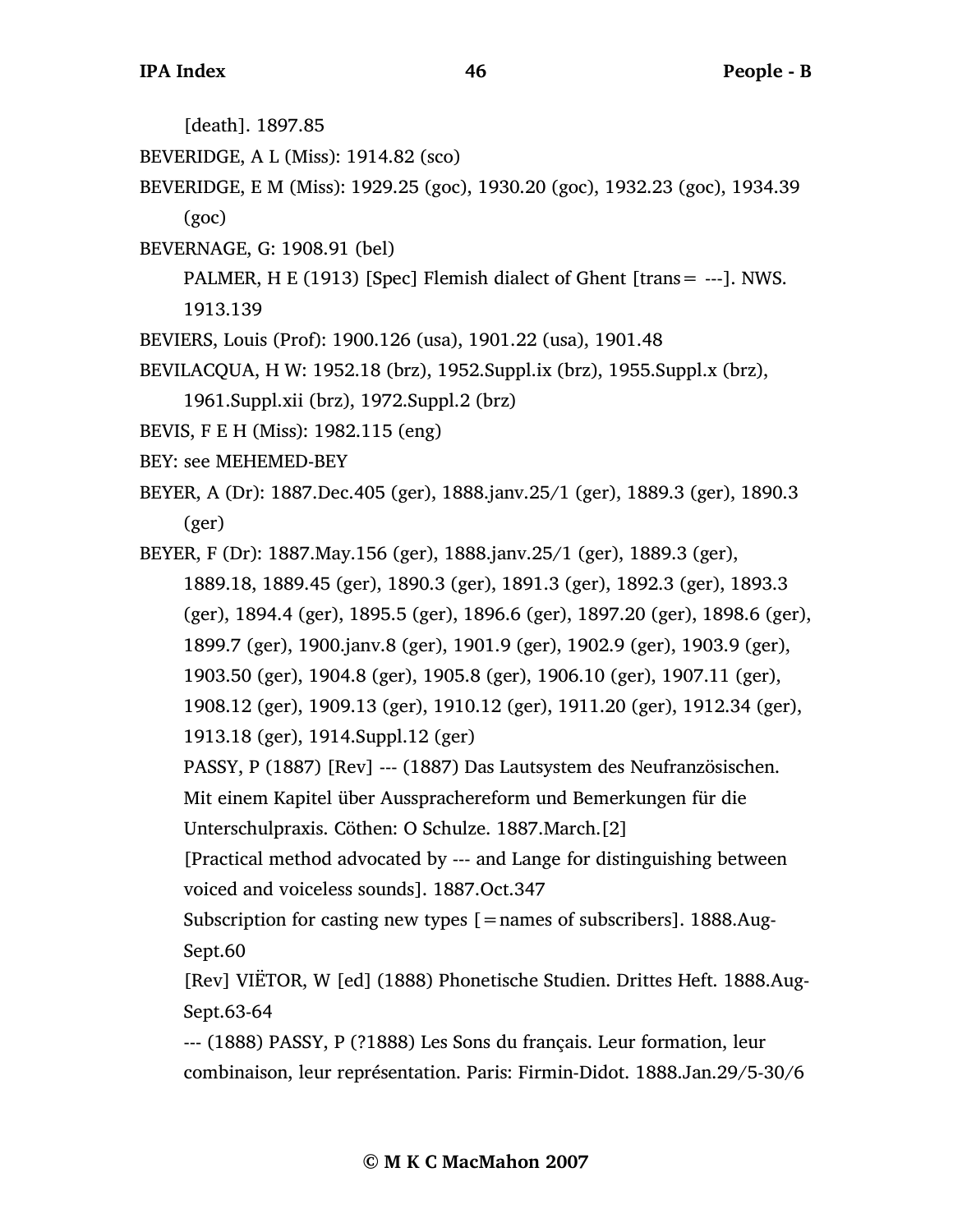[death]. 1897.85

- BEVERIDGE, A L (Miss): 1914.82 (sco)
- BEVERIDGE, E M (Miss): 1929.25 (goc), 1930.20 (goc), 1932.23 (goc), 1934.39 (goc)
- BEVERNAGE, G: 1908.91 (bel)
	- PALMER, H E (1913) [Spec] Flemish dialect of Ghent [trans= ---]. NWS. 1913.139
- BEVIERS, Louis (Prof): 1900.126 (usa), 1901.22 (usa), 1901.48
- BEVILACQUA, H W: 1952.18 (brz), 1952.Suppl.ix (brz), 1955.Suppl.x (brz),
	- 1961.Suppl.xii (brz), 1972.Suppl.2 (brz)
- BEVIS, F E H (Miss): 1982.115 (eng)
- BEY: see MEHEMED-BEY
- BEYER, A (Dr): 1887.Dec.405 (ger), 1888.janv.25/1 (ger), 1889.3 (ger), 1890.3 (ger)
- BEYER, F (Dr): 1887.May.156 (ger), 1888.janv.25/1 (ger), 1889.3 (ger), 1889.18, 1889.45 (ger), 1890.3 (ger), 1891.3 (ger), 1892.3 (ger), 1893.3 (ger), 1894.4 (ger), 1895.5 (ger), 1896.6 (ger), 1897.20 (ger), 1898.6 (ger), 1899.7 (ger), 1900.janv.8 (ger), 1901.9 (ger), 1902.9 (ger), 1903.9 (ger), 1903.50 (ger), 1904.8 (ger), 1905.8 (ger), 1906.10 (ger), 1907.11 (ger), 1908.12 (ger), 1909.13 (ger), 1910.12 (ger), 1911.20 (ger), 1912.34 (ger), 1913.18 (ger), 1914.Suppl.12 (ger) PASSY, P (1887) [Rev] --- (1887) Das Lautsystem des Neufranzösischen.
	- Mit einem Kapitel über Aussprachereform und Bemerkungen für die
	- Unterschulpraxis. Cöthen: O Schulze. 1887.March.[2]
	- [Practical method advocated by --- and Lange for distinguishing between voiced and voiceless sounds]. 1887.Oct.347
	- Subscription for casting new types  $[ =$ names of subscribers]. 1888.Aug-Sept.60
	- [Rev] VIËTOR, W [ed] (1888) Phonetische Studien. Drittes Heft. 1888.Aug-Sept.63-64
	- --- (1888) PASSY, P (?1888) Les Sons du français. Leur formation, leur combinaison, leur représentation. Paris: Firmin-Didot. 1888.Jan.29/5-30/6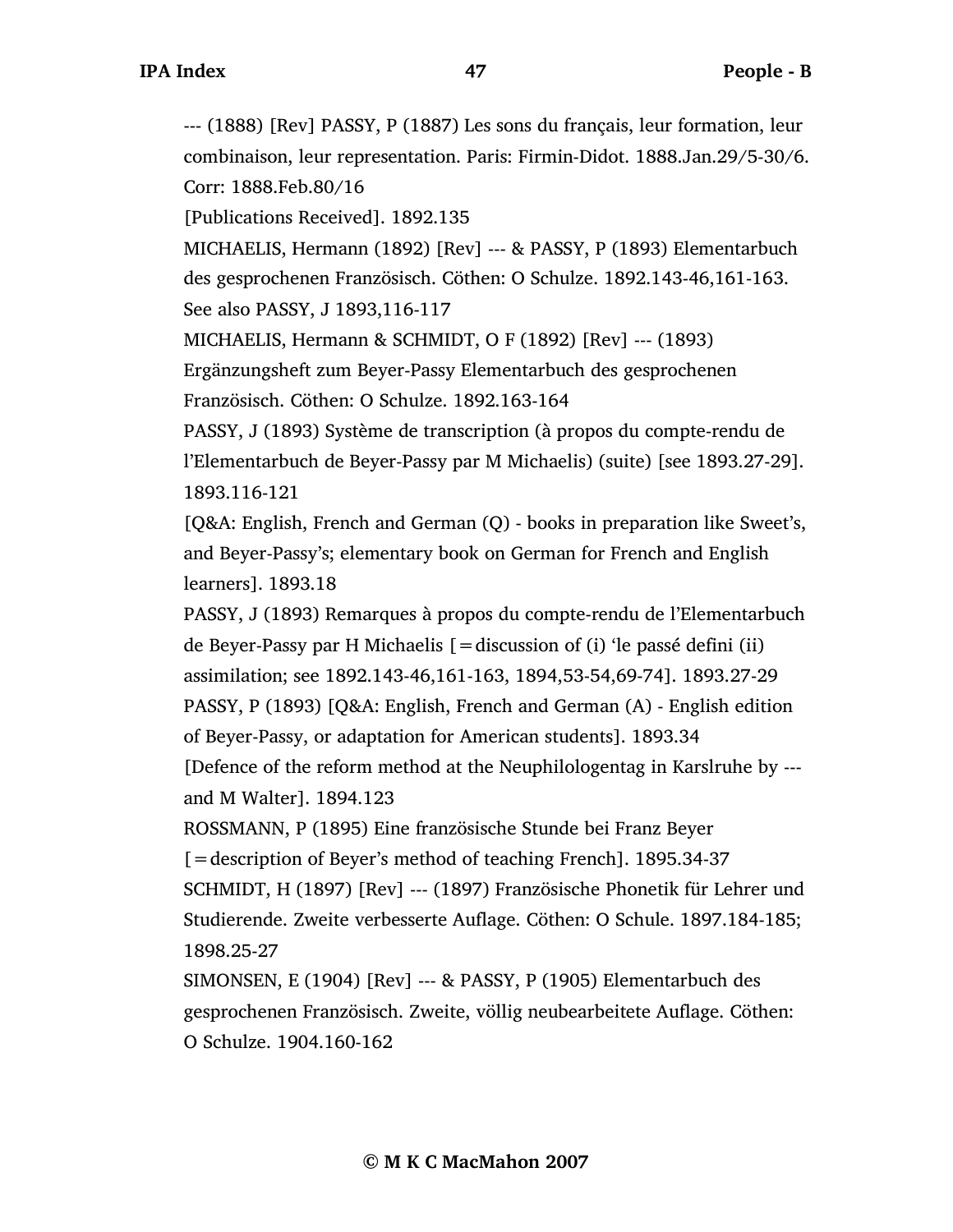--- (1888) [Rev] PASSY, P (1887) Les sons du français, leur formation, leur combinaison, leur representation. Paris: Firmin-Didot. 1888.Jan.29/5-30/6. Corr: 1888.Feb.80/16

[Publications Received]. 1892.135

MICHAELIS, Hermann (1892) [Rev] --- & PASSY, P (1893) Elementarbuch des gesprochenen Französisch. Cöthen: O Schulze. 1892.143-46,161-163. See also PASSY, J 1893,116-117

MICHAELIS, Hermann & SCHMIDT, O F (1892) [Rev] --- (1893) Ergänzungsheft zum Beyer-Passy Elementarbuch des gesprochenen

Französisch. Cöthen: O Schulze. 1892.163-164

PASSY, J (1893) Système de transcription (à propos du compte-rendu de l'Elementarbuch de Beyer-Passy par M Michaelis) (suite) [see 1893.27-29]. 1893.116-121

[Q&A: English, French and German (Q) - books in preparation like Sweet's, and Beyer-Passy's; elementary book on German for French and English learners]. 1893.18

PASSY, J (1893) Remarques à propos du compte-rendu de l'Elementarbuch de Beyer-Passy par H Michaelis  $[$  = discussion of (i) 'le passé defini (ii) assimilation; see 1892.143-46,161-163, 1894,53-54,69-74]. 1893.27-29 PASSY, P (1893) [Q&A: English, French and German (A) - English edition of Beyer-Passy, or adaptation for American students]. 1893.34 [Defence of the reform method at the Neuphilologentag in Karslruhe by -- and M Walter]. 1894.123

ROSSMANN, P (1895) Eine französische Stunde bei Franz Beyer [=description of Beyer's method of teaching French]. 1895.34-37 SCHMIDT, H (1897) [Rev] --- (1897) Französische Phonetik für Lehrer und Studierende. Zweite verbesserte Auflage. Cöthen: O Schule. 1897.184-185; 1898.25-27

SIMONSEN, E (1904) [Rev] --- & PASSY, P (1905) Elementarbuch des gesprochenen Französisch. Zweite, völlig neubearbeitete Auflage. Cöthen: O Schulze. 1904.160-162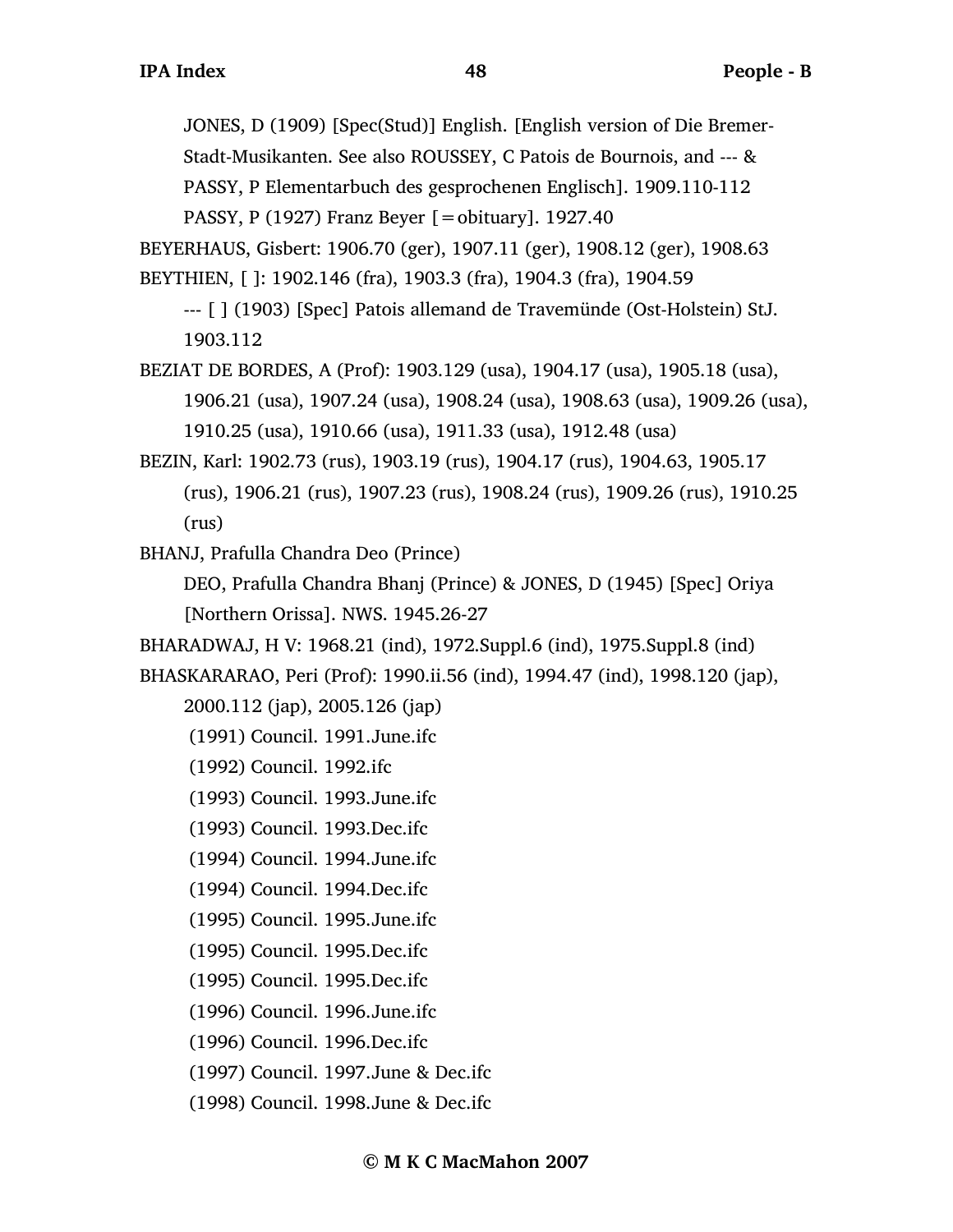JONES, D (1909) [Spec(Stud)] English. [English version of Die Bremer-

Stadt-Musikanten. See also ROUSSEY, C Patois de Bournois, and --- &

PASSY, P Elementarbuch des gesprochenen Englisch]. 1909.110-112

PASSY, P (1927) Franz Beyer  $[=$ obituary]. 1927.40

BEYERHAUS, Gisbert: 1906.70 (ger), 1907.11 (ger), 1908.12 (ger), 1908.63

BEYTHIEN, [ ]: 1902.146 (fra), 1903.3 (fra), 1904.3 (fra), 1904.59

--- [ ] (1903) [Spec] Patois allemand de Travemünde (Ost-Holstein) StJ. 1903.112

BEZIAT DE BORDES, A (Prof): 1903.129 (usa), 1904.17 (usa), 1905.18 (usa), 1906.21 (usa), 1907.24 (usa), 1908.24 (usa), 1908.63 (usa), 1909.26 (usa), 1910.25 (usa), 1910.66 (usa), 1911.33 (usa), 1912.48 (usa)

BEZIN, Karl: 1902.73 (rus), 1903.19 (rus), 1904.17 (rus), 1904.63, 1905.17 (rus), 1906.21 (rus), 1907.23 (rus), 1908.24 (rus), 1909.26 (rus), 1910.25 (rus)

BHANJ, Prafulla Chandra Deo (Prince)

DEO, Prafulla Chandra Bhanj (Prince) & JONES, D (1945) [Spec] Oriya [Northern Orissa]. NWS. 1945.26-27

BHARADWAJ, H V: 1968.21 (ind), 1972.Suppl.6 (ind), 1975.Suppl.8 (ind)

BHASKARARAO, Peri (Prof): 1990.ii.56 (ind), 1994.47 (ind), 1998.120 (jap),

2000.112 (jap), 2005.126 (jap)

(1991) Council. 1991.June.ifc

- (1992) Council. 1992.ifc
- (1993) Council. 1993.June.ifc
- (1993) Council. 1993.Dec.ifc
- (1994) Council. 1994.June.ifc
- (1994) Council. 1994.Dec.ifc
- (1995) Council. 1995.June.ifc
- (1995) Council. 1995.Dec.ifc
- (1995) Council. 1995.Dec.ifc
- (1996) Council. 1996.June.ifc
- (1996) Council. 1996.Dec.ifc
- (1997) Council. 1997.June & Dec.ifc
- (1998) Council. 1998.June & Dec.ifc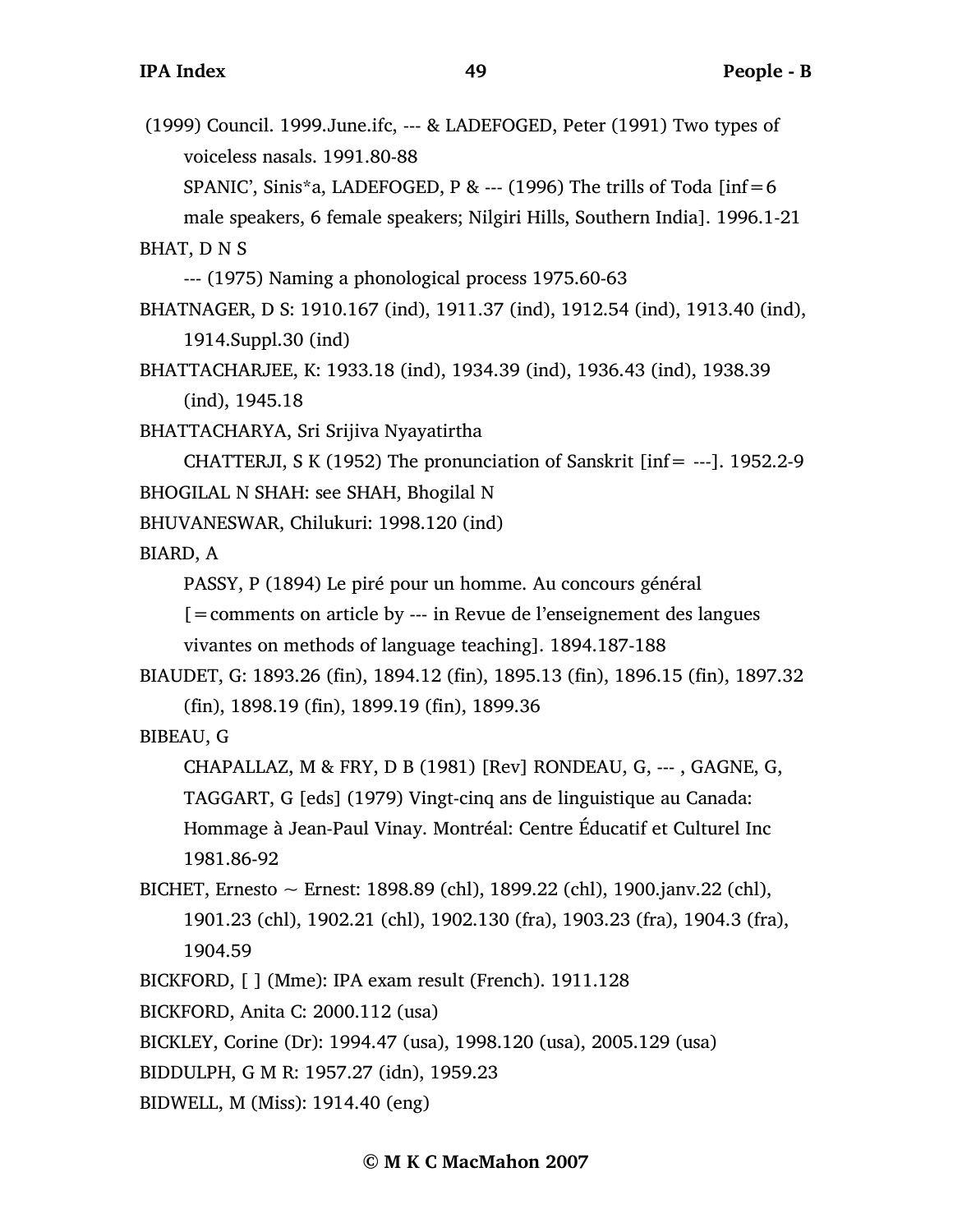(1999) Council. 1999.June.ifc, --- & LADEFOGED, Peter (1991) Two types of voiceless nasals. 1991.80-88 SPANIC', Sinis\*a, LADEFOGED, P & --- (1996) The trills of Toda [inf=6 male speakers, 6 female speakers; Nilgiri Hills, Southern India]. 1996.1-21

BHAT, D N S

--- (1975) Naming a phonological process 1975.60-63

- BHATNAGER, D S: 1910.167 (ind), 1911.37 (ind), 1912.54 (ind), 1913.40 (ind), 1914.Suppl.30 (ind)
- BHATTACHARJEE, K: 1933.18 (ind), 1934.39 (ind), 1936.43 (ind), 1938.39 (ind), 1945.18

BHATTACHARYA, Sri Srijiva Nyayatirtha

CHATTERJI, S K (1952) The pronunciation of Sanskrit [inf= ---]. 1952.2-9 BHOGILAL N SHAH: see SHAH, Bhogilal N

BHUVANESWAR, Chilukuri: 1998.120 (ind)

BIARD, A

PASSY, P (1894) Le piré pour un homme. Au concours général

[=comments on article by --- in Revue de l'enseignement des langues vivantes on methods of language teaching]. 1894.187-188

```
BIAUDET, G: 1893.26 (fin), 1894.12 (fin), 1895.13 (fin), 1896.15 (fin), 1897.32
     (fin), 1898.19 (fin), 1899.19 (fin), 1899.36
```
BIBEAU, G

```
CHAPALLAZ, M & FRY, D B (1981) [Rev] RONDEAU, G, --- , GAGNE, G,
```
TAGGART, G [eds] (1979) Vingt-cinq ans de linguistique au Canada:

Hommage à Jean-Paul Vinay. Montréal: Centre Éducatif et Culturel Inc 1981.86-92

BICHET, Ernesto ~ Ernest: 1898.89 (chl), 1899.22 (chl), 1900.janv.22 (chl), 1901.23 (chl), 1902.21 (chl), 1902.130 (fra), 1903.23 (fra), 1904.3 (fra), 1904.59

```
BICKFORD, [ ] (Mme): IPA exam result (French). 1911.128
```
BICKFORD, Anita C: 2000.112 (usa)

BICKLEY, Corine (Dr): 1994.47 (usa), 1998.120 (usa), 2005.129 (usa)

BIDDULPH, G M R: 1957.27 (idn), 1959.23

BIDWELL, M (Miss): 1914.40 (eng)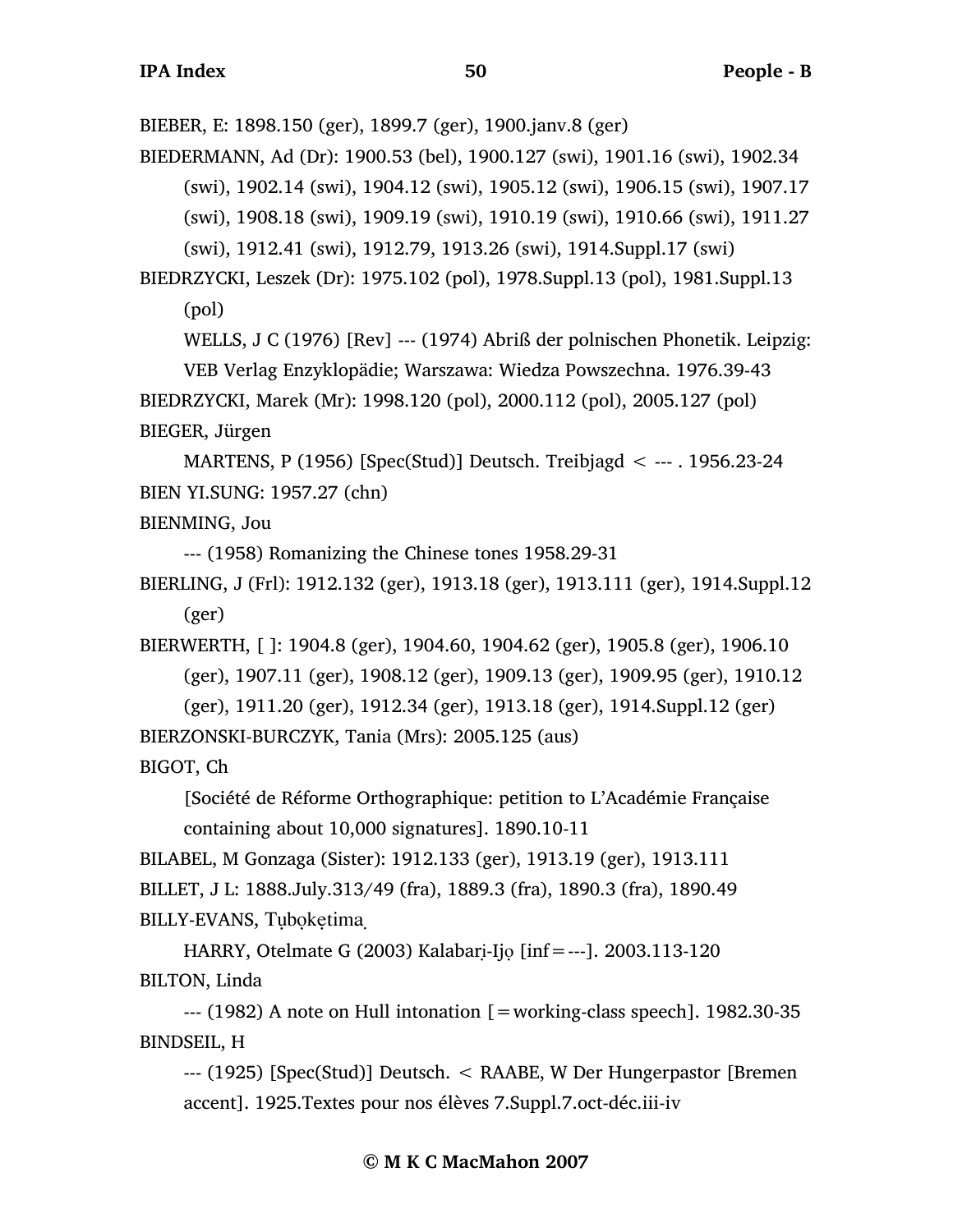BIEBER, E: 1898.150 (ger), 1899.7 (ger), 1900.janv.8 (ger)

BIEDERMANN, Ad (Dr): 1900.53 (bel), 1900.127 (swi), 1901.16 (swi), 1902.34

(swi), 1902.14 (swi), 1904.12 (swi), 1905.12 (swi), 1906.15 (swi), 1907.17

(swi), 1908.18 (swi), 1909.19 (swi), 1910.19 (swi), 1910.66 (swi), 1911.27

(swi), 1912.41 (swi), 1912.79, 1913.26 (swi), 1914.Suppl.17 (swi)

BIEDRZYCKI, Leszek (Dr): 1975.102 (pol), 1978.Suppl.13 (pol), 1981.Suppl.13 (pol)

WELLS, J C (1976) [Rev] --- (1974) Abriß der polnischen Phonetik. Leipzig:

VEB Verlag Enzyklopädie; Warszawa: Wiedza Powszechna. 1976.39-43 BIEDRZYCKI, Marek (Mr): 1998.120 (pol), 2000.112 (pol), 2005.127 (pol) BIEGER, Jürgen

MARTENS, P (1956) [Spec(Stud)] Deutsch. Treibjagd < --- . 1956.23-24 BIEN YI.SUNG: 1957.27 (chn)

BIENMING, Jou

--- (1958) Romanizing the Chinese tones 1958.29-31

BIERLING, J (Frl): 1912.132 (ger), 1913.18 (ger), 1913.111 (ger), 1914.Suppl.12 (ger)

BIERWERTH, [ ]: 1904.8 (ger), 1904.60, 1904.62 (ger), 1905.8 (ger), 1906.10 (ger), 1907.11 (ger), 1908.12 (ger), 1909.13 (ger), 1909.95 (ger), 1910.12

(ger), 1911.20 (ger), 1912.34 (ger), 1913.18 (ger), 1914.Suppl.12 (ger) BIERZONSKI-BURCZYK, Tania (Mrs): 2005.125 (aus)

BIGOT, Ch

[Société de Réforme Orthographique: petition to L'Académie Française containing about 10,000 signatures]. 1890.10-11

BILABEL, M Gonzaga (Sister): 1912.133 (ger), 1913.19 (ger), 1913.111 BILLET, J L: 1888.July.313/49 (fra), 1889.3 (fra), 1890.3 (fra), 1890.49 BILLY-EVANS, Tuboketima

HARRY, Otelmate G (2003) Kalabari-Ijo [inf=---]. 2003.113-120 BILTON, Linda

 $-$ --- (1982) A note on Hull intonation  $=$  working-class speech]. 1982.30-35 BINDSEIL, H

--- (1925) [Spec(Stud)] Deutsch. < RAABE, W Der Hungerpastor [Bremen accent]. 1925.Textes pour nos élèves 7.Suppl.7.oct-déc.iii-iv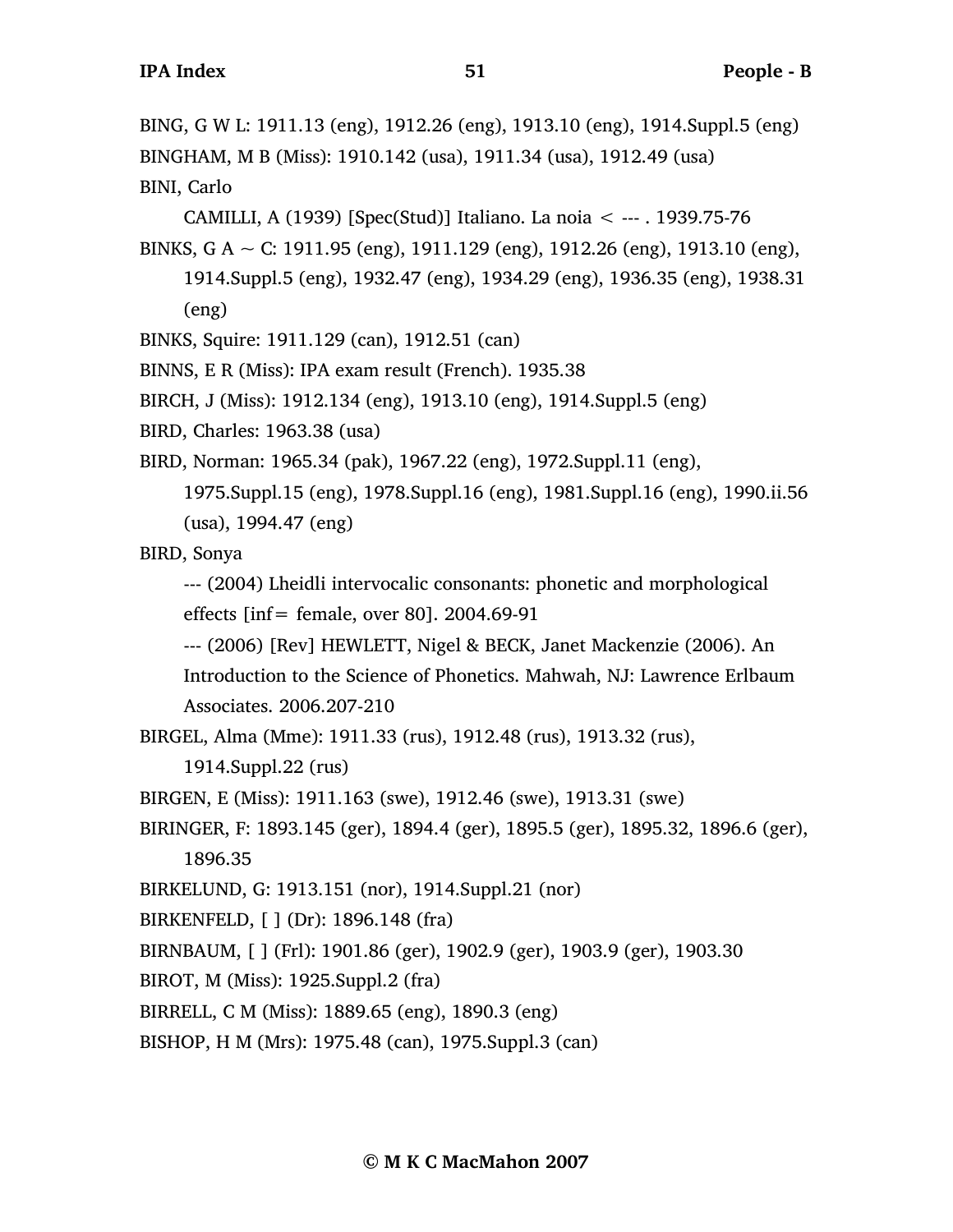BING, G W L: 1911.13 (eng), 1912.26 (eng), 1913.10 (eng), 1914.Suppl.5 (eng) BINGHAM, M B (Miss): 1910.142 (usa), 1911.34 (usa), 1912.49 (usa) BINI, Carlo

CAMILLI, A (1939) [Spec(Stud)] Italiano. La noia < --- . 1939.75-76

BINKS, G A  $\sim$  C: 1911.95 (eng), 1911.129 (eng), 1912.26 (eng), 1913.10 (eng), 1914.Suppl.5 (eng), 1932.47 (eng), 1934.29 (eng), 1936.35 (eng), 1938.31 (eng)

BINKS, Squire: 1911.129 (can), 1912.51 (can)

BINNS, E R (Miss): IPA exam result (French). 1935.38

BIRCH, J (Miss): 1912.134 (eng), 1913.10 (eng), 1914.Suppl.5 (eng)

BIRD, Charles: 1963.38 (usa)

BIRD, Norman: 1965.34 (pak), 1967.22 (eng), 1972.Suppl.11 (eng),

1975.Suppl.15 (eng), 1978.Suppl.16 (eng), 1981.Suppl.16 (eng), 1990.ii.56 (usa), 1994.47 (eng)

BIRD, Sonya

--- (2004) Lheidli intervocalic consonants: phonetic and morphological effects [inf= female, over 80]. 2004.69-91

--- (2006) [Rev] HEWLETT, Nigel & BECK, Janet Mackenzie (2006). An

Introduction to the Science of Phonetics. Mahwah, NJ: Lawrence Erlbaum Associates. 2006.207-210

BIRGEL, Alma (Mme): 1911.33 (rus), 1912.48 (rus), 1913.32 (rus),

```
1914.Suppl.22 (rus)
```
BIRGEN, E (Miss): 1911.163 (swe), 1912.46 (swe), 1913.31 (swe)

BIRINGER, F: 1893.145 (ger), 1894.4 (ger), 1895.5 (ger), 1895.32, 1896.6 (ger), 1896.35

BIRKELUND, G: 1913.151 (nor), 1914.Suppl.21 (nor)

BIRKENFELD, [ ] (Dr): 1896.148 (fra)

BIRNBAUM, [ ] (Frl): 1901.86 (ger), 1902.9 (ger), 1903.9 (ger), 1903.30

BIROT, M (Miss): 1925.Suppl.2 (fra)

BIRRELL, C M (Miss): 1889.65 (eng), 1890.3 (eng)

BISHOP, H M (Mrs): 1975.48 (can), 1975.Suppl.3 (can)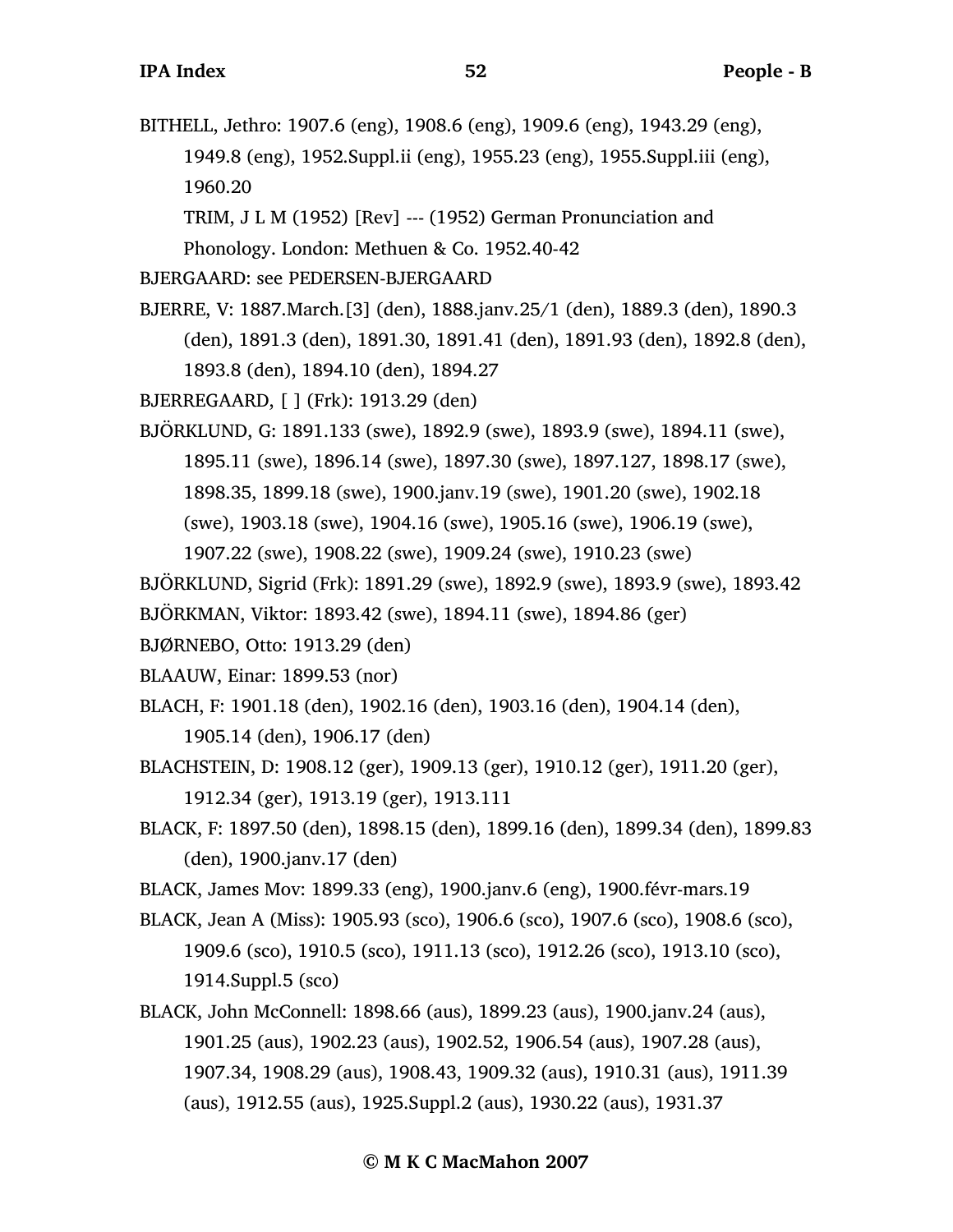BITHELL, Jethro: 1907.6 (eng), 1908.6 (eng), 1909.6 (eng), 1943.29 (eng), 1949.8 (eng), 1952.Suppl.ii (eng), 1955.23 (eng), 1955.Suppl.iii (eng), 1960.20

TRIM, J L M (1952) [Rev] --- (1952) German Pronunciation and

Phonology. London: Methuen & Co. 1952.40-42

BJERGAARD: see PEDERSEN-BJERGAARD

BJERRE, V: 1887.March.[3] (den), 1888.janv.25/1 (den), 1889.3 (den), 1890.3 (den), 1891.3 (den), 1891.30, 1891.41 (den), 1891.93 (den), 1892.8 (den), 1893.8 (den), 1894.10 (den), 1894.27

BJERREGAARD, [ ] (Frk): 1913.29 (den)

BJÖRKLUND, G: 1891.133 (swe), 1892.9 (swe), 1893.9 (swe), 1894.11 (swe), 1895.11 (swe), 1896.14 (swe), 1897.30 (swe), 1897.127, 1898.17 (swe), 1898.35, 1899.18 (swe), 1900.janv.19 (swe), 1901.20 (swe), 1902.18 (swe), 1903.18 (swe), 1904.16 (swe), 1905.16 (swe), 1906.19 (swe), 1907.22 (swe), 1908.22 (swe), 1909.24 (swe), 1910.23 (swe)

BJÖRKLUND, Sigrid (Frk): 1891.29 (swe), 1892.9 (swe), 1893.9 (swe), 1893.42

BJÖRKMAN, Viktor: 1893.42 (swe), 1894.11 (swe), 1894.86 (ger)

BJØRNEBO, Otto: 1913.29 (den)

BLAAUW, Einar: 1899.53 (nor)

- BLACH, F: 1901.18 (den), 1902.16 (den), 1903.16 (den), 1904.14 (den), 1905.14 (den), 1906.17 (den)
- BLACHSTEIN, D: 1908.12 (ger), 1909.13 (ger), 1910.12 (ger), 1911.20 (ger), 1912.34 (ger), 1913.19 (ger), 1913.111
- BLACK, F: 1897.50 (den), 1898.15 (den), 1899.16 (den), 1899.34 (den), 1899.83 (den), 1900.janv.17 (den)
- BLACK, James Mov: 1899.33 (eng), 1900.janv.6 (eng), 1900.févr-mars.19
- BLACK, Jean A (Miss): 1905.93 (sco), 1906.6 (sco), 1907.6 (sco), 1908.6 (sco), 1909.6 (sco), 1910.5 (sco), 1911.13 (sco), 1912.26 (sco), 1913.10 (sco), 1914.Suppl.5 (sco)
- BLACK, John McConnell: 1898.66 (aus), 1899.23 (aus), 1900.janv.24 (aus), 1901.25 (aus), 1902.23 (aus), 1902.52, 1906.54 (aus), 1907.28 (aus), 1907.34, 1908.29 (aus), 1908.43, 1909.32 (aus), 1910.31 (aus), 1911.39 (aus), 1912.55 (aus), 1925.Suppl.2 (aus), 1930.22 (aus), 1931.37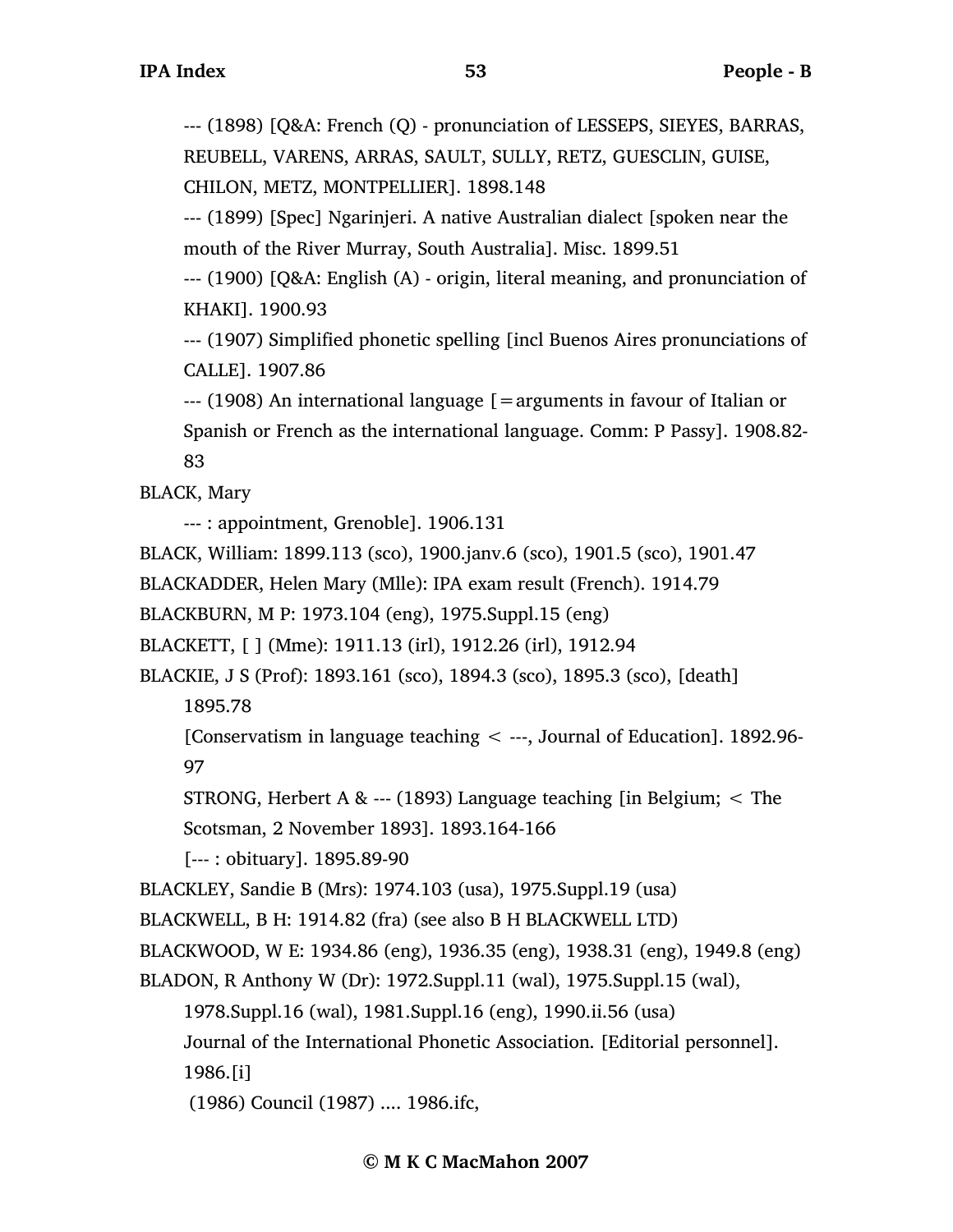--- (1898) [Q&A: French (Q) - pronunciation of LESSEPS, SIEYES, BARRAS, REUBELL, VARENS, ARRAS, SAULT, SULLY, RETZ, GUESCLIN, GUISE, CHILON, METZ, MONTPELLIER]. 1898.148

--- (1899) [Spec] Ngarinjeri. A native Australian dialect [spoken near the mouth of the River Murray, South Australia]. Misc. 1899.51

--- (1900) [Q&A: English (A) - origin, literal meaning, and pronunciation of KHAKI]. 1900.93

--- (1907) Simplified phonetic spelling [incl Buenos Aires pronunciations of CALLE]. 1907.86

--- (1908) An international language [=arguments in favour of Italian or Spanish or French as the international language. Comm: P Passy]. 1908.82- 83

BLACK, Mary

--- : appointment, Grenoble]. 1906.131

BLACK, William: 1899.113 (sco), 1900.janv.6 (sco), 1901.5 (sco), 1901.47

BLACKADDER, Helen Mary (Mlle): IPA exam result (French). 1914.79

BLACKBURN, M P: 1973.104 (eng), 1975.Suppl.15 (eng)

BLACKETT, [ ] (Mme): 1911.13 (irl), 1912.26 (irl), 1912.94

BLACKIE, J S (Prof): 1893.161 (sco), 1894.3 (sco), 1895.3 (sco), [death]

1895.78

[Conservatism in language teaching < ---, Journal of Education]. 1892.96- 97

STRONG, Herbert A & --- (1893) Language teaching [in Belgium;  $\lt$  The

Scotsman, 2 November 1893]. 1893.164-166

[--- : obituary]. 1895.89-90

BLACKLEY, Sandie B (Mrs): 1974.103 (usa), 1975.Suppl.19 (usa)

BLACKWELL, B H: 1914.82 (fra) (see also B H BLACKWELL LTD)

BLACKWOOD, W E: 1934.86 (eng), 1936.35 (eng), 1938.31 (eng), 1949.8 (eng)

BLADON, R Anthony W (Dr): 1972.Suppl.11 (wal), 1975.Suppl.15 (wal),

1978.Suppl.16 (wal), 1981.Suppl.16 (eng), 1990.ii.56 (usa)

Journal of the International Phonetic Association. [Editorial personnel].

1986.[i]

(1986) Council (1987) .... 1986.ifc,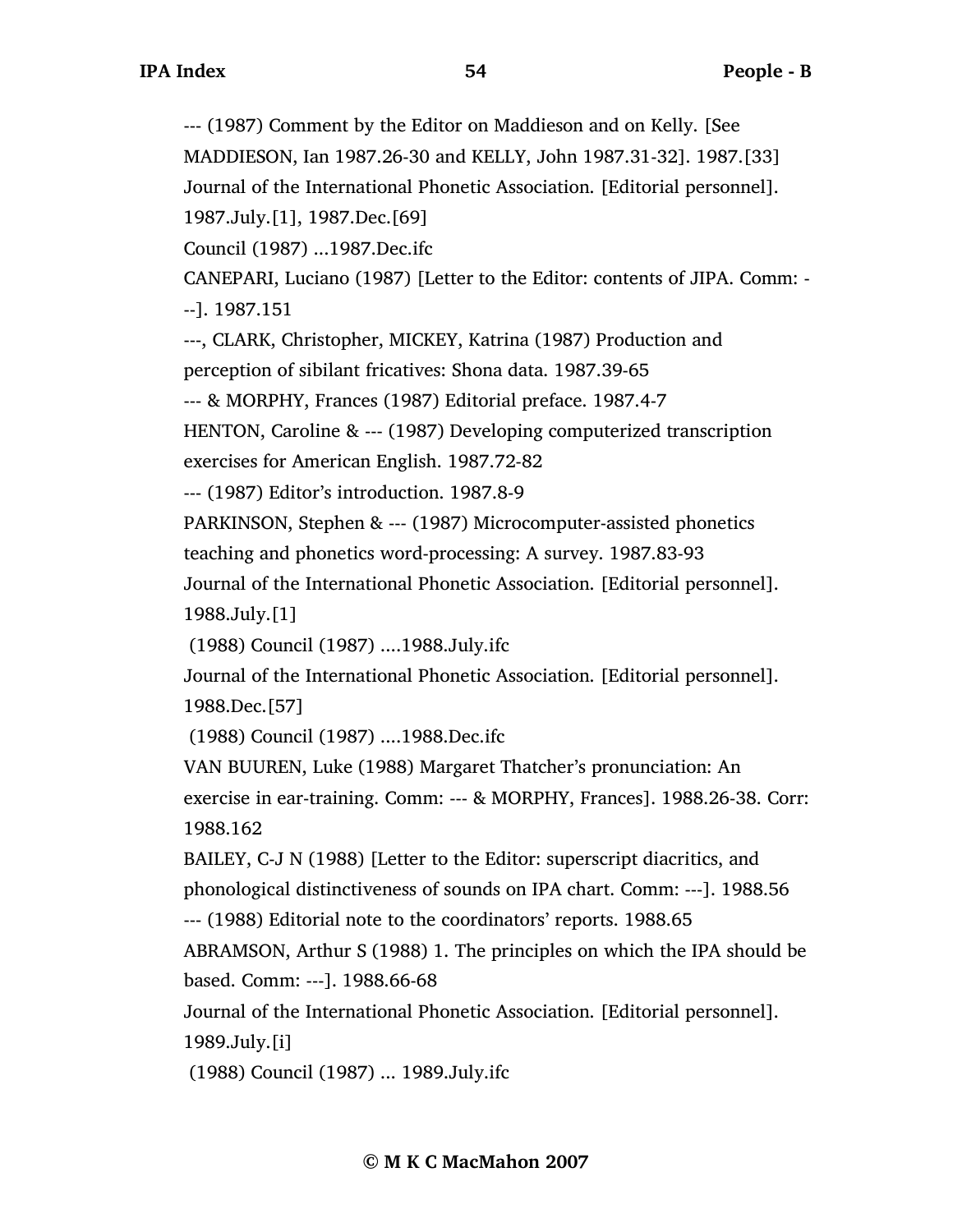--- (1987) Comment by the Editor on Maddieson and on Kelly. [See

MADDIESON, Ian 1987.26-30 and KELLY, John 1987.31-32]. 1987.[33]

Journal of the International Phonetic Association. [Editorial personnel].

1987.July.[1], 1987.Dec.[69]

Council (1987) ...1987.Dec.ifc

CANEPARI, Luciano (1987) [Letter to the Editor: contents of JIPA. Comm: - --]. 1987.151

---, CLARK, Christopher, MICKEY, Katrina (1987) Production and perception of sibilant fricatives: Shona data. 1987.39-65

--- & MORPHY, Frances (1987) Editorial preface. 1987.4-7

HENTON, Caroline & --- (1987) Developing computerized transcription exercises for American English. 1987.72-82

--- (1987) Editor's introduction. 1987.8-9

PARKINSON, Stephen & --- (1987) Microcomputer-assisted phonetics

teaching and phonetics word-processing: A survey. 1987.83-93

Journal of the International Phonetic Association. [Editorial personnel]. 1988.July.[1]

(1988) Council (1987) ....1988.July.ifc

Journal of the International Phonetic Association. [Editorial personnel]. 1988.Dec.[57]

(1988) Council (1987) ....1988.Dec.ifc

VAN BUUREN, Luke (1988) Margaret Thatcher's pronunciation: An exercise in ear-training. Comm: --- & MORPHY, Frances]. 1988.26-38. Corr: 1988.162

BAILEY, C-J N (1988) [Letter to the Editor: superscript diacritics, and phonological distinctiveness of sounds on IPA chart. Comm: ---]. 1988.56 --- (1988) Editorial note to the coordinators' reports. 1988.65

ABRAMSON, Arthur S (1988) 1. The principles on which the IPA should be based. Comm: ---]. 1988.66-68

Journal of the International Phonetic Association. [Editorial personnel]. 1989.July.[i]

(1988) Council (1987) ... 1989.July.ifc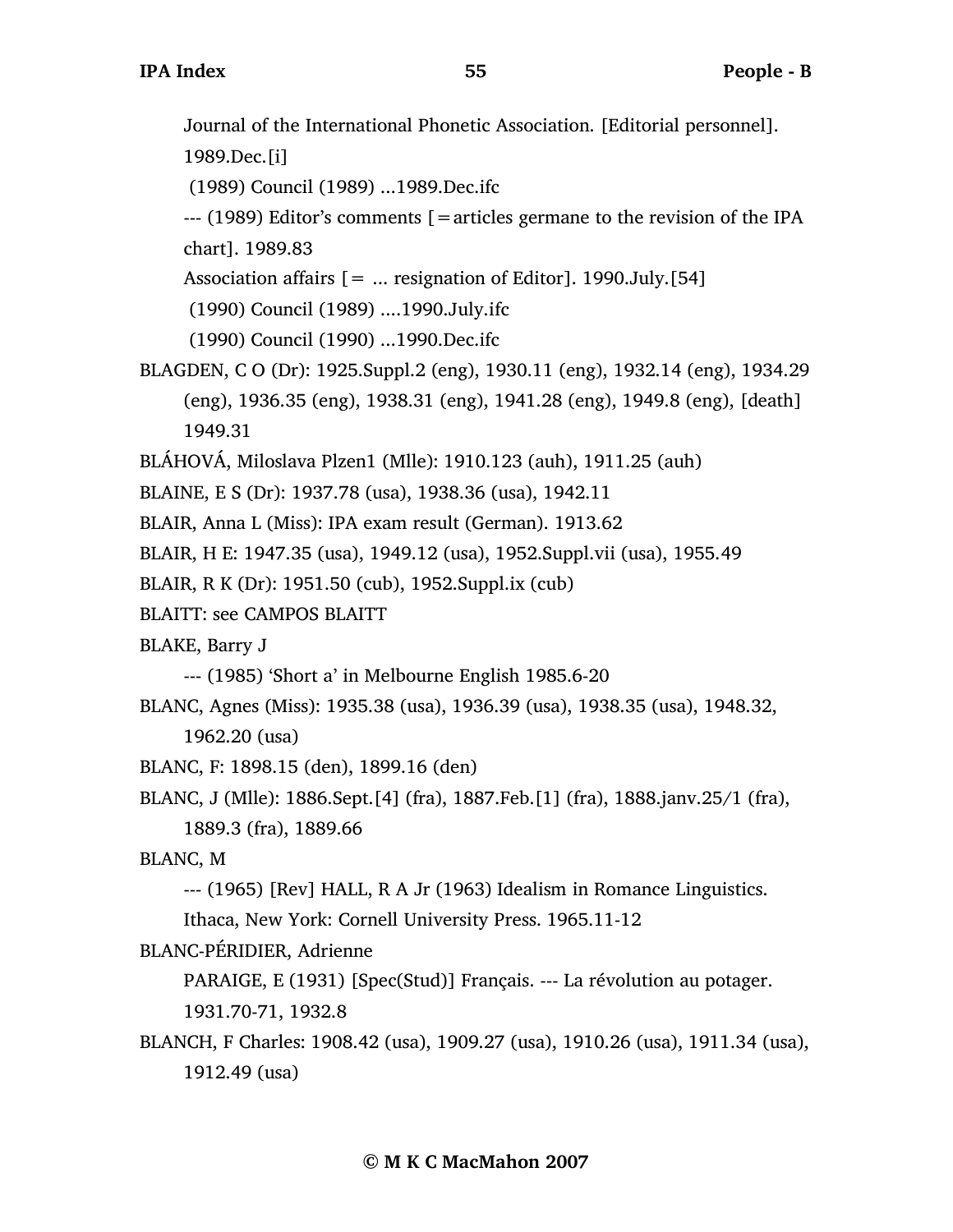Journal of the International Phonetic Association. [Editorial personnel].

1989.Dec.[i]

(1989) Council (1989) ...1989.Dec.ifc

 $-$ -- (1989) Editor's comments  $\mathfrak{f}$  = articles germane to the revision of the IPA chart]. 1989.83

Association affairs  $[= \dots$  resignation of Editor]. 1990.July. [54]

(1990) Council (1989) ....1990.July.ifc

(1990) Council (1990) ...1990.Dec.ifc

BLAGDEN, C O (Dr): 1925.Suppl.2 (eng), 1930.11 (eng), 1932.14 (eng), 1934.29 (eng), 1936.35 (eng), 1938.31 (eng), 1941.28 (eng), 1949.8 (eng), [death] 1949.31

BLÁHOVÁ, Miloslava Plzen1 (Mlle): 1910.123 (auh), 1911.25 (auh)

BLAINE, E S (Dr): 1937.78 (usa), 1938.36 (usa), 1942.11

BLAIR, Anna L (Miss): IPA exam result (German). 1913.62

BLAIR, H E: 1947.35 (usa), 1949.12 (usa), 1952.Suppl.vii (usa), 1955.49

BLAIR, R K (Dr): 1951.50 (cub), 1952.Suppl.ix (cub)

BLAITT: see CAMPOS BLAITT

BLAKE, Barry J

--- (1985) 'Short a' in Melbourne English 1985.6-20

BLANC, Agnes (Miss): 1935.38 (usa), 1936.39 (usa), 1938.35 (usa), 1948.32, 1962.20 (usa)

BLANC, F: 1898.15 (den), 1899.16 (den)

BLANC, J (Mlle): 1886.Sept.[4] (fra), 1887.Feb.[1] (fra), 1888.janv.25/1 (fra), 1889.3 (fra), 1889.66

BLANC, M

--- (1965) [Rev] HALL, R A Jr (1963) Idealism in Romance Linguistics.

Ithaca, New York: Cornell University Press. 1965.11-12

BLANC-PÉRIDIER, Adrienne

PARAIGE, E (1931) [Spec(Stud)] Français. --- La révolution au potager. 1931.70-71, 1932.8

BLANCH, F Charles: 1908.42 (usa), 1909.27 (usa), 1910.26 (usa), 1911.34 (usa), 1912.49 (usa)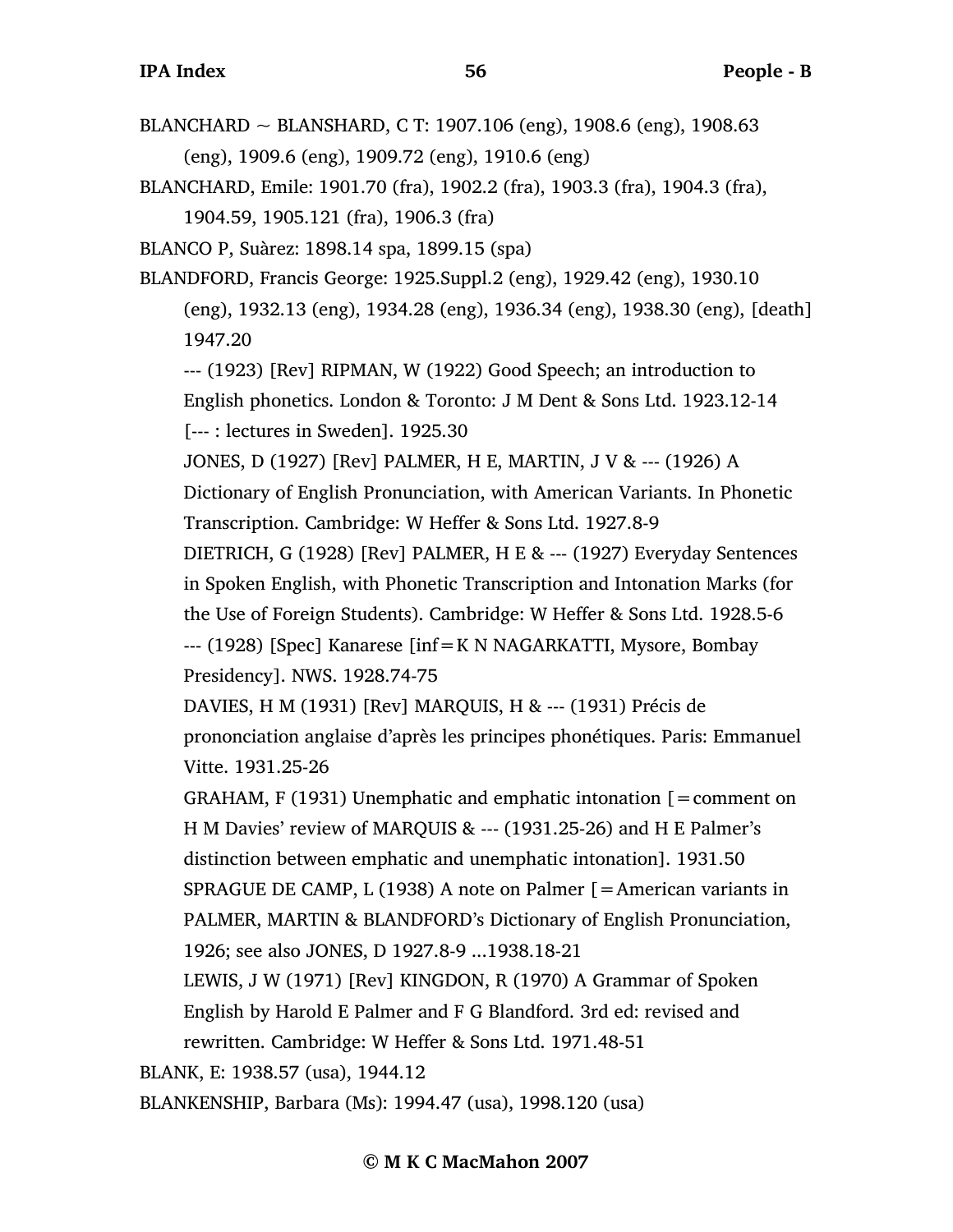BLANCHARD ~ BLANSHARD, C T: 1907.106 (eng), 1908.6 (eng), 1908.63

(eng), 1909.6 (eng), 1909.72 (eng), 1910.6 (eng)

BLANCHARD, Emile: 1901.70 (fra), 1902.2 (fra), 1903.3 (fra), 1904.3 (fra), 1904.59, 1905.121 (fra), 1906.3 (fra) BLANCO P, Suàrez: 1898.14 spa, 1899.15 (spa) BLANDFORD, Francis George: 1925.Suppl.2 (eng), 1929.42 (eng), 1930.10 (eng), 1932.13 (eng), 1934.28 (eng), 1936.34 (eng), 1938.30 (eng), [death] 1947.20 --- (1923) [Rev] RIPMAN, W (1922) Good Speech; an introduction to English phonetics. London & Toronto: J M Dent & Sons Ltd. 1923.12-14 [--- : lectures in Sweden]. 1925.30 JONES, D (1927) [Rev] PALMER, H E, MARTIN, J V & --- (1926) A Dictionary of English Pronunciation, with American Variants. In Phonetic Transcription. Cambridge: W Heffer & Sons Ltd. 1927.8-9 DIETRICH, G (1928) [Rev] PALMER, H E & --- (1927) Everyday Sentences in Spoken English, with Phonetic Transcription and Intonation Marks (for the Use of Foreign Students). Cambridge: W Heffer & Sons Ltd. 1928.5-6 --- (1928) [Spec] Kanarese [inf=K N NAGARKATTI, Mysore, Bombay Presidency]. NWS. 1928.74-75 DAVIES, H M (1931) [Rev] MARQUIS, H & --- (1931) Précis de prononciation anglaise d'après les principes phonétiques. Paris: Emmanuel Vitte. 1931.25-26 GRAHAM,  $F(1931)$  Unemphatic and emphatic intonation  $[$  = comment on H M Davies' review of MARQUIS & --- (1931.25-26) and H E Palmer's distinction between emphatic and unemphatic intonation]. 1931.50 SPRAGUE DE CAMP, L (1938) A note on Palmer [=American variants in PALMER, MARTIN & BLANDFORD's Dictionary of English Pronunciation, 1926; see also JONES, D 1927.8-9 ...1938.18-21 LEWIS, J W (1971) [Rev] KINGDON, R (1970) A Grammar of Spoken English by Harold E Palmer and F G Blandford. 3rd ed: revised and rewritten. Cambridge: W Heffer & Sons Ltd. 1971.48-51 BLANK, E: 1938.57 (usa), 1944.12 BLANKENSHIP, Barbara (Ms): 1994.47 (usa), 1998.120 (usa)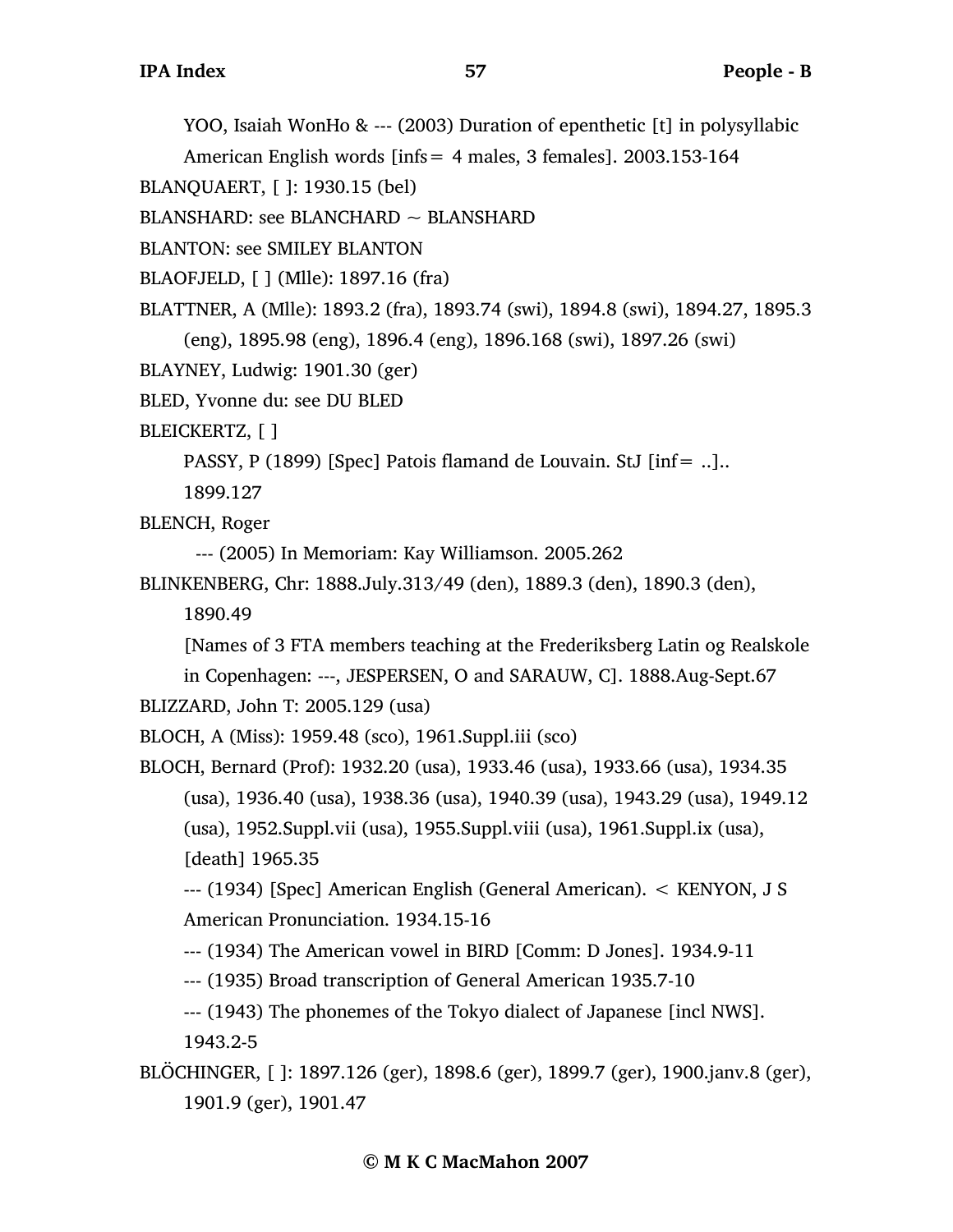YOO, Isaiah WonHo & --- (2003) Duration of epenthetic [t] in polysyllabic

American English words [infs= 4 males, 3 females]. 2003.153-164

```
BLANQUAERT, [ ]: 1930.15 (bel)
```
 $BLANSHARD:$  see BLANCHARD  $\sim$  BLANSHARD

```
BLANTON: see SMILEY BLANTON
```
BLAOFJELD, [ ] (Mlle): 1897.16 (fra)

BLATTNER, A (Mlle): 1893.2 (fra), 1893.74 (swi), 1894.8 (swi), 1894.27, 1895.3

(eng), 1895.98 (eng), 1896.4 (eng), 1896.168 (swi), 1897.26 (swi)

```
BLAYNEY, Ludwig: 1901.30 (ger)
```
BLED, Yvonne du: see DU BLED

BLEICKERTZ, [ ]

PASSY, P (1899) [Spec] Patois flamand de Louvain. StJ [inf= ..]..

1899.127

BLENCH, Roger

--- (2005) In Memoriam: Kay Williamson. 2005.262

```
BLINKENBERG, Chr: 1888.July.313/49 (den), 1889.3 (den), 1890.3 (den), 
     1890.49
```
[Names of 3 FTA members teaching at the Frederiksberg Latin og Realskole

in Copenhagen: ---, JESPERSEN, O and SARAUW, C]. 1888.Aug-Sept.67 BLIZZARD, John T: 2005.129 (usa)

BLOCH, A (Miss): 1959.48 (sco), 1961.Suppl.iii (sco)

BLOCH, Bernard (Prof): 1932.20 (usa), 1933.46 (usa), 1933.66 (usa), 1934.35 (usa), 1936.40 (usa), 1938.36 (usa), 1940.39 (usa), 1943.29 (usa), 1949.12 (usa), 1952.Suppl.vii (usa), 1955.Suppl.viii (usa), 1961.Suppl.ix (usa), [death] 1965.35

--- (1934) [Spec] American English (General American). < KENYON, J S American Pronunciation. 1934.15-16

--- (1934) The American vowel in BIRD [Comm: D Jones]. 1934.9-11

--- (1935) Broad transcription of General American 1935.7-10

--- (1943) The phonemes of the Tokyo dialect of Japanese [incl NWS]. 1943.2-5

BLÖCHINGER, [ ]: 1897.126 (ger), 1898.6 (ger), 1899.7 (ger), 1900.janv.8 (ger), 1901.9 (ger), 1901.47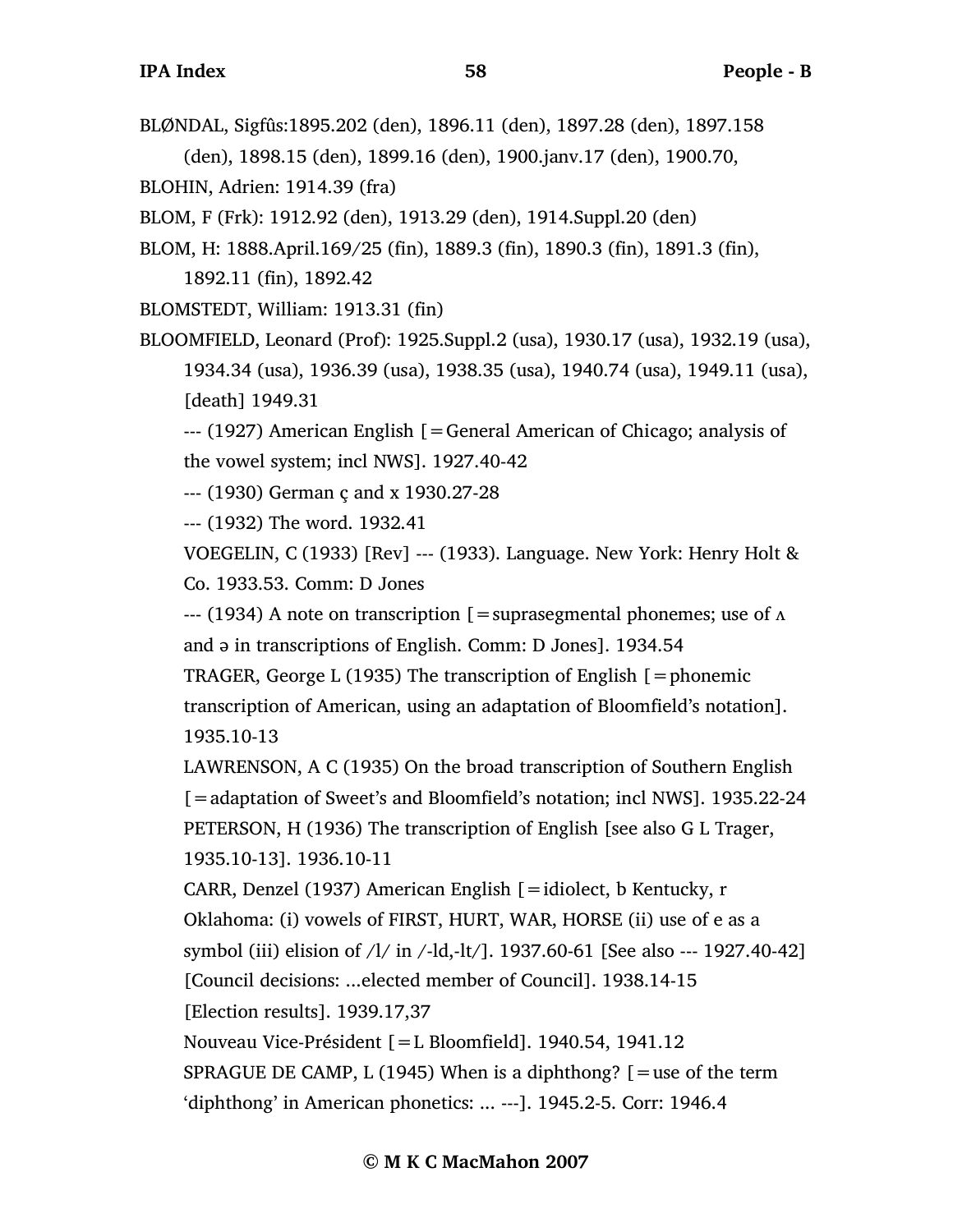BLØNDAL, Sigfûs:1895.202 (den), 1896.11 (den), 1897.28 (den), 1897.158

(den), 1898.15 (den), 1899.16 (den), 1900.janv.17 (den), 1900.70,

BLOHIN, Adrien: 1914.39 (fra)

BLOM, F (Frk): 1912.92 (den), 1913.29 (den), 1914.Suppl.20 (den)

BLOM, H: 1888.April.169/25 (fin), 1889.3 (fin), 1890.3 (fin), 1891.3 (fin),

1892.11 (fin), 1892.42

BLOMSTEDT, William: 1913.31 (fin)

BLOOMFIELD, Leonard (Prof): 1925.Suppl.2 (usa), 1930.17 (usa), 1932.19 (usa), 1934.34 (usa), 1936.39 (usa), 1938.35 (usa), 1940.74 (usa), 1949.11 (usa), [death] 1949.31

--- (1927) American English [=General American of Chicago; analysis of the vowel system; incl NWS]. 1927.40-42

--- (1930) German ç and x 1930.27-28

--- (1932) The word. 1932.41

VOEGELIN, C (1933) [Rev] --- (1933). Language. New York: Henry Holt & Co. 1933.53. Comm: D Jones

 $-$ -- (1934) A note on transcription [=suprasegmental phonemes; use of  $\Lambda$ and ə in transcriptions of English. Comm: D Jones]. 1934.54

TRAGER, George L (1935) The transcription of English  $[=$ phonemic transcription of American, using an adaptation of Bloomfield's notation]. 1935.10-13

LAWRENSON, A C (1935) On the broad transcription of Southern English [=adaptation of Sweet's and Bloomfield's notation; incl NWS]. 1935.22-24 PETERSON, H (1936) The transcription of English [see also G L Trager, 1935.10-13]. 1936.10-11

CARR, Denzel (1937) American English [=idiolect, b Kentucky, r Oklahoma: (i) vowels of FIRST, HURT, WAR, HORSE (ii) use of e as a symbol (iii) elision of /l/ in /-ld,-lt/]. 1937.60-61 [See also --- 1927.40-42] [Council decisions: ...elected member of Council]. 1938.14-15 [Election results]. 1939.17,37

Nouveau Vice-Président [=L Bloomfield]. 1940.54, 1941.12

SPRAGUE DE CAMP, L (1945) When is a diphthong?  $\mathcal{F}$  = use of the term 'diphthong' in American phonetics: ... ---]. 1945.2-5. Corr: 1946.4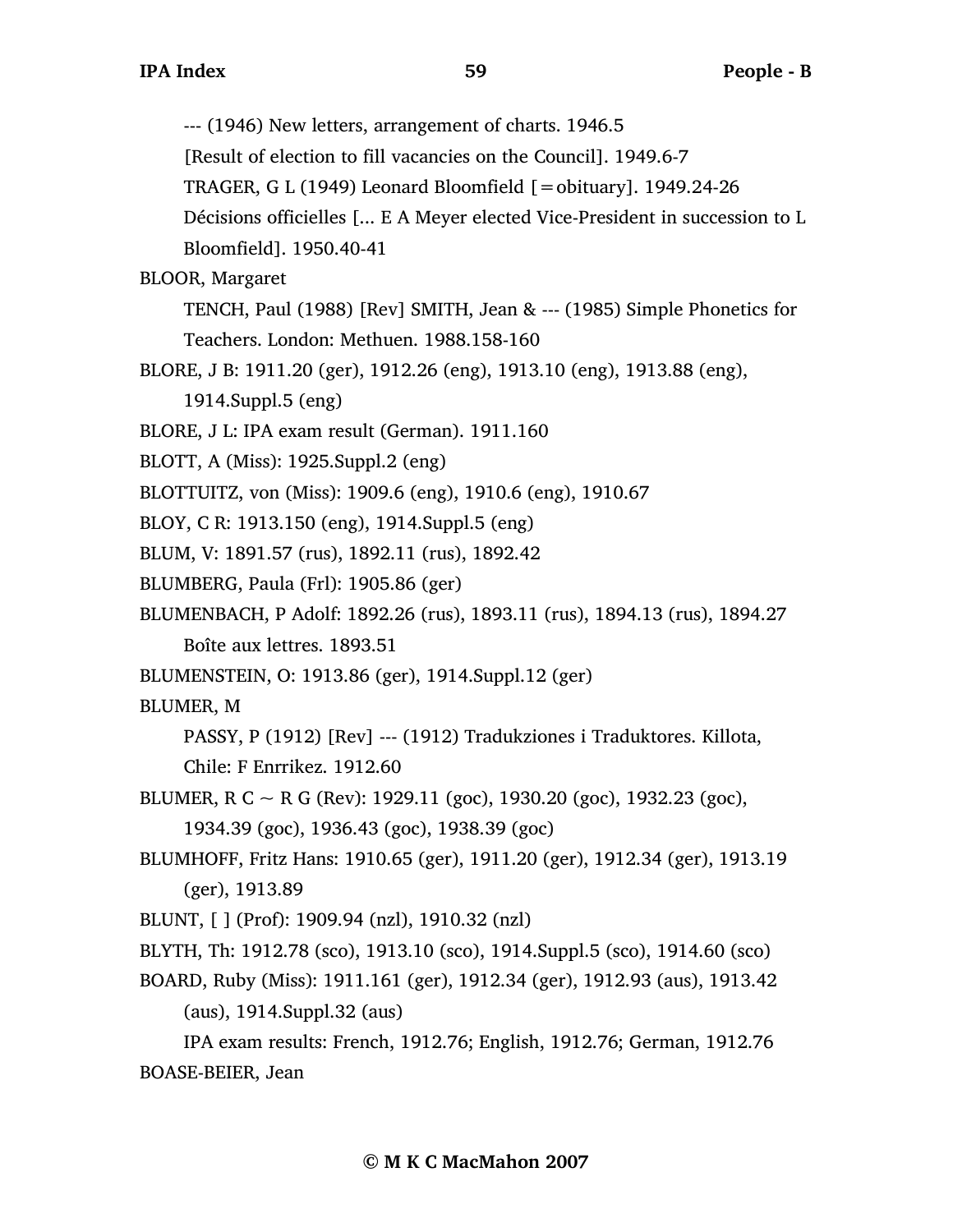--- (1946) New letters, arrangement of charts. 1946.5

[Result of election to fill vacancies on the Council]. 1949.6-7

TRAGER, G L (1949) Leonard Bloomfield  $[=$ obituary]. 1949.24-26

Décisions officielles [... E A Meyer elected Vice-President in succession to L

Bloomfield]. 1950.40-41

BLOOR, Margaret

TENCH, Paul (1988) [Rev] SMITH, Jean & --- (1985) Simple Phonetics for Teachers. London: Methuen. 1988.158-160

BLORE, J B: 1911.20 (ger), 1912.26 (eng), 1913.10 (eng), 1913.88 (eng),

1914.Suppl.5 (eng)

BLORE, J L: IPA exam result (German). 1911.160

BLOTT, A (Miss): 1925.Suppl.2 (eng)

BLOTTUITZ, von (Miss): 1909.6 (eng), 1910.6 (eng), 1910.67

BLOY, C R: 1913.150 (eng), 1914.Suppl.5 (eng)

BLUM, V: 1891.57 (rus), 1892.11 (rus), 1892.42

BLUMBERG, Paula (Frl): 1905.86 (ger)

BLUMENBACH, P Adolf: 1892.26 (rus), 1893.11 (rus), 1894.13 (rus), 1894.27

Boîte aux lettres. 1893.51

BLUMENSTEIN, O: 1913.86 (ger), 1914.Suppl.12 (ger)

BLUMER, M

PASSY, P (1912) [Rev] --- (1912) Tradukziones i Traduktores. Killota, Chile: F Enrrikez. 1912.60

BLUMER, R C  $\sim$  R G (Rev): 1929.11 (goc), 1930.20 (goc), 1932.23 (goc),

1934.39 (goc), 1936.43 (goc), 1938.39 (goc)

BLUMHOFF, Fritz Hans: 1910.65 (ger), 1911.20 (ger), 1912.34 (ger), 1913.19 (ger), 1913.89

BLUNT, [ ] (Prof): 1909.94 (nzl), 1910.32 (nzl)

BLYTH, Th: 1912.78 (sco), 1913.10 (sco), 1914.Suppl.5 (sco), 1914.60 (sco)

BOARD, Ruby (Miss): 1911.161 (ger), 1912.34 (ger), 1912.93 (aus), 1913.42 (aus), 1914.Suppl.32 (aus)

IPA exam results: French, 1912.76; English, 1912.76; German, 1912.76 BOASE-BEIER, Jean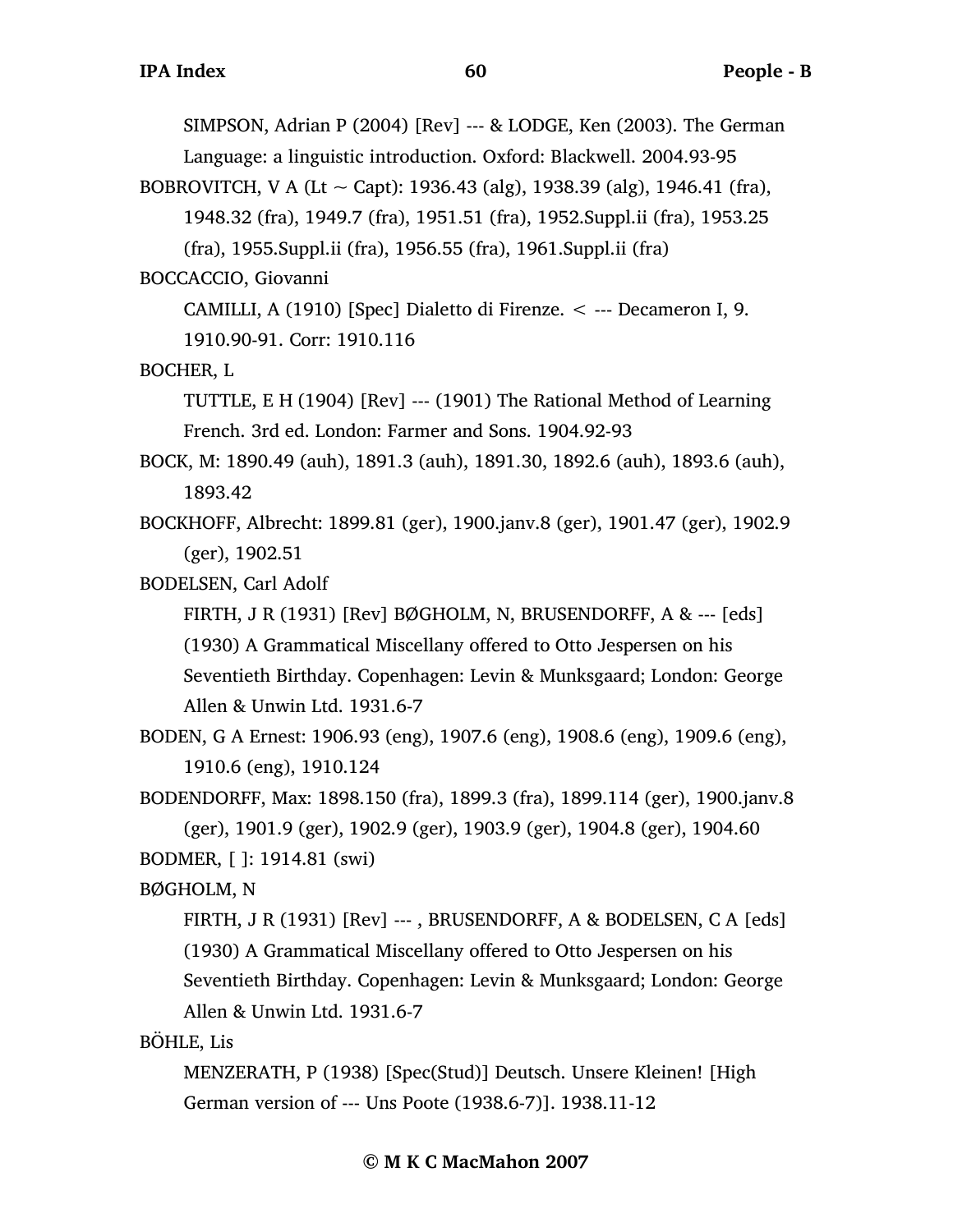SIMPSON, Adrian P (2004) [Rev] --- & LODGE, Ken (2003). The German

Language: a linguistic introduction. Oxford: Blackwell. 2004.93-95

BOBROVITCH, V A (Lt  $\sim$  Capt): 1936.43 (alg), 1938.39 (alg), 1946.41 (fra),

1948.32 (fra), 1949.7 (fra), 1951.51 (fra), 1952.Suppl.ii (fra), 1953.25

(fra), 1955.Suppl.ii (fra), 1956.55 (fra), 1961.Suppl.ii (fra)

BOCCACCIO, Giovanni

CAMILLI, A (1910) [Spec] Dialetto di Firenze. < --- Decameron I, 9.

1910.90-91. Corr: 1910.116

BOCHER, L

TUTTLE, E H (1904) [Rev] --- (1901) The Rational Method of Learning French. 3rd ed. London: Farmer and Sons. 1904.92-93

BOCK, M: 1890.49 (auh), 1891.3 (auh), 1891.30, 1892.6 (auh), 1893.6 (auh), 1893.42

BOCKHOFF, Albrecht: 1899.81 (ger), 1900.janv.8 (ger), 1901.47 (ger), 1902.9 (ger), 1902.51

BODELSEN, Carl Adolf

FIRTH, J R (1931) [Rev] BØGHOLM, N, BRUSENDORFF, A & --- [eds] (1930) A Grammatical Miscellany offered to Otto Jespersen on his Seventieth Birthday. Copenhagen: Levin & Munksgaard; London: George Allen & Unwin Ltd. 1931.6-7

BODEN, G A Ernest: 1906.93 (eng), 1907.6 (eng), 1908.6 (eng), 1909.6 (eng), 1910.6 (eng), 1910.124

BODENDORFF, Max: 1898.150 (fra), 1899.3 (fra), 1899.114 (ger), 1900.janv.8 (ger), 1901.9 (ger), 1902.9 (ger), 1903.9 (ger), 1904.8 (ger), 1904.60 BODMER, [ ]: 1914.81 (swi)

BØGHOLM, N

FIRTH, J R (1931) [Rev] ---, BRUSENDORFF, A & BODELSEN, C A [eds] (1930) A Grammatical Miscellany offered to Otto Jespersen on his Seventieth Birthday. Copenhagen: Levin & Munksgaard; London: George Allen & Unwin Ltd. 1931.6-7

BÖHLE, Lis

MENZERATH, P (1938) [Spec(Stud)] Deutsch. Unsere Kleinen! [High German version of --- Uns Poote (1938.6-7)]. 1938.11-12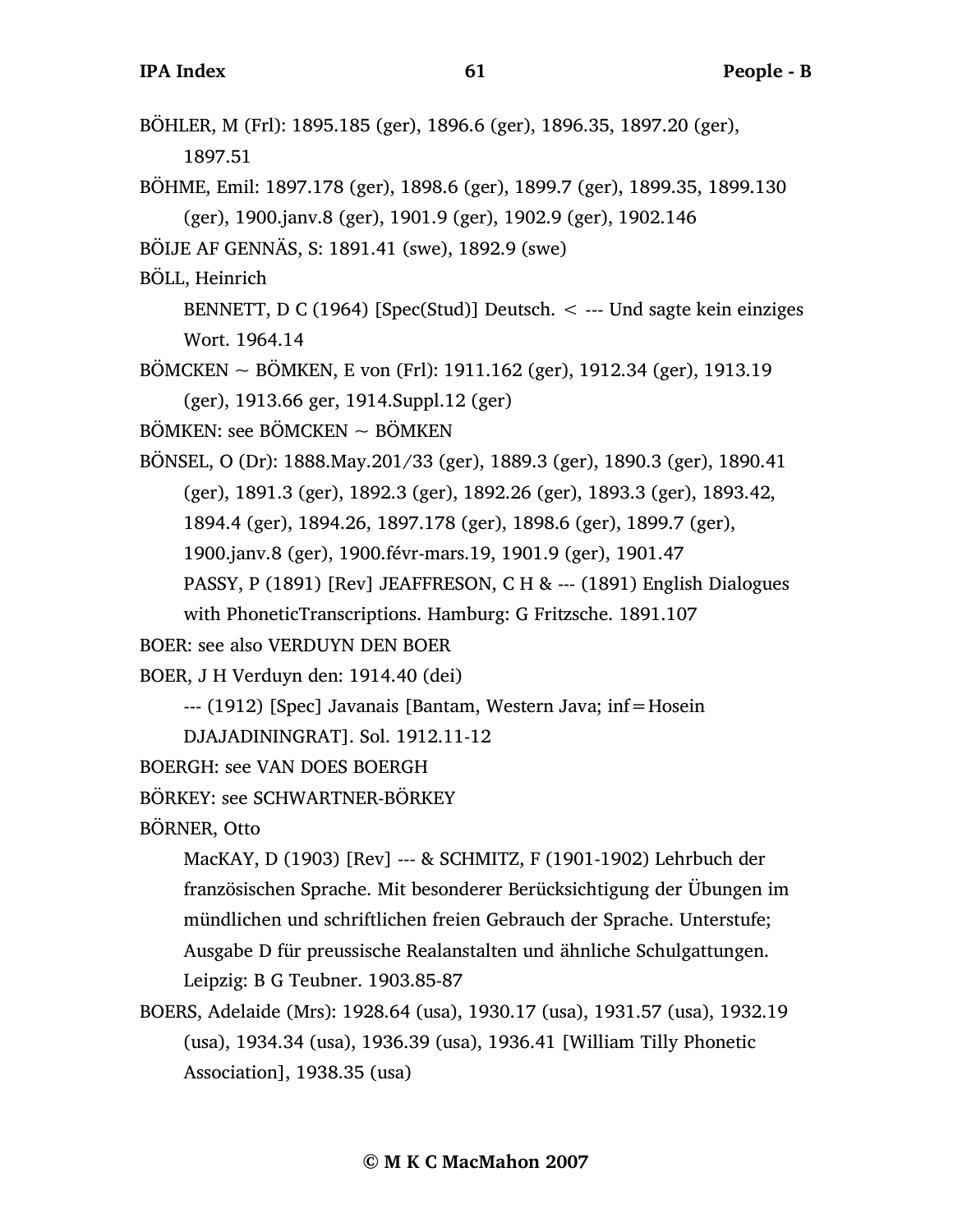BÖHLER, M (Frl): 1895.185 (ger), 1896.6 (ger), 1896.35, 1897.20 (ger), 1897.51 BÖHME, Emil: 1897.178 (ger), 1898.6 (ger), 1899.7 (ger), 1899.35, 1899.130 (ger), 1900.janv.8 (ger), 1901.9 (ger), 1902.9 (ger), 1902.146 BÖIJE AF GENNÄS, S: 1891.41 (swe), 1892.9 (swe) BÖLL, Heinrich BENNETT, D C (1964) [Spec(Stud)] Deutsch.  $\lt$  --- Und sagte kein einziges Wort. 1964.14  $BÖMCKEN \sim BÖMKEN$ , E von (Frl): 1911.162 (ger), 1912.34 (ger), 1913.19 (ger), 1913.66 ger, 1914.Suppl.12 (ger)  $B\ddot{\text{O}}$ MKEN: see BÖMCKEN  $\sim$  BÖMKEN BÖNSEL, O (Dr): 1888.May.201/33 (ger), 1889.3 (ger), 1890.3 (ger), 1890.41 (ger), 1891.3 (ger), 1892.3 (ger), 1892.26 (ger), 1893.3 (ger), 1893.42, 1894.4 (ger), 1894.26, 1897.178 (ger), 1898.6 (ger), 1899.7 (ger), 1900.janv.8 (ger), 1900.févr-mars.19, 1901.9 (ger), 1901.47 PASSY, P (1891) [Rev] JEAFFRESON, C H & --- (1891) English Dialogues with PhoneticTranscriptions. Hamburg: G Fritzsche. 1891.107 BOER: see also VERDUYN DEN BOER BOER, J H Verduyn den: 1914.40 (dei) --- (1912) [Spec] Javanais [Bantam, Western Java; inf=Hosein DJAJADININGRAT]. Sol. 1912.11-12 BOERGH: see VAN DOES BOERGH BÖRKEY: see SCHWARTNER-BÖRKEY BÖRNER, Otto MacKAY, D (1903) [Rev] --- & SCHMITZ, F (1901-1902) Lehrbuch der französischen Sprache. Mit besonderer Berücksichtigung der Übungen im mündlichen und schriftlichen freien Gebrauch der Sprache. Unterstufe;

Ausgabe D für preussische Realanstalten und ähnliche Schulgattungen. Leipzig: B G Teubner. 1903.85-87

BOERS, Adelaide (Mrs): 1928.64 (usa), 1930.17 (usa), 1931.57 (usa), 1932.19 (usa), 1934.34 (usa), 1936.39 (usa), 1936.41 [William Tilly Phonetic Association], 1938.35 (usa)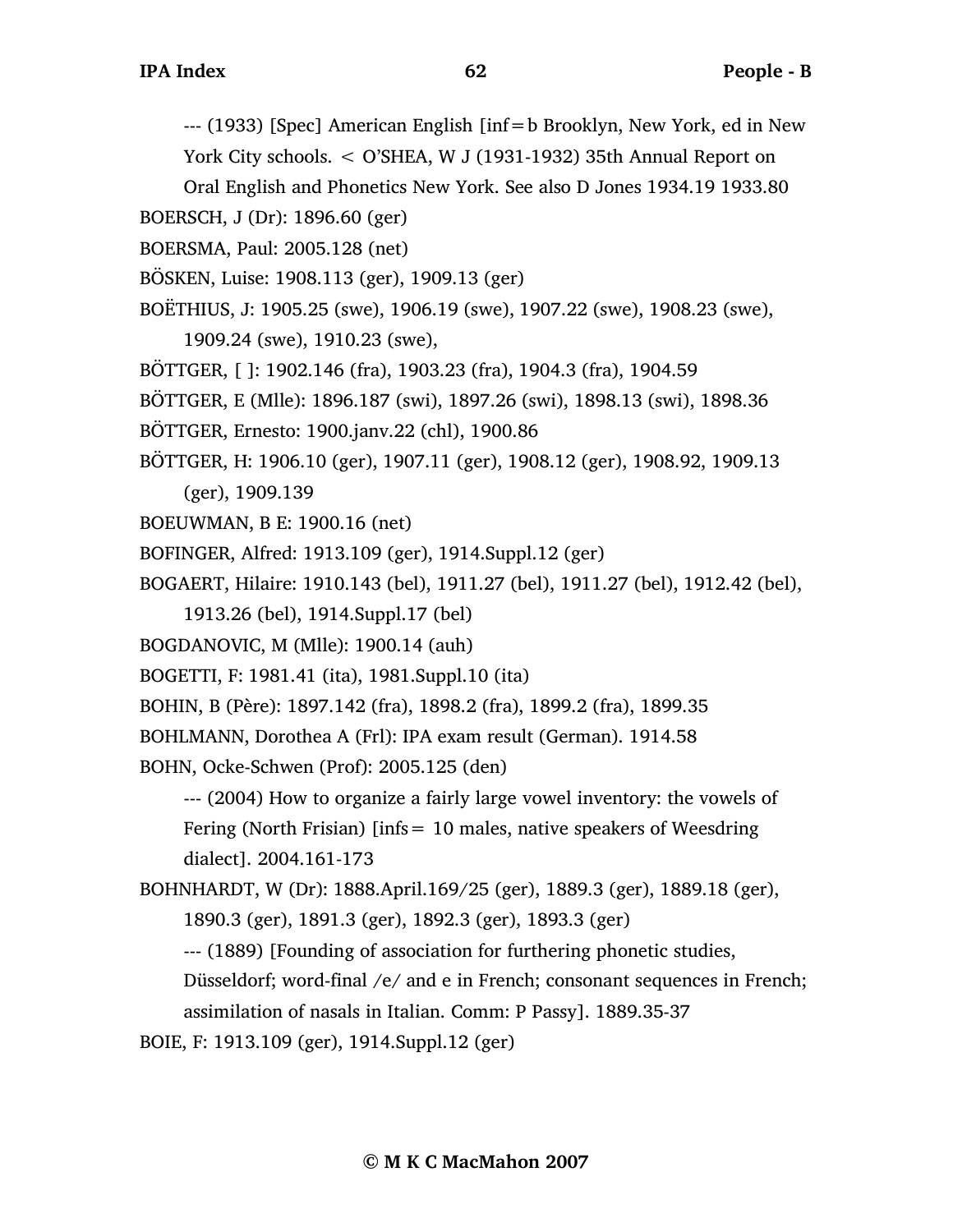--- (1933) [Spec] American English [inf=b Brooklyn, New York, ed in New York City schools. < O'SHEA, W J (1931-1932) 35th Annual Report on

Oral English and Phonetics New York. See also D Jones 1934.19 1933.80

BOERSCH, J (Dr): 1896.60 (ger)

- BOERSMA, Paul: 2005.128 (net)
- BÖSKEN, Luise: 1908.113 (ger), 1909.13 (ger)
- BOËTHIUS, J: 1905.25 (swe), 1906.19 (swe), 1907.22 (swe), 1908.23 (swe),
	- 1909.24 (swe), 1910.23 (swe),
- BÖTTGER, [ ]: 1902.146 (fra), 1903.23 (fra), 1904.3 (fra), 1904.59
- BÖTTGER, E (Mlle): 1896.187 (swi), 1897.26 (swi), 1898.13 (swi), 1898.36
- BÖTTGER, Ernesto: 1900.janv.22 (chl), 1900.86

BÖTTGER, H: 1906.10 (ger), 1907.11 (ger), 1908.12 (ger), 1908.92, 1909.13

(ger), 1909.139

- BOEUWMAN, B E: 1900.16 (net)
- BOFINGER, Alfred: 1913.109 (ger), 1914.Suppl.12 (ger)
- BOGAERT, Hilaire: 1910.143 (bel), 1911.27 (bel), 1911.27 (bel), 1912.42 (bel),
	- 1913.26 (bel), 1914.Suppl.17 (bel)
- BOGDANOVIC, M (Mlle): 1900.14 (auh)
- BOGETTI, F: 1981.41 (ita), 1981.Suppl.10 (ita)
- BOHIN, B (Père): 1897.142 (fra), 1898.2 (fra), 1899.2 (fra), 1899.35
- BOHLMANN, Dorothea A (Frl): IPA exam result (German). 1914.58
- BOHN, Ocke-Schwen (Prof): 2005.125 (den)

--- (2004) How to organize a fairly large vowel inventory: the vowels of Fering (North Frisian) [infs  $= 10$  males, native speakers of Weesdring dialect]. 2004.161-173

- BOHNHARDT, W (Dr): 1888.April.169/25 (ger), 1889.3 (ger), 1889.18 (ger),
	- 1890.3 (ger), 1891.3 (ger), 1892.3 (ger), 1893.3 (ger)
	- --- (1889) [Founding of association for furthering phonetic studies,

Düsseldorf; word-final /e/ and e in French; consonant sequences in French;

assimilation of nasals in Italian. Comm: P Passy]. 1889.35-37

BOIE, F: 1913.109 (ger), 1914.Suppl.12 (ger)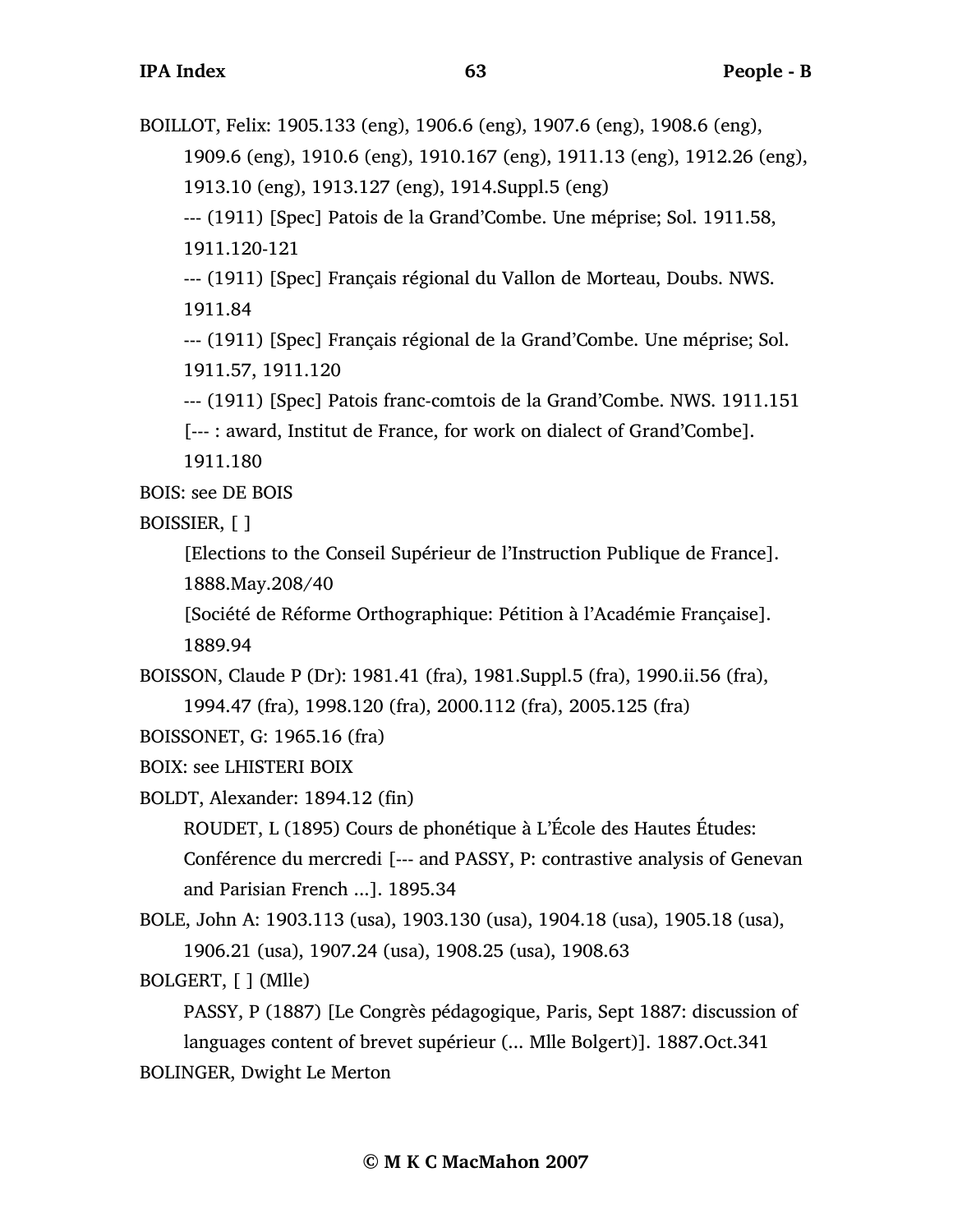BOILLOT, Felix: 1905.133 (eng), 1906.6 (eng), 1907.6 (eng), 1908.6 (eng),

1909.6 (eng), 1910.6 (eng), 1910.167 (eng), 1911.13 (eng), 1912.26 (eng),

1913.10 (eng), 1913.127 (eng), 1914.Suppl.5 (eng)

--- (1911) [Spec] Patois de la Grand'Combe. Une méprise; Sol. 1911.58, 1911.120-121

--- (1911) [Spec] Français régional du Vallon de Morteau, Doubs. NWS. 1911.84

--- (1911) [Spec] Français régional de la Grand'Combe. Une méprise; Sol. 1911.57, 1911.120

--- (1911) [Spec] Patois franc-comtois de la Grand'Combe. NWS. 1911.151

[--- : award, Institut de France, for work on dialect of Grand'Combe].

1911.180

BOIS: see DE BOIS

BOISSIER, [ ]

[Elections to the Conseil Supérieur de l'Instruction Publique de France]. 1888.May.208/40

[Société de Réforme Orthographique: Pétition à l'Académie Française]. 1889.94

BOISSON, Claude P (Dr): 1981.41 (fra), 1981.Suppl.5 (fra), 1990.ii.56 (fra), 1994.47 (fra), 1998.120 (fra), 2000.112 (fra), 2005.125 (fra)

BOISSONET, G: 1965.16 (fra)

BOIX: see LHISTERI BOIX

BOLDT, Alexander: 1894.12 (fin)

ROUDET, L (1895) Cours de phonétique à L'École des Hautes Études: Conférence du mercredi [--- and PASSY, P: contrastive analysis of Genevan and Parisian French ...]. 1895.34

BOLE, John A: 1903.113 (usa), 1903.130 (usa), 1904.18 (usa), 1905.18 (usa), 1906.21 (usa), 1907.24 (usa), 1908.25 (usa), 1908.63

BOLGERT, [ ] (Mlle)

PASSY, P (1887) [Le Congrès pédagogique, Paris, Sept 1887: discussion of languages content of brevet supérieur (... Mlle Bolgert)]. 1887.Oct.341 BOLINGER, Dwight Le Merton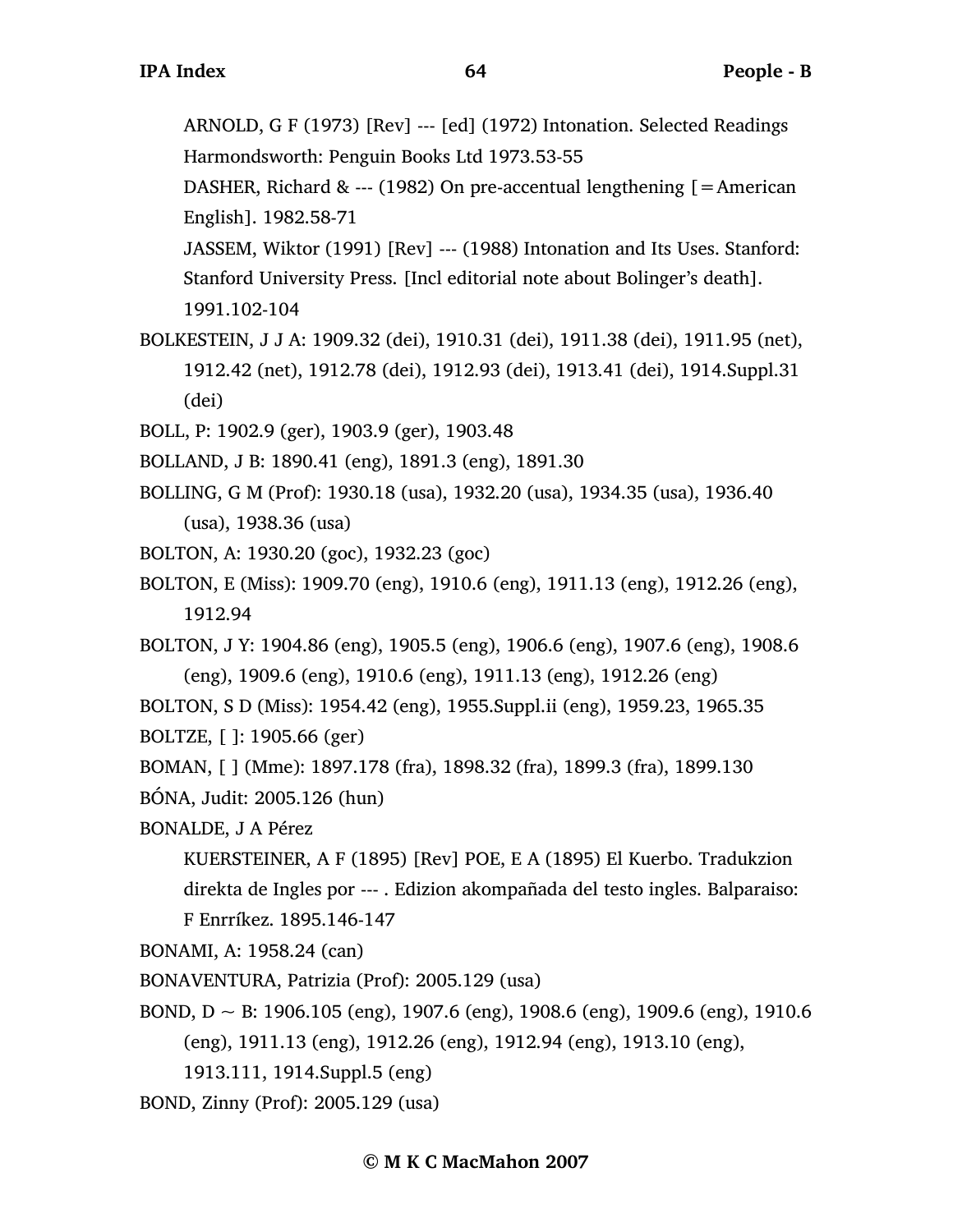ARNOLD, G F (1973) [Rev] --- [ed] (1972) Intonation. Selected Readings Harmondsworth: Penguin Books Ltd 1973.53-55

DASHER, Richard & --- (1982) On pre-accentual lengthening  $[=$  American English]. 1982.58-71

JASSEM, Wiktor (1991) [Rev] --- (1988) Intonation and Its Uses. Stanford: Stanford University Press. [Incl editorial note about Bolinger's death]. 1991.102-104

BOLKESTEIN, J J A: 1909.32 (dei), 1910.31 (dei), 1911.38 (dei), 1911.95 (net), 1912.42 (net), 1912.78 (dei), 1912.93 (dei), 1913.41 (dei), 1914.Suppl.31 (dei)

BOLL, P: 1902.9 (ger), 1903.9 (ger), 1903.48

BOLLAND, J B: 1890.41 (eng), 1891.3 (eng), 1891.30

BOLLING, G M (Prof): 1930.18 (usa), 1932.20 (usa), 1934.35 (usa), 1936.40 (usa), 1938.36 (usa)

BOLTON, A: 1930.20 (goc), 1932.23 (goc)

BOLTON, E (Miss): 1909.70 (eng), 1910.6 (eng), 1911.13 (eng), 1912.26 (eng), 1912.94

BOLTON, J Y: 1904.86 (eng), 1905.5 (eng), 1906.6 (eng), 1907.6 (eng), 1908.6 (eng), 1909.6 (eng), 1910.6 (eng), 1911.13 (eng), 1912.26 (eng)

BOLTON, S D (Miss): 1954.42 (eng), 1955.Suppl.ii (eng), 1959.23, 1965.35

BOLTZE, [ ]: 1905.66 (ger)

BOMAN, [ ] (Mme): 1897.178 (fra), 1898.32 (fra), 1899.3 (fra), 1899.130

BÓNA, Judit: 2005.126 (hun)

BONALDE, J A Pérez

KUERSTEINER, A F (1895) [Rev] POE, E A (1895) El Kuerbo. Tradukzion direkta de Ingles por --- . Edizion akompañada del testo ingles. Balparaiso: F Enrríkez. 1895.146-147

BONAMI, A: 1958.24 (can)

BONAVENTURA, Patrizia (Prof): 2005.129 (usa)

BOND,  $D \sim B$ : 1906.105 (eng), 1907.6 (eng), 1908.6 (eng), 1909.6 (eng), 1910.6 (eng), 1911.13 (eng), 1912.26 (eng), 1912.94 (eng), 1913.10 (eng),

1913.111, 1914.Suppl.5 (eng)

BOND, Zinny (Prof): 2005.129 (usa)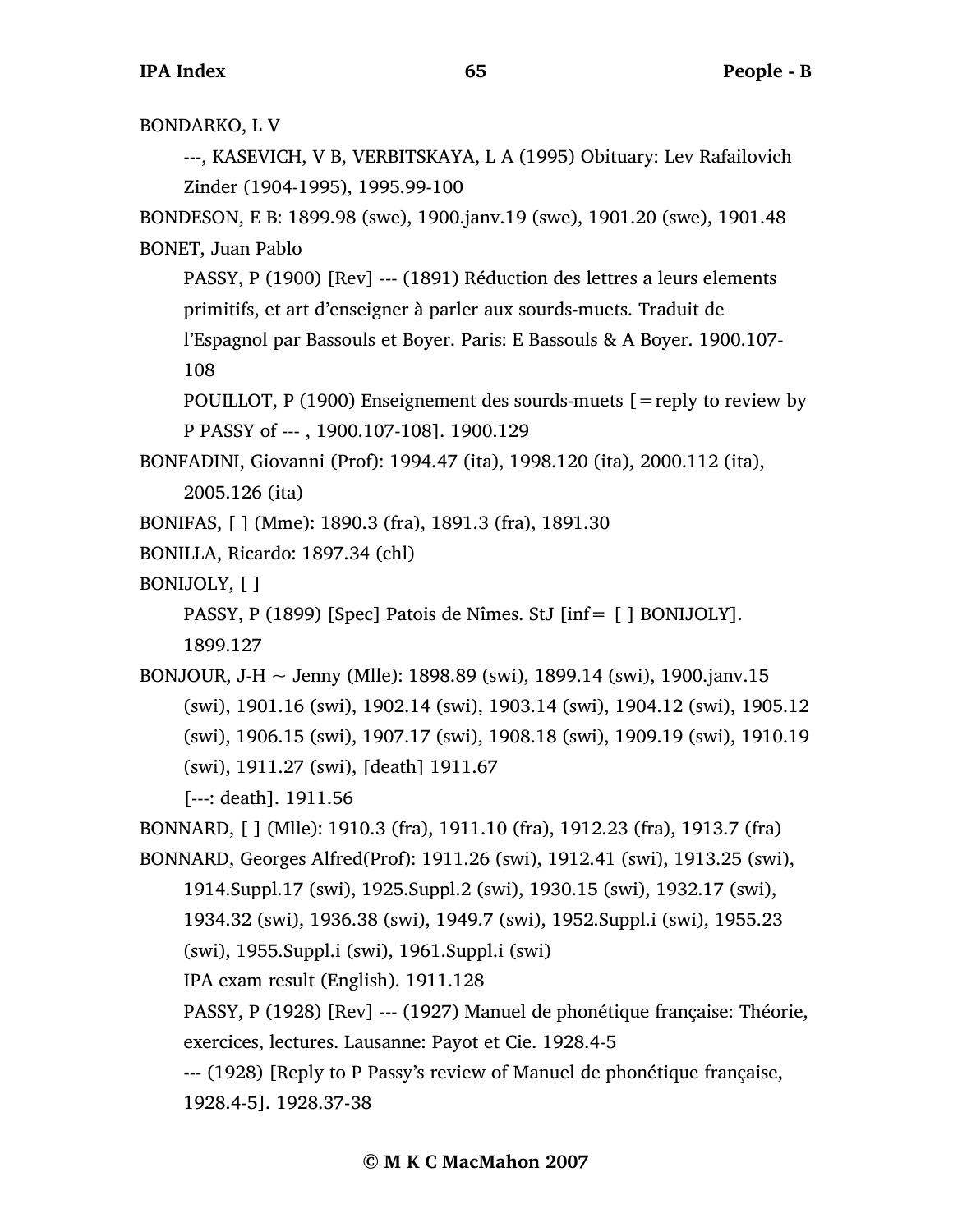BONDARKO, L V

---, KASEVICH, V B, VERBITSKAYA, L A (1995) Obituary: Lev Rafailovich Zinder (1904-1995), 1995.99-100

BONDESON, E B: 1899.98 (swe), 1900.janv.19 (swe), 1901.20 (swe), 1901.48 BONET, Juan Pablo

PASSY, P (1900) [Rev] --- (1891) Réduction des lettres a leurs elements primitifs, et art d'enseigner à parler aux sourds-muets. Traduit de

l'Espagnol par Bassouls et Boyer. Paris: E Bassouls & A Boyer. 1900.107- 108

POUILLOT, P (1900) Enseignement des sourds-muets [=reply to review by P PASSY of --- , 1900.107-108]. 1900.129

BONFADINI, Giovanni (Prof): 1994.47 (ita), 1998.120 (ita), 2000.112 (ita),

2005.126 (ita)

BONIFAS, [ ] (Mme): 1890.3 (fra), 1891.3 (fra), 1891.30

BONILLA, Ricardo: 1897.34 (chl)

BONIJOLY, [ ]

PASSY, P (1899) [Spec] Patois de Nîmes. StJ [inf= [ ] BONIJOLY].

1899.127

BONJOUR, J-H  $\sim$  Jenny (Mlle): 1898.89 (swi), 1899.14 (swi), 1900.janv.15 (swi), 1901.16 (swi), 1902.14 (swi), 1903.14 (swi), 1904.12 (swi), 1905.12 (swi), 1906.15 (swi), 1907.17 (swi), 1908.18 (swi), 1909.19 (swi), 1910.19 (swi), 1911.27 (swi), [death] 1911.67

[---: death]. 1911.56

BONNARD, [ ] (Mlle): 1910.3 (fra), 1911.10 (fra), 1912.23 (fra), 1913.7 (fra) BONNARD, Georges Alfred(Prof): 1911.26 (swi), 1912.41 (swi), 1913.25 (swi),

1914.Suppl.17 (swi), 1925.Suppl.2 (swi), 1930.15 (swi), 1932.17 (swi),

1934.32 (swi), 1936.38 (swi), 1949.7 (swi), 1952.Suppl.i (swi), 1955.23

(swi), 1955.Suppl.i (swi), 1961.Suppl.i (swi)

IPA exam result (English). 1911.128

PASSY, P (1928) [Rev] --- (1927) Manuel de phonétique française: Théorie, exercices, lectures. Lausanne: Payot et Cie. 1928.4-5

--- (1928) [Reply to P Passy's review of Manuel de phonétique française,

1928.4-5]. 1928.37-38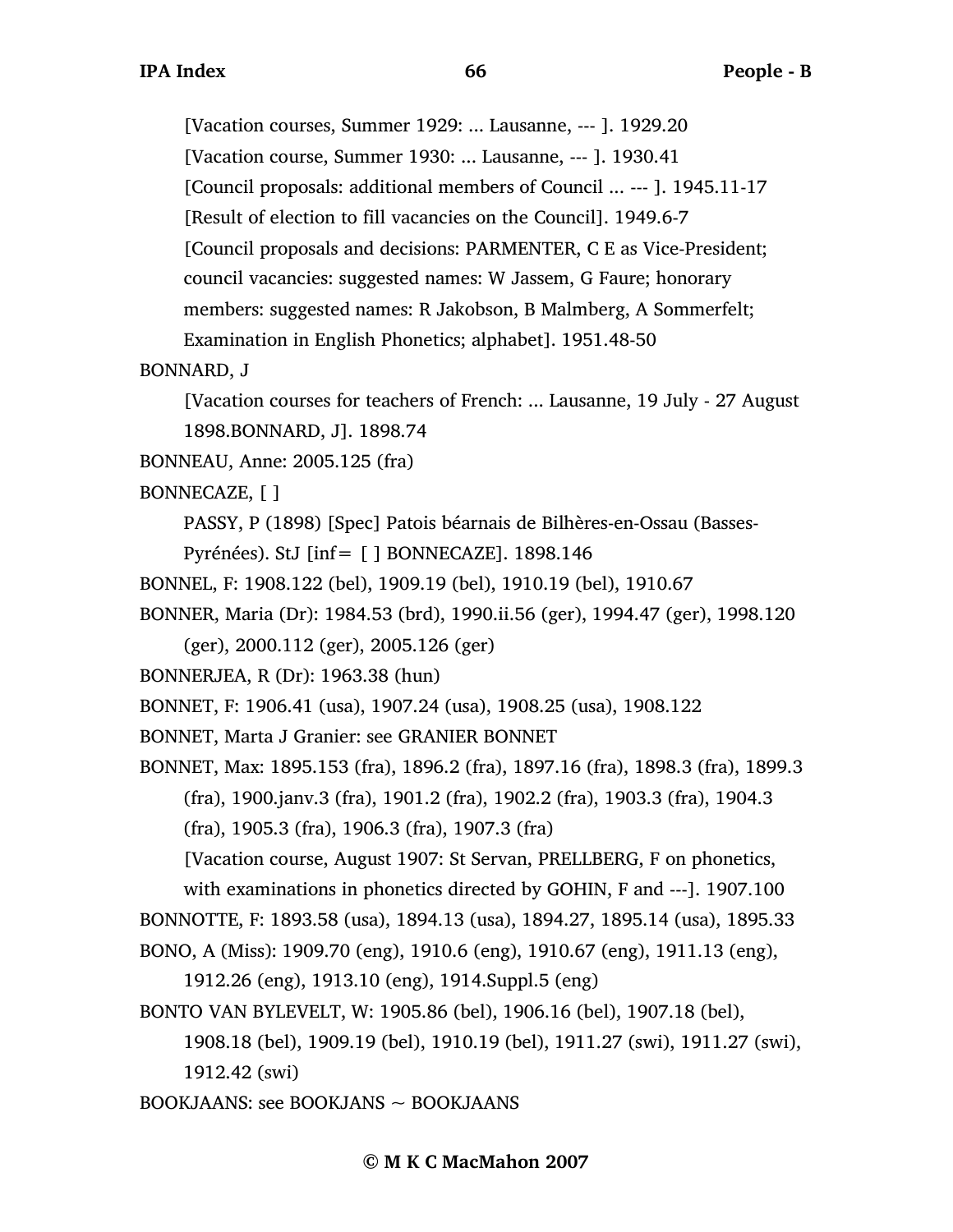[Vacation courses, Summer 1929: ... Lausanne, --- ]. 1929.20 [Vacation course, Summer 1930: ... Lausanne, --- ]. 1930.41 [Council proposals: additional members of Council ... --- ]. 1945.11-17 [Result of election to fill vacancies on the Council]. 1949.6-7 [Council proposals and decisions: PARMENTER, C E as Vice-President; council vacancies: suggested names: W Jassem, G Faure; honorary members: suggested names: R Jakobson, B Malmberg, A Sommerfelt; Examination in English Phonetics; alphabet]. 1951.48-50

## BONNARD, J

[Vacation courses for teachers of French: ... Lausanne, 19 July - 27 August 1898.BONNARD, J]. 1898.74

BONNEAU, Anne: 2005.125 (fra)

## BONNECAZE, [ ]

PASSY, P (1898) [Spec] Patois béarnais de Bilhères-en-Ossau (Basses-

Pyrénées). StJ [inf= [ ] BONNECAZE]. 1898.146

- BONNEL, F: 1908.122 (bel), 1909.19 (bel), 1910.19 (bel), 1910.67
- BONNER, Maria (Dr): 1984.53 (brd), 1990.ii.56 (ger), 1994.47 (ger), 1998.120

(ger), 2000.112 (ger), 2005.126 (ger)

BONNERJEA, R (Dr): 1963.38 (hun)

BONNET, F: 1906.41 (usa), 1907.24 (usa), 1908.25 (usa), 1908.122

BONNET, Marta J Granier: see GRANIER BONNET

BONNET, Max: 1895.153 (fra), 1896.2 (fra), 1897.16 (fra), 1898.3 (fra), 1899.3

(fra), 1900.janv.3 (fra), 1901.2 (fra), 1902.2 (fra), 1903.3 (fra), 1904.3

(fra), 1905.3 (fra), 1906.3 (fra), 1907.3 (fra)

[Vacation course, August 1907: St Servan, PRELLBERG, F on phonetics,

with examinations in phonetics directed by GOHIN, F and ---]. 1907.100 BONNOTTE, F: 1893.58 (usa), 1894.13 (usa), 1894.27, 1895.14 (usa), 1895.33 BONO, A (Miss): 1909.70 (eng), 1910.6 (eng), 1910.67 (eng), 1911.13 (eng),

1912.26 (eng), 1913.10 (eng), 1914.Suppl.5 (eng)

BONTO VAN BYLEVELT, W: 1905.86 (bel), 1906.16 (bel), 1907.18 (bel),

1908.18 (bel), 1909.19 (bel), 1910.19 (bel), 1911.27 (swi), 1911.27 (swi), 1912.42 (swi)

BOOKJAANS: see BOOKJANS ~ BOOKJAANS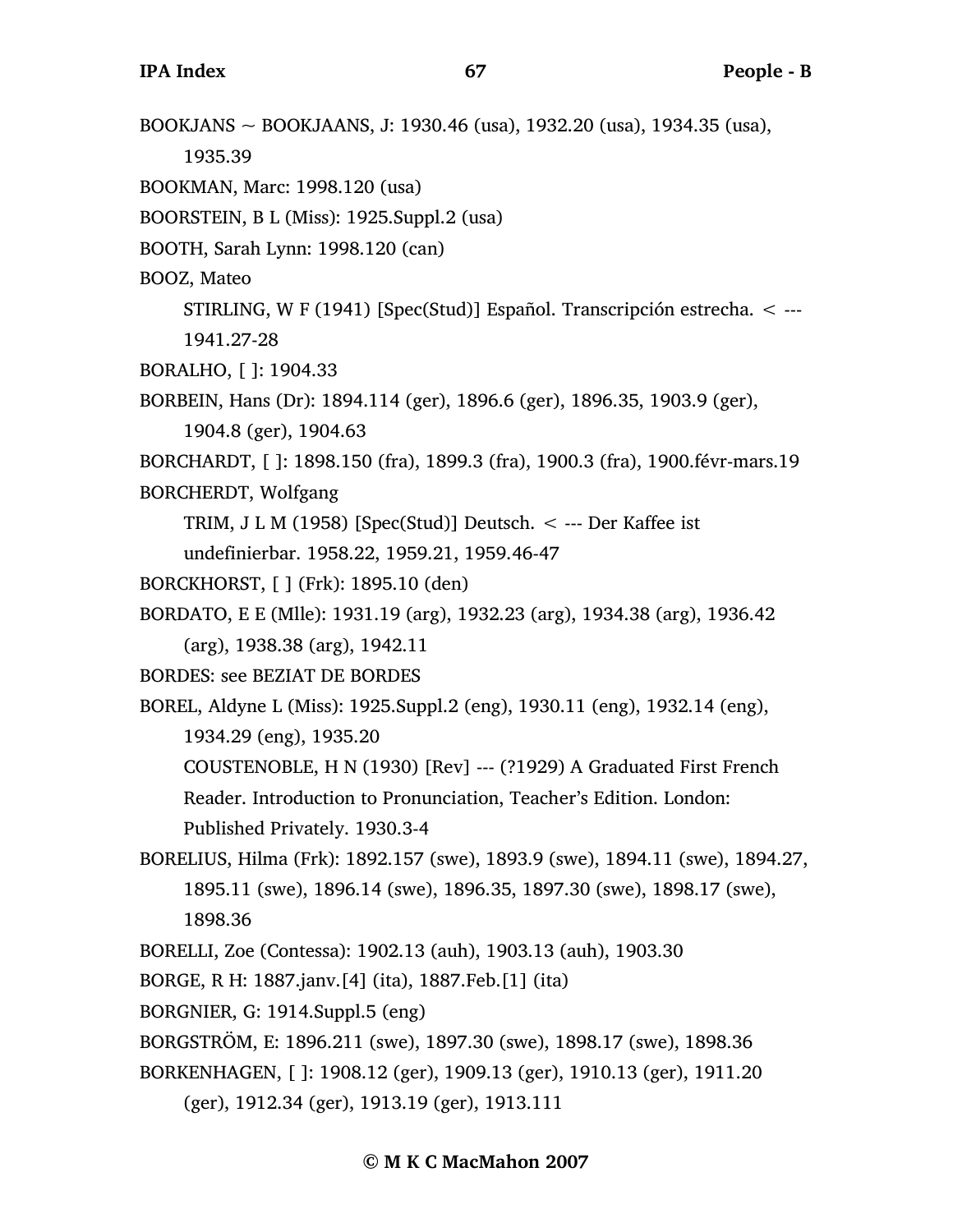BOOKJANS ~ BOOKJAANS, J: 1930.46 (usa), 1932.20 (usa), 1934.35 (usa),

1935.39

BOOKMAN, Marc: 1998.120 (usa)

BOORSTEIN, B L (Miss): 1925.Suppl.2 (usa)

BOOTH, Sarah Lynn: 1998.120 (can)

BOOZ, Mateo

STIRLING, W F (1941) [Spec(Stud)] Español. Transcripción estrecha. < --- 1941.27-28

- BORALHO, [ ]: 1904.33
- BORBEIN, Hans (Dr): 1894.114 (ger), 1896.6 (ger), 1896.35, 1903.9 (ger),

1904.8 (ger), 1904.63

BORCHARDT, [ ]: 1898.150 (fra), 1899.3 (fra), 1900.3 (fra), 1900.févr-mars.19

BORCHERDT, Wolfgang

TRIM, J L M (1958) [Spec(Stud)] Deutsch.  $\lt$  --- Der Kaffee ist

undefinierbar. 1958.22, 1959.21, 1959.46-47

- BORCKHORST, [ ] (Frk): 1895.10 (den)
- BORDATO, E E (Mlle): 1931.19 (arg), 1932.23 (arg), 1934.38 (arg), 1936.42 (arg), 1938.38 (arg), 1942.11

BORDES: see BEZIAT DE BORDES

BOREL, Aldyne L (Miss): 1925.Suppl.2 (eng), 1930.11 (eng), 1932.14 (eng), 1934.29 (eng), 1935.20

COUSTENOBLE, H N (1930) [Rev] --- (?1929) A Graduated First French Reader. Introduction to Pronunciation, Teacher's Edition. London: Published Privately. 1930.3-4

- BORELIUS, Hilma (Frk): 1892.157 (swe), 1893.9 (swe), 1894.11 (swe), 1894.27, 1895.11 (swe), 1896.14 (swe), 1896.35, 1897.30 (swe), 1898.17 (swe), 1898.36
- BORELLI, Zoe (Contessa): 1902.13 (auh), 1903.13 (auh), 1903.30
- BORGE, R H: 1887.janv.[4] (ita), 1887.Feb.[1] (ita)
- BORGNIER, G: 1914.Suppl.5 (eng)
- BORGSTRÖM, E: 1896.211 (swe), 1897.30 (swe), 1898.17 (swe), 1898.36

BORKENHAGEN, [ ]: 1908.12 (ger), 1909.13 (ger), 1910.13 (ger), 1911.20

(ger), 1912.34 (ger), 1913.19 (ger), 1913.111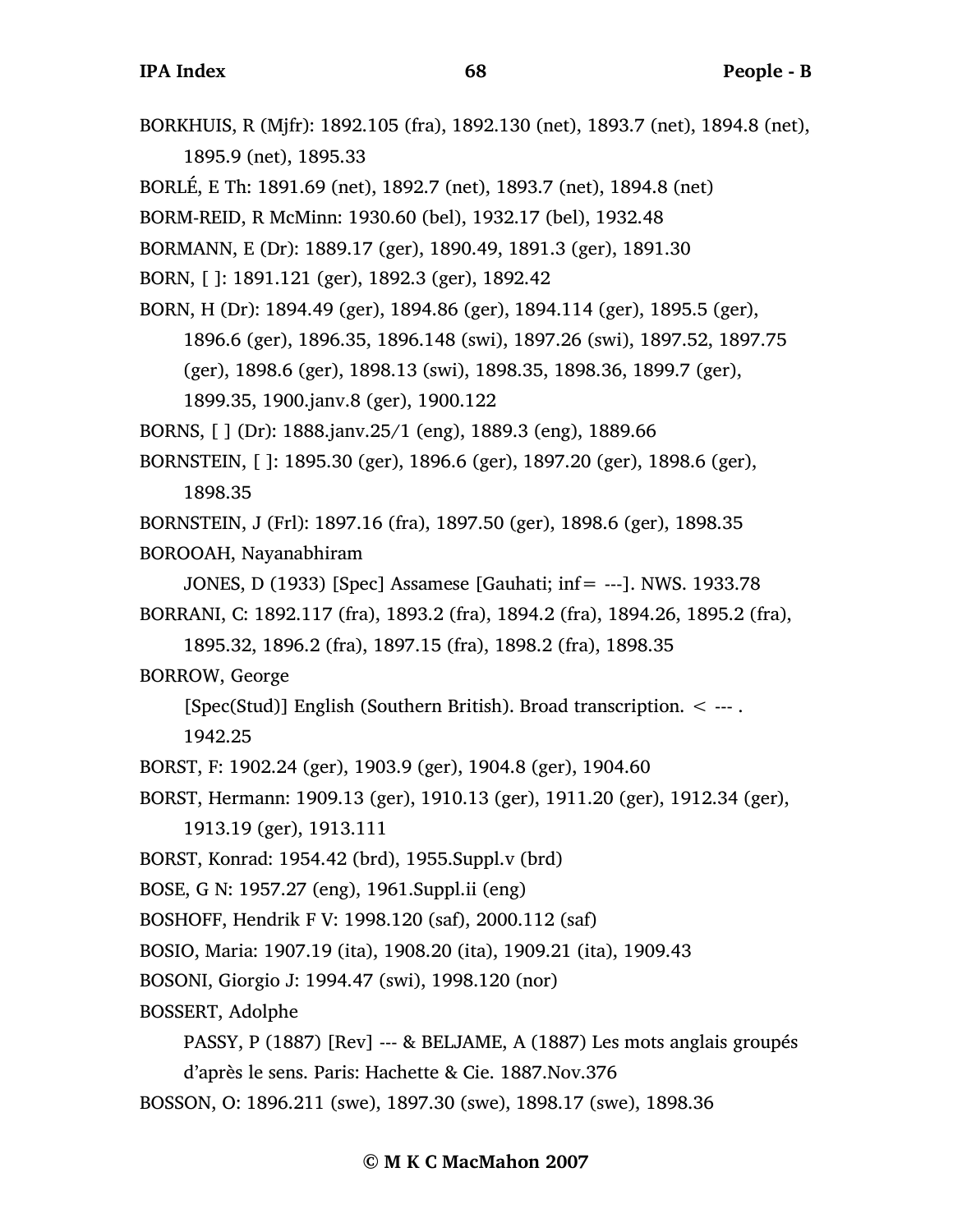BORKHUIS, R (Mjfr): 1892.105 (fra), 1892.130 (net), 1893.7 (net), 1894.8 (net), 1895.9 (net), 1895.33 BORLÉ, E Th: 1891.69 (net), 1892.7 (net), 1893.7 (net), 1894.8 (net) BORM-REID, R McMinn: 1930.60 (bel), 1932.17 (bel), 1932.48 BORMANN, E (Dr): 1889.17 (ger), 1890.49, 1891.3 (ger), 1891.30 BORN, [ ]: 1891.121 (ger), 1892.3 (ger), 1892.42 BORN, H (Dr): 1894.49 (ger), 1894.86 (ger), 1894.114 (ger), 1895.5 (ger), 1896.6 (ger), 1896.35, 1896.148 (swi), 1897.26 (swi), 1897.52, 1897.75 (ger), 1898.6 (ger), 1898.13 (swi), 1898.35, 1898.36, 1899.7 (ger), 1899.35, 1900.janv.8 (ger), 1900.122 BORNS, [ ] (Dr): 1888.janv.25/1 (eng), 1889.3 (eng), 1889.66 BORNSTEIN, [ ]: 1895.30 (ger), 1896.6 (ger), 1897.20 (ger), 1898.6 (ger), 1898.35 BORNSTEIN, J (Frl): 1897.16 (fra), 1897.50 (ger), 1898.6 (ger), 1898.35 BOROOAH, Nayanabhiram JONES, D (1933) [Spec] Assamese [Gauhati; inf= ---]. NWS. 1933.78 BORRANI, C: 1892.117 (fra), 1893.2 (fra), 1894.2 (fra), 1894.26, 1895.2 (fra), 1895.32, 1896.2 (fra), 1897.15 (fra), 1898.2 (fra), 1898.35 BORROW, George [Spec(Stud)] English (Southern British). Broad transcription. < --- . 1942.25 BORST, F: 1902.24 (ger), 1903.9 (ger), 1904.8 (ger), 1904.60 BORST, Hermann: 1909.13 (ger), 1910.13 (ger), 1911.20 (ger), 1912.34 (ger), 1913.19 (ger), 1913.111 BORST, Konrad: 1954.42 (brd), 1955.Suppl.v (brd) BOSE, G N: 1957.27 (eng), 1961.Suppl.ii (eng) BOSHOFF, Hendrik F V: 1998.120 (saf), 2000.112 (saf) BOSIO, Maria: 1907.19 (ita), 1908.20 (ita), 1909.21 (ita), 1909.43 BOSONI, Giorgio J: 1994.47 (swi), 1998.120 (nor) BOSSERT, Adolphe PASSY, P (1887) [Rev] --- & BELJAME, A (1887) Les mots anglais groupés d'après le sens. Paris: Hachette & Cie. 1887.Nov.376 BOSSON, O: 1896.211 (swe), 1897.30 (swe), 1898.17 (swe), 1898.36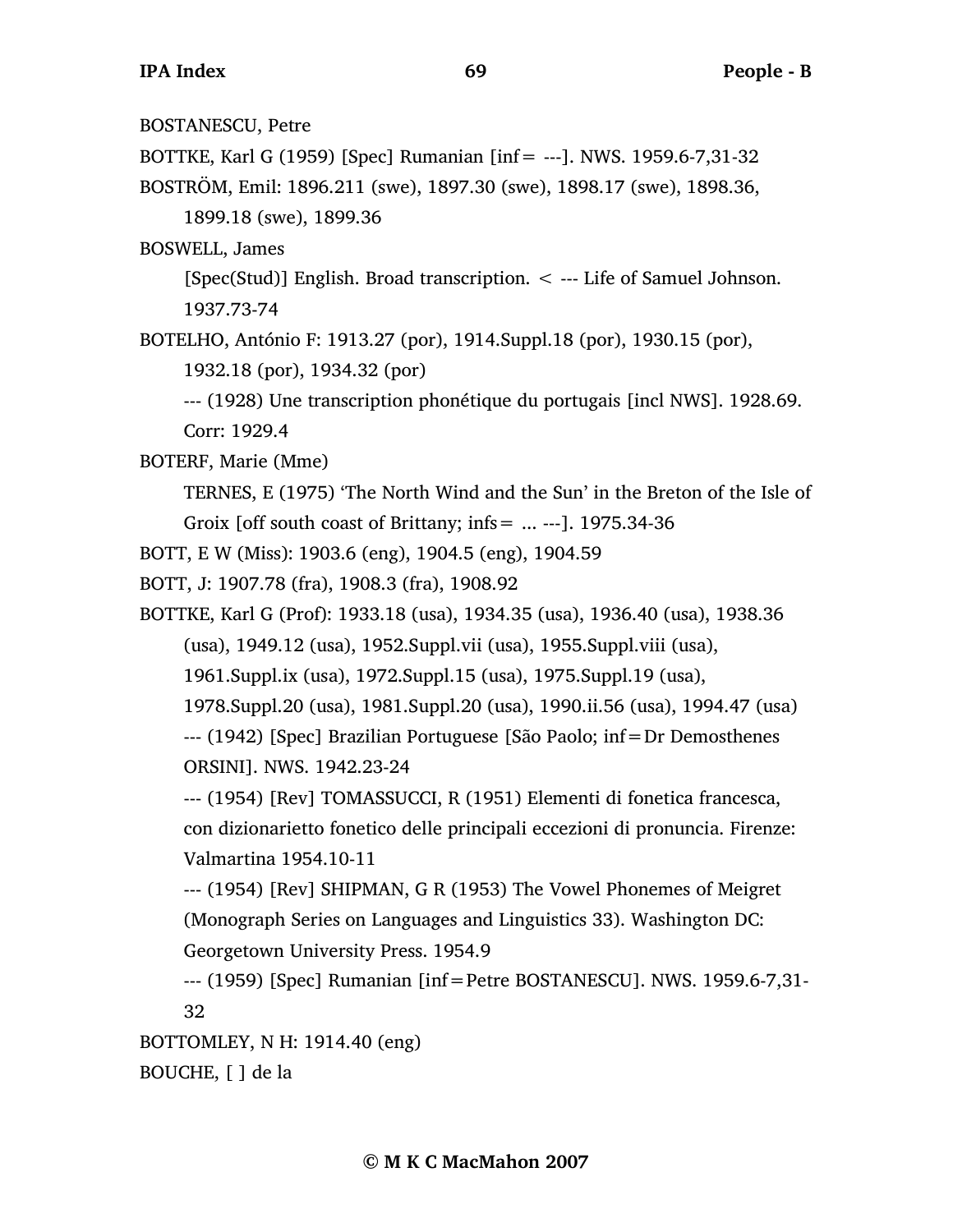BOSTANESCU, Petre BOTTKE, Karl G (1959) [Spec] Rumanian [inf= ---]. NWS. 1959.6-7,31-32 BOSTRÖM, Emil: 1896.211 (swe), 1897.30 (swe), 1898.17 (swe), 1898.36, 1899.18 (swe), 1899.36 BOSWELL, James [Spec(Stud)] English. Broad transcription. < --- Life of Samuel Johnson. 1937.73-74 BOTELHO, António F: 1913.27 (por), 1914.Suppl.18 (por), 1930.15 (por), 1932.18 (por), 1934.32 (por) --- (1928) Une transcription phonétique du portugais [incl NWS]. 1928.69. Corr: 1929.4 BOTERF, Marie (Mme) TERNES, E (1975) 'The North Wind and the Sun' in the Breton of the Isle of Groix [off south coast of Brittany; infs =  $\dots$  ---]. 1975.34-36 BOTT, E W (Miss): 1903.6 (eng), 1904.5 (eng), 1904.59 BOTT, J: 1907.78 (fra), 1908.3 (fra), 1908.92 BOTTKE, Karl G (Prof): 1933.18 (usa), 1934.35 (usa), 1936.40 (usa), 1938.36 (usa), 1949.12 (usa), 1952.Suppl.vii (usa), 1955.Suppl.viii (usa), 1961.Suppl.ix (usa), 1972.Suppl.15 (usa), 1975.Suppl.19 (usa), 1978.Suppl.20 (usa), 1981.Suppl.20 (usa), 1990.ii.56 (usa), 1994.47 (usa) --- (1942) [Spec] Brazilian Portuguese [São Paolo; inf=Dr Demosthenes ORSINI]. NWS. 1942.23-24 --- (1954) [Rev] TOMASSUCCI, R (1951) Elementi di fonetica francesca, con dizionarietto fonetico delle principali eccezioni di pronuncia. Firenze: Valmartina 1954.10-11 --- (1954) [Rev] SHIPMAN, G R (1953) The Vowel Phonemes of Meigret (Monograph Series on Languages and Linguistics 33). Washington DC: Georgetown University Press. 1954.9 --- (1959) [Spec] Rumanian [inf=Petre BOSTANESCU]. NWS. 1959.6-7,31- 32 BOTTOMLEY, N H: 1914.40 (eng) BOUCHE, [ ] de la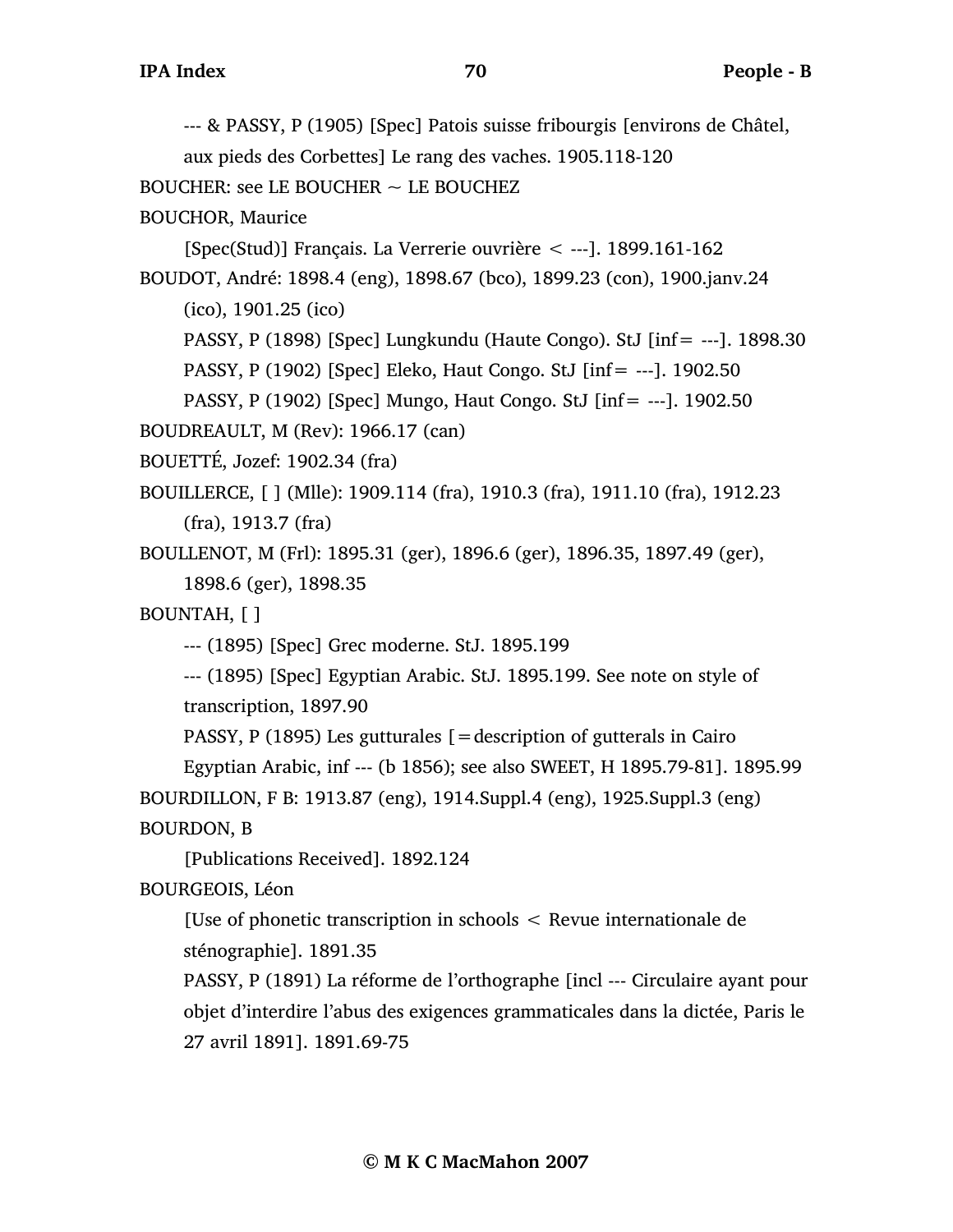--- & PASSY, P (1905) [Spec] Patois suisse fribourgis [environs de Châtel,

aux pieds des Corbettes] Le rang des vaches. 1905.118-120

BOUCHER: see LE BOUCHER  $\sim$  LE BOUCHEZ

BOUCHOR, Maurice

[Spec(Stud)] Français. La Verrerie ouvrière < ---]. 1899.161-162

BOUDOT, André: 1898.4 (eng), 1898.67 (bco), 1899.23 (con), 1900.janv.24

(ico), 1901.25 (ico)

PASSY, P (1898) [Spec] Lungkundu (Haute Congo). StJ [inf= ---]. 1898.30

PASSY, P (1902) [Spec] Eleko, Haut Congo. StJ [inf= ---]. 1902.50

PASSY, P (1902) [Spec] Mungo, Haut Congo. StJ [inf= ---]. 1902.50

BOUDREAULT, M (Rev): 1966.17 (can)

BOUETTÉ, Jozef: 1902.34 (fra)

BOUILLERCE, [ ] (Mlle): 1909.114 (fra), 1910.3 (fra), 1911.10 (fra), 1912.23 (fra), 1913.7 (fra)

BOULLENOT, M (Frl): 1895.31 (ger), 1896.6 (ger), 1896.35, 1897.49 (ger), 1898.6 (ger), 1898.35

BOUNTAH, [ ]

--- (1895) [Spec] Grec moderne. StJ. 1895.199

--- (1895) [Spec] Egyptian Arabic. StJ. 1895.199. See note on style of transcription, 1897.90

PASSY, P (1895) Les gutturales  $=$  description of gutterals in Cairo

Egyptian Arabic, inf --- (b 1856); see also SWEET, H 1895.79-81]. 1895.99 BOURDILLON, F B: 1913.87 (eng), 1914.Suppl.4 (eng), 1925.Suppl.3 (eng) BOURDON, B

[Publications Received]. 1892.124

BOURGEOIS, Léon

[Use of phonetic transcription in schools < Revue internationale de sténographie]. 1891.35

PASSY, P (1891) La réforme de l'orthographe [incl --- Circulaire ayant pour objet d'interdire l'abus des exigences grammaticales dans la dictée, Paris le 27 avril 1891]. 1891.69-75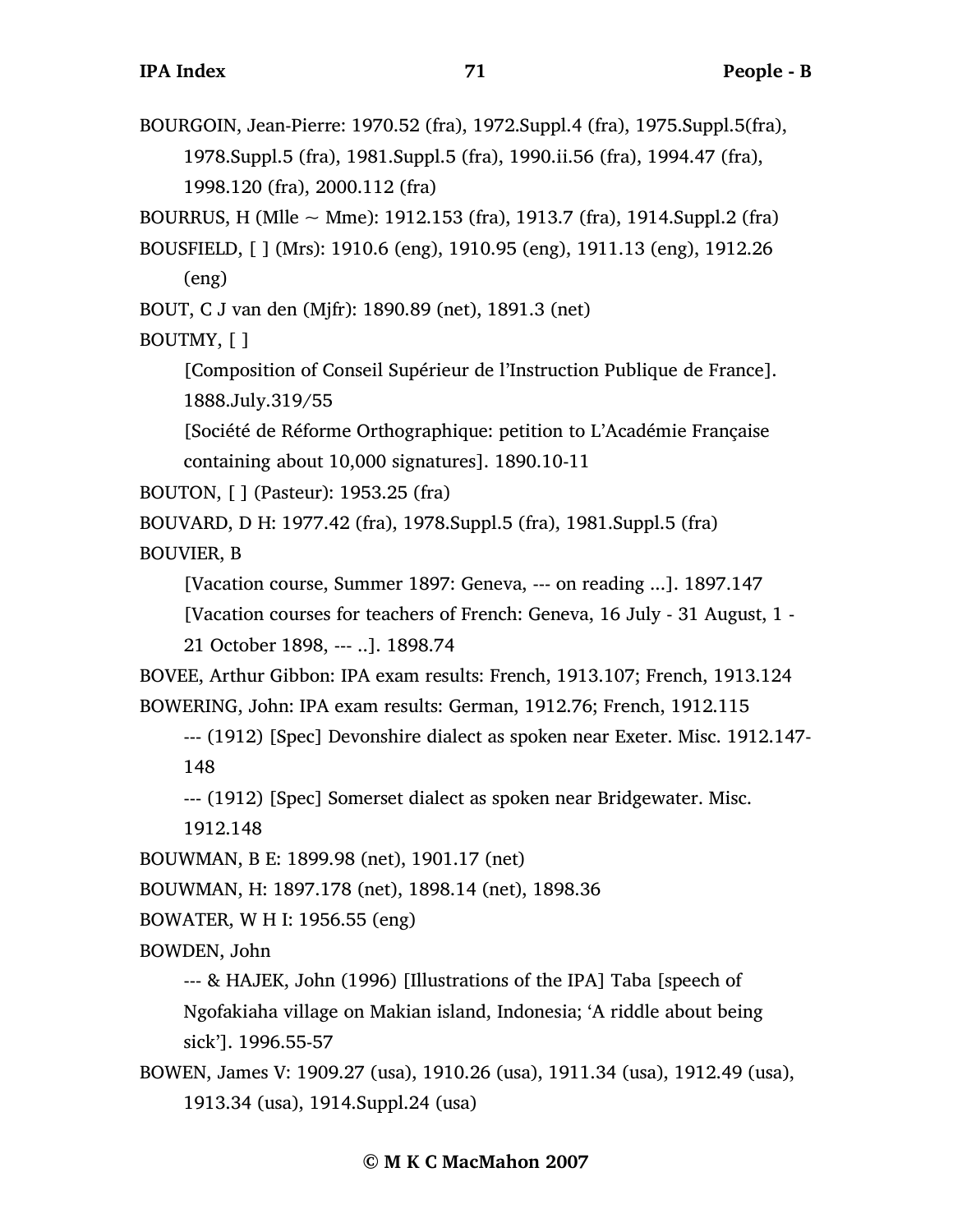BOURGOIN, Jean-Pierre: 1970.52 (fra), 1972.Suppl.4 (fra), 1975.Suppl.5(fra), 1978.Suppl.5 (fra), 1981.Suppl.5 (fra), 1990.ii.56 (fra), 1994.47 (fra), 1998.120 (fra), 2000.112 (fra) BOURRUS, H (Mlle  $\sim$  Mme): 1912.153 (fra), 1913.7 (fra), 1914.Suppl.2 (fra) BOUSFIELD, [ ] (Mrs): 1910.6 (eng), 1910.95 (eng), 1911.13 (eng), 1912.26 (eng) BOUT, C J van den (Mjfr): 1890.89 (net), 1891.3 (net) BOUTMY, [ ] [Composition of Conseil Supérieur de l'Instruction Publique de France]. 1888.July.319/55 [Société de Réforme Orthographique: petition to L'Académie Française containing about 10,000 signatures]. 1890.10-11 BOUTON, [ ] (Pasteur): 1953.25 (fra) BOUVARD, D H: 1977.42 (fra), 1978.Suppl.5 (fra), 1981.Suppl.5 (fra) BOUVIER, B [Vacation course, Summer 1897: Geneva, --- on reading ...]. 1897.147 [Vacation courses for teachers of French: Geneva, 16 July - 31 August, 1 - 21 October 1898, --- ..]. 1898.74 BOVEE, Arthur Gibbon: IPA exam results: French, 1913.107; French, 1913.124 BOWERING, John: IPA exam results: German, 1912.76; French, 1912.115 --- (1912) [Spec] Devonshire dialect as spoken near Exeter. Misc. 1912.147- 148 --- (1912) [Spec] Somerset dialect as spoken near Bridgewater. Misc. 1912.148 BOUWMAN, B E: 1899.98 (net), 1901.17 (net) BOUWMAN, H: 1897.178 (net), 1898.14 (net), 1898.36 BOWATER, W H I: 1956.55 (eng) BOWDEN, John --- & HAJEK, John (1996) [Illustrations of the IPA] Taba [speech of Ngofakiaha village on Makian island, Indonesia; 'A riddle about being sick']. 1996.55-57 BOWEN, James V: 1909.27 (usa), 1910.26 (usa), 1911.34 (usa), 1912.49 (usa), 1913.34 (usa), 1914.Suppl.24 (usa)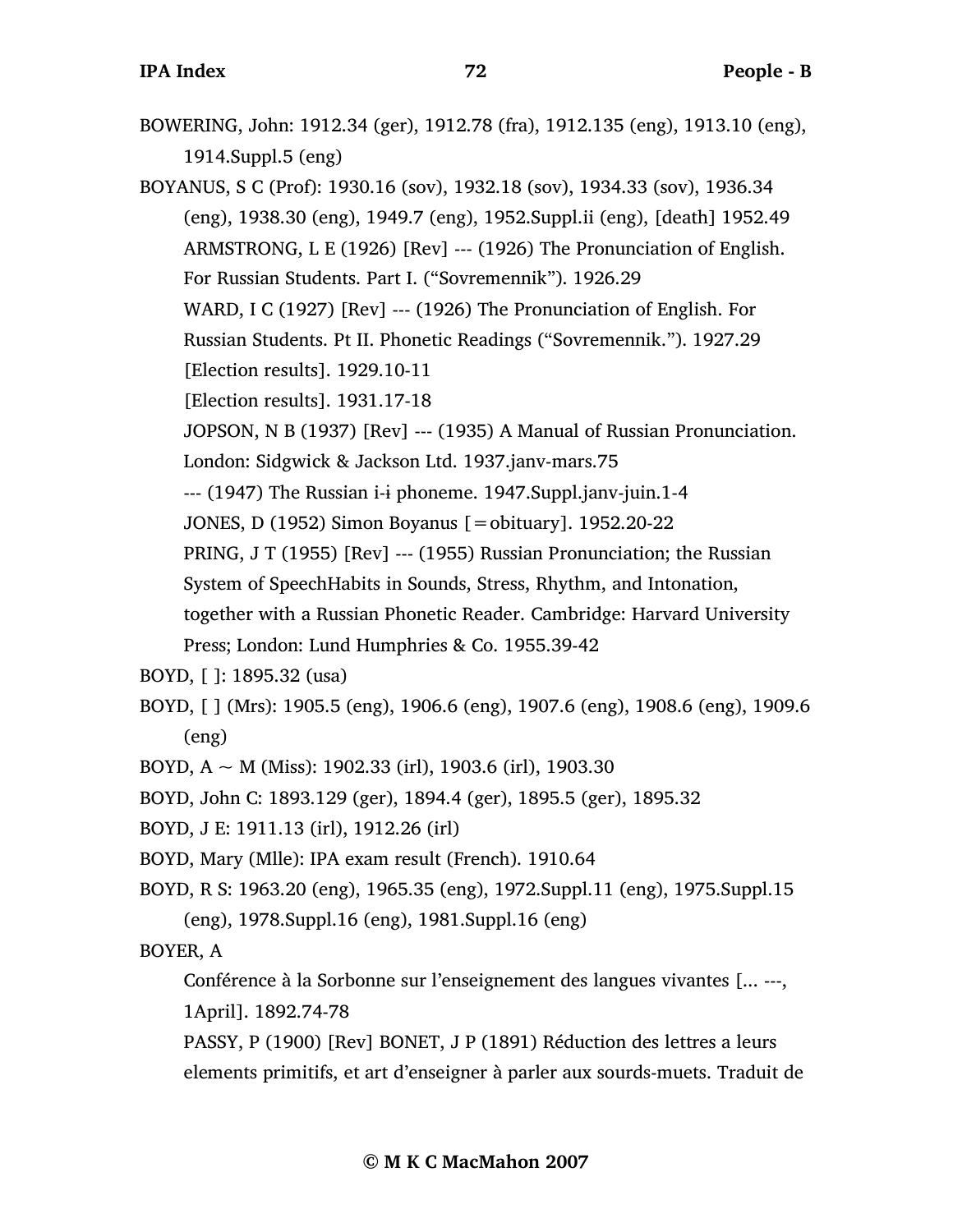BOWERING, John: 1912.34 (ger), 1912.78 (fra), 1912.135 (eng), 1913.10 (eng), 1914.Suppl.5 (eng)

BOYANUS, S C (Prof): 1930.16 (sov), 1932.18 (sov), 1934.33 (sov), 1936.34 (eng), 1938.30 (eng), 1949.7 (eng), 1952.Suppl.ii (eng), [death] 1952.49 ARMSTRONG, L E (1926) [Rev] --- (1926) The Pronunciation of English. For Russian Students. Part I. ("Sovremennik"). 1926.29 WARD, I C (1927) [Rev] --- (1926) The Pronunciation of English. For Russian Students. Pt II. Phonetic Readings ("Sovremennik."). 1927.29

[Election results]. 1929.10-11

[Election results]. 1931.17-18

JOPSON, N B (1937) [Rev] --- (1935) A Manual of Russian Pronunciation. London: Sidgwick & Jackson Ltd. 1937.janv-mars.75

--- (1947) The Russian i-i phoneme. 1947. Suppl.janv-juin. 1-4

JONES, D (1952) Simon Boyanus [=obituary]. 1952.20-22

PRING, J T (1955) [Rev] --- (1955) Russian Pronunciation; the Russian

System of SpeechHabits in Sounds, Stress, Rhythm, and Intonation,

together with a Russian Phonetic Reader. Cambridge: Harvard University

Press; London: Lund Humphries & Co. 1955.39-42

BOYD, [ ]: 1895.32 (usa)

BOYD, [ ] (Mrs): 1905.5 (eng), 1906.6 (eng), 1907.6 (eng), 1908.6 (eng), 1909.6 (eng)

BOYD,  $A \sim M$  (Miss): 1902.33 (irl), 1903.6 (irl), 1903.30

BOYD, John C: 1893.129 (ger), 1894.4 (ger), 1895.5 (ger), 1895.32

BOYD, J E: 1911.13 (irl), 1912.26 (irl)

BOYD, Mary (Mlle): IPA exam result (French). 1910.64

BOYD, R S: 1963.20 (eng), 1965.35 (eng), 1972.Suppl.11 (eng), 1975.Suppl.15 (eng), 1978.Suppl.16 (eng), 1981.Suppl.16 (eng)

BOYER, A

Conférence à la Sorbonne sur l'enseignement des langues vivantes [... ---, 1April]. 1892.74-78

PASSY, P (1900) [Rev] BONET, J P (1891) Réduction des lettres a leurs elements primitifs, et art d'enseigner à parler aux sourds-muets. Traduit de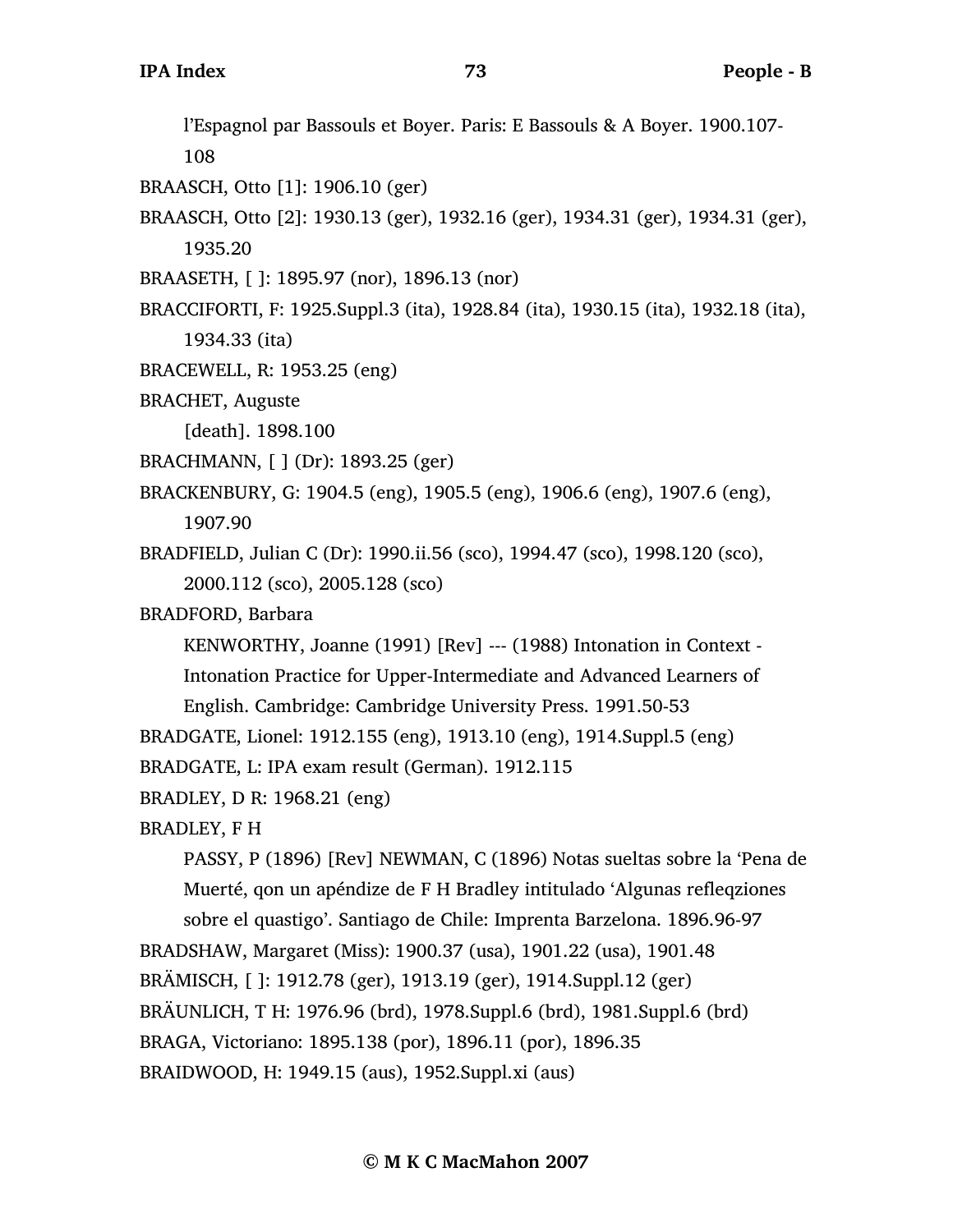l'Espagnol par Bassouls et Boyer. Paris: E Bassouls & A Boyer. 1900.107- 108

- BRAASCH, Otto [1]: 1906.10 (ger)
- BRAASCH, Otto [2]: 1930.13 (ger), 1932.16 (ger), 1934.31 (ger), 1934.31 (ger), 1935.20
- BRAASETH, [ ]: 1895.97 (nor), 1896.13 (nor)
- BRACCIFORTI, F: 1925.Suppl.3 (ita), 1928.84 (ita), 1930.15 (ita), 1932.18 (ita), 1934.33 (ita)
- BRACEWELL, R: 1953.25 (eng)
- BRACHET, Auguste

[death]. 1898.100

- BRACHMANN, [ ] (Dr): 1893.25 (ger)
- BRACKENBURY, G: 1904.5 (eng), 1905.5 (eng), 1906.6 (eng), 1907.6 (eng), 1907.90
- BRADFIELD, Julian C (Dr): 1990.ii.56 (sco), 1994.47 (sco), 1998.120 (sco), 2000.112 (sco), 2005.128 (sco)
- BRADFORD, Barbara

KENWORTHY, Joanne (1991) [Rev] --- (1988) Intonation in Context - Intonation Practice for Upper-Intermediate and Advanced Learners of English. Cambridge: Cambridge University Press. 1991.50-53

BRADGATE, Lionel: 1912.155 (eng), 1913.10 (eng), 1914.Suppl.5 (eng)

BRADGATE, L: IPA exam result (German). 1912.115

BRADLEY, D R: 1968.21 (eng)

```
BRADLEY, F H
```
PASSY, P (1896) [Rev] NEWMAN, C (1896) Notas sueltas sobre la 'Pena de Muerté, qon un apéndize de F H Bradley intitulado 'Algunas refleqziones sobre el quastigo'. Santiago de Chile: Imprenta Barzelona. 1896.96-97 BRADSHAW, Margaret (Miss): 1900.37 (usa), 1901.22 (usa), 1901.48 BRÄMISCH, [ ]: 1912.78 (ger), 1913.19 (ger), 1914.Suppl.12 (ger) BRÄUNLICH, T H: 1976.96 (brd), 1978.Suppl.6 (brd), 1981.Suppl.6 (brd) BRAGA, Victoriano: 1895.138 (por), 1896.11 (por), 1896.35 BRAIDWOOD, H: 1949.15 (aus), 1952.Suppl.xi (aus)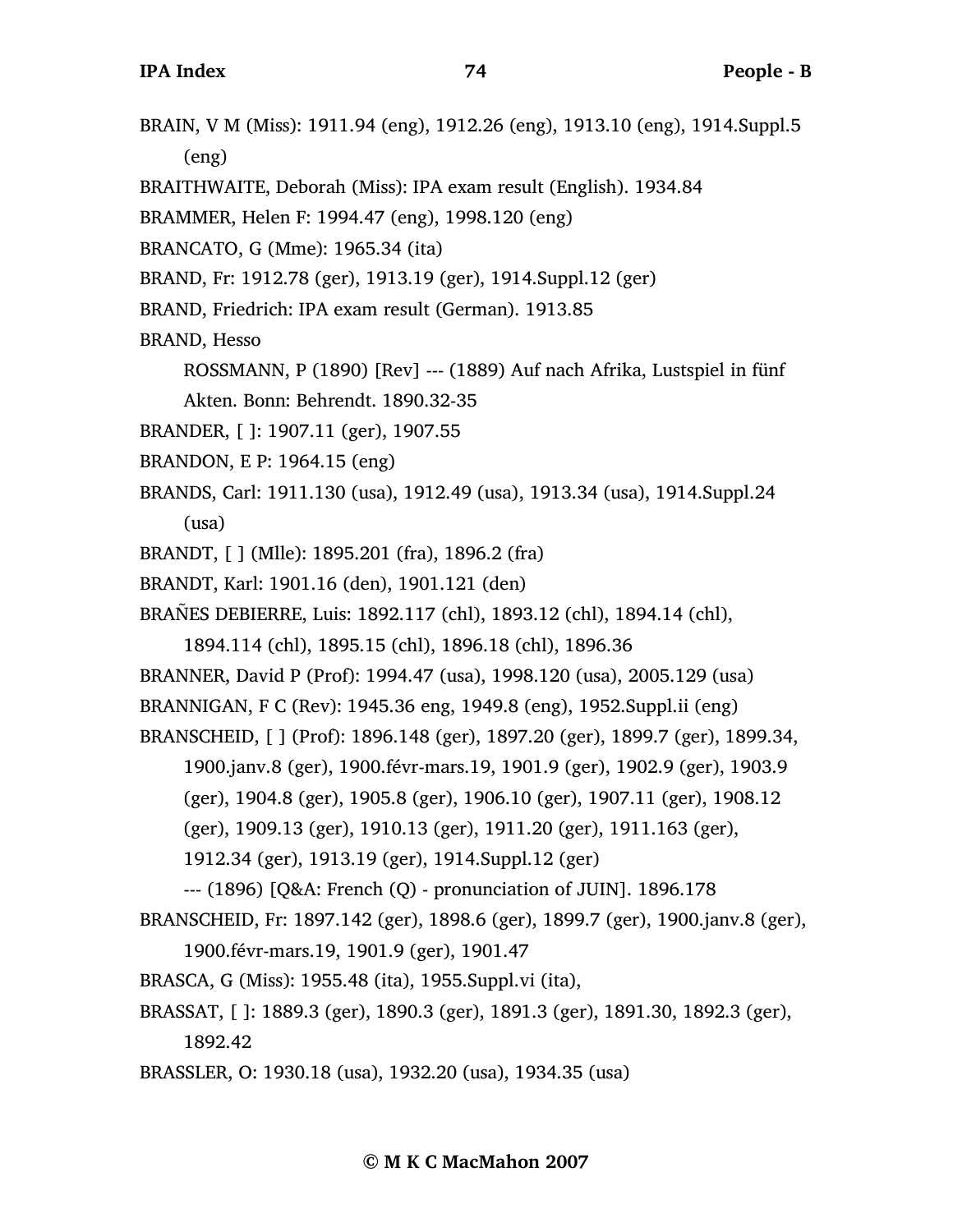- BRAIN, V M (Miss): 1911.94 (eng), 1912.26 (eng), 1913.10 (eng), 1914.Suppl.5 (eng)
- BRAITHWAITE, Deborah (Miss): IPA exam result (English). 1934.84
- BRAMMER, Helen F: 1994.47 (eng), 1998.120 (eng)
- BRANCATO, G (Mme): 1965.34 (ita)
- BRAND, Fr: 1912.78 (ger), 1913.19 (ger), 1914.Suppl.12 (ger)
- BRAND, Friedrich: IPA exam result (German). 1913.85
- BRAND, Hesso
	- ROSSMANN, P (1890) [Rev] --- (1889) Auf nach Afrika, Lustspiel in fünf Akten. Bonn: Behrendt. 1890.32-35
- BRANDER, [ ]: 1907.11 (ger), 1907.55
- BRANDON, E P: 1964.15 (eng)
- BRANDS, Carl: 1911.130 (usa), 1912.49 (usa), 1913.34 (usa), 1914.Suppl.24 (usa)
- BRANDT, [ ] (Mlle): 1895.201 (fra), 1896.2 (fra)
- BRANDT, Karl: 1901.16 (den), 1901.121 (den)
- BRAÑES DEBIERRE, Luis: 1892.117 (chl), 1893.12 (chl), 1894.14 (chl),

1894.114 (chl), 1895.15 (chl), 1896.18 (chl), 1896.36

BRANNER, David P (Prof): 1994.47 (usa), 1998.120 (usa), 2005.129 (usa)

BRANNIGAN, F C (Rev): 1945.36 eng, 1949.8 (eng), 1952.Suppl.ii (eng)

BRANSCHEID, [ ] (Prof): 1896.148 (ger), 1897.20 (ger), 1899.7 (ger), 1899.34,

1900.janv.8 (ger), 1900.févr-mars.19, 1901.9 (ger), 1902.9 (ger), 1903.9

(ger), 1904.8 (ger), 1905.8 (ger), 1906.10 (ger), 1907.11 (ger), 1908.12

(ger), 1909.13 (ger), 1910.13 (ger), 1911.20 (ger), 1911.163 (ger),

```
1912.34 (ger), 1913.19 (ger), 1914.Suppl.12 (ger)
```
--- (1896) [Q&A: French (Q) - pronunciation of JUIN]. 1896.178

BRANSCHEID, Fr: 1897.142 (ger), 1898.6 (ger), 1899.7 (ger), 1900.janv.8 (ger),

1900.févr-mars.19, 1901.9 (ger), 1901.47

- BRASCA, G (Miss): 1955.48 (ita), 1955.Suppl.vi (ita),
- BRASSAT, [ ]: 1889.3 (ger), 1890.3 (ger), 1891.3 (ger), 1891.30, 1892.3 (ger),

1892.42

BRASSLER, O: 1930.18 (usa), 1932.20 (usa), 1934.35 (usa)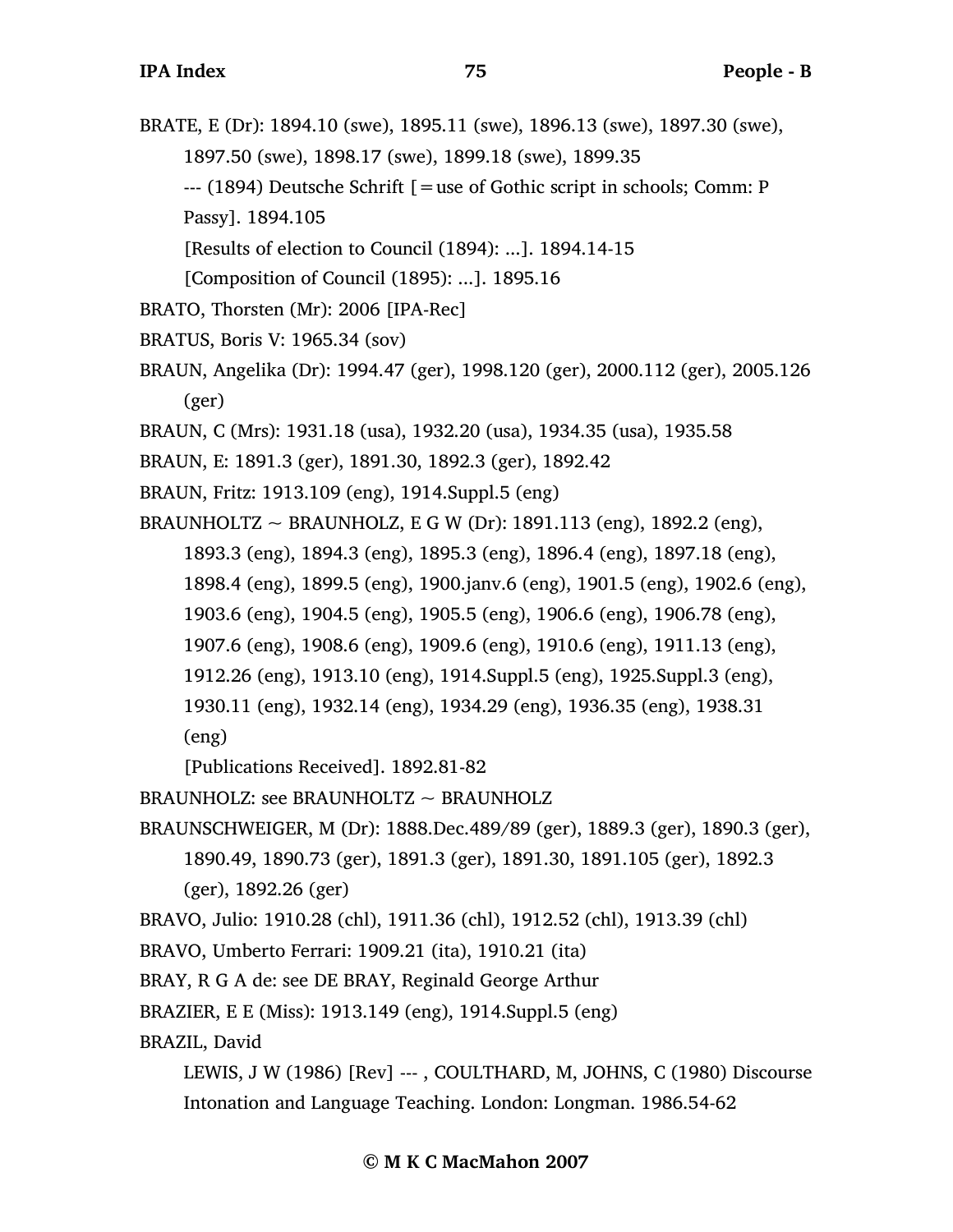- BRATE, E (Dr): 1894.10 (swe), 1895.11 (swe), 1896.13 (swe), 1897.30 (swe), 1897.50 (swe), 1898.17 (swe), 1899.18 (swe), 1899.35 --- (1894) Deutsche Schrift [=use of Gothic script in schools; Comm: P Passy]. 1894.105
	- [Results of election to Council (1894): ...]. 1894.14-15

```
[Composition of Council (1895): ...]. 1895.16
```
- BRATO, Thorsten (Mr): 2006 [IPA-Rec]
- BRATUS, Boris V: 1965.34 (sov)
- BRAUN, Angelika (Dr): 1994.47 (ger), 1998.120 (ger), 2000.112 (ger), 2005.126 (ger)
- BRAUN, C (Mrs): 1931.18 (usa), 1932.20 (usa), 1934.35 (usa), 1935.58
- BRAUN, E: 1891.3 (ger), 1891.30, 1892.3 (ger), 1892.42
- BRAUN, Fritz: 1913.109 (eng), 1914.Suppl.5 (eng)

BRAUNHOLTZ ~ BRAUNHOLZ, E G W (Dr): 1891.113 (eng), 1892.2 (eng),

1893.3 (eng), 1894.3 (eng), 1895.3 (eng), 1896.4 (eng), 1897.18 (eng),

- 1898.4 (eng), 1899.5 (eng), 1900.janv.6 (eng), 1901.5 (eng), 1902.6 (eng),
- 1903.6 (eng), 1904.5 (eng), 1905.5 (eng), 1906.6 (eng), 1906.78 (eng),
- 1907.6 (eng), 1908.6 (eng), 1909.6 (eng), 1910.6 (eng), 1911.13 (eng),
- 1912.26 (eng), 1913.10 (eng), 1914.Suppl.5 (eng), 1925.Suppl.3 (eng),
- 1930.11 (eng), 1932.14 (eng), 1934.29 (eng), 1936.35 (eng), 1938.31 (eng)

[Publications Received]. 1892.81-82

BRAUNHOLZ: see BRAUNHOLTZ  $\sim$  BRAUNHOLZ

BRAUNSCHWEIGER, M (Dr): 1888.Dec.489/89 (ger), 1889.3 (ger), 1890.3 (ger), 1890.49, 1890.73 (ger), 1891.3 (ger), 1891.30, 1891.105 (ger), 1892.3

(ger), 1892.26 (ger)

BRAVO, Julio: 1910.28 (chl), 1911.36 (chl), 1912.52 (chl), 1913.39 (chl)

BRAVO, Umberto Ferrari: 1909.21 (ita), 1910.21 (ita)

BRAY, R G A de: see DE BRAY, Reginald George Arthur

BRAZIER, E E (Miss): 1913.149 (eng), 1914.Suppl.5 (eng)

BRAZIL, David

```
LEWIS, J W (1986) [Rev] --- , COULTHARD, M, JOHNS, C (1980) Discourse
Intonation and Language Teaching. London: Longman. 1986.54-62
```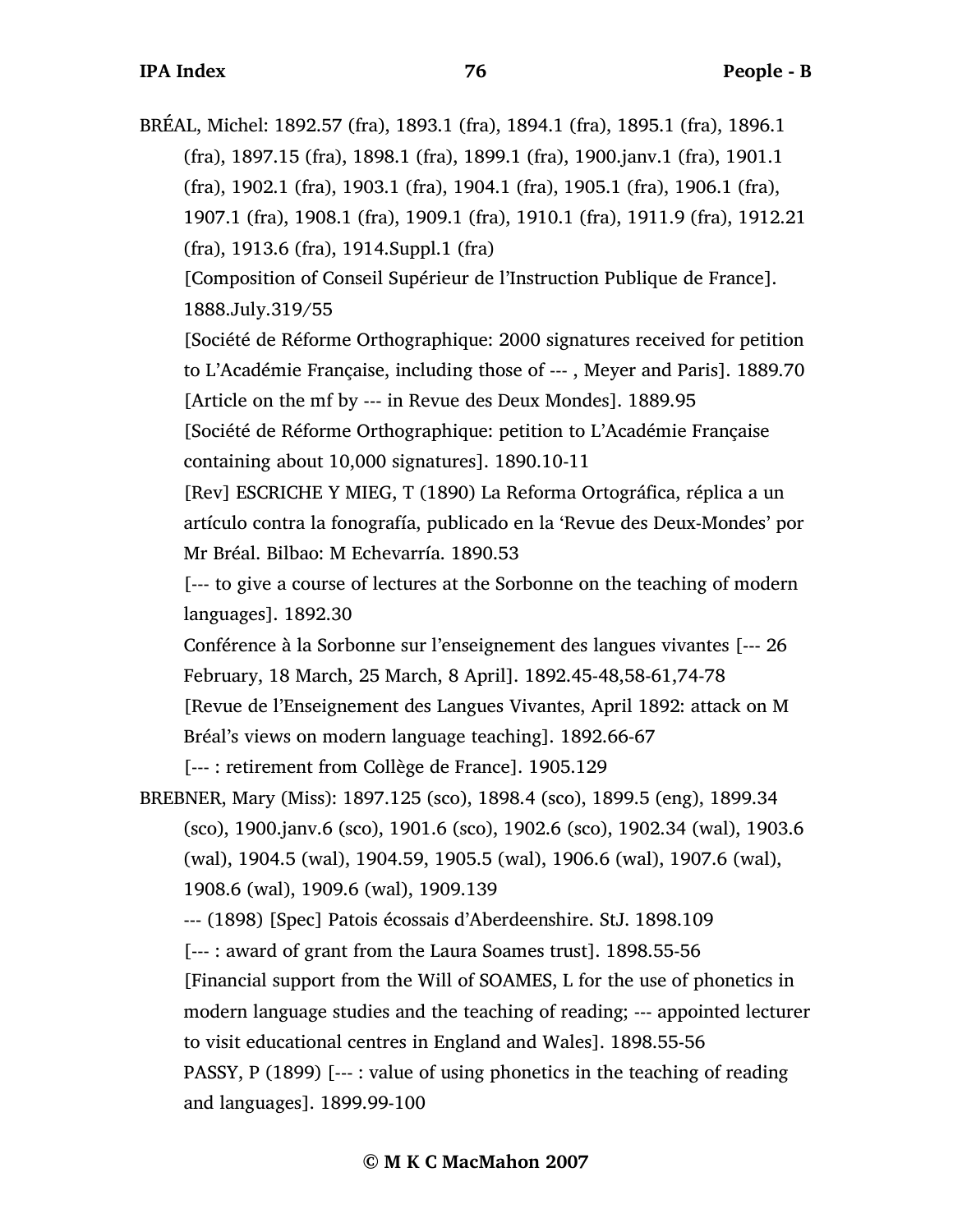BRÉAL, Michel: 1892.57 (fra), 1893.1 (fra), 1894.1 (fra), 1895.1 (fra), 1896.1 (fra), 1897.15 (fra), 1898.1 (fra), 1899.1 (fra), 1900.janv.1 (fra), 1901.1 (fra), 1902.1 (fra), 1903.1 (fra), 1904.1 (fra), 1905.1 (fra), 1906.1 (fra), 1907.1 (fra), 1908.1 (fra), 1909.1 (fra), 1910.1 (fra), 1911.9 (fra), 1912.21 (fra), 1913.6 (fra), 1914.Suppl.1 (fra)

[Composition of Conseil Supérieur de l'Instruction Publique de France]. 1888.July.319/55

[Société de Réforme Orthographique: 2000 signatures received for petition to L'Académie Française, including those of --- , Meyer and Paris]. 1889.70 [Article on the mf by --- in Revue des Deux Mondes]. 1889.95

[Société de Réforme Orthographique: petition to L'Académie Française containing about 10,000 signatures]. 1890.10-11

[Rev] ESCRICHE Y MIEG, T (1890) La Reforma Ortográfica, réplica a un artículo contra la fonografía, publicado en la 'Revue des Deux-Mondes' por Mr Bréal. Bilbao: M Echevarría. 1890.53

[--- to give a course of lectures at the Sorbonne on the teaching of modern languages]. 1892.30

Conférence à la Sorbonne sur l'enseignement des langues vivantes [--- 26 February, 18 March, 25 March, 8 April]. 1892.45-48,58-61,74-78 [Revue de l'Enseignement des Langues Vivantes, April 1892: attack on M Bréal's views on modern language teaching]. 1892.66-67

[--- : retirement from Collège de France]. 1905.129

BREBNER, Mary (Miss): 1897.125 (sco), 1898.4 (sco), 1899.5 (eng), 1899.34 (sco), 1900.janv.6 (sco), 1901.6 (sco), 1902.6 (sco), 1902.34 (wal), 1903.6 (wal), 1904.5 (wal), 1904.59, 1905.5 (wal), 1906.6 (wal), 1907.6 (wal), 1908.6 (wal), 1909.6 (wal), 1909.139

--- (1898) [Spec] Patois écossais d'Aberdeenshire. StJ. 1898.109

[--- : award of grant from the Laura Soames trust]. 1898.55-56

[Financial support from the Will of SOAMES, L for the use of phonetics in modern language studies and the teaching of reading; --- appointed lecturer to visit educational centres in England and Wales]. 1898.55-56 PASSY, P (1899) [--- : value of using phonetics in the teaching of reading and languages]. 1899.99-100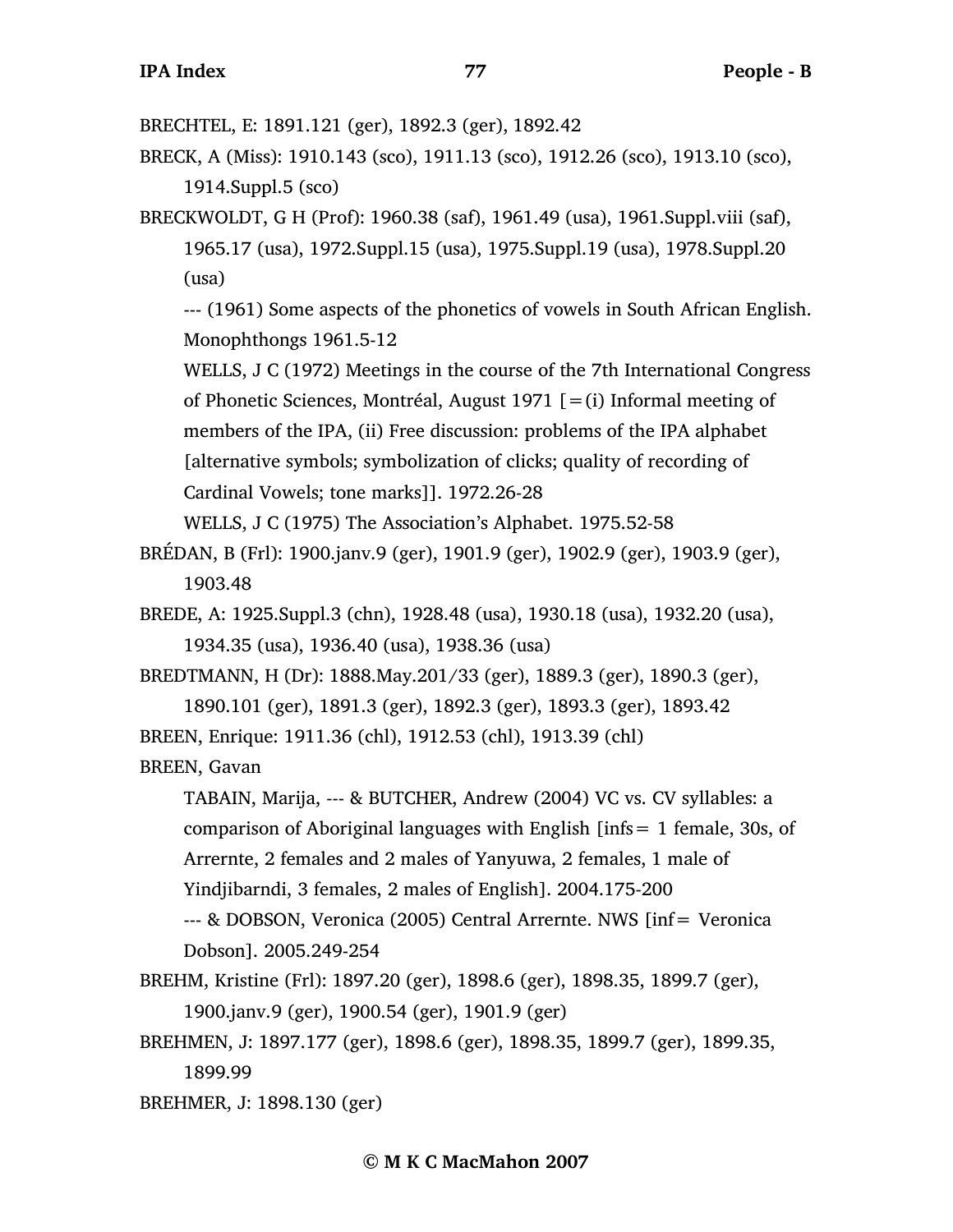BRECHTEL, E: 1891.121 (ger), 1892.3 (ger), 1892.42

BRECK, A (Miss): 1910.143 (sco), 1911.13 (sco), 1912.26 (sco), 1913.10 (sco), 1914.Suppl.5 (sco)

BRECKWOLDT, G H (Prof): 1960.38 (saf), 1961.49 (usa), 1961.Suppl.viii (saf), 1965.17 (usa), 1972.Suppl.15 (usa), 1975.Suppl.19 (usa), 1978.Suppl.20 (usa)

--- (1961) Some aspects of the phonetics of vowels in South African English. Monophthongs 1961.5-12

WELLS, J C (1972) Meetings in the course of the 7th International Congress of Phonetic Sciences, Montréal, August 1971  $[=(i)]$  Informal meeting of members of the IPA, (ii) Free discussion: problems of the IPA alphabet [alternative symbols; symbolization of clicks; quality of recording of Cardinal Vowels; tone marks]]. 1972.26-28

WELLS, J C (1975) The Association's Alphabet. 1975.52-58

BRÉDAN, B (Frl): 1900.janv.9 (ger), 1901.9 (ger), 1902.9 (ger), 1903.9 (ger), 1903.48

BREDE, A: 1925.Suppl.3 (chn), 1928.48 (usa), 1930.18 (usa), 1932.20 (usa), 1934.35 (usa), 1936.40 (usa), 1938.36 (usa)

BREDTMANN, H (Dr): 1888.May.201/33 (ger), 1889.3 (ger), 1890.3 (ger),

1890.101 (ger), 1891.3 (ger), 1892.3 (ger), 1893.3 (ger), 1893.42

BREEN, Enrique: 1911.36 (chl), 1912.53 (chl), 1913.39 (chl)

## BREEN, Gavan

TABAIN, Marija, --- & BUTCHER, Andrew (2004) VC vs. CV syllables: a comparison of Aboriginal languages with English [infs= 1 female, 30s, of Arrernte, 2 females and 2 males of Yanyuwa, 2 females, 1 male of Yindjibarndi, 3 females, 2 males of English]. 2004.175-200 --- & DOBSON, Veronica (2005) Central Arrernte. NWS [inf= Veronica

Dobson]. 2005.249-254

- BREHM, Kristine (Frl): 1897.20 (ger), 1898.6 (ger), 1898.35, 1899.7 (ger), 1900.janv.9 (ger), 1900.54 (ger), 1901.9 (ger)
- BREHMEN, J: 1897.177 (ger), 1898.6 (ger), 1898.35, 1899.7 (ger), 1899.35, 1899.99

BREHMER, J: 1898.130 (ger)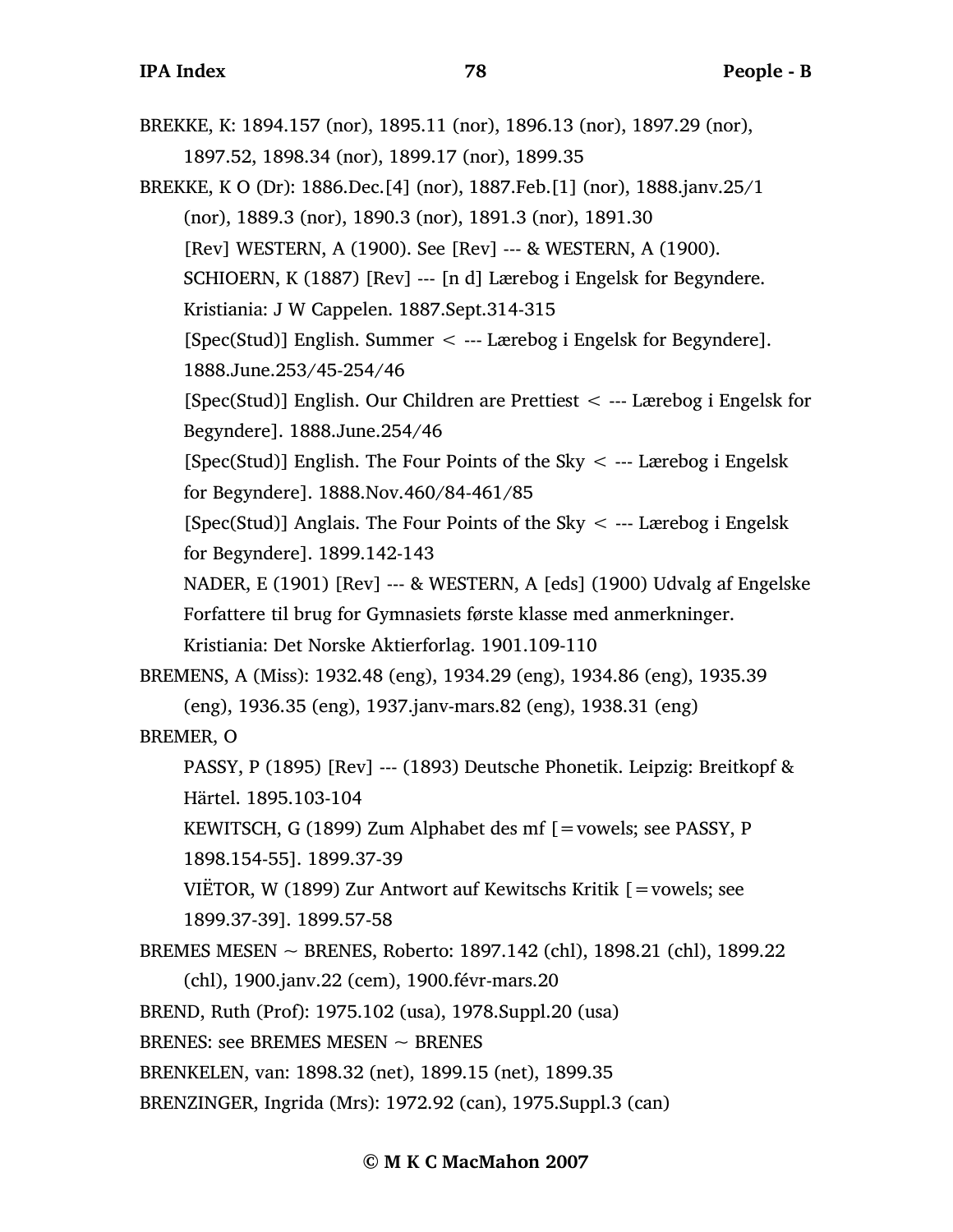BREKKE, K: 1894.157 (nor), 1895.11 (nor), 1896.13 (nor), 1897.29 (nor), 1897.52, 1898.34 (nor), 1899.17 (nor), 1899.35 BREKKE, K O (Dr): 1886.Dec.[4] (nor), 1887.Feb.[1] (nor), 1888.janv.25/1 (nor), 1889.3 (nor), 1890.3 (nor), 1891.3 (nor), 1891.30

[Rev] WESTERN, A (1900). See [Rev] --- & WESTERN, A (1900).

SCHIOERN, K (1887) [Rev] --- [n d] Lærebog i Engelsk for Begyndere.

Kristiania: J W Cappelen. 1887.Sept.314-315

[Spec(Stud)] English. Summer < --- Lærebog i Engelsk for Begyndere]. 1888.June.253/45-254/46

[Spec(Stud)] English. Our Children are Prettiest < --- Lærebog i Engelsk for Begyndere]. 1888.June.254/46

[Spec(Stud)] English. The Four Points of the Sky  $\lt$  --- Lærebog i Engelsk for Begyndere]. 1888.Nov.460/84-461/85

[Spec(Stud)] Anglais. The Four Points of the Sky  $\lt$  --- Lærebog i Engelsk for Begyndere]. 1899.142-143

NADER, E (1901) [Rev] --- & WESTERN, A [eds] (1900) Udvalg af Engelske Forfattere til brug for Gymnasiets første klasse med anmerkninger.

Kristiania: Det Norske Aktierforlag. 1901.109-110

BREMENS, A (Miss): 1932.48 (eng), 1934.29 (eng), 1934.86 (eng), 1935.39 (eng), 1936.35 (eng), 1937.janv-mars.82 (eng), 1938.31 (eng) BREMER, O

PASSY, P (1895) [Rev] --- (1893) Deutsche Phonetik. Leipzig: Breitkopf & Härtel. 1895.103-104

KEWITSCH, G (1899) Zum Alphabet des mf [=vowels; see PASSY, P 1898.154-55]. 1899.37-39

VIËTOR, W (1899) Zur Antwort auf Kewitschs Kritik [=vowels; see 1899.37-39]. 1899.57-58

BREMES MESEN ~ BRENES, Roberto: 1897.142 (chl), 1898.21 (chl), 1899.22

(chl), 1900.janv.22 (cem), 1900.févr-mars.20

BREND, Ruth (Prof): 1975.102 (usa), 1978.Suppl.20 (usa)

BRENES: see BREMES MESEN  $\sim$  BRENES

BRENKELEN, van: 1898.32 (net), 1899.15 (net), 1899.35

BRENZINGER, Ingrida (Mrs): 1972.92 (can), 1975.Suppl.3 (can)

## **© M K C MacMahon 2007**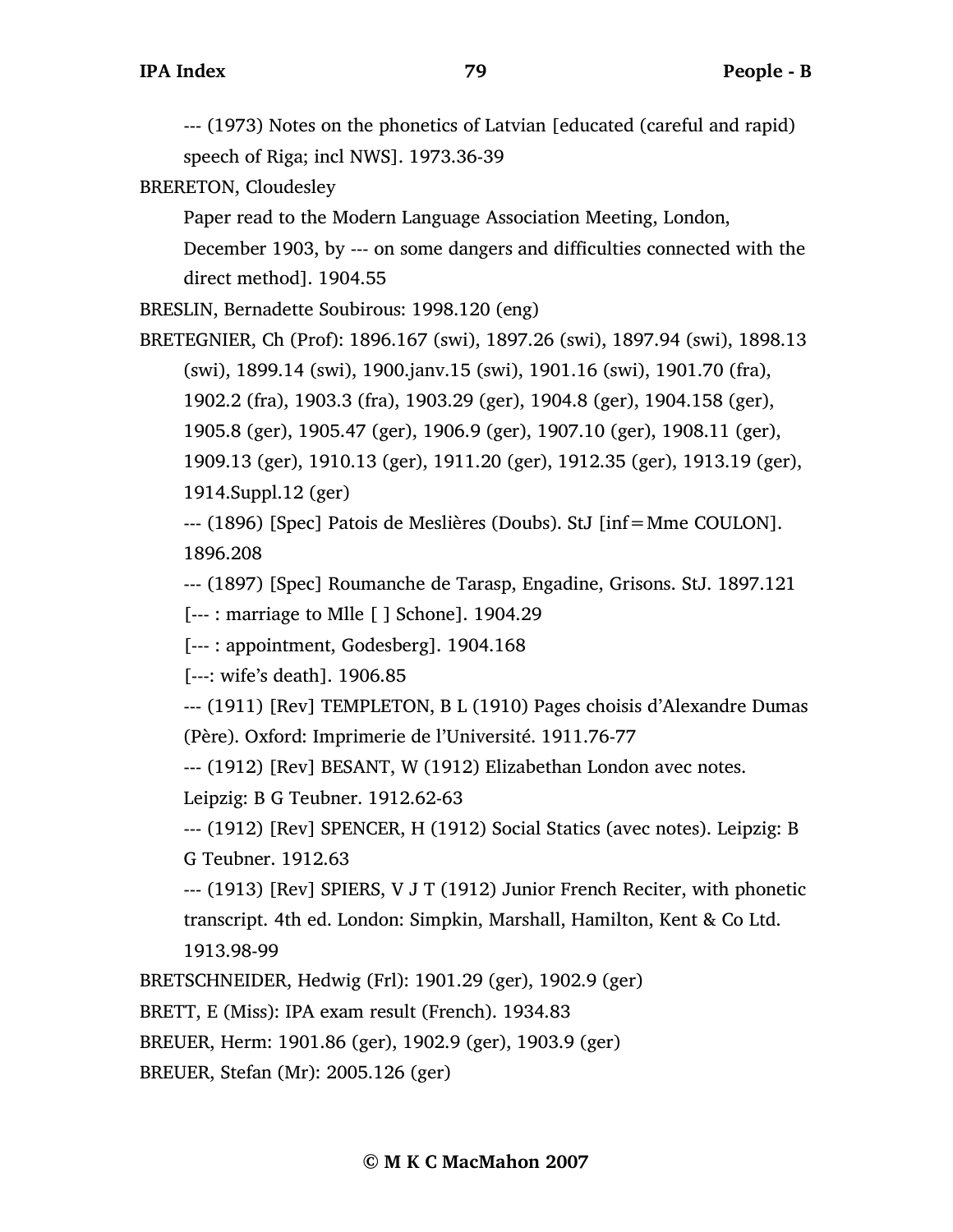--- (1973) Notes on the phonetics of Latvian [educated (careful and rapid) speech of Riga; incl NWS]. 1973.36-39

BRERETON, Cloudesley

Paper read to the Modern Language Association Meeting, London, December 1903, by --- on some dangers and difficulties connected with the direct method]. 1904.55

BRESLIN, Bernadette Soubirous: 1998.120 (eng)

BRETEGNIER, Ch (Prof): 1896.167 (swi), 1897.26 (swi), 1897.94 (swi), 1898.13 (swi), 1899.14 (swi), 1900.janv.15 (swi), 1901.16 (swi), 1901.70 (fra), 1902.2 (fra), 1903.3 (fra), 1903.29 (ger), 1904.8 (ger), 1904.158 (ger), 1905.8 (ger), 1905.47 (ger), 1906.9 (ger), 1907.10 (ger), 1908.11 (ger), 1909.13 (ger), 1910.13 (ger), 1911.20 (ger), 1912.35 (ger), 1913.19 (ger), 1914.Suppl.12 (ger)

--- (1896) [Spec] Patois de Meslières (Doubs). StJ [inf=Mme COULON]. 1896.208

--- (1897) [Spec] Roumanche de Tarasp, Engadine, Grisons. StJ. 1897.121

[--- : marriage to Mlle [ ] Schone]. 1904.29

[--- : appointment, Godesberg]. 1904.168

[---: wife's death]. 1906.85

--- (1911) [Rev] TEMPLETON, B L (1910) Pages choisis d'Alexandre Dumas (Père). Oxford: Imprimerie de l'Université. 1911.76-77

--- (1912) [Rev] BESANT, W (1912) Elizabethan London avec notes.

Leipzig: B G Teubner. 1912.62-63

--- (1912) [Rev] SPENCER, H (1912) Social Statics (avec notes). Leipzig: B G Teubner. 1912.63

--- (1913) [Rev] SPIERS, V J T (1912) Junior French Reciter, with phonetic transcript. 4th ed. London: Simpkin, Marshall, Hamilton, Kent & Co Ltd. 1913.98-99

BRETSCHNEIDER, Hedwig (Frl): 1901.29 (ger), 1902.9 (ger)

BRETT, E (Miss): IPA exam result (French). 1934.83

BREUER, Herm: 1901.86 (ger), 1902.9 (ger), 1903.9 (ger)

BREUER, Stefan (Mr): 2005.126 (ger)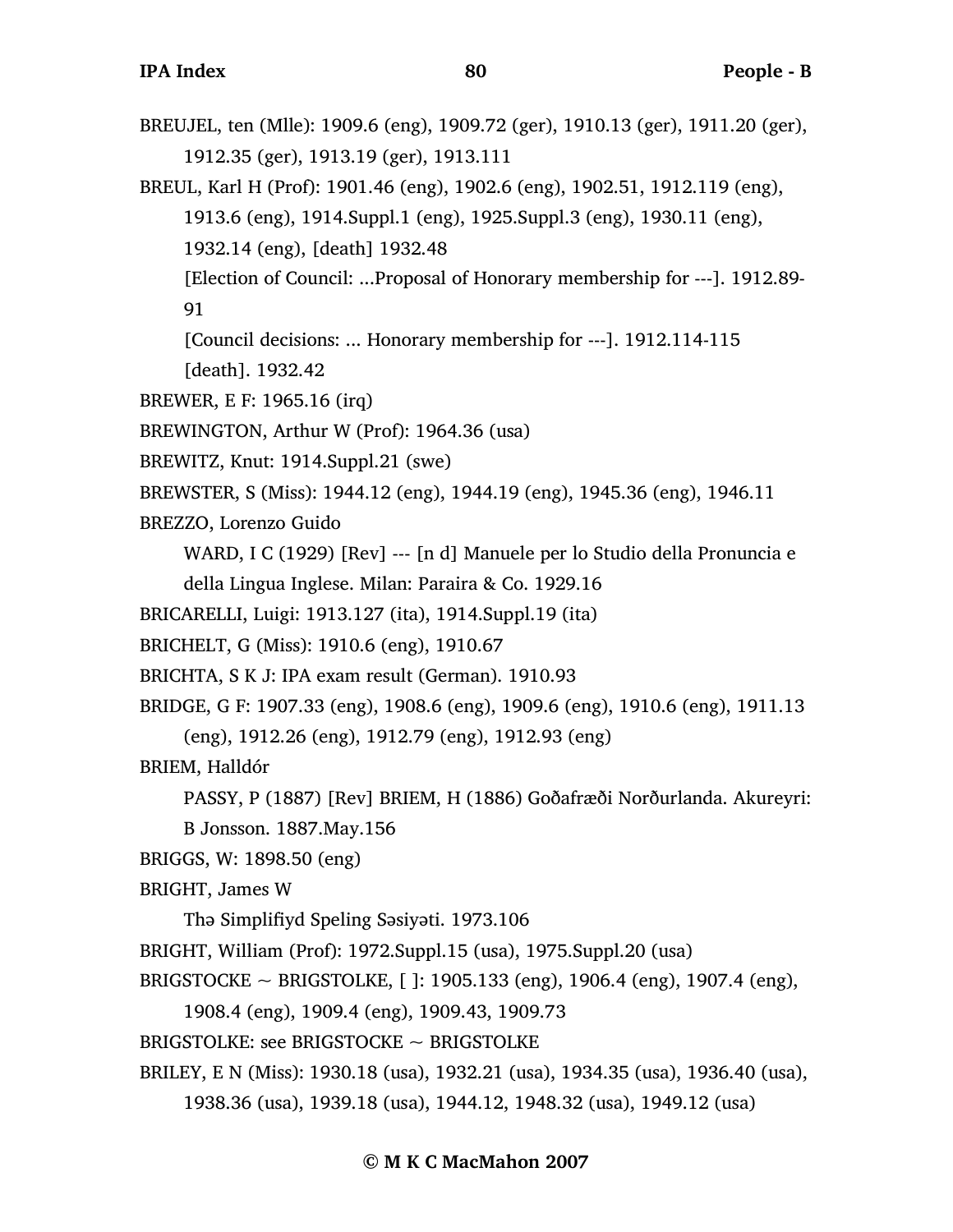- BREUJEL, ten (Mlle): 1909.6 (eng), 1909.72 (ger), 1910.13 (ger), 1911.20 (ger), 1912.35 (ger), 1913.19 (ger), 1913.111
- BREUL, Karl H (Prof): 1901.46 (eng), 1902.6 (eng), 1902.51, 1912.119 (eng),
	- 1913.6 (eng), 1914.Suppl.1 (eng), 1925.Suppl.3 (eng), 1930.11 (eng),

1932.14 (eng), [death] 1932.48

[Election of Council: ...Proposal of Honorary membership for ---]. 1912.89- 91

[Council decisions: ... Honorary membership for ---]. 1912.114-115

[death]. 1932.42

BREWER, E F: 1965.16 (irq)

BREWINGTON, Arthur W (Prof): 1964.36 (usa)

BREWITZ, Knut: 1914.Suppl.21 (swe)

BREWSTER, S (Miss): 1944.12 (eng), 1944.19 (eng), 1945.36 (eng), 1946.11

BREZZO, Lorenzo Guido

WARD, I C (1929) [Rev] --- [n d] Manuele per lo Studio della Pronuncia e

della Lingua Inglese. Milan: Paraira & Co. 1929.16

- BRICARELLI, Luigi: 1913.127 (ita), 1914.Suppl.19 (ita)
- BRICHELT, G (Miss): 1910.6 (eng), 1910.67

BRICHTA, S K J: IPA exam result (German). 1910.93

BRIDGE, G F: 1907.33 (eng), 1908.6 (eng), 1909.6 (eng), 1910.6 (eng), 1911.13

(eng), 1912.26 (eng), 1912.79 (eng), 1912.93 (eng)

BRIEM, Halldór

PASSY, P (1887) [Rev] BRIEM, H (1886) Goðafræði Norðurlanda. Akureyri:

B Jonsson. 1887.May.156

BRIGGS, W: 1898.50 (eng)

BRIGHT, James W

Thə Simplifiyd Speling Səsiyəti. 1973.106

BRIGHT, William (Prof): 1972.Suppl.15 (usa), 1975.Suppl.20 (usa)

BRIGSTOCKE ~ BRIGSTOLKE, [ ]: 1905.133 (eng), 1906.4 (eng), 1907.4 (eng),

1908.4 (eng), 1909.4 (eng), 1909.43, 1909.73

BRIGSTOLKE: see BRIGSTOCKE ~ BRIGSTOLKE

BRILEY, E N (Miss): 1930.18 (usa), 1932.21 (usa), 1934.35 (usa), 1936.40 (usa),

1938.36 (usa), 1939.18 (usa), 1944.12, 1948.32 (usa), 1949.12 (usa)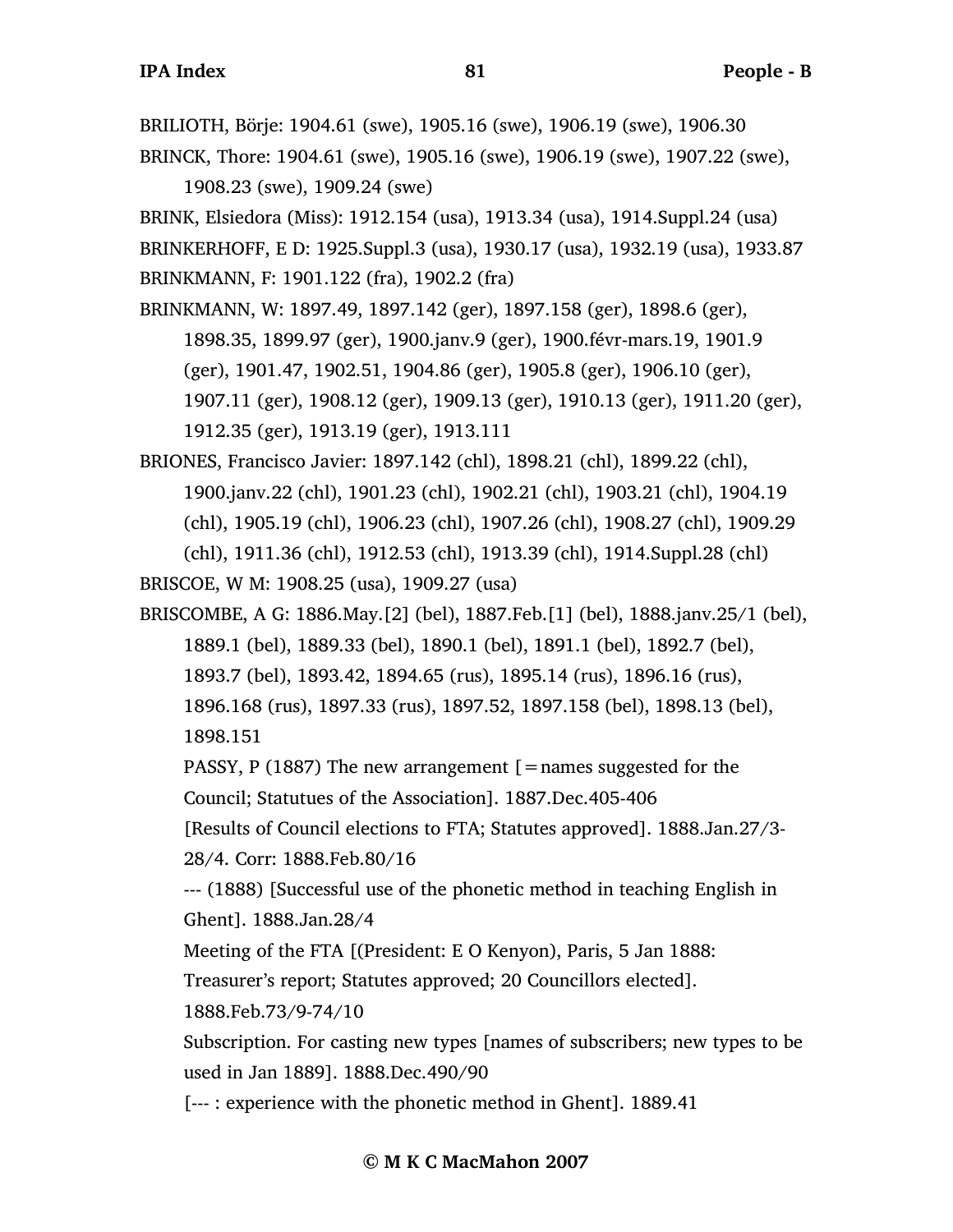BRILIOTH, Börje: 1904.61 (swe), 1905.16 (swe), 1906.19 (swe), 1906.30 BRINCK, Thore: 1904.61 (swe), 1905.16 (swe), 1906.19 (swe), 1907.22 (swe),

1908.23 (swe), 1909.24 (swe)

BRINK, Elsiedora (Miss): 1912.154 (usa), 1913.34 (usa), 1914.Suppl.24 (usa)

BRINKERHOFF, E D: 1925.Suppl.3 (usa), 1930.17 (usa), 1932.19 (usa), 1933.87 BRINKMANN, F: 1901.122 (fra), 1902.2 (fra)

BRINKMANN, W: 1897.49, 1897.142 (ger), 1897.158 (ger), 1898.6 (ger),

1898.35, 1899.97 (ger), 1900.janv.9 (ger), 1900.févr-mars.19, 1901.9 (ger), 1901.47, 1902.51, 1904.86 (ger), 1905.8 (ger), 1906.10 (ger), 1907.11 (ger), 1908.12 (ger), 1909.13 (ger), 1910.13 (ger), 1911.20 (ger), 1912.35 (ger), 1913.19 (ger), 1913.111

BRIONES, Francisco Javier: 1897.142 (chl), 1898.21 (chl), 1899.22 (chl), 1900.janv.22 (chl), 1901.23 (chl), 1902.21 (chl), 1903.21 (chl), 1904.19 (chl), 1905.19 (chl), 1906.23 (chl), 1907.26 (chl), 1908.27 (chl), 1909.29 (chl), 1911.36 (chl), 1912.53 (chl), 1913.39 (chl), 1914.Suppl.28 (chl)

BRISCOE, W M: 1908.25 (usa), 1909.27 (usa)

BRISCOMBE, A G: 1886.May.[2] (bel), 1887.Feb.[1] (bel), 1888.janv.25/1 (bel), 1889.1 (bel), 1889.33 (bel), 1890.1 (bel), 1891.1 (bel), 1892.7 (bel), 1893.7 (bel), 1893.42, 1894.65 (rus), 1895.14 (rus), 1896.16 (rus), 1896.168 (rus), 1897.33 (rus), 1897.52, 1897.158 (bel), 1898.13 (bel), 1898.151

PASSY, P (1887) The new arrangement  $\mathfrak{[}=$  names suggested for the Council; Statutues of the Association]. 1887.Dec.405-406

[Results of Council elections to FTA; Statutes approved]. 1888.Jan.27/3- 28/4. Corr: 1888.Feb.80/16

--- (1888) [Successful use of the phonetic method in teaching English in Ghent]. 1888.Jan.28/4

Meeting of the FTA [(President: E O Kenyon), Paris, 5 Jan 1888:

Treasurer's report; Statutes approved; 20 Councillors elected].

1888.Feb.73/9-74/10

Subscription. For casting new types [names of subscribers; new types to be used in Jan 1889]. 1888.Dec.490/90

[--- : experience with the phonetic method in Ghent]. 1889.41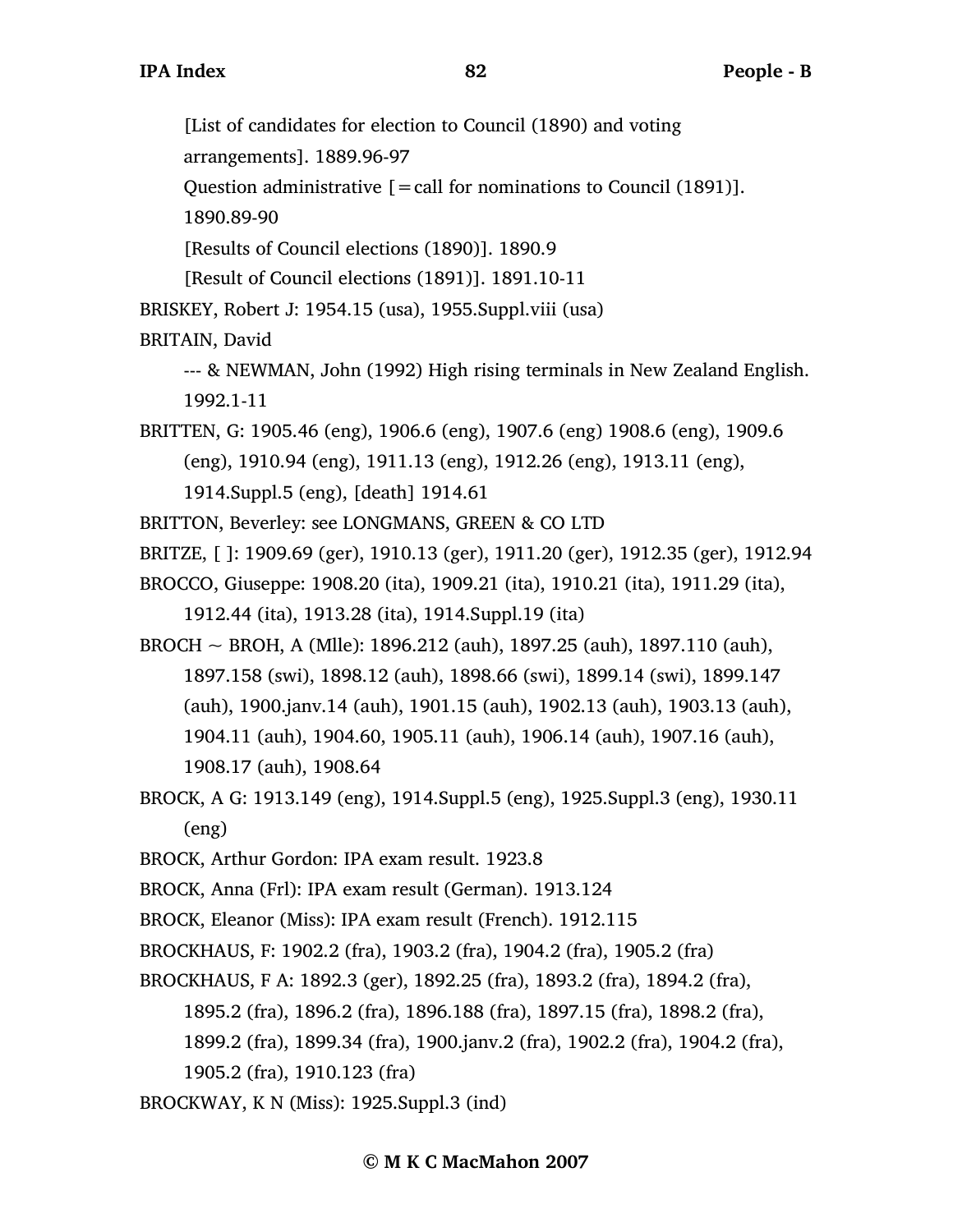[List of candidates for election to Council (1890) and voting

arrangements]. 1889.96-97

Question administrative  $[=$  call for nominations to Council (1891)].

1890.89-90

[Results of Council elections (1890)]. 1890.9

[Result of Council elections (1891)]. 1891.10-11

BRISKEY, Robert J: 1954.15 (usa), 1955.Suppl.viii (usa)

BRITAIN, David

--- & NEWMAN, John (1992) High rising terminals in New Zealand English. 1992.1-11

BRITTEN, G: 1905.46 (eng), 1906.6 (eng), 1907.6 (eng) 1908.6 (eng), 1909.6 (eng), 1910.94 (eng), 1911.13 (eng), 1912.26 (eng), 1913.11 (eng),

1914.Suppl.5 (eng), [death] 1914.61

- BRITTON, Beverley: see LONGMANS, GREEN & CO LTD
- BRITZE, [ ]: 1909.69 (ger), 1910.13 (ger), 1911.20 (ger), 1912.35 (ger), 1912.94

BROCCO, Giuseppe: 1908.20 (ita), 1909.21 (ita), 1910.21 (ita), 1911.29 (ita),

1912.44 (ita), 1913.28 (ita), 1914.Suppl.19 (ita)

BROCH ~ BROH, A (Mlle): 1896.212 (auh), 1897.25 (auh), 1897.110 (auh), 1897.158 (swi), 1898.12 (auh), 1898.66 (swi), 1899.14 (swi), 1899.147 (auh), 1900.janv.14 (auh), 1901.15 (auh), 1902.13 (auh), 1903.13 (auh), 1904.11 (auh), 1904.60, 1905.11 (auh), 1906.14 (auh), 1907.16 (auh), 1908.17 (auh), 1908.64

- BROCK, A G: 1913.149 (eng), 1914.Suppl.5 (eng), 1925.Suppl.3 (eng), 1930.11 (eng)
- BROCK, Arthur Gordon: IPA exam result. 1923.8

BROCK, Anna (Frl): IPA exam result (German). 1913.124

BROCK, Eleanor (Miss): IPA exam result (French). 1912.115

BROCKHAUS, F: 1902.2 (fra), 1903.2 (fra), 1904.2 (fra), 1905.2 (fra)

BROCKHAUS, F A: 1892.3 (ger), 1892.25 (fra), 1893.2 (fra), 1894.2 (fra),

1895.2 (fra), 1896.2 (fra), 1896.188 (fra), 1897.15 (fra), 1898.2 (fra),

1899.2 (fra), 1899.34 (fra), 1900.janv.2 (fra), 1902.2 (fra), 1904.2 (fra),

1905.2 (fra), 1910.123 (fra)

BROCKWAY, K N (Miss): 1925.Suppl.3 (ind)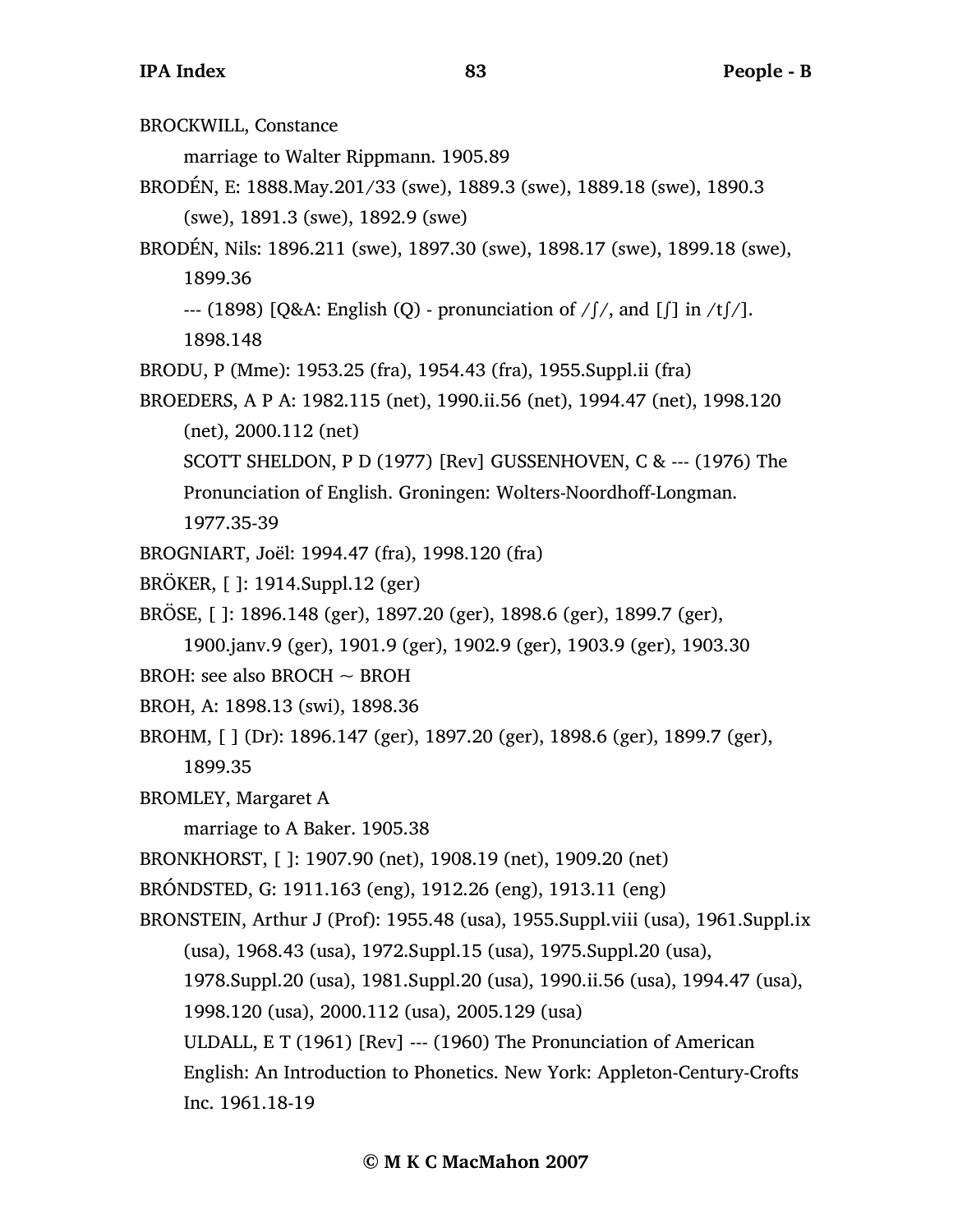BROCKWILL, Constance marriage to Walter Rippmann. 1905.89 BRODÉN, E: 1888.May.201/33 (swe), 1889.3 (swe), 1889.18 (swe), 1890.3 (swe), 1891.3 (swe), 1892.9 (swe) BRODÉN, Nils: 1896.211 (swe), 1897.30 (swe), 1898.17 (swe), 1899.18 (swe), 1899.36  $-$ -- (1898) [O&A: English (O) - pronunciation of / $\frac{1}{2}$ , and  $\frac{1}{2}$  in /t $\frac{1}{2}$ . 1898.148 BRODU, P (Mme): 1953.25 (fra), 1954.43 (fra), 1955.Suppl.ii (fra) BROEDERS, A P A: 1982.115 (net), 1990.ii.56 (net), 1994.47 (net), 1998.120 (net), 2000.112 (net) SCOTT SHELDON, P D (1977) [Rev] GUSSENHOVEN, C & --- (1976) The Pronunciation of English. Groningen: Wolters-Noordhoff-Longman. 1977.35-39 BROGNIART, Joël: 1994.47 (fra), 1998.120 (fra) BRÖKER, [ ]: 1914.Suppl.12 (ger) BRÖSE, [ ]: 1896.148 (ger), 1897.20 (ger), 1898.6 (ger), 1899.7 (ger), 1900.janv.9 (ger), 1901.9 (ger), 1902.9 (ger), 1903.9 (ger), 1903.30 BROH: see also BROCH ~ BROH BROH, A: 1898.13 (swi), 1898.36 BROHM, [ ] (Dr): 1896.147 (ger), 1897.20 (ger), 1898.6 (ger), 1899.7 (ger), 1899.35 BROMLEY, Margaret A marriage to A Baker. 1905.38 BRONKHORST, [ ]: 1907.90 (net), 1908.19 (net), 1909.20 (net) BRÓNDSTED, G: 1911.163 (eng), 1912.26 (eng), 1913.11 (eng) BRONSTEIN, Arthur J (Prof): 1955.48 (usa), 1955.Suppl.viii (usa), 1961.Suppl.ix (usa), 1968.43 (usa), 1972.Suppl.15 (usa), 1975.Suppl.20 (usa), 1978.Suppl.20 (usa), 1981.Suppl.20 (usa), 1990.ii.56 (usa), 1994.47 (usa), 1998.120 (usa), 2000.112 (usa), 2005.129 (usa) ULDALL, E T (1961) [Rev] --- (1960) The Pronunciation of American English: An Introduction to Phonetics. New York: Appleton-Century-Crofts Inc. 1961.18-19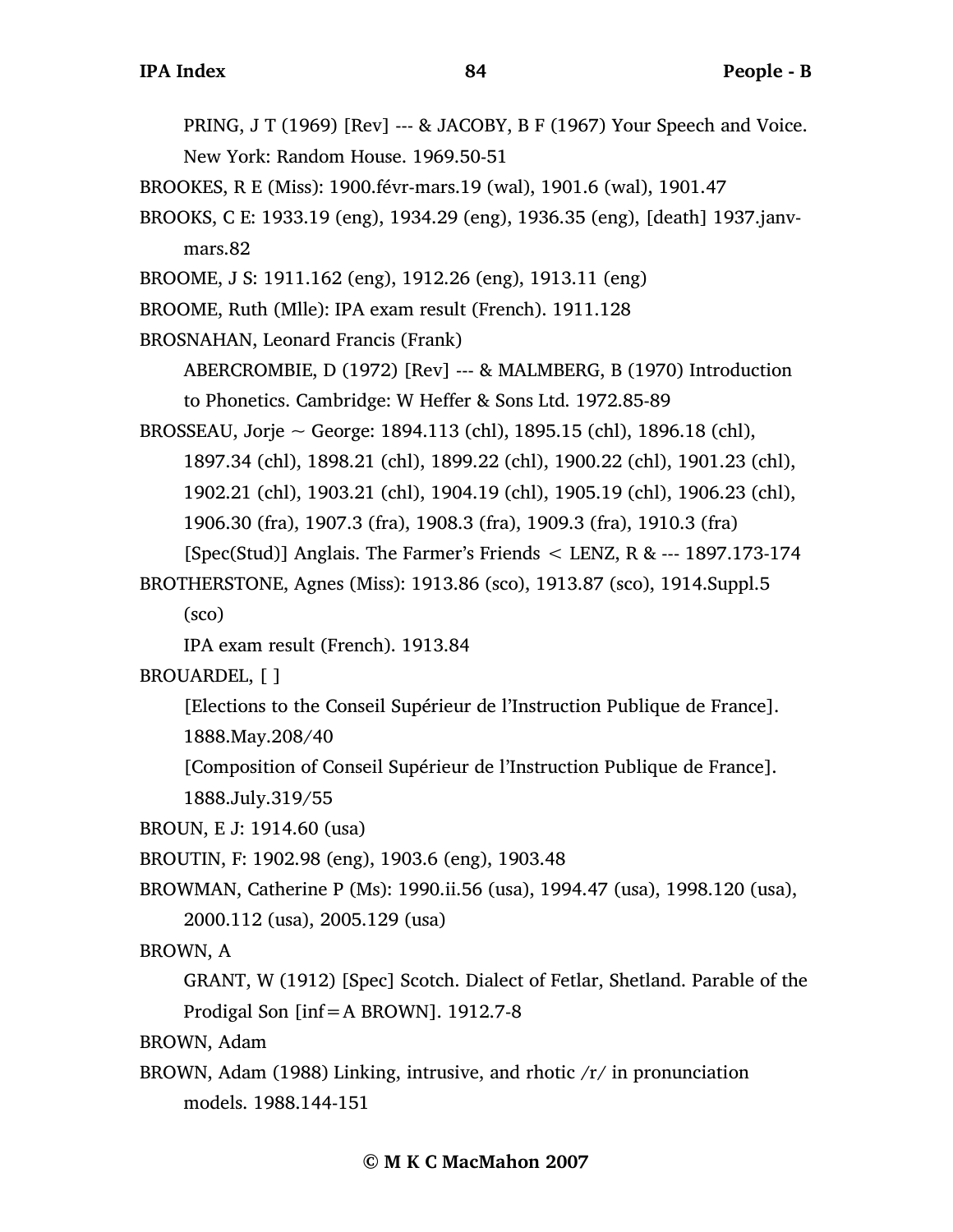PRING, J T (1969) [Rev] --- & JACOBY, B F (1967) Your Speech and Voice. New York: Random House. 1969.50-51

BROOKES, R E (Miss): 1900.févr-mars.19 (wal), 1901.6 (wal), 1901.47

BROOKS, C E: 1933.19 (eng), 1934.29 (eng), 1936.35 (eng), [death] 1937.janvmars.82

BROOME, J S: 1911.162 (eng), 1912.26 (eng), 1913.11 (eng)

BROOME, Ruth (Mlle): IPA exam result (French). 1911.128

BROSNAHAN, Leonard Francis (Frank)

ABERCROMBIE, D (1972) [Rev] --- & MALMBERG, B (1970) Introduction to Phonetics. Cambridge: W Heffer & Sons Ltd. 1972.85-89

BROSSEAU, Jorje ~ George: 1894.113 (chl), 1895.15 (chl), 1896.18 (chl), 1897.34 (chl), 1898.21 (chl), 1899.22 (chl), 1900.22 (chl), 1901.23 (chl), 1902.21 (chl), 1903.21 (chl), 1904.19 (chl), 1905.19 (chl), 1906.23 (chl), 1906.30 (fra), 1907.3 (fra), 1908.3 (fra), 1909.3 (fra), 1910.3 (fra) [Spec(Stud)] Anglais. The Farmer's Friends < LENZ, R & --- 1897.173-174

BROTHERSTONE, Agnes (Miss): 1913.86 (sco), 1913.87 (sco), 1914.Suppl.5

(sco)

IPA exam result (French). 1913.84

BROUARDEL, [ ]

[Elections to the Conseil Supérieur de l'Instruction Publique de France].

1888.May.208/40

[Composition of Conseil Supérieur de l'Instruction Publique de France]. 1888.July.319/55

BROUN, E J: 1914.60 (usa)

BROUTIN, F: 1902.98 (eng), 1903.6 (eng), 1903.48

BROWMAN, Catherine P (Ms): 1990.ii.56 (usa), 1994.47 (usa), 1998.120 (usa), 2000.112 (usa), 2005.129 (usa)

BROWN, A

GRANT, W (1912) [Spec] Scotch. Dialect of Fetlar, Shetland. Parable of the Prodigal Son [inf=A BROWN]. 1912.7-8

BROWN, Adam

BROWN, Adam (1988) Linking, intrusive, and rhotic  $/r/$  in pronunciation models. 1988.144-151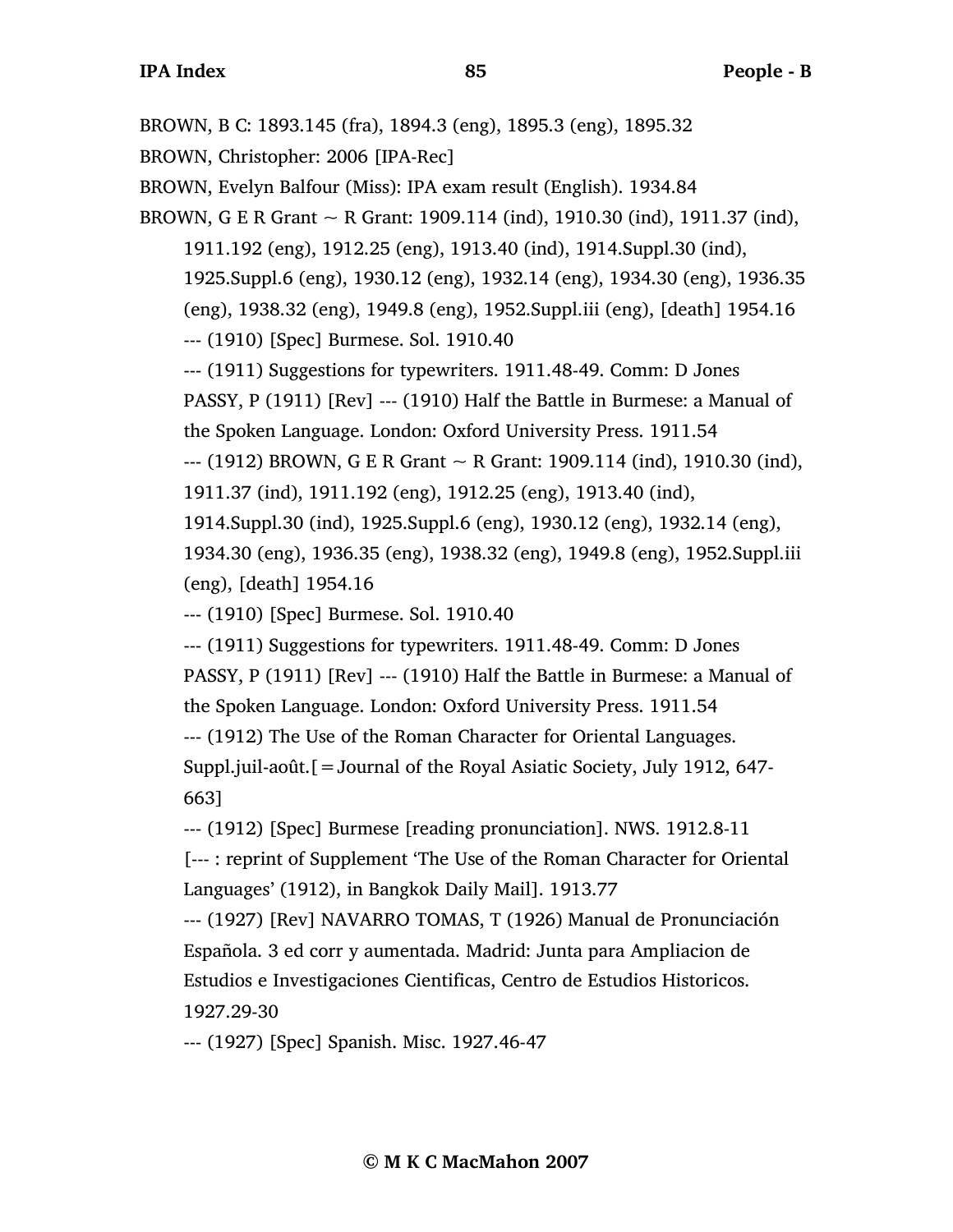BROWN, B C: 1893.145 (fra), 1894.3 (eng), 1895.3 (eng), 1895.32 BROWN, Christopher: 2006 [IPA-Rec] BROWN, Evelyn Balfour (Miss): IPA exam result (English). 1934.84 BROWN, G E R Grant  $\sim$  R Grant: 1909.114 (ind), 1910.30 (ind), 1911.37 (ind), 1911.192 (eng), 1912.25 (eng), 1913.40 (ind), 1914.Suppl.30 (ind), 1925.Suppl.6 (eng), 1930.12 (eng), 1932.14 (eng), 1934.30 (eng), 1936.35 (eng), 1938.32 (eng), 1949.8 (eng), 1952.Suppl.iii (eng), [death] 1954.16 --- (1910) [Spec] Burmese. Sol. 1910.40 --- (1911) Suggestions for typewriters. 1911.48-49. Comm: D Jones PASSY, P (1911) [Rev] --- (1910) Half the Battle in Burmese: a Manual of the Spoken Language. London: Oxford University Press. 1911.54  $-$  (1912) BROWN, G E R Grant  $\sim$  R Grant: 1909.114 (ind), 1910.30 (ind), 1911.37 (ind), 1911.192 (eng), 1912.25 (eng), 1913.40 (ind), 1914.Suppl.30 (ind), 1925.Suppl.6 (eng), 1930.12 (eng), 1932.14 (eng), 1934.30 (eng), 1936.35 (eng), 1938.32 (eng), 1949.8 (eng), 1952.Suppl.iii (eng), [death] 1954.16 --- (1910) [Spec] Burmese. Sol. 1910.40 --- (1911) Suggestions for typewriters. 1911.48-49. Comm: D Jones PASSY, P (1911) [Rev] --- (1910) Half the Battle in Burmese: a Manual of the Spoken Language. London: Oxford University Press. 1911.54 --- (1912) The Use of the Roman Character for Oriental Languages. Suppl.juil-août.[=Journal of the Royal Asiatic Society, July 1912, 647- 663] --- (1912) [Spec] Burmese [reading pronunciation]. NWS. 1912.8-11 [--- : reprint of Supplement 'The Use of the Roman Character for Oriental Languages' (1912), in Bangkok Daily Mail]. 1913.77 --- (1927) [Rev] NAVARRO TOMAS, T (1926) Manual de Pronunciación Española. 3 ed corr y aumentada. Madrid: Junta para Ampliacion de Estudios e Investigaciones Cientificas, Centro de Estudios Historicos. 1927.29-30 --- (1927) [Spec] Spanish. Misc. 1927.46-47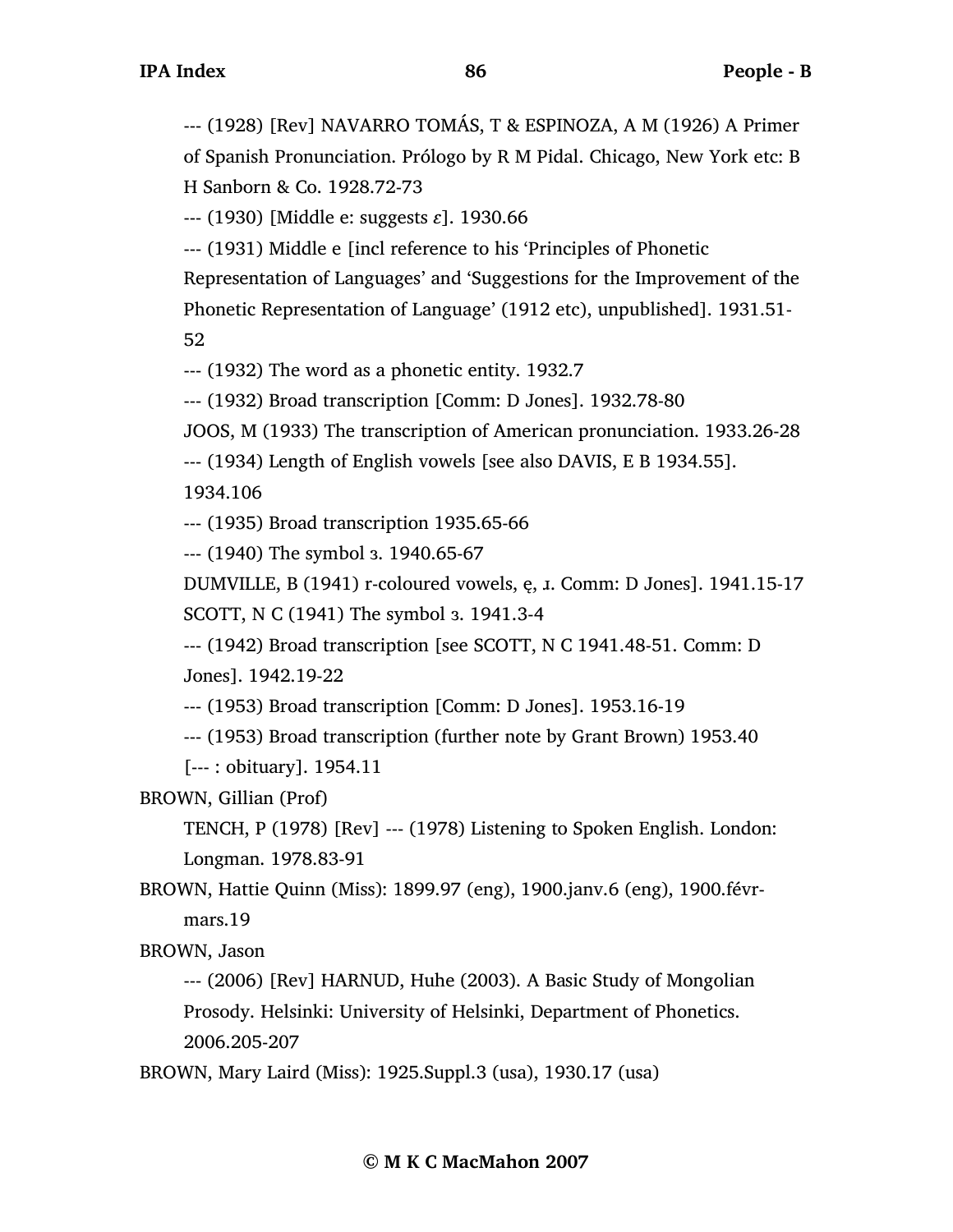--- (1928) [Rev] NAVARRO TOMÁS, T & ESPINOZA, A M (1926) A Primer of Spanish Pronunciation. Prólogo by R M Pidal. Chicago, New York etc: B H Sanborn & Co. 1928.72-73

--- (1930) [Middle e: suggests *ɛ*]. 1930.66

--- (1931) Middle e [incl reference to his 'Principles of Phonetic

Representation of Languages' and 'Suggestions for the Improvement of the Phonetic Representation of Language' (1912 etc), unpublished]. 1931.51-

52

--- (1932) The word as a phonetic entity. 1932.7

--- (1932) Broad transcription [Comm: D Jones]. 1932.78-80

JOOS, M (1933) The transcription of American pronunciation. 1933.26-28

--- (1934) Length of English vowels [see also DAVIS, E B 1934.55].

1934.106

--- (1935) Broad transcription 1935.65-66

--- (1940) The symbol ɜ. 1940.65-67

DUMVILLE, B (1941) r-coloured vowels, ę, ɹ. Comm: D Jones]. 1941.15-17

SCOTT, N C (1941) The symbol ɜ. 1941.3-4

--- (1942) Broad transcription [see SCOTT, N C 1941.48-51. Comm: D Jones]. 1942.19-22

--- (1953) Broad transcription [Comm: D Jones]. 1953.16-19

--- (1953) Broad transcription (further note by Grant Brown) 1953.40

[--- : obituary]. 1954.11

BROWN, Gillian (Prof)

TENCH, P (1978) [Rev] --- (1978) Listening to Spoken English. London: Longman. 1978.83-91

BROWN, Hattie Quinn (Miss): 1899.97 (eng), 1900.janv.6 (eng), 1900.févrmars.19

BROWN, Jason

--- (2006) [Rev] HARNUD, Huhe (2003). A Basic Study of Mongolian Prosody. Helsinki: University of Helsinki, Department of Phonetics. 2006.205-207

BROWN, Mary Laird (Miss): 1925.Suppl.3 (usa), 1930.17 (usa)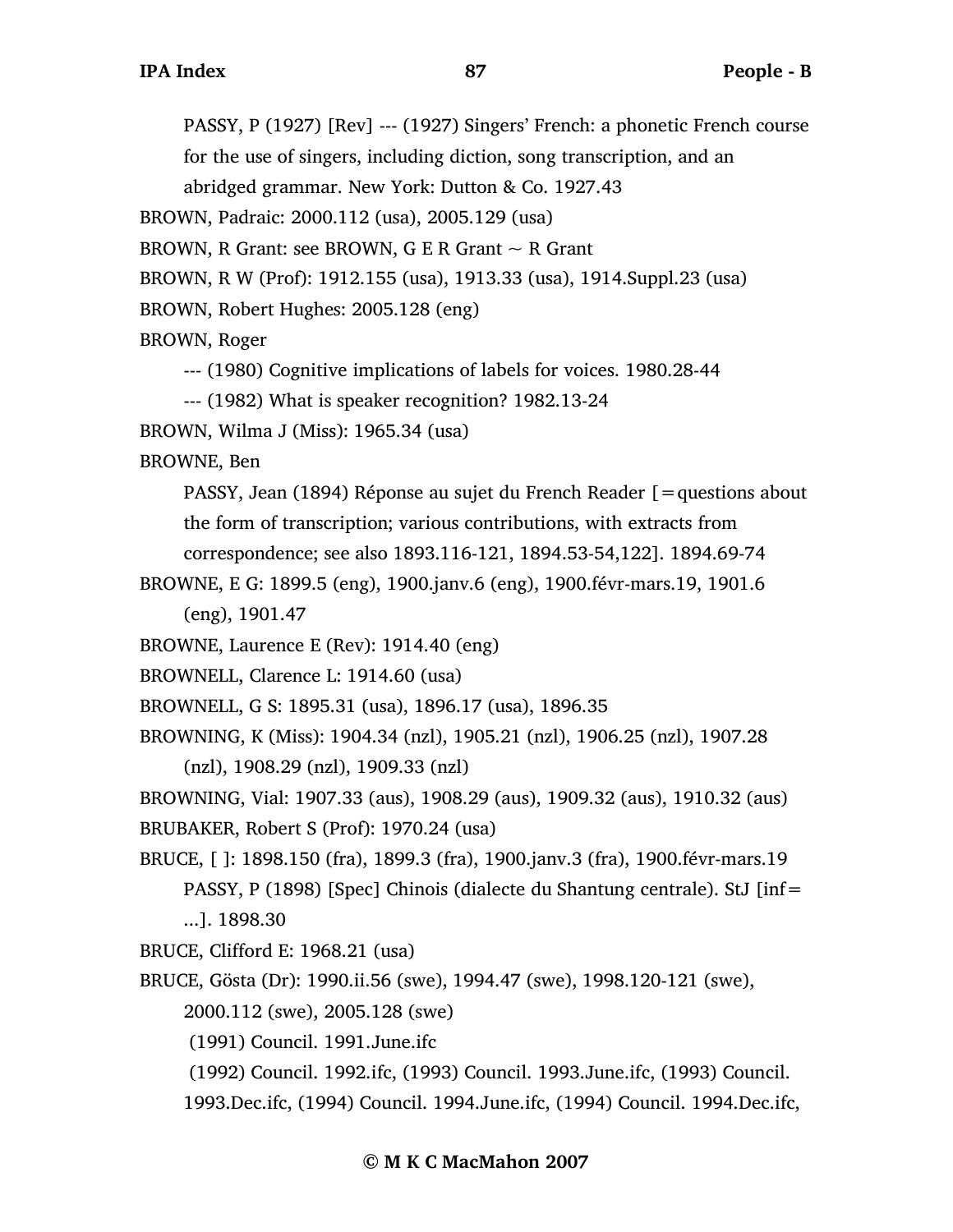PASSY, P (1927) [Rev] --- (1927) Singers' French: a phonetic French course for the use of singers, including diction, song transcription, and an

abridged grammar. New York: Dutton & Co. 1927.43

BROWN, Padraic: 2000.112 (usa), 2005.129 (usa)

BROWN, R Grant: see BROWN, G E R Grant  $\sim$  R Grant

BROWN, R W (Prof): 1912.155 (usa), 1913.33 (usa), 1914.Suppl.23 (usa)

BROWN, Robert Hughes: 2005.128 (eng)

BROWN, Roger

--- (1980) Cognitive implications of labels for voices. 1980.28-44

--- (1982) What is speaker recognition? 1982.13-24

BROWN, Wilma J (Miss): 1965.34 (usa)

BROWNE, Ben

PASSY, Jean (1894) Réponse au sujet du French Reader [=questions about the form of transcription; various contributions, with extracts from

correspondence; see also 1893.116-121, 1894.53-54,122]. 1894.69-74

BROWNE, E G: 1899.5 (eng), 1900.janv.6 (eng), 1900.févr-mars.19, 1901.6 (eng), 1901.47

BROWNE, Laurence E (Rev): 1914.40 (eng)

BROWNELL, Clarence L: 1914.60 (usa)

BROWNELL, G S: 1895.31 (usa), 1896.17 (usa), 1896.35

BROWNING, K (Miss): 1904.34 (nzl), 1905.21 (nzl), 1906.25 (nzl), 1907.28 (nzl), 1908.29 (nzl), 1909.33 (nzl)

BROWNING, Vial: 1907.33 (aus), 1908.29 (aus), 1909.32 (aus), 1910.32 (aus)

BRUBAKER, Robert S (Prof): 1970.24 (usa)

BRUCE, [ ]: 1898.150 (fra), 1899.3 (fra), 1900.janv.3 (fra), 1900.févr-mars.19 PASSY, P (1898) [Spec] Chinois (dialecte du Shantung centrale). StJ [inf= ...]. 1898.30

BRUCE, Clifford E: 1968.21 (usa)

BRUCE, Gösta (Dr): 1990.ii.56 (swe), 1994.47 (swe), 1998.120-121 (swe),

2000.112 (swe), 2005.128 (swe)

(1991) Council. 1991.June.ifc

(1992) Council. 1992.ifc, (1993) Council. 1993.June.ifc, (1993) Council.

1993.Dec.ifc, (1994) Council. 1994.June.ifc, (1994) Council. 1994.Dec.ifc,

## **© M K C MacMahon 2007**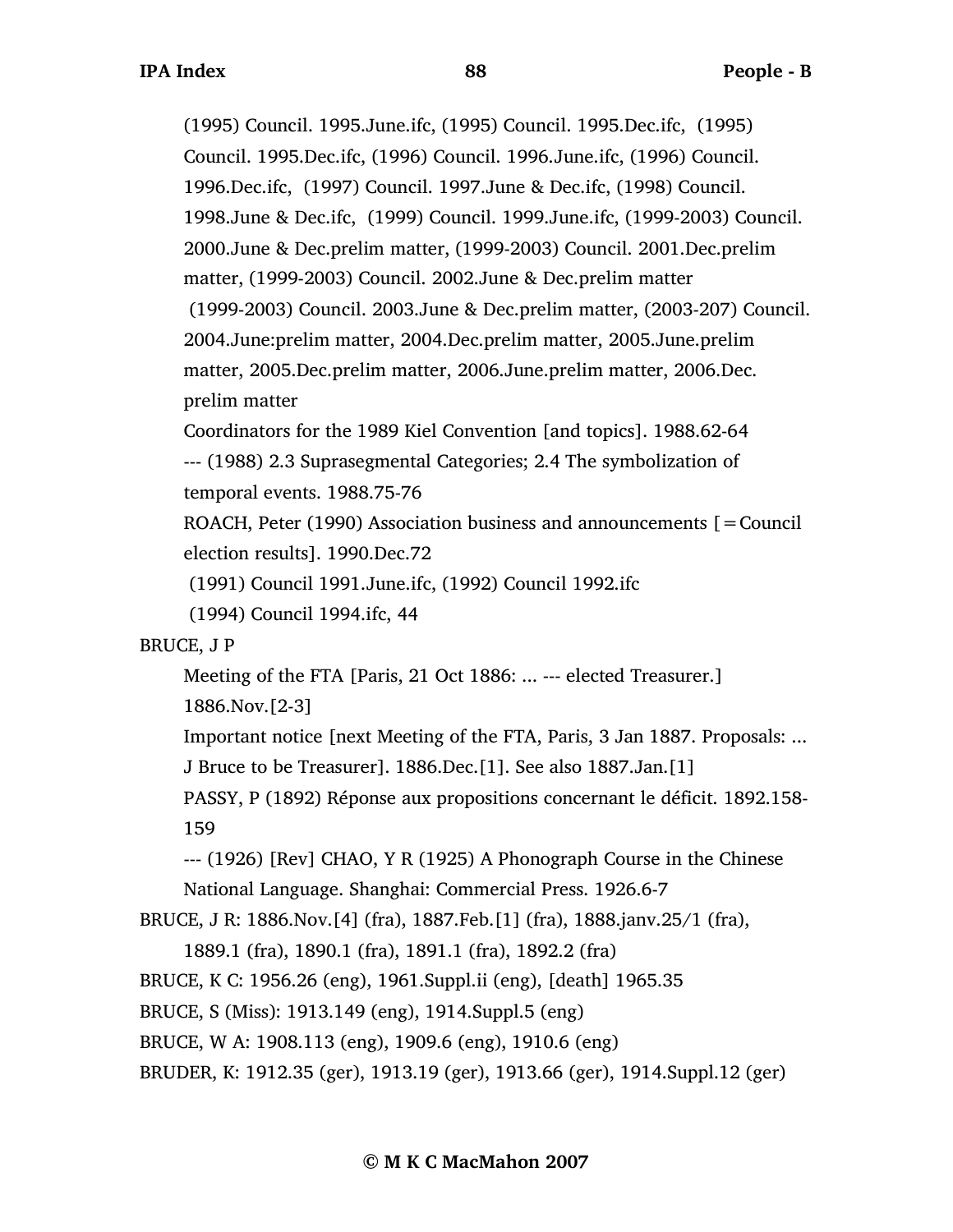(1995) Council. 1995.June.ifc, (1995) Council. 1995.Dec.ifc, (1995) Council. 1995.Dec.ifc, (1996) Council. 1996.June.ifc, (1996) Council. 1996.Dec.ifc, (1997) Council. 1997.June & Dec.ifc, (1998) Council. 1998.June & Dec.ifc, (1999) Council. 1999.June.ifc, (1999-2003) Council. 2000.June & Dec.prelim matter, (1999-2003) Council. 2001.Dec.prelim matter, (1999-2003) Council. 2002.June & Dec.prelim matter (1999-2003) Council. 2003.June & Dec.prelim matter, (2003-207) Council. 2004.June:prelim matter, 2004.Dec.prelim matter, 2005.June.prelim matter, 2005.Dec.prelim matter, 2006.June.prelim matter, 2006.Dec. prelim matter

Coordinators for the 1989 Kiel Convention [and topics]. 1988.62-64 --- (1988) 2.3 Suprasegmental Categories; 2.4 The symbolization of temporal events. 1988.75-76

ROACH, Peter (1990) Association business and announcements  $[=$  Council election results]. 1990.Dec.72

(1991) Council 1991.June.ifc, (1992) Council 1992.ifc

(1994) Council 1994.ifc, 44

## BRUCE, J P

Meeting of the FTA [Paris, 21 Oct 1886: ... --- elected Treasurer.]

1886.Nov.[2-3]

Important notice [next Meeting of the FTA, Paris, 3 Jan 1887. Proposals: ...

J Bruce to be Treasurer]. 1886.Dec.[1]. See also 1887.Jan.[1]

PASSY, P (1892) Réponse aux propositions concernant le déficit. 1892.158- 159

--- (1926) [Rev] CHAO, Y R (1925) A Phonograph Course in the Chinese

National Language. Shanghai: Commercial Press. 1926.6-7

```
BRUCE, J R: 1886.Nov.[4] (fra), 1887.Feb.[1] (fra), 1888.janv.25/1 (fra),
```

```
1889.1 (fra), 1890.1 (fra), 1891.1 (fra), 1892.2 (fra)
```
BRUCE, K C: 1956.26 (eng), 1961.Suppl.ii (eng), [death] 1965.35

BRUCE, S (Miss): 1913.149 (eng), 1914.Suppl.5 (eng)

```
BRUCE, W A: 1908.113 (eng), 1909.6 (eng), 1910.6 (eng)
```
BRUDER, K: 1912.35 (ger), 1913.19 (ger), 1913.66 (ger), 1914.Suppl.12 (ger)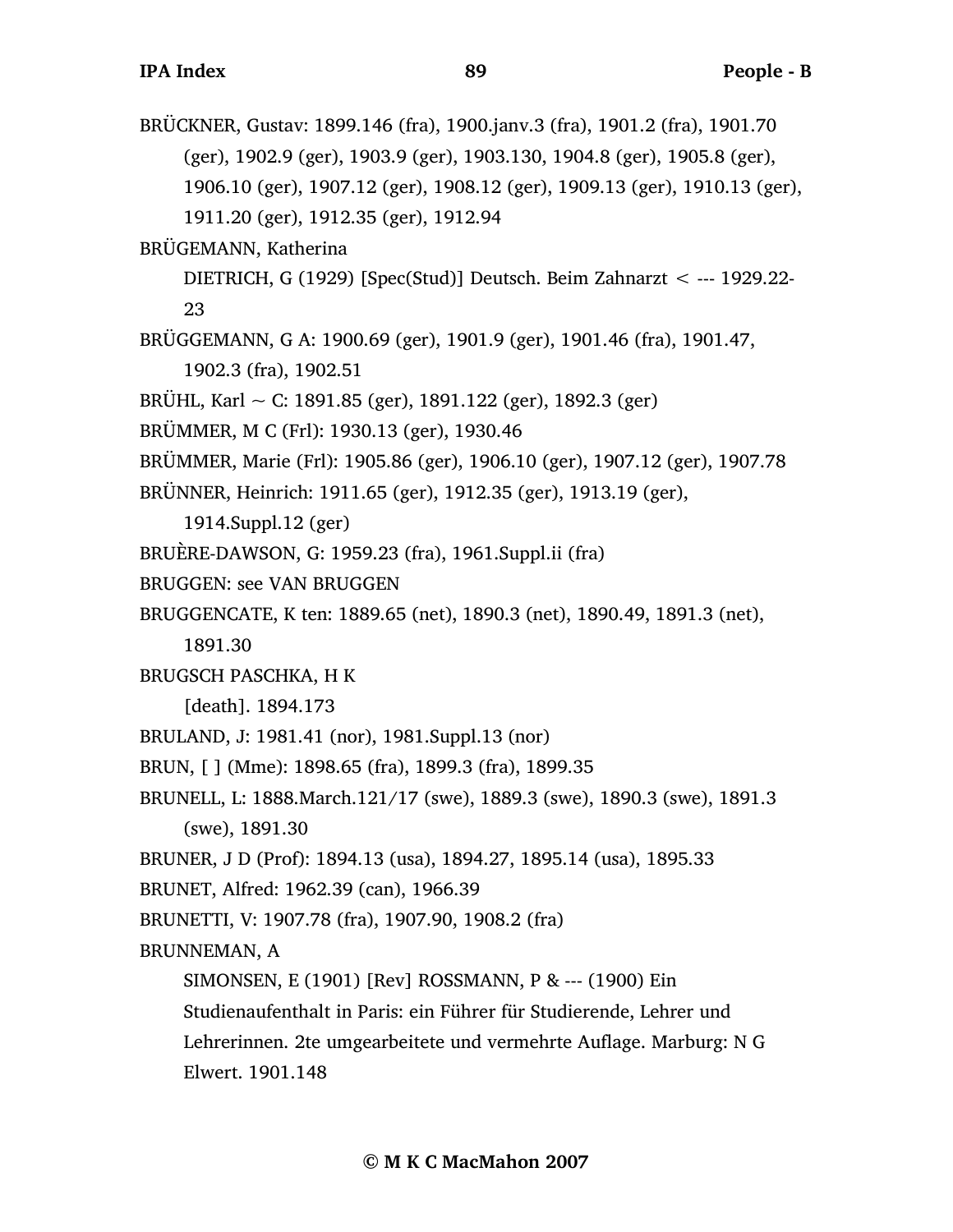BRÜCKNER, Gustav: 1899.146 (fra), 1900.janv.3 (fra), 1901.2 (fra), 1901.70 (ger), 1902.9 (ger), 1903.9 (ger), 1903.130, 1904.8 (ger), 1905.8 (ger), 1906.10 (ger), 1907.12 (ger), 1908.12 (ger), 1909.13 (ger), 1910.13 (ger), 1911.20 (ger), 1912.35 (ger), 1912.94 BRÜGEMANN, Katherina DIETRICH, G (1929) [Spec(Stud)] Deutsch. Beim Zahnarzt < --- 1929.22- 23 BRÜGGEMANN, G A: 1900.69 (ger), 1901.9 (ger), 1901.46 (fra), 1901.47, 1902.3 (fra), 1902.51 BRÜHL, Karl ~ C: 1891.85 (ger), 1891.122 (ger), 1892.3 (ger) BRÜMMER, M C (Frl): 1930.13 (ger), 1930.46 BRÜMMER, Marie (Frl): 1905.86 (ger), 1906.10 (ger), 1907.12 (ger), 1907.78 BRÜNNER, Heinrich: 1911.65 (ger), 1912.35 (ger), 1913.19 (ger), 1914.Suppl.12 (ger) BRUÈRE-DAWSON, G: 1959.23 (fra), 1961.Suppl.ii (fra) BRUGGEN: see VAN BRUGGEN BRUGGENCATE, K ten: 1889.65 (net), 1890.3 (net), 1890.49, 1891.3 (net), 1891.30 BRUGSCH PASCHKA, H K [death]. 1894.173 BRULAND, J: 1981.41 (nor), 1981.Suppl.13 (nor) BRUN, [ ] (Mme): 1898.65 (fra), 1899.3 (fra), 1899.35 BRUNELL, L: 1888.March.121/17 (swe), 1889.3 (swe), 1890.3 (swe), 1891.3 (swe), 1891.30 BRUNER, J D (Prof): 1894.13 (usa), 1894.27, 1895.14 (usa), 1895.33 BRUNET, Alfred: 1962.39 (can), 1966.39 BRUNETTI, V: 1907.78 (fra), 1907.90, 1908.2 (fra) BRUNNEMAN, A SIMONSEN, E (1901) [Rev] ROSSMANN, P & --- (1900) Ein Studienaufenthalt in Paris: ein Führer für Studierende, Lehrer und Lehrerinnen. 2te umgearbeitete und vermehrte Auflage. Marburg: N G Elwert. 1901.148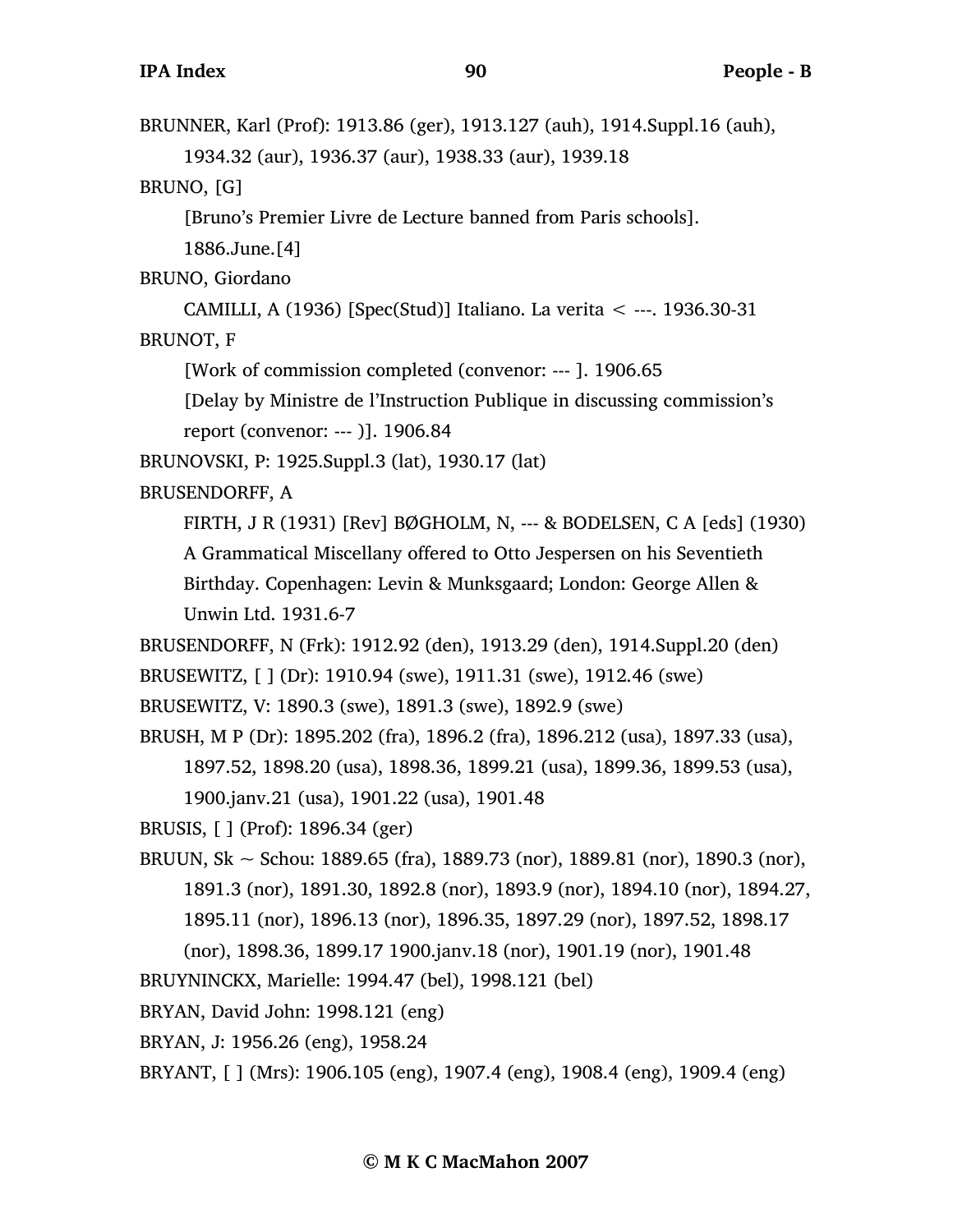BRUNNER, Karl (Prof): 1913.86 (ger), 1913.127 (auh), 1914.Suppl.16 (auh), 1934.32 (aur), 1936.37 (aur), 1938.33 (aur), 1939.18

BRUNO, [G]

[Bruno's Premier Livre de Lecture banned from Paris schools].

1886.June.[4]

BRUNO, Giordano

CAMILLI, A (1936) [Spec(Stud)] Italiano. La verita < ---. 1936.30-31

BRUNOT, F

[Work of commission completed (convenor: --- ]. 1906.65

[Delay by Ministre de l'Instruction Publique in discussing commission's

report (convenor: --- )]. 1906.84

BRUNOVSKI, P: 1925.Suppl.3 (lat), 1930.17 (lat)

BRUSENDORFF, A

FIRTH, J R (1931) [Rev] BØGHOLM, N, --- & BODELSEN, C A [eds] (1930)

A Grammatical Miscellany offered to Otto Jespersen on his Seventieth Birthday. Copenhagen: Levin & Munksgaard; London: George Allen & Unwin Ltd. 1931.6-7

BRUSENDORFF, N (Frk): 1912.92 (den), 1913.29 (den), 1914.Suppl.20 (den)

BRUSEWITZ, [ ] (Dr): 1910.94 (swe), 1911.31 (swe), 1912.46 (swe)

BRUSEWITZ, V: 1890.3 (swe), 1891.3 (swe), 1892.9 (swe)

BRUSH, M P (Dr): 1895.202 (fra), 1896.2 (fra), 1896.212 (usa), 1897.33 (usa), 1897.52, 1898.20 (usa), 1898.36, 1899.21 (usa), 1899.36, 1899.53 (usa),

1900.janv.21 (usa), 1901.22 (usa), 1901.48

BRUSIS, [ ] (Prof): 1896.34 (ger)

BRUUN, Sk ~ Schou: 1889.65 (fra), 1889.73 (nor), 1889.81 (nor), 1890.3 (nor), 1891.3 (nor), 1891.30, 1892.8 (nor), 1893.9 (nor), 1894.10 (nor), 1894.27, 1895.11 (nor), 1896.13 (nor), 1896.35, 1897.29 (nor), 1897.52, 1898.17

(nor), 1898.36, 1899.17 1900.janv.18 (nor), 1901.19 (nor), 1901.48

BRUYNINCKX, Marielle: 1994.47 (bel), 1998.121 (bel)

BRYAN, David John: 1998.121 (eng)

BRYAN, J: 1956.26 (eng), 1958.24

BRYANT, [ ] (Mrs): 1906.105 (eng), 1907.4 (eng), 1908.4 (eng), 1909.4 (eng)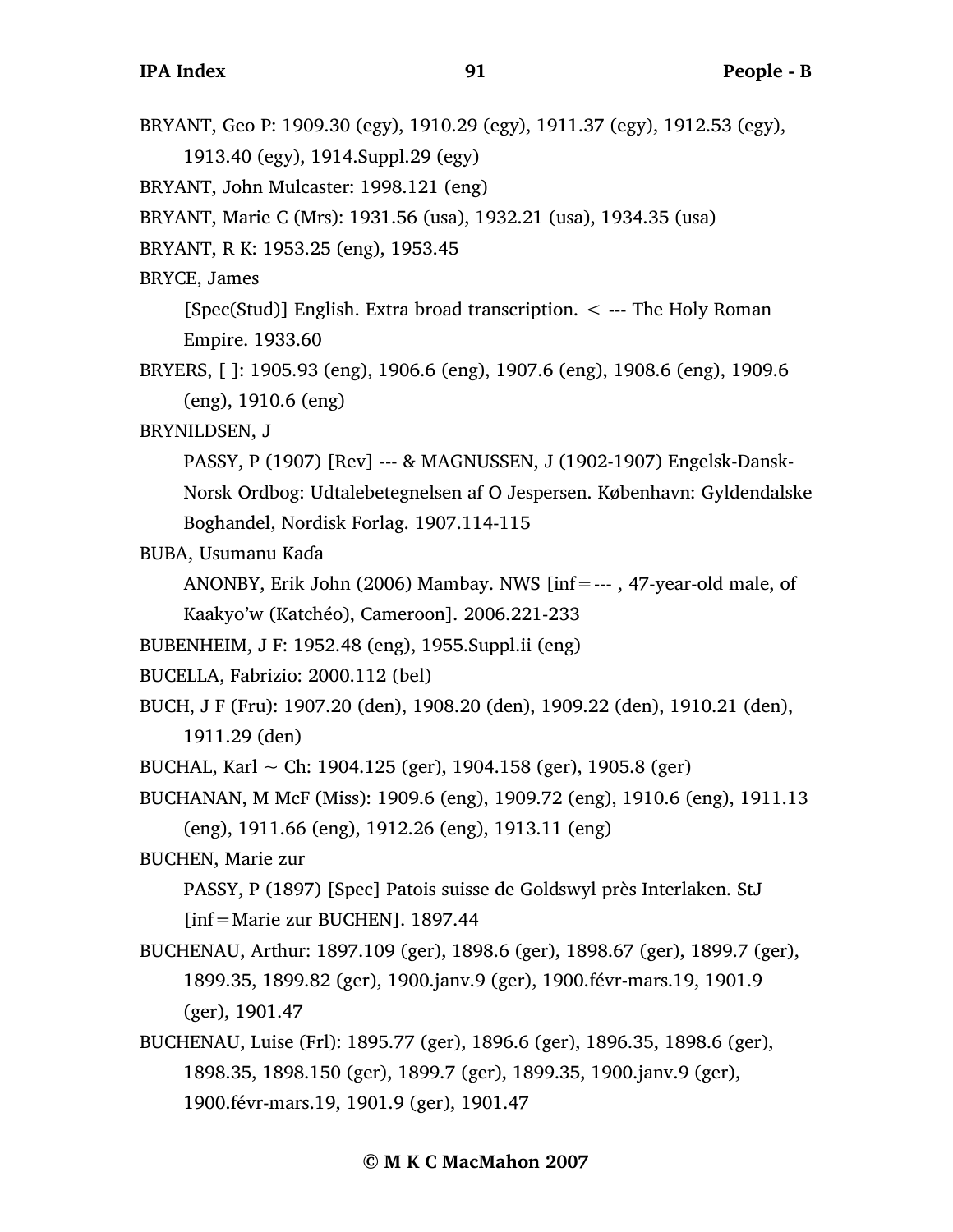BRYANT, Geo P: 1909.30 (egy), 1910.29 (egy), 1911.37 (egy), 1912.53 (egy), 1913.40 (egy), 1914.Suppl.29 (egy) BRYANT, John Mulcaster: 1998.121 (eng) BRYANT, Marie C (Mrs): 1931.56 (usa), 1932.21 (usa), 1934.35 (usa) BRYANT, R K: 1953.25 (eng), 1953.45 BRYCE, James [Spec(Stud)] English. Extra broad transcription. < --- The Holy Roman Empire. 1933.60 BRYERS, [ ]: 1905.93 (eng), 1906.6 (eng), 1907.6 (eng), 1908.6 (eng), 1909.6 (eng), 1910.6 (eng) BRYNILDSEN, J PASSY, P (1907) [Rev] --- & MAGNUSSEN, J (1902-1907) Engelsk-Dansk-Norsk Ordbog: Udtalebetegnelsen af O Jespersen. København: Gyldendalske Boghandel, Nordisk Forlag. 1907.114-115 BUBA, Usumanu Kaɗa ANONBY, Erik John (2006) Mambay. NWS [inf=--- , 47-year-old male, of Kaakyo'w (Katchéo), Cameroon]. 2006.221-233 BUBENHEIM, J F: 1952.48 (eng), 1955.Suppl.ii (eng) BUCELLA, Fabrizio: 2000.112 (bel) BUCH, J F (Fru): 1907.20 (den), 1908.20 (den), 1909.22 (den), 1910.21 (den), 1911.29 (den) BUCHAL, Karl  $\sim$  Ch: 1904.125 (ger), 1904.158 (ger), 1905.8 (ger) BUCHANAN, M McF (Miss): 1909.6 (eng), 1909.72 (eng), 1910.6 (eng), 1911.13 (eng), 1911.66 (eng), 1912.26 (eng), 1913.11 (eng) BUCHEN, Marie zur PASSY, P (1897) [Spec] Patois suisse de Goldswyl près Interlaken. StJ [inf=Marie zur BUCHEN]. 1897.44 BUCHENAU, Arthur: 1897.109 (ger), 1898.6 (ger), 1898.67 (ger), 1899.7 (ger), 1899.35, 1899.82 (ger), 1900.janv.9 (ger), 1900.févr-mars.19, 1901.9 (ger), 1901.47 BUCHENAU, Luise (Frl): 1895.77 (ger), 1896.6 (ger), 1896.35, 1898.6 (ger), 1898.35, 1898.150 (ger), 1899.7 (ger), 1899.35, 1900.janv.9 (ger), 1900.févr-mars.19, 1901.9 (ger), 1901.47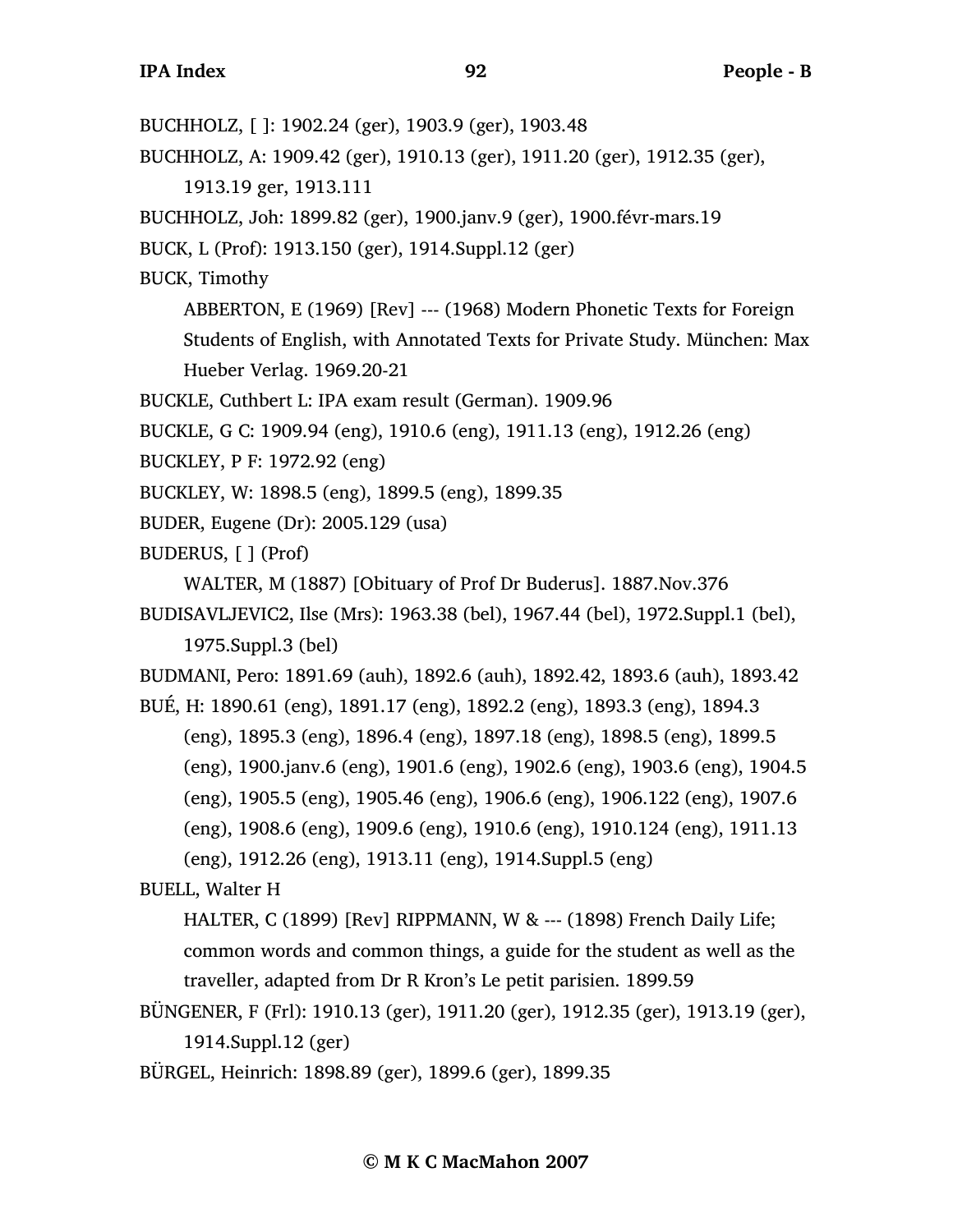BUCHHOLZ, [ ]: 1902.24 (ger), 1903.9 (ger), 1903.48

BUCHHOLZ, A: 1909.42 (ger), 1910.13 (ger), 1911.20 (ger), 1912.35 (ger),

1913.19 ger, 1913.111

BUCHHOLZ, Joh: 1899.82 (ger), 1900.janv.9 (ger), 1900.févr-mars.19

BUCK, L (Prof): 1913.150 (ger), 1914.Suppl.12 (ger)

BUCK, Timothy

ABBERTON, E (1969) [Rev] --- (1968) Modern Phonetic Texts for Foreign

Students of English, with Annotated Texts for Private Study. München: Max Hueber Verlag. 1969.20-21

BUCKLE, Cuthbert L: IPA exam result (German). 1909.96

BUCKLE, G C: 1909.94 (eng), 1910.6 (eng), 1911.13 (eng), 1912.26 (eng)

BUCKLEY, P F: 1972.92 (eng)

BUCKLEY, W: 1898.5 (eng), 1899.5 (eng), 1899.35

BUDER, Eugene (Dr): 2005.129 (usa)

BUDERUS, [ ] (Prof)

WALTER, M (1887) [Obituary of Prof Dr Buderus]. 1887.Nov.376

BUDISAVLJEVIC2, Ilse (Mrs): 1963.38 (bel), 1967.44 (bel), 1972.Suppl.1 (bel), 1975.Suppl.3 (bel)

BUDMANI, Pero: 1891.69 (auh), 1892.6 (auh), 1892.42, 1893.6 (auh), 1893.42 BUÉ, H: 1890.61 (eng), 1891.17 (eng), 1892.2 (eng), 1893.3 (eng), 1894.3

(eng), 1895.3 (eng), 1896.4 (eng), 1897.18 (eng), 1898.5 (eng), 1899.5

(eng), 1900.janv.6 (eng), 1901.6 (eng), 1902.6 (eng), 1903.6 (eng), 1904.5

(eng), 1905.5 (eng), 1905.46 (eng), 1906.6 (eng), 1906.122 (eng), 1907.6

(eng), 1908.6 (eng), 1909.6 (eng), 1910.6 (eng), 1910.124 (eng), 1911.13

(eng), 1912.26 (eng), 1913.11 (eng), 1914.Suppl.5 (eng)

BUELL, Walter H

HALTER, C (1899) [Rev] RIPPMANN, W & --- (1898) French Daily Life; common words and common things, a guide for the student as well as the traveller, adapted from Dr R Kron's Le petit parisien. 1899.59

BÜNGENER, F (Frl): 1910.13 (ger), 1911.20 (ger), 1912.35 (ger), 1913.19 (ger), 1914.Suppl.12 (ger)

BÜRGEL, Heinrich: 1898.89 (ger), 1899.6 (ger), 1899.35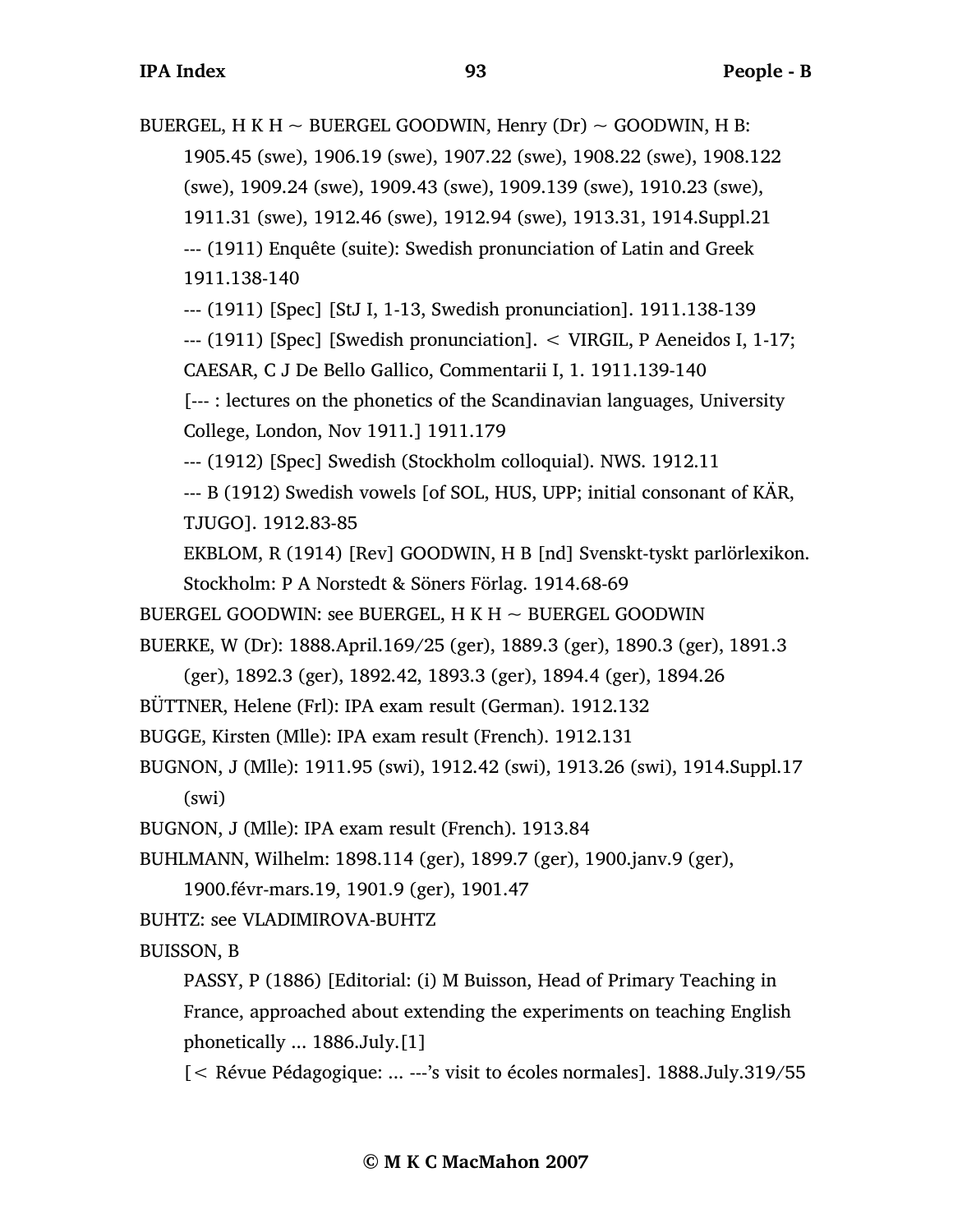BUERGEL, H K H  $\sim$  BUERGEL GOODWIN, Henry (Dr)  $\sim$  GOODWIN, H B: 1905.45 (swe), 1906.19 (swe), 1907.22 (swe), 1908.22 (swe), 1908.122 (swe), 1909.24 (swe), 1909.43 (swe), 1909.139 (swe), 1910.23 (swe), 1911.31 (swe), 1912.46 (swe), 1912.94 (swe), 1913.31, 1914.Suppl.21 --- (1911) Enquête (suite): Swedish pronunciation of Latin and Greek 1911.138-140 --- (1911) [Spec] [StJ I, 1-13, Swedish pronunciation]. 1911.138-139 --- (1911) [Spec] [Swedish pronunciation]. < VIRGIL, P Aeneidos I, 1-17; CAESAR, C J De Bello Gallico, Commentarii I, 1. 1911.139-140 [--- : lectures on the phonetics of the Scandinavian languages, University College, London, Nov 1911.] 1911.179 --- (1912) [Spec] Swedish (Stockholm colloquial). NWS. 1912.11 --- B (1912) Swedish vowels [of SOL, HUS, UPP; initial consonant of KÄR, TJUGO]. 1912.83-85 EKBLOM, R (1914) [Rev] GOODWIN, H B [nd] Svenskt-tyskt parlörlexikon. Stockholm: P A Norstedt & Söners Förlag. 1914.68-69 BUERGEL GOODWIN: see BUERGEL, H K H  $\sim$  BUERGEL GOODWIN BUERKE, W (Dr): 1888.April.169/25 (ger), 1889.3 (ger), 1890.3 (ger), 1891.3 (ger), 1892.3 (ger), 1892.42, 1893.3 (ger), 1894.4 (ger), 1894.26 BÜTTNER, Helene (Frl): IPA exam result (German). 1912.132 BUGGE, Kirsten (Mlle): IPA exam result (French). 1912.131 BUGNON, J (Mlle): 1911.95 (swi), 1912.42 (swi), 1913.26 (swi), 1914.Suppl.17 (swi) BUGNON, J (Mlle): IPA exam result (French). 1913.84 BUHLMANN, Wilhelm: 1898.114 (ger), 1899.7 (ger), 1900.janv.9 (ger), 1900.févr-mars.19, 1901.9 (ger), 1901.47 BUHTZ: see VLADIMIROVA-BUHTZ BUISSON, B PASSY, P (1886) [Editorial: (i) M Buisson, Head of Primary Teaching in France, approached about extending the experiments on teaching English phonetically ... 1886.July.[1]

[< Révue Pédagogique: ... ---'s visit to écoles normales]. 1888.July.319/55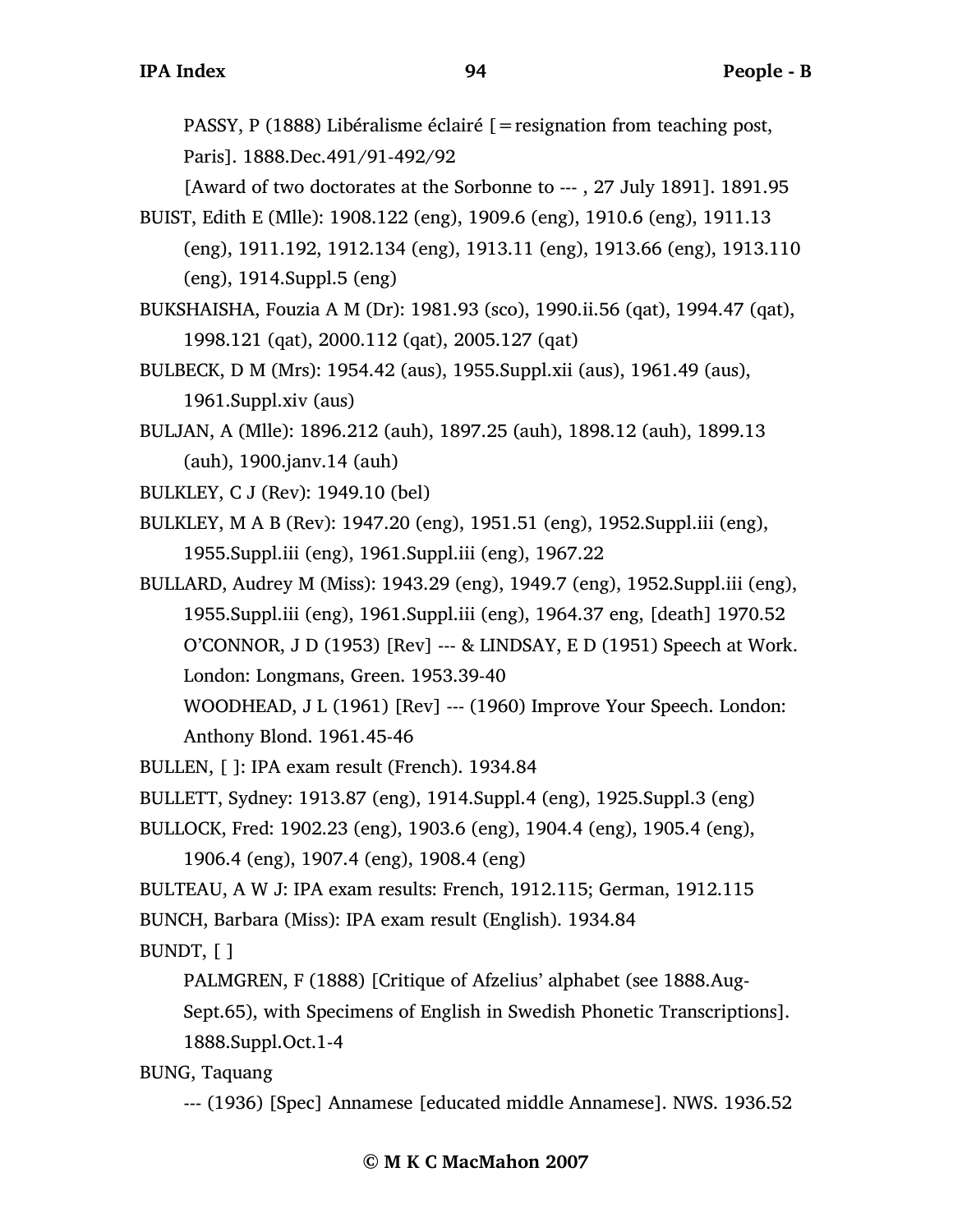PASSY, P (1888) Libéralisme éclairé [=resignation from teaching post, Paris]. 1888.Dec.491/91-492/92

[Award of two doctorates at the Sorbonne to --- , 27 July 1891]. 1891.95

- BUIST, Edith E (Mlle): 1908.122 (eng), 1909.6 (eng), 1910.6 (eng), 1911.13 (eng), 1911.192, 1912.134 (eng), 1913.11 (eng), 1913.66 (eng), 1913.110 (eng), 1914.Suppl.5 (eng)
- BUKSHAISHA, Fouzia A M (Dr): 1981.93 (sco), 1990.ii.56 (qat), 1994.47 (qat), 1998.121 (qat), 2000.112 (qat), 2005.127 (qat)
- BULBECK, D M (Mrs): 1954.42 (aus), 1955.Suppl.xii (aus), 1961.49 (aus), 1961.Suppl.xiv (aus)
- BULJAN, A (Mlle): 1896.212 (auh), 1897.25 (auh), 1898.12 (auh), 1899.13 (auh), 1900.janv.14 (auh)

BULKLEY, C J (Rev): 1949.10 (bel)

- BULKLEY, M A B (Rev): 1947.20 (eng), 1951.51 (eng), 1952.Suppl.iii (eng), 1955.Suppl.iii (eng), 1961.Suppl.iii (eng), 1967.22
- BULLARD, Audrey M (Miss): 1943.29 (eng), 1949.7 (eng), 1952.Suppl.iii (eng), 1955.Suppl.iii (eng), 1961.Suppl.iii (eng), 1964.37 eng, [death] 1970.52 O'CONNOR, J D (1953) [Rev] --- & LINDSAY, E D (1951) Speech at Work. London: Longmans, Green. 1953.39-40 WOODHEAD, J L (1961) [Rev] --- (1960) Improve Your Speech. London:

Anthony Blond. 1961.45-46

BULLEN, [ ]: IPA exam result (French). 1934.84

BULLETT, Sydney: 1913.87 (eng), 1914.Suppl.4 (eng), 1925.Suppl.3 (eng)

- BULLOCK, Fred: 1902.23 (eng), 1903.6 (eng), 1904.4 (eng), 1905.4 (eng), 1906.4 (eng), 1907.4 (eng), 1908.4 (eng)
- BULTEAU, A W J: IPA exam results: French, 1912.115; German, 1912.115 BUNCH, Barbara (Miss): IPA exam result (English). 1934.84

BUNDT, [ ]

PALMGREN, F (1888) [Critique of Afzelius' alphabet (see 1888.Aug-Sept.65), with Specimens of English in Swedish Phonetic Transcriptions].

1888.Suppl.Oct.1-4

BUNG, Taquang

--- (1936) [Spec] Annamese [educated middle Annamese]. NWS. 1936.52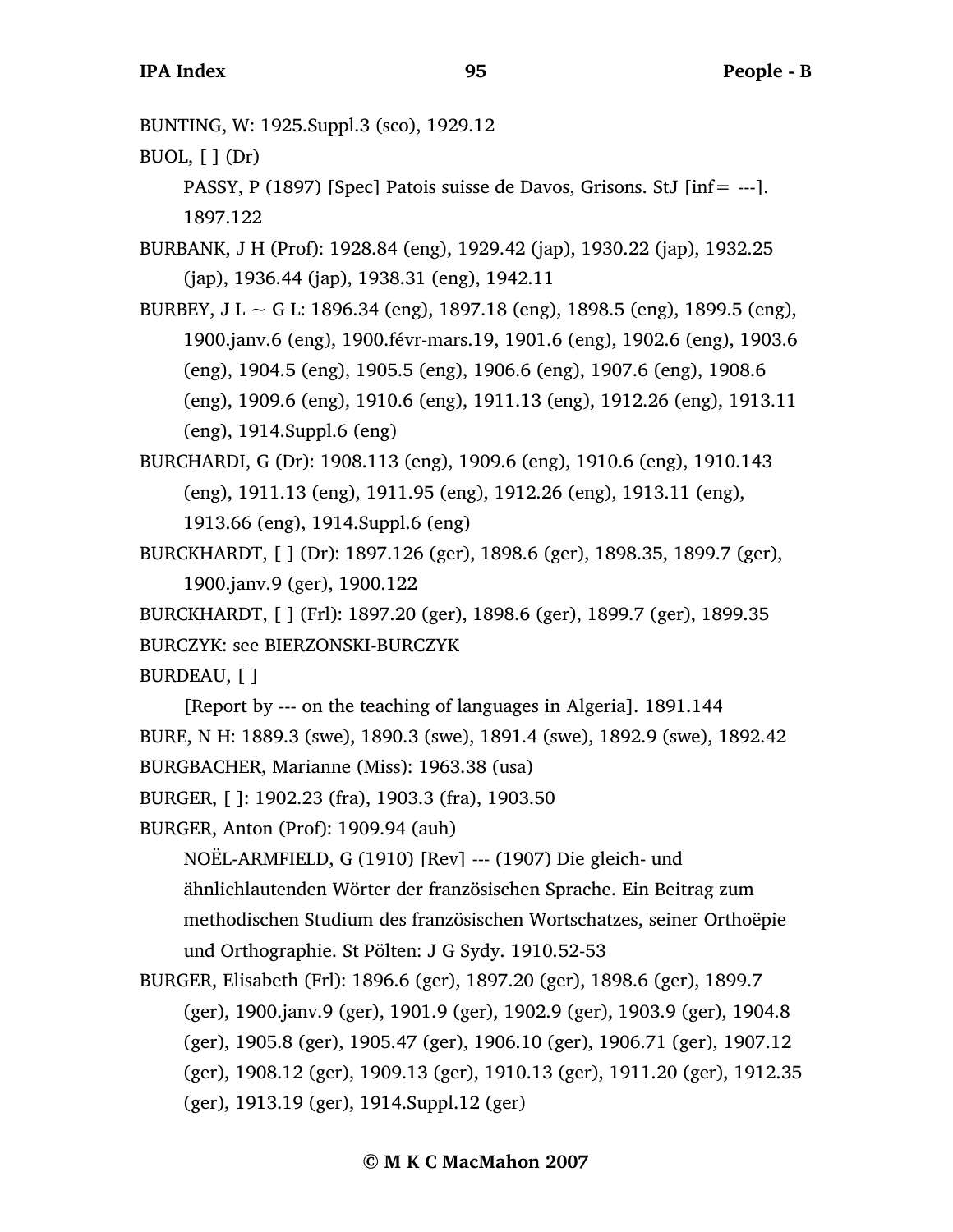BUNTING, W: 1925.Suppl.3 (sco), 1929.12

BUOL, [ ] (Dr)

PASSY, P (1897) [Spec] Patois suisse de Davos, Grisons. StJ [inf= ---]. 1897.122

BURBANK, J H (Prof): 1928.84 (eng), 1929.42 (jap), 1930.22 (jap), 1932.25 (jap), 1936.44 (jap), 1938.31 (eng), 1942.11

- BURBEY, J L  $\sim$  G L: 1896.34 (eng), 1897.18 (eng), 1898.5 (eng), 1899.5 (eng), 1900.janv.6 (eng), 1900.févr-mars.19, 1901.6 (eng), 1902.6 (eng), 1903.6 (eng), 1904.5 (eng), 1905.5 (eng), 1906.6 (eng), 1907.6 (eng), 1908.6 (eng), 1909.6 (eng), 1910.6 (eng), 1911.13 (eng), 1912.26 (eng), 1913.11 (eng), 1914.Suppl.6 (eng)
- BURCHARDI, G (Dr): 1908.113 (eng), 1909.6 (eng), 1910.6 (eng), 1910.143 (eng), 1911.13 (eng), 1911.95 (eng), 1912.26 (eng), 1913.11 (eng), 1913.66 (eng), 1914.Suppl.6 (eng)
- BURCKHARDT, [ ] (Dr): 1897.126 (ger), 1898.6 (ger), 1898.35, 1899.7 (ger), 1900.janv.9 (ger), 1900.122
- BURCKHARDT, [ ] (Frl): 1897.20 (ger), 1898.6 (ger), 1899.7 (ger), 1899.35 BURCZYK: see BIERZONSKI-BURCZYK

BURDEAU, [ ]

[Report by --- on the teaching of languages in Algeria]. 1891.144 BURE, N H: 1889.3 (swe), 1890.3 (swe), 1891.4 (swe), 1892.9 (swe), 1892.42 BURGBACHER, Marianne (Miss): 1963.38 (usa)

BURGER, [ ]: 1902.23 (fra), 1903.3 (fra), 1903.50

BURGER, Anton (Prof): 1909.94 (auh)

NOËL-ARMFIELD, G (1910) [Rev] --- (1907) Die gleich- und ähnlichlautenden Wörter der französischen Sprache. Ein Beitrag zum methodischen Studium des französischen Wortschatzes, seiner Orthoëpie und Orthographie. St Pölten: J G Sydy. 1910.52-53

BURGER, Elisabeth (Frl): 1896.6 (ger), 1897.20 (ger), 1898.6 (ger), 1899.7 (ger), 1900.janv.9 (ger), 1901.9 (ger), 1902.9 (ger), 1903.9 (ger), 1904.8 (ger), 1905.8 (ger), 1905.47 (ger), 1906.10 (ger), 1906.71 (ger), 1907.12 (ger), 1908.12 (ger), 1909.13 (ger), 1910.13 (ger), 1911.20 (ger), 1912.35 (ger), 1913.19 (ger), 1914.Suppl.12 (ger)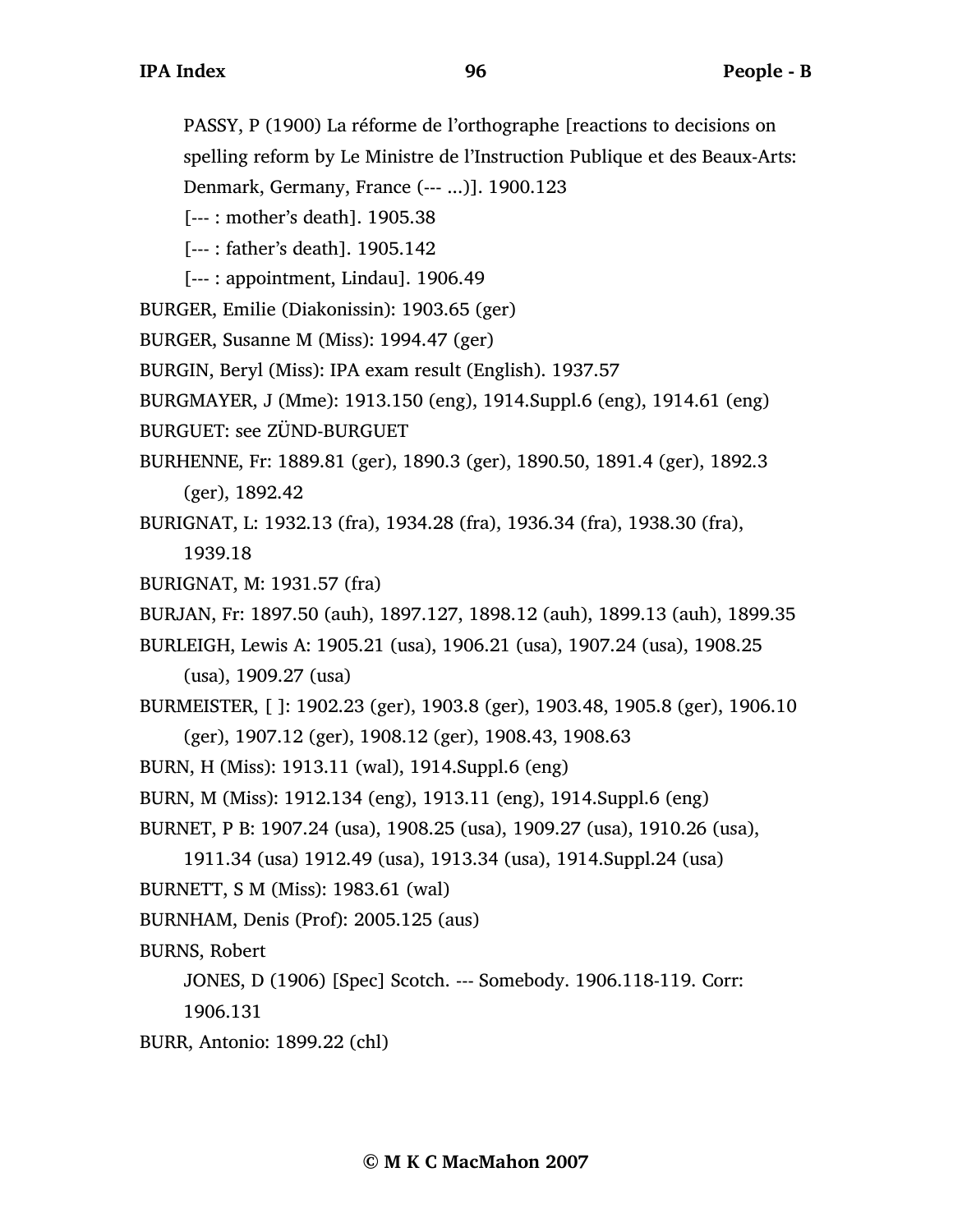PASSY, P (1900) La réforme de l'orthographe [reactions to decisions on spelling reform by Le Ministre de l'Instruction Publique et des Beaux-Arts: Denmark, Germany, France (--- ...)]. 1900.123

```
[--- : mother's death]. 1905.38
```

```
[--- : father's death]. 1905.142
```

```
[--- : appointment, Lindau]. 1906.49
```

```
BURGER, Emilie (Diakonissin): 1903.65 (ger)
```

```
BURGER, Susanne M (Miss): 1994.47 (ger)
```

```
BURGIN, Beryl (Miss): IPA exam result (English). 1937.57
```

```
BURGMAYER, J (Mme): 1913.150 (eng), 1914.Suppl.6 (eng), 1914.61 (eng)
```

```
BURGUET: see ZÜND-BURGUET
```
BURHENNE, Fr: 1889.81 (ger), 1890.3 (ger), 1890.50, 1891.4 (ger), 1892.3 (ger), 1892.42

BURIGNAT, L: 1932.13 (fra), 1934.28 (fra), 1936.34 (fra), 1938.30 (fra),

1939.18

```
BURIGNAT, M: 1931.57 (fra)
```

```
BURJAN, Fr: 1897.50 (auh), 1897.127, 1898.12 (auh), 1899.13 (auh), 1899.35
```
BURLEIGH, Lewis A: 1905.21 (usa), 1906.21 (usa), 1907.24 (usa), 1908.25

(usa), 1909.27 (usa)

```
BURMEISTER, [ ]: 1902.23 (ger), 1903.8 (ger), 1903.48, 1905.8 (ger), 1906.10
     (ger), 1907.12 (ger), 1908.12 (ger), 1908.43, 1908.63
```

```
BURN, H (Miss): 1913.11 (wal), 1914.Suppl.6 (eng)
```
BURN, M (Miss): 1912.134 (eng), 1913.11 (eng), 1914.Suppl.6 (eng)

BURNET, P B: 1907.24 (usa), 1908.25 (usa), 1909.27 (usa), 1910.26 (usa),

```
1911.34 (usa) 1912.49 (usa), 1913.34 (usa), 1914.Suppl.24 (usa)
```

```
BURNETT, S M (Miss): 1983.61 (wal)
```
BURNHAM, Denis (Prof): 2005.125 (aus)

BURNS, Robert

JONES, D (1906) [Spec] Scotch. --- Somebody. 1906.118-119. Corr:

1906.131

```
BURR, Antonio: 1899.22 (chl)
```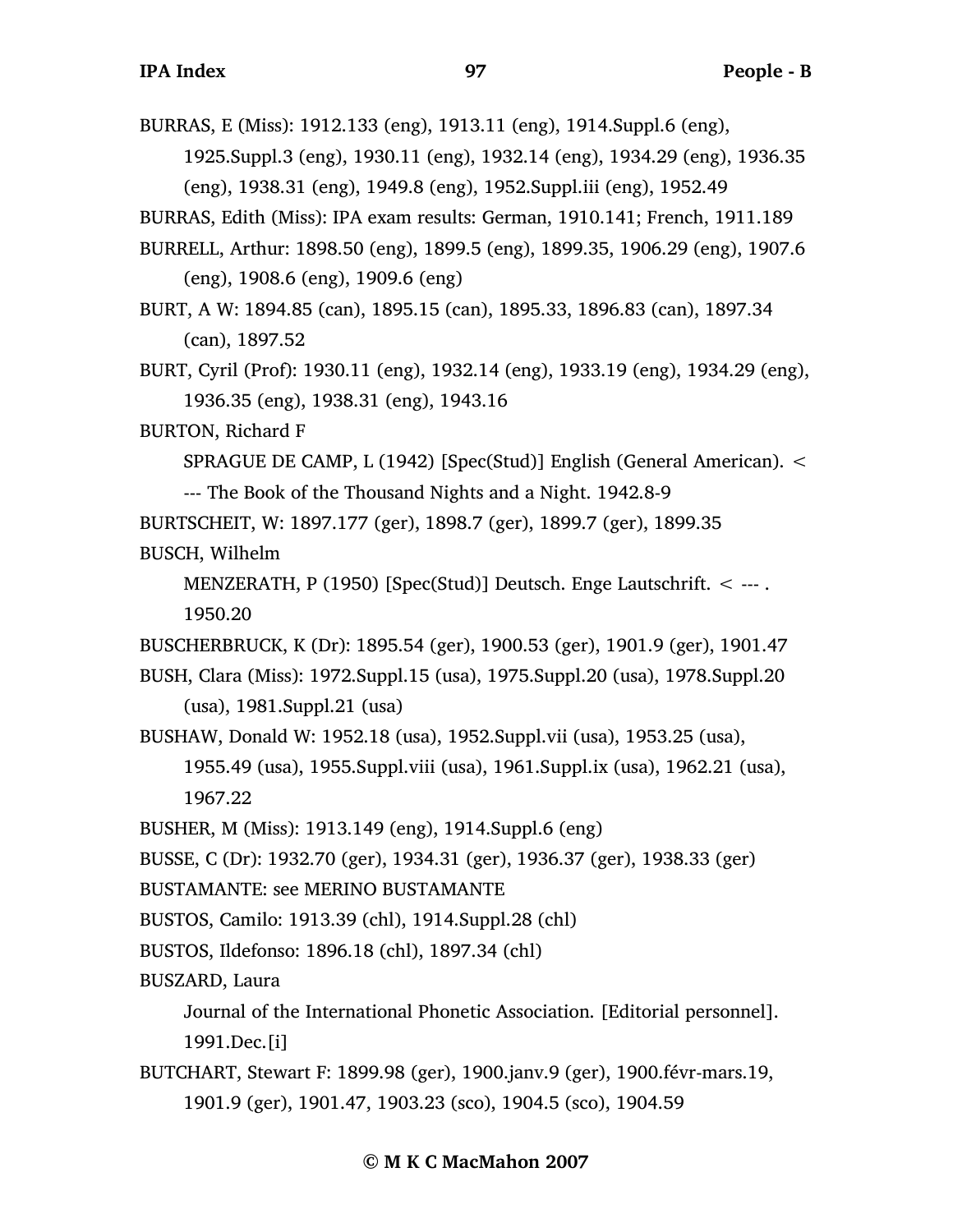BURRAS, E (Miss): 1912.133 (eng), 1913.11 (eng), 1914.Suppl.6 (eng),

1925.Suppl.3 (eng), 1930.11 (eng), 1932.14 (eng), 1934.29 (eng), 1936.35 (eng), 1938.31 (eng), 1949.8 (eng), 1952.Suppl.iii (eng), 1952.49

BURRAS, Edith (Miss): IPA exam results: German, 1910.141; French, 1911.189

- BURRELL, Arthur: 1898.50 (eng), 1899.5 (eng), 1899.35, 1906.29 (eng), 1907.6 (eng), 1908.6 (eng), 1909.6 (eng)
- BURT, A W: 1894.85 (can), 1895.15 (can), 1895.33, 1896.83 (can), 1897.34 (can), 1897.52
- BURT, Cyril (Prof): 1930.11 (eng), 1932.14 (eng), 1933.19 (eng), 1934.29 (eng), 1936.35 (eng), 1938.31 (eng), 1943.16
- BURTON, Richard F

SPRAGUE DE CAMP, L (1942) [Spec(Stud)] English (General American). <

- --- The Book of the Thousand Nights and a Night. 1942.8-9
- BURTSCHEIT, W: 1897.177 (ger), 1898.7 (ger), 1899.7 (ger), 1899.35
- BUSCH, Wilhelm
	- MENZERATH, P (1950) [Spec(Stud)] Deutsch. Enge Lautschrift. < --- . 1950.20

BUSCHERBRUCK, K (Dr): 1895.54 (ger), 1900.53 (ger), 1901.9 (ger), 1901.47

- BUSH, Clara (Miss): 1972.Suppl.15 (usa), 1975.Suppl.20 (usa), 1978.Suppl.20 (usa), 1981.Suppl.21 (usa)
- BUSHAW, Donald W: 1952.18 (usa), 1952.Suppl.vii (usa), 1953.25 (usa), 1955.49 (usa), 1955.Suppl.viii (usa), 1961.Suppl.ix (usa), 1962.21 (usa), 1967.22
- BUSHER, M (Miss): 1913.149 (eng), 1914.Suppl.6 (eng)

BUSSE, C (Dr): 1932.70 (ger), 1934.31 (ger), 1936.37 (ger), 1938.33 (ger)

- BUSTAMANTE: see MERINO BUSTAMANTE
- BUSTOS, Camilo: 1913.39 (chl), 1914.Suppl.28 (chl)
- BUSTOS, Ildefonso: 1896.18 (chl), 1897.34 (chl)

BUSZARD, Laura

Journal of the International Phonetic Association. [Editorial personnel]. 1991.Dec.[i]

BUTCHART, Stewart F: 1899.98 (ger), 1900.janv.9 (ger), 1900.févr-mars.19, 1901.9 (ger), 1901.47, 1903.23 (sco), 1904.5 (sco), 1904.59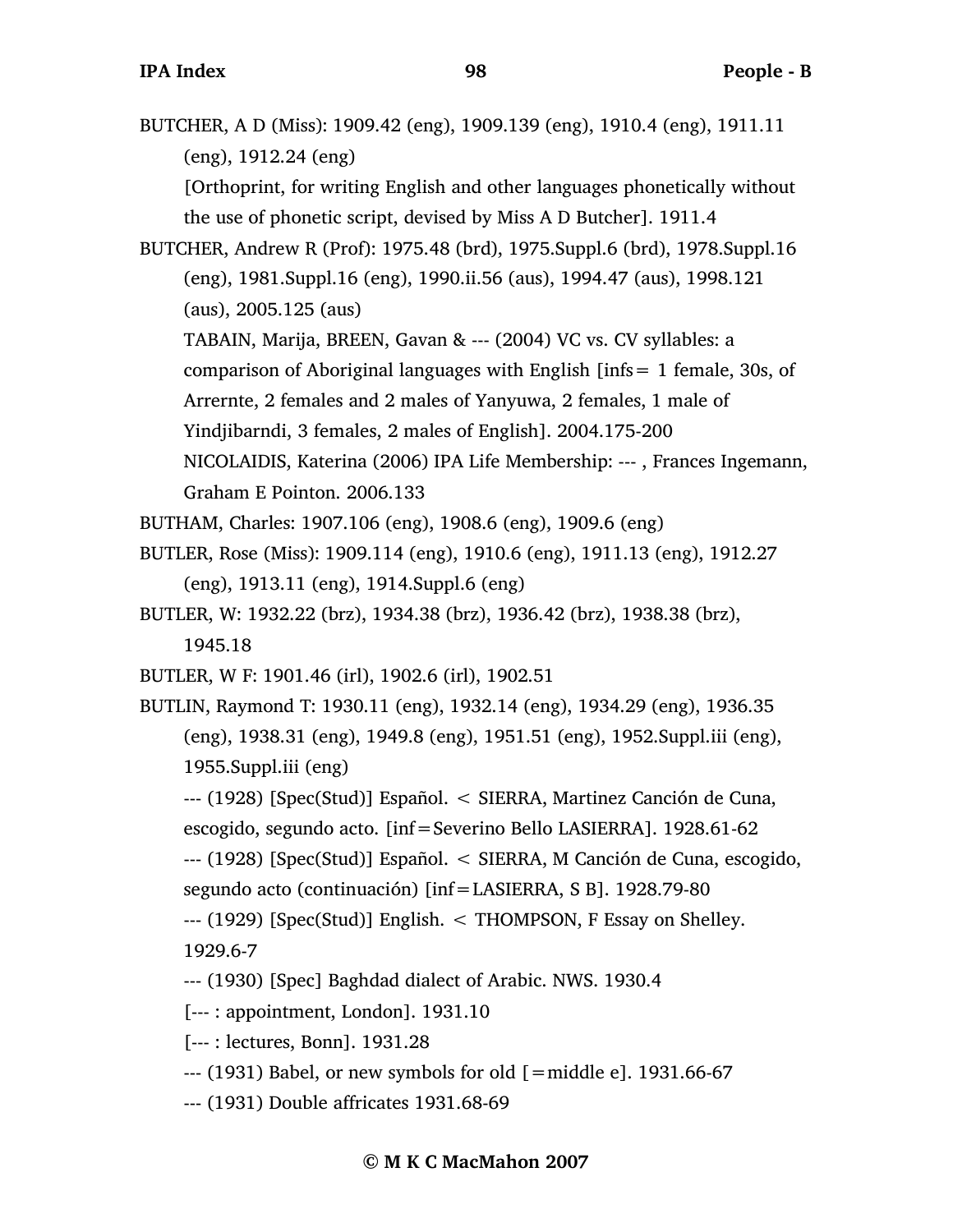BUTCHER, A D (Miss): 1909.42 (eng), 1909.139 (eng), 1910.4 (eng), 1911.11 (eng), 1912.24 (eng) [Orthoprint, for writing English and other languages phonetically without the use of phonetic script, devised by Miss A D Butcher]. 1911.4

BUTCHER, Andrew R (Prof): 1975.48 (brd), 1975.Suppl.6 (brd), 1978.Suppl.16 (eng), 1981.Suppl.16 (eng), 1990.ii.56 (aus), 1994.47 (aus), 1998.121 (aus), 2005.125 (aus)

TABAIN, Marija, BREEN, Gavan & --- (2004) VC vs. CV syllables: a

comparison of Aboriginal languages with English [infs= 1 female, 30s, of

Arrernte, 2 females and 2 males of Yanyuwa, 2 females, 1 male of

Yindjibarndi, 3 females, 2 males of English]. 2004.175-200

NICOLAIDIS, Katerina (2006) IPA Life Membership: --- , Frances Ingemann, Graham E Pointon. 2006.133

BUTHAM, Charles: 1907.106 (eng), 1908.6 (eng), 1909.6 (eng)

BUTLER, Rose (Miss): 1909.114 (eng), 1910.6 (eng), 1911.13 (eng), 1912.27 (eng), 1913.11 (eng), 1914.Suppl.6 (eng)

BUTLER, W: 1932.22 (brz), 1934.38 (brz), 1936.42 (brz), 1938.38 (brz), 1945.18

BUTLER, W F: 1901.46 (irl), 1902.6 (irl), 1902.51

BUTLIN, Raymond T: 1930.11 (eng), 1932.14 (eng), 1934.29 (eng), 1936.35 (eng), 1938.31 (eng), 1949.8 (eng), 1951.51 (eng), 1952.Suppl.iii (eng), 1955.Suppl.iii (eng)

--- (1928) [Spec(Stud)] Español. < SIERRA, Martinez Canción de Cuna,

escogido, segundo acto. [inf=Severino Bello LASIERRA]. 1928.61-62

--- (1928) [Spec(Stud)] Español. < SIERRA, M Canción de Cuna, escogido,

segundo acto (continuación) [inf=LASIERRA, S B]. 1928.79-80

--- (1929) [Spec(Stud)] English. < THOMPSON, F Essay on Shelley. 1929.6-7

--- (1930) [Spec] Baghdad dialect of Arabic. NWS. 1930.4

[--- : appointment, London]. 1931.10

[--- : lectures, Bonn]. 1931.28

 $-$ -- $(1931)$  Babel, or new symbols for old  $[=$ middle e]. 1931.66-67

--- (1931) Double affricates 1931.68-69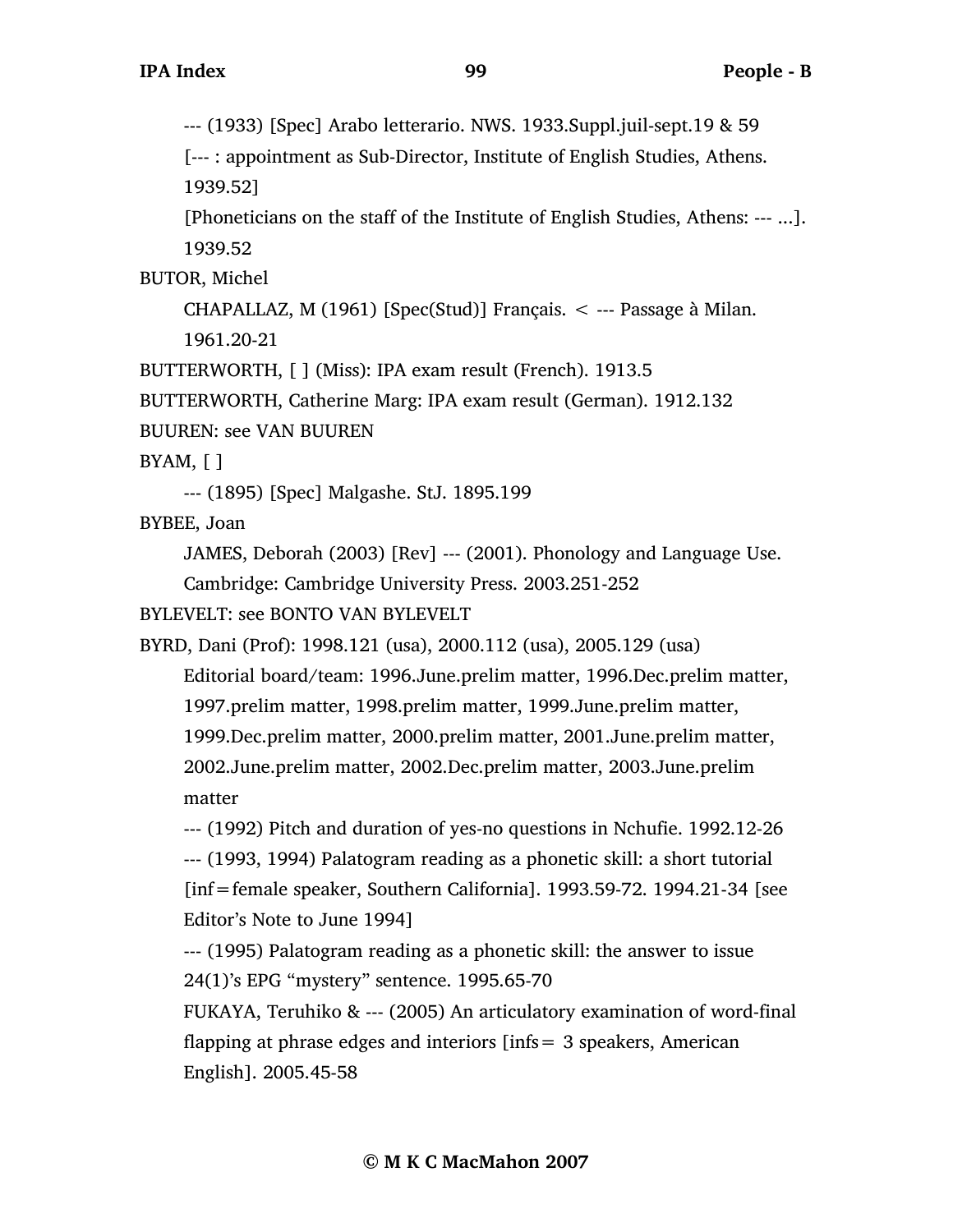--- (1933) [Spec] Arabo letterario. NWS. 1933.Suppl.juil-sept.19 & 59

[--- : appointment as Sub-Director, Institute of English Studies, Athens. 1939.52]

[Phoneticians on the staff of the Institute of English Studies, Athens: --- ...]. 1939.52

BUTOR, Michel

CHAPALLAZ, M  $(1961)$  [Spec(Stud)] Français.  $\lt$  --- Passage à Milan. 1961.20-21

BUTTERWORTH, [ ] (Miss): IPA exam result (French). 1913.5

BUTTERWORTH, Catherine Marg: IPA exam result (German). 1912.132

BUUREN: see VAN BUUREN

 $BYAM, \lceil \rceil$ 

--- (1895) [Spec] Malgashe. StJ. 1895.199

BYBEE, Joan

JAMES, Deborah (2003) [Rev] --- (2001). Phonology and Language Use.

Cambridge: Cambridge University Press. 2003.251-252

BYLEVELT: see BONTO VAN BYLEVELT

BYRD, Dani (Prof): 1998.121 (usa), 2000.112 (usa), 2005.129 (usa)

Editorial board/team: 1996.June.prelim matter, 1996.Dec.prelim matter, 1997.prelim matter, 1998.prelim matter, 1999.June.prelim matter, 1999.Dec.prelim matter, 2000.prelim matter, 2001.June.prelim matter, 2002.June.prelim matter, 2002.Dec.prelim matter, 2003.June.prelim matter

--- (1992) Pitch and duration of yes-no questions in Nchufie. 1992.12-26

--- (1993, 1994) Palatogram reading as a phonetic skill: a short tutorial

[inf=female speaker, Southern California]. 1993.59-72. 1994.21-34 [see Editor's Note to June 1994]

--- (1995) Palatogram reading as a phonetic skill: the answer to issue 24(1)'s EPG "mystery" sentence. 1995.65-70

FUKAYA, Teruhiko & --- (2005) An articulatory examination of word-final flapping at phrase edges and interiors [infs= 3 speakers, American English]. 2005.45-58